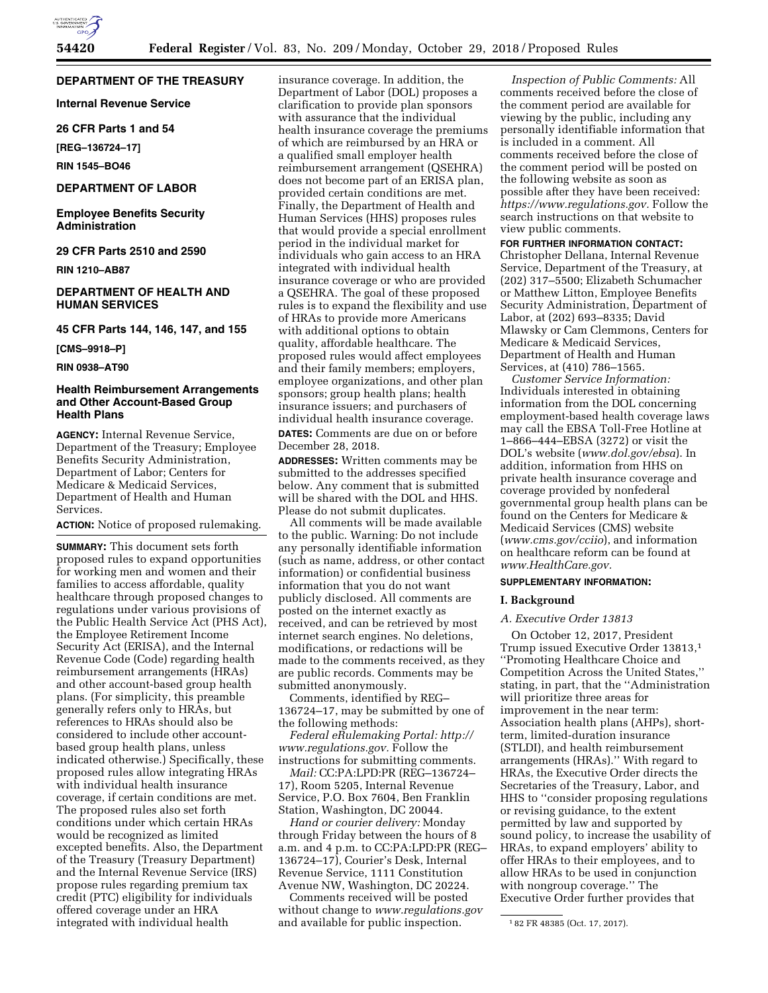## **DEPARTMENT OF THE TREASURY**

**Internal Revenue Service** 

**26 CFR Parts 1 and 54** 

**[REG–136724–17]** 

**RIN 1545–BO46** 

## **DEPARTMENT OF LABOR**

**Employee Benefits Security Administration** 

**29 CFR Parts 2510 and 2590** 

**RIN 1210–AB87** 

## **DEPARTMENT OF HEALTH AND HUMAN SERVICES**

## **45 CFR Parts 144, 146, 147, and 155**

**[CMS–9918–P]** 

**RIN 0938–AT90** 

## **Health Reimbursement Arrangements and Other Account-Based Group Health Plans**

**AGENCY:** Internal Revenue Service, Department of the Treasury; Employee Benefits Security Administration, Department of Labor; Centers for Medicare & Medicaid Services, Department of Health and Human Services.

**ACTION:** Notice of proposed rulemaking.

**SUMMARY:** This document sets forth proposed rules to expand opportunities for working men and women and their families to access affordable, quality healthcare through proposed changes to regulations under various provisions of the Public Health Service Act (PHS Act), the Employee Retirement Income Security Act (ERISA), and the Internal Revenue Code (Code) regarding health reimbursement arrangements (HRAs) and other account-based group health plans. (For simplicity, this preamble generally refers only to HRAs, but references to HRAs should also be considered to include other accountbased group health plans, unless indicated otherwise.) Specifically, these proposed rules allow integrating HRAs with individual health insurance coverage, if certain conditions are met. The proposed rules also set forth conditions under which certain HRAs would be recognized as limited excepted benefits. Also, the Department of the Treasury (Treasury Department) and the Internal Revenue Service (IRS) propose rules regarding premium tax credit (PTC) eligibility for individuals offered coverage under an HRA integrated with individual health

insurance coverage. In addition, the Department of Labor (DOL) proposes a clarification to provide plan sponsors with assurance that the individual health insurance coverage the premiums of which are reimbursed by an HRA or a qualified small employer health reimbursement arrangement (QSEHRA) does not become part of an ERISA plan, provided certain conditions are met. Finally, the Department of Health and Human Services (HHS) proposes rules that would provide a special enrollment period in the individual market for individuals who gain access to an HRA integrated with individual health insurance coverage or who are provided a QSEHRA. The goal of these proposed rules is to expand the flexibility and use of HRAs to provide more Americans with additional options to obtain quality, affordable healthcare. The proposed rules would affect employees and their family members; employers, employee organizations, and other plan sponsors; group health plans; health insurance issuers; and purchasers of individual health insurance coverage. **DATES:** Comments are due on or before December 28, 2018.

**ADDRESSES:** Written comments may be submitted to the addresses specified below. Any comment that is submitted will be shared with the DOL and HHS. Please do not submit duplicates.

All comments will be made available to the public. Warning: Do not include any personally identifiable information (such as name, address, or other contact information) or confidential business information that you do not want publicly disclosed. All comments are posted on the internet exactly as received, and can be retrieved by most internet search engines. No deletions, modifications, or redactions will be made to the comments received, as they are public records. Comments may be submitted anonymously.

Comments, identified by REG– 136724–17, may be submitted by one of the following methods:

*Federal eRulemaking Portal: [http://](http://www.regulations.gov) [www.regulations.gov.](http://www.regulations.gov)* Follow the instructions for submitting comments.

*Mail:* CC:PA:LPD:PR (REG–136724– 17), Room 5205, Internal Revenue Service, P.O. Box 7604, Ben Franklin Station, Washington, DC 20044.

*Hand or courier delivery:* Monday through Friday between the hours of 8 a.m. and 4 p.m. to CC:PA:LPD:PR (REG– 136724–17), Courier's Desk, Internal Revenue Service, 1111 Constitution Avenue NW, Washington, DC 20224.

Comments received will be posted without change to *[www.regulations.gov](http://www.regulations.gov)*  and available for public inspection.

*Inspection of Public Comments:* All comments received before the close of the comment period are available for viewing by the public, including any personally identifiable information that is included in a comment. All comments received before the close of the comment period will be posted on the following website as soon as possible after they have been received: *[https://www.regulations.gov.](https://www.regulations.gov)* Follow the search instructions on that website to view public comments.

## **FOR FURTHER INFORMATION CONTACT:**

Christopher Dellana, Internal Revenue Service, Department of the Treasury, at (202) 317–5500; Elizabeth Schumacher or Matthew Litton, Employee Benefits Security Administration, Department of Labor, at (202) 693–8335; David Mlawsky or Cam Clemmons, Centers for Medicare & Medicaid Services, Department of Health and Human Services, at (410) 786–1565.

*Customer Service Information:*  Individuals interested in obtaining information from the DOL concerning employment-based health coverage laws may call the EBSA Toll-Free Hotline at 1–866–444–EBSA (3272) or visit the DOL's website (*[www.dol.gov/ebsa](http://www.dol.gov/ebsa)*). In addition, information from HHS on private health insurance coverage and coverage provided by nonfederal governmental group health plans can be found on the Centers for Medicare & Medicaid Services (CMS) website (*[www.cms.gov/cciio](http://www.cms.gov/cciio)*), and information on healthcare reform can be found at *[www.HealthCare.gov.](http://www.HealthCare.gov)* 

#### **SUPPLEMENTARY INFORMATION:**

## **I. Background**

#### *A. Executive Order 13813*

On October 12, 2017, President Trump issued Executive Order 13813,1 ''Promoting Healthcare Choice and Competition Across the United States,'' stating, in part, that the ''Administration will prioritize three areas for improvement in the near term: Association health plans (AHPs), shortterm, limited-duration insurance (STLDI), and health reimbursement arrangements (HRAs).'' With regard to HRAs, the Executive Order directs the Secretaries of the Treasury, Labor, and HHS to ''consider proposing regulations or revising guidance, to the extent permitted by law and supported by sound policy, to increase the usability of HRAs, to expand employers' ability to offer HRAs to their employees, and to allow HRAs to be used in conjunction with nongroup coverage.'' The Executive Order further provides that

<sup>1</sup> 82 FR 48385 (Oct. 17, 2017).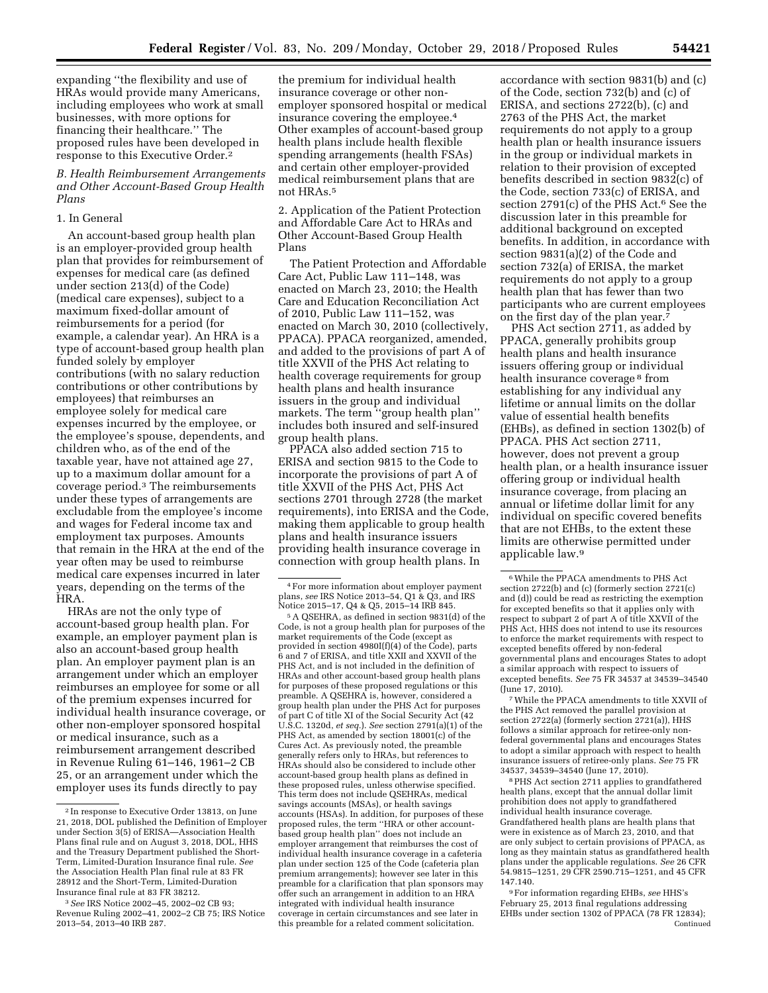expanding ''the flexibility and use of HRAs would provide many Americans, including employees who work at small businesses, with more options for financing their healthcare.'' The proposed rules have been developed in response to this Executive Order.2

*B. Health Reimbursement Arrangements and Other Account-Based Group Health Plans* 

## 1. In General

An account-based group health plan is an employer-provided group health plan that provides for reimbursement of expenses for medical care (as defined under section 213(d) of the Code) (medical care expenses), subject to a maximum fixed-dollar amount of reimbursements for a period (for example, a calendar year). An HRA is a type of account-based group health plan funded solely by employer contributions (with no salary reduction contributions or other contributions by employees) that reimburses an employee solely for medical care expenses incurred by the employee, or the employee's spouse, dependents, and children who, as of the end of the taxable year, have not attained age 27, up to a maximum dollar amount for a coverage period.3 The reimbursements under these types of arrangements are excludable from the employee's income and wages for Federal income tax and employment tax purposes. Amounts that remain in the HRA at the end of the year often may be used to reimburse medical care expenses incurred in later years, depending on the terms of the HRA.

HRAs are not the only type of account-based group health plan. For example, an employer payment plan is also an account-based group health plan. An employer payment plan is an arrangement under which an employer reimburses an employee for some or all of the premium expenses incurred for individual health insurance coverage, or other non-employer sponsored hospital or medical insurance, such as a reimbursement arrangement described in Revenue Ruling 61–146, 1961–2 CB 25, or an arrangement under which the employer uses its funds directly to pay

the premium for individual health insurance coverage or other nonemployer sponsored hospital or medical insurance covering the employee.4 Other examples of account-based group health plans include health flexible spending arrangements (health FSAs) and certain other employer-provided medical reimbursement plans that are not HRAs.5

2. Application of the Patient Protection and Affordable Care Act to HRAs and Other Account-Based Group Health Plans

The Patient Protection and Affordable Care Act, Public Law 111–148, was enacted on March 23, 2010; the Health Care and Education Reconciliation Act of 2010, Public Law 111–152, was enacted on March 30, 2010 (collectively, PPACA). PPACA reorganized, amended, and added to the provisions of part A of title XXVII of the PHS Act relating to health coverage requirements for group health plans and health insurance issuers in the group and individual markets. The term ''group health plan'' includes both insured and self-insured group health plans.

PPACA also added section 715 to ERISA and section 9815 to the Code to incorporate the provisions of part A of title XXVII of the PHS Act, PHS Act sections 2701 through 2728 (the market requirements), into ERISA and the Code, making them applicable to group health plans and health insurance issuers providing health insurance coverage in connection with group health plans. In

accordance with section 9831(b) and (c) of the Code, section 732(b) and (c) of ERISA, and sections 2722(b), (c) and 2763 of the PHS Act, the market requirements do not apply to a group health plan or health insurance issuers in the group or individual markets in relation to their provision of excepted benefits described in section 9832(c) of the Code, section 733(c) of ERISA, and section 2791(c) of the PHS Act.<sup>6</sup> See the discussion later in this preamble for additional background on excepted benefits. In addition, in accordance with section 9831(a)(2) of the Code and section 732(a) of ERISA, the market requirements do not apply to a group health plan that has fewer than two participants who are current employees on the first day of the plan year.<sup>7</sup>

PHS Act section 2711, as added by PPACA, generally prohibits group health plans and health insurance issuers offering group or individual health insurance coverage 8 from establishing for any individual any lifetime or annual limits on the dollar value of essential health benefits (EHBs), as defined in section 1302(b) of PPACA. PHS Act section 2711, however, does not prevent a group health plan, or a health insurance issuer offering group or individual health insurance coverage, from placing an annual or lifetime dollar limit for any individual on specific covered benefits that are not EHBs, to the extent these limits are otherwise permitted under applicable law.9

7While the PPACA amendments to title XXVII of the PHS Act removed the parallel provision at section 2722(a) (formerly section 2721(a)), HHS follows a similar approach for retiree-only nonfederal governmental plans and encourages States to adopt a similar approach with respect to health insurance issuers of retiree-only plans. *See* 75 FR 34537, 34539–34540 (June 17, 2010).

8PHS Act section 2711 applies to grandfathered health plans, except that the annual dollar limit prohibition does not apply to grandfathered individual health insurance coverage. Grandfathered health plans are health plans that were in existence as of March 23, 2010, and that are only subject to certain provisions of PPACA, as long as they maintain status as grandfathered health plans under the applicable regulations. *See* 26 CFR 54.9815–1251, 29 CFR 2590.715–1251, and 45 CFR 147.140.

9For information regarding EHBs, *see* HHS's February 25, 2013 final regulations addressing EHBs under section 1302 of PPACA (78 FR 12834); Continued

<sup>2</sup> In response to Executive Order 13813, on June 21, 2018, DOL published the Definition of Employer under Section 3(5) of ERISA—Association Health Plans final rule and on August 3, 2018, DOL, HHS and the Treasury Department published the Short-Term, Limited-Duration Insurance final rule. *See*  the Association Health Plan final rule at 83 FR 28912 and the Short-Term, Limited-Duration Insurance final rule at 83 FR 38212.

<sup>3</sup>*See* IRS Notice 2002–45, 2002–02 CB 93; Revenue Ruling 2002–41, 2002–2 CB 75; IRS Notice 2013–54, 2013–40 IRB 287.

<sup>4</sup>For more information about employer payment plans, *see* IRS Notice 2013–54, Q1 & Q3, and IRS

<sup>&</sup>lt;sup>5</sup> A QSEHRA, as defined in section 9831(d) of the Code, is not a group health plan for purposes of the market requirements of the Code (except as provided in section 4980I(f)(4) of the Code), parts 6 and 7 of ERISA, and title XXII and XXVII of the PHS Act, and is not included in the definition of HRAs and other account-based group health plans for purposes of these proposed regulations or this preamble. A QSEHRA is, however, considered a group health plan under the PHS Act for purposes of part C of title XI of the Social Security Act (42 U.S.C. 1320d, *et seq.*). *See* section 2791(a)(1) of the PHS Act, as amended by section 18001(c) of the Cures Act. As previously noted, the preamble generally refers only to HRAs, but references to HRAs should also be considered to include other account-based group health plans as defined in these proposed rules, unless otherwise specified. This term does not include QSEHRAs, medical savings accounts (MSAs), or health savings accounts (HSAs). In addition, for purposes of these proposed rules, the term ''HRA or other accountbased group health plan'' does not include an employer arrangement that reimburses the cost of individual health insurance coverage in a cafeteria plan under section 125 of the Code (cafeteria plan premium arrangements); however see later in this preamble for a clarification that plan sponsors may offer such an arrangement in addition to an HRA integrated with individual health insurance coverage in certain circumstances and see later in this preamble for a related comment solicitation.

<sup>6</sup>While the PPACA amendments to PHS Act section 2722(b) and (c) (formerly section 2721(c) and (d)) could be read as restricting the exemption for excepted benefits so that it applies only with respect to subpart 2 of part A of title XXVII of the PHS Act, HHS does not intend to use its resources to enforce the market requirements with respect to excepted benefits offered by non-federal governmental plans and encourages States to adopt a similar approach with respect to issuers of excepted benefits. *See* 75 FR 34537 at 34539–34540 (June 17, 2010).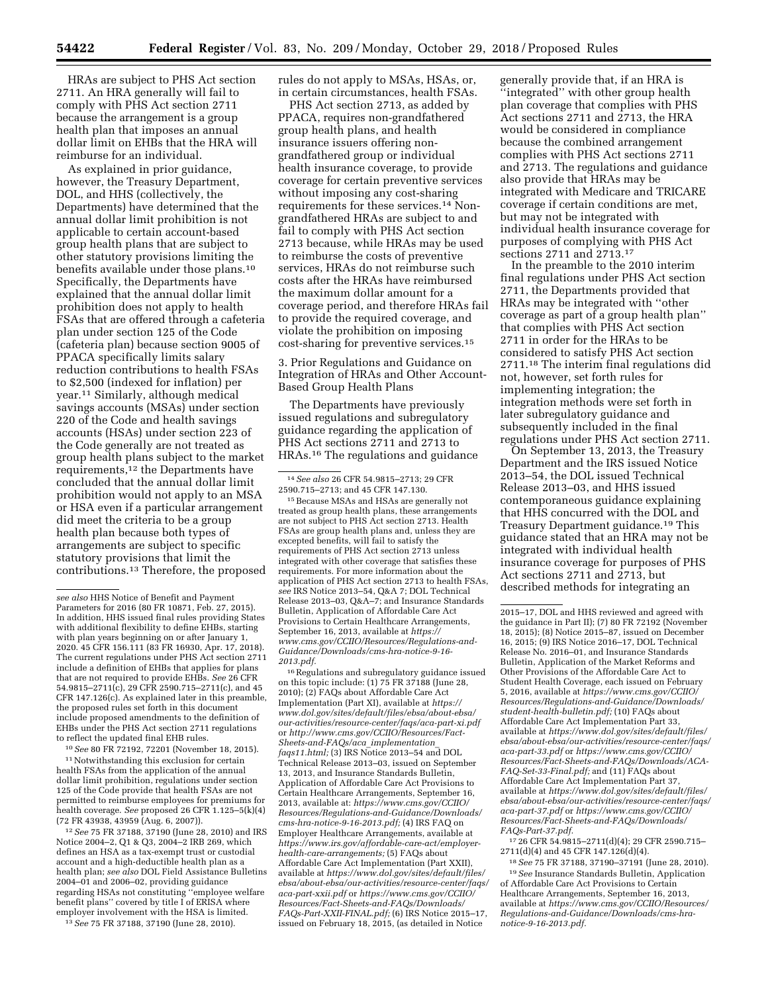HRAs are subject to PHS Act section 2711. An HRA generally will fail to comply with PHS Act section 2711 because the arrangement is a group health plan that imposes an annual dollar limit on EHBs that the HRA will reimburse for an individual.

As explained in prior guidance, however, the Treasury Department, DOL, and HHS (collectively, the Departments) have determined that the annual dollar limit prohibition is not applicable to certain account-based group health plans that are subject to other statutory provisions limiting the benefits available under those plans.10 Specifically, the Departments have explained that the annual dollar limit prohibition does not apply to health FSAs that are offered through a cafeteria plan under section 125 of the Code (cafeteria plan) because section 9005 of PPACA specifically limits salary reduction contributions to health FSAs to \$2,500 (indexed for inflation) per year.11 Similarly, although medical savings accounts (MSAs) under section 220 of the Code and health savings accounts (HSAs) under section 223 of the Code generally are not treated as group health plans subject to the market requirements,12 the Departments have concluded that the annual dollar limit prohibition would not apply to an MSA or HSA even if a particular arrangement did meet the criteria to be a group health plan because both types of arrangements are subject to specific statutory provisions that limit the contributions.13 Therefore, the proposed

10*See* 80 FR 72192, 72201 (November 18, 2015).

<sup>11</sup> Notwithstanding this exclusion for certain health FSAs from the application of the annual dollar limit prohibition, regulations under section 125 of the Code provide that health FSAs are not permitted to reimburse employees for premiums for health coverage. *See* proposed 26 CFR 1.125–5(k)(4) (72 FR 43938, 43959 (Aug. 6, 2007)).

12*See* 75 FR 37188, 37190 (June 28, 2010) and IRS Notice 2004–2, Q1 & Q3, 2004–2 IRB 269, which defines an HSA as a tax-exempt trust or custodial account and a high-deductible health plan as a health plan; *see also* DOL Field Assistance Bulletins 2004–01 and 2006–02, providing guidance regarding HSAs not constituting ''employee welfare benefit plans'' covered by title  $\check{\mathrm{I}}$  of ERISA where employer involvement with the HSA is limited.

13*See* 75 FR 37188, 37190 (June 28, 2010).

rules do not apply to MSAs, HSAs, or, in certain circumstances, health FSAs.

PHS Act section 2713, as added by PPACA, requires non-grandfathered group health plans, and health insurance issuers offering nongrandfathered group or individual health insurance coverage, to provide coverage for certain preventive services without imposing any cost-sharing requirements for these services.14 Nongrandfathered HRAs are subject to and fail to comply with PHS Act section 2713 because, while HRAs may be used to reimburse the costs of preventive services, HRAs do not reimburse such costs after the HRAs have reimbursed the maximum dollar amount for a coverage period, and therefore HRAs fail to provide the required coverage, and violate the prohibition on imposing cost-sharing for preventive services.15

3. Prior Regulations and Guidance on Integration of HRAs and Other Account-Based Group Health Plans

The Departments have previously issued regulations and subregulatory guidance regarding the application of PHS Act sections 2711 and 2713 to HRAs.16 The regulations and guidance

15Because MSAs and HSAs are generally not treated as group health plans, these arrangements are not subject to PHS Act section 2713. Health FSAs are group health plans and, unless they are excepted benefits, will fail to satisfy the requirements of PHS Act section 2713 unless integrated with other coverage that satisfies these requirements. For more information about the application of PHS Act section 2713 to health FSAs, *see* IRS Notice 2013–54, Q&A 7; DOL Technical Release 2013–03, Q&A–7; and Insurance Standards Bulletin, Application of Affordable Care Act Provisions to Certain Healthcare Arrangements, September 16, 2013, available at *[https://](https://www.cms.gov/CCIIO/Resources/Regulations-and-Guidance/Downloads/cms-hra-notice-9-16-2013.pdf) [www.cms.gov/CCIIO/Resources/Regulations-and-](https://www.cms.gov/CCIIO/Resources/Regulations-and-Guidance/Downloads/cms-hra-notice-9-16-2013.pdf)[Guidance/Downloads/cms-hra-notice-9-16-](https://www.cms.gov/CCIIO/Resources/Regulations-and-Guidance/Downloads/cms-hra-notice-9-16-2013.pdf) [2013.pdf.](https://www.cms.gov/CCIIO/Resources/Regulations-and-Guidance/Downloads/cms-hra-notice-9-16-2013.pdf)* 

 $^{\rm 16}$  Regulations and subregulatory guidance issued on this topic include: (1) 75 FR 37188 (June 28, 2010); (2) FAQs about Affordable Care Act Implementation (Part XI), available at *[https://](https://www.dol.gov/sites/default/files/ebsa/about-ebsa/our-activities/resource-center/faqs/aca-part-xi.pdf) [www.dol.gov/sites/default/files/ebsa/about-ebsa/](https://www.dol.gov/sites/default/files/ebsa/about-ebsa/our-activities/resource-center/faqs/aca-part-xi.pdf) [our-activities/resource-center/faqs/aca-part-xi.pdf](https://www.dol.gov/sites/default/files/ebsa/about-ebsa/our-activities/resource-center/faqs/aca-part-xi.pdf)*  or *[http://www.cms.gov/CCIIO/Resources/Fact-](http://www.cms.gov/CCIIO/Resources/Fact-Sheets-and-FAQs/aca_implementation_faqs11.html)[Sheets-and-FAQs/aca](http://www.cms.gov/CCIIO/Resources/Fact-Sheets-and-FAQs/aca_implementation_faqs11.html)*\_*implementation*\_ *[faqs11.html;](http://www.cms.gov/CCIIO/Resources/Fact-Sheets-and-FAQs/aca_implementation_faqs11.html)* (3) IRS Notice 2013–54 and DOL Technical Release 2013–03, issued on September 13, 2013, and Insurance Standards Bulletin, Application of Affordable Care Act Provisions to Certain Healthcare Arrangements, September 16, 2013, available at: *[https://www.cms.gov/CCIIO/](https://www.cms.gov/CCIIO/Resources/Regulations-and-Guidance/Downloads/cms-hra-notice-9-16-2013.pdf) [Resources/Regulations-and-Guidance/Downloads/](https://www.cms.gov/CCIIO/Resources/Regulations-and-Guidance/Downloads/cms-hra-notice-9-16-2013.pdf) [cms-hra-notice-9-16-2013.pdf;](https://www.cms.gov/CCIIO/Resources/Regulations-and-Guidance/Downloads/cms-hra-notice-9-16-2013.pdf)* (4) IRS FAQ on Employer Healthcare Arrangements, available at *[https://www.irs.gov/affordable-care-act/employer](https://www.irs.gov/affordable-care-act/employer-health-care-arrangements)[health-care-arrangements;](https://www.irs.gov/affordable-care-act/employer-health-care-arrangements)* (5) FAQs about Affordable Care Act Implementation (Part XXII), available at *[https://www.dol.gov/sites/default/files/](https://www.dol.gov/sites/default/files/ebsa/about-ebsa/our-activities/resource-center/faqs/aca-part-xxii.pdf)  [ebsa/about-ebsa/our-activities/resource-center/faqs/](https://www.dol.gov/sites/default/files/ebsa/about-ebsa/our-activities/resource-center/faqs/aca-part-xxii.pdf)  [aca-part-xxii.pdf](https://www.dol.gov/sites/default/files/ebsa/about-ebsa/our-activities/resource-center/faqs/aca-part-xxii.pdf)* or *[https://www.cms.gov/CCIIO/](https://www.cms.gov/CCIIO/Resources/Fact-Sheets-and-FAQs/Downloads/FAQs-Part-XXII-FINAL.pdf)  [Resources/Fact-Sheets-and-FAQs/Downloads/](https://www.cms.gov/CCIIO/Resources/Fact-Sheets-and-FAQs/Downloads/FAQs-Part-XXII-FINAL.pdf)  [FAQs-Part-XXII-FINAL.pdf;](https://www.cms.gov/CCIIO/Resources/Fact-Sheets-and-FAQs/Downloads/FAQs-Part-XXII-FINAL.pdf)* (6) IRS Notice 2015–17, issued on February 18, 2015, (as detailed in Notice

generally provide that, if an HRA is ''integrated'' with other group health plan coverage that complies with PHS Act sections 2711 and 2713, the HRA would be considered in compliance because the combined arrangement complies with PHS Act sections 2711 and 2713. The regulations and guidance also provide that HRAs may be integrated with Medicare and TRICARE coverage if certain conditions are met, but may not be integrated with individual health insurance coverage for purposes of complying with PHS Act sections 2711 and 2713.17

In the preamble to the 2010 interim final regulations under PHS Act section 2711, the Departments provided that HRAs may be integrated with ''other coverage as part of a group health plan'' that complies with PHS Act section 2711 in order for the HRAs to be considered to satisfy PHS Act section 2711.18 The interim final regulations did not, however, set forth rules for implementing integration; the integration methods were set forth in later subregulatory guidance and subsequently included in the final regulations under PHS Act section 2711.

On September 13, 2013, the Treasury Department and the IRS issued Notice 2013–54, the DOL issued Technical Release 2013–03, and HHS issued contemporaneous guidance explaining that HHS concurred with the DOL and Treasury Department guidance.19 This guidance stated that an HRA may not be integrated with individual health insurance coverage for purposes of PHS Act sections 2711 and 2713, but described methods for integrating an

17 26 CFR 54.9815–2711(d)(4); 29 CFR 2590.715– 2711(d)(4) and 45 CFR 147.126(d)(4).

18*See* 75 FR 37188, 37190–37191 (June 28, 2010). 19*See* Insurance Standards Bulletin, Application of Affordable Care Act Provisions to Certain Healthcare Arrangements, September 16, 2013, available at *[https://www.cms.gov/CCIIO/Resources/](https://www.cms.gov/CCIIO/Resources/Regulations-and-Guidance/Downloads/cms-hra-notice-9-16-2013.pdf)  [Regulations-and-Guidance/Downloads/cms-hra](https://www.cms.gov/CCIIO/Resources/Regulations-and-Guidance/Downloads/cms-hra-notice-9-16-2013.pdf)[notice-9-16-2013.pdf.](https://www.cms.gov/CCIIO/Resources/Regulations-and-Guidance/Downloads/cms-hra-notice-9-16-2013.pdf)* 

*see also* HHS Notice of Benefit and Payment Parameters for 2016 (80 FR 10871, Feb. 27, 2015). In addition, HHS issued final rules providing States with additional flexibility to define EHBs, starting with plan years beginning on or after January 1, 2020. 45 CFR 156.111 (83 FR 16930, Apr. 17, 2018). The current regulations under PHS Act section 2711 include a definition of EHBs that applies for plans that are not required to provide EHBs. *See* 26 CFR 54.9815–2711(c), 29 CFR 2590.715–2711(c), and 45 CFR 147.126(c). As explained later in this preamble, the proposed rules set forth in this document include proposed amendments to the definition of EHBs under the PHS Act section 2711 regulations to reflect the updated final EHB rules.

<sup>14</sup>*See also* 26 CFR 54.9815–2713; 29 CFR 2590.715–2713; and 45 CFR 147.130.

<sup>2015–17,</sup> DOL and HHS reviewed and agreed with the guidance in Part II); (7) 80 FR 72192 (November 18, 2015); (8) Notice 2015–87, issued on December 16, 2015; (9) IRS Notice 2016–17, DOL Technical Release No. 2016–01, and Insurance Standards Bulletin, Application of the Market Reforms and Other Provisions of the Affordable Care Act to Student Health Coverage, each issued on February 5, 2016, available at *[https://www.cms.gov/CCIIO/](https://www.cms.gov/CCIIO/Resources/Regulations-and-Guidance/Downloads/student-health-bulletin.pdf)  [Resources/Regulations-and-Guidance/Downloads/](https://www.cms.gov/CCIIO/Resources/Regulations-and-Guidance/Downloads/student-health-bulletin.pdf) [student-health-bulletin.pdf;](https://www.cms.gov/CCIIO/Resources/Regulations-and-Guidance/Downloads/student-health-bulletin.pdf)* (10) FAQs about Affordable Care Act Implementation Part 33, available at *[https://www.dol.gov/sites/default/files/](https://www.dol.gov/sites/default/files/ebsa/about-ebsa/our-activities/resource-center/faqs/aca-part-33.pdf)  [ebsa/about-ebsa/our-activities/resource-center/faqs/](https://www.dol.gov/sites/default/files/ebsa/about-ebsa/our-activities/resource-center/faqs/aca-part-33.pdf)  [aca-part-33.pdf](https://www.dol.gov/sites/default/files/ebsa/about-ebsa/our-activities/resource-center/faqs/aca-part-33.pdf)* or *[https://www.cms.gov/CCIIO/](https://www.cms.gov/CCIIO/Resources/Fact-Sheets-and-FAQs/Downloads/ACA-FAQ-Set-33-Final.pdf)  [Resources/Fact-Sheets-and-FAQs/Downloads/ACA-](https://www.cms.gov/CCIIO/Resources/Fact-Sheets-and-FAQs/Downloads/ACA-FAQ-Set-33-Final.pdf)[FAQ-Set-33-Final.pdf;](https://www.cms.gov/CCIIO/Resources/Fact-Sheets-and-FAQs/Downloads/ACA-FAQ-Set-33-Final.pdf)* and (11) FAQs about Affordable Care Act Implementation Part 37, available at *[https://www.dol.gov/sites/default/files/](https://www.dol.gov/sites/default/files/ebsa/about-ebsa/our-activities/resource-center/faqs/aca-part-37.pdf)  [ebsa/about-ebsa/our-activities/resource-center/faqs/](https://www.dol.gov/sites/default/files/ebsa/about-ebsa/our-activities/resource-center/faqs/aca-part-37.pdf)  [aca-part-37.pdf](https://www.dol.gov/sites/default/files/ebsa/about-ebsa/our-activities/resource-center/faqs/aca-part-37.pdf)* or *[https://www.cms.gov/CCIIO/](https://www.cms.gov/CCIIO/Resources/Fact-Sheets-and-FAQs/Downloads/FAQs-Part-37.pdf)  [Resources/Fact-Sheets-and-FAQs/Downloads/](https://www.cms.gov/CCIIO/Resources/Fact-Sheets-and-FAQs/Downloads/FAQs-Part-37.pdf)  [FAQs-Part-37.pdf.](https://www.cms.gov/CCIIO/Resources/Fact-Sheets-and-FAQs/Downloads/FAQs-Part-37.pdf)*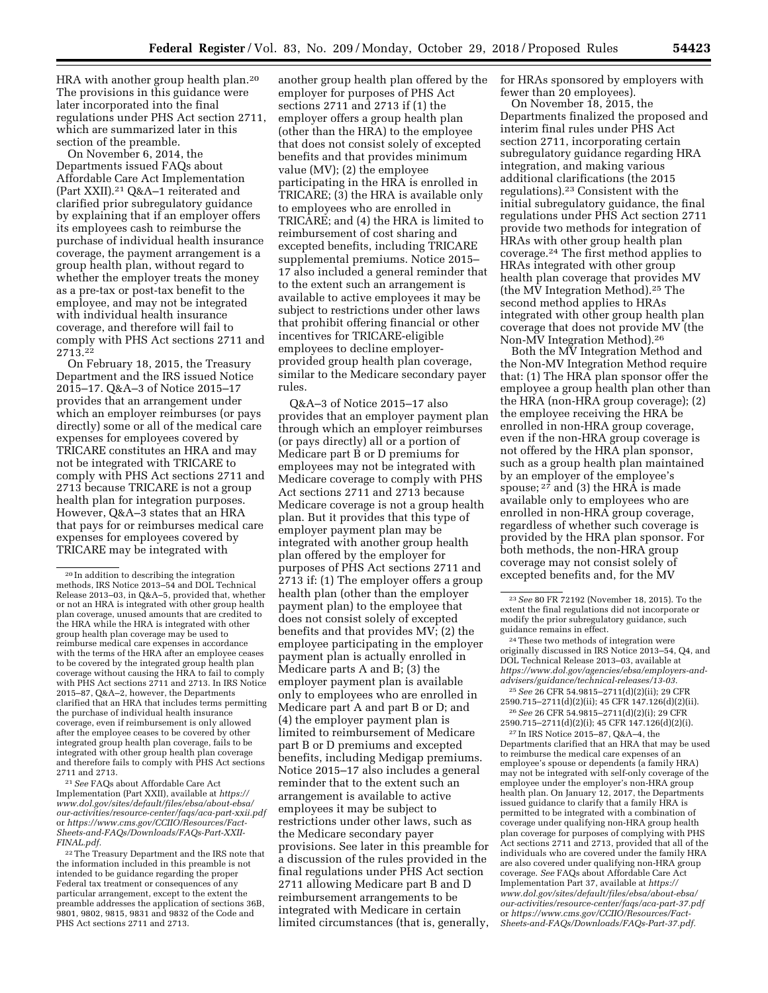HRA with another group health plan.20 The provisions in this guidance were later incorporated into the final regulations under PHS Act section 2711, which are summarized later in this section of the preamble.

On November 6, 2014, the Departments issued FAQs about Affordable Care Act Implementation (Part XXII).21 Q&A–1 reiterated and clarified prior subregulatory guidance by explaining that if an employer offers its employees cash to reimburse the purchase of individual health insurance coverage, the payment arrangement is a group health plan, without regard to whether the employer treats the money as a pre-tax or post-tax benefit to the employee, and may not be integrated with individual health insurance coverage, and therefore will fail to comply with PHS Act sections 2711 and 2713.22

On February 18, 2015, the Treasury Department and the IRS issued Notice 2015–17. Q&A–3 of Notice 2015–17 provides that an arrangement under which an employer reimburses (or pays directly) some or all of the medical care expenses for employees covered by TRICARE constitutes an HRA and may not be integrated with TRICARE to comply with PHS Act sections 2711 and 2713 because TRICARE is not a group health plan for integration purposes. However, Q&A–3 states that an HRA that pays for or reimburses medical care expenses for employees covered by TRICARE may be integrated with

21*See* FAQs about Affordable Care Act Implementation (Part XXII), available at *[https://](https://www.dol.gov/sites/default/files/ebsa/about-ebsa/our-activities/resource-center/faqs/aca-part-xxii.pdf) [www.dol.gov/sites/default/files/ebsa/about-ebsa/](https://www.dol.gov/sites/default/files/ebsa/about-ebsa/our-activities/resource-center/faqs/aca-part-xxii.pdf) [our-activities/resource-center/faqs/aca-part-xxii.pdf](https://www.dol.gov/sites/default/files/ebsa/about-ebsa/our-activities/resource-center/faqs/aca-part-xxii.pdf)*  or *[https://www.cms.gov/CCIIO/Resources/Fact-](https://www.cms.gov/CCIIO/Resources/Fact-Sheets-and-FAQs/Downloads/FAQs-Part-XXII-FINAL.pdf)[Sheets-and-FAQs/Downloads/FAQs-Part-XXII-](https://www.cms.gov/CCIIO/Resources/Fact-Sheets-and-FAQs/Downloads/FAQs-Part-XXII-FINAL.pdf)[FINAL.pdf.](https://www.cms.gov/CCIIO/Resources/Fact-Sheets-and-FAQs/Downloads/FAQs-Part-XXII-FINAL.pdf)* 

another group health plan offered by the employer for purposes of PHS Act sections 2711 and 2713 if (1) the employer offers a group health plan (other than the HRA) to the employee that does not consist solely of excepted benefits and that provides minimum value (MV); (2) the employee participating in the HRA is enrolled in TRICARE; (3) the HRA is available only to employees who are enrolled in TRICARE; and (4) the HRA is limited to reimbursement of cost sharing and excepted benefits, including TRICARE supplemental premiums. Notice 2015– 17 also included a general reminder that to the extent such an arrangement is available to active employees it may be subject to restrictions under other laws that prohibit offering financial or other incentives for TRICARE-eligible employees to decline employerprovided group health plan coverage, similar to the Medicare secondary payer rules.

Q&A–3 of Notice 2015–17 also provides that an employer payment plan through which an employer reimburses (or pays directly) all or a portion of Medicare part B or D premiums for employees may not be integrated with Medicare coverage to comply with PHS Act sections 2711 and 2713 because Medicare coverage is not a group health plan. But it provides that this type of employer payment plan may be integrated with another group health plan offered by the employer for purposes of PHS Act sections 2711 and 2713 if: (1) The employer offers a group health plan (other than the employer payment plan) to the employee that does not consist solely of excepted benefits and that provides MV; (2) the employee participating in the employer payment plan is actually enrolled in Medicare parts A and B; (3) the employer payment plan is available only to employees who are enrolled in Medicare part A and part B or D; and (4) the employer payment plan is limited to reimbursement of Medicare part B or D premiums and excepted benefits, including Medigap premiums. Notice 2015–17 also includes a general reminder that to the extent such an arrangement is available to active employees it may be subject to restrictions under other laws, such as the Medicare secondary payer provisions. See later in this preamble for a discussion of the rules provided in the final regulations under PHS Act section 2711 allowing Medicare part B and D reimbursement arrangements to be integrated with Medicare in certain limited circumstances (that is, generally,

for HRAs sponsored by employers with fewer than 20 employees).

On November 18, 2015, the Departments finalized the proposed and interim final rules under PHS Act section 2711, incorporating certain subregulatory guidance regarding HRA integration, and making various additional clarifications (the 2015 regulations).23 Consistent with the initial subregulatory guidance, the final regulations under PHS Act section 2711 provide two methods for integration of HRAs with other group health plan coverage.24 The first method applies to HRAs integrated with other group health plan coverage that provides MV (the MV Integration Method).25 The second method applies to HRAs integrated with other group health plan coverage that does not provide MV (the Non-MV Integration Method).26

Both the MV Integration Method and the Non-MV Integration Method require that: (1) The HRA plan sponsor offer the employee a group health plan other than the HRA (non-HRA group coverage); (2) the employee receiving the HRA be enrolled in non-HRA group coverage, even if the non-HRA group coverage is not offered by the HRA plan sponsor, such as a group health plan maintained by an employer of the employee's spouse;  $2^7$  and (3) the HRA is made available only to employees who are enrolled in non-HRA group coverage, regardless of whether such coverage is provided by the HRA plan sponsor. For both methods, the non-HRA group coverage may not consist solely of excepted benefits and, for the MV

25*See* 26 CFR 54.9815–2711(d)(2)(ii); 29 CFR 2590.715–2711(d)(2)(ii); 45 CFR 147.126(d)(2)(ii). 26*See* 26 CFR 54.9815–2711(d)(2)(i); 29 CFR 2590.715–2711(d)(2)(i); 45 CFR 147.126(d)(2)(i).

27 In IRS Notice 2015–87, Q&A–4, the Departments clarified that an HRA that may be used to reimburse the medical care expenses of an employee's spouse or dependents (a family HRA) may not be integrated with self-only coverage of the employee under the employer's non-HRA group health plan. On January 12, 2017, the Departments issued guidance to clarify that a family HRA is permitted to be integrated with a combination of coverage under qualifying non-HRA group health plan coverage for purposes of complying with PHS Act sections 2711 and 2713, provided that all of the individuals who are covered under the family HRA are also covered under qualifying non-HRA group coverage. *See* FAQs about Affordable Care Act Implementation Part 37, available at *[https://](https://www.dol.gov/sites/default/files/ebsa/about-ebsa/our-activities/resource-center/faqs/aca-part-37.pdf) [www.dol.gov/sites/default/files/ebsa/about-ebsa/](https://www.dol.gov/sites/default/files/ebsa/about-ebsa/our-activities/resource-center/faqs/aca-part-37.pdf) [our-activities/resource-center/faqs/aca-part-37.pdf](https://www.dol.gov/sites/default/files/ebsa/about-ebsa/our-activities/resource-center/faqs/aca-part-37.pdf)*  or *[https://www.cms.gov/CCIIO/Resources/Fact-](https://www.cms.gov/CCIIO/Resources/Fact-Sheets-and-FAQs/Downloads/FAQs-Part-37.pdf)[Sheets-and-FAQs/Downloads/FAQs-Part-37.pdf.](https://www.cms.gov/CCIIO/Resources/Fact-Sheets-and-FAQs/Downloads/FAQs-Part-37.pdf)* 

<sup>20</sup> In addition to describing the integration methods, IRS Notice 2013–54 and DOL Technical Release 2013–03, in Q&A–5, provided that, whether or not an HRA is integrated with other group health plan coverage, unused amounts that are credited to the HRA while the HRA is integrated with other group health plan coverage may be used to reimburse medical care expenses in accordance with the terms of the HRA after an employee ceases to be covered by the integrated group health plan coverage without causing the HRA to fail to comply with PHS Act sections 2711 and 2713. In IRS Notice 2015–87, Q&A–2, however, the Departments clarified that an HRA that includes terms permitting the purchase of individual health insurance coverage, even if reimbursement is only allowed after the employee ceases to be covered by other integrated group health plan coverage, fails to be integrated with other group health plan coverage and therefore fails to comply with PHS Act sections 2711 and 2713.

<sup>&</sup>lt;sup>22</sup> The Treasury Department and the IRS note that the information included in this preamble is not intended to be guidance regarding the proper Federal tax treatment or consequences of any particular arrangement, except to the extent the preamble addresses the application of sections 36B, 9801, 9802, 9815, 9831 and 9832 of the Code and PHS Act sections 2711 and 2713.

<sup>23</sup>*See* 80 FR 72192 (November 18, 2015). To the extent the final regulations did not incorporate or modify the prior subregulatory guidance, such guidance remains in effect.

<sup>24</sup>These two methods of integration were originally discussed in IRS Notice 2013–54, Q4, and DOL Technical Release 2013–03, available at *[https://www.dol.gov/agencies/ebsa/employers-and](https://www.dol.gov/agencies/ebsa/employers-and-advisers/guidance/technical-releases/13-03)[advisers/guidance/technical-releases/13-03.](https://www.dol.gov/agencies/ebsa/employers-and-advisers/guidance/technical-releases/13-03)*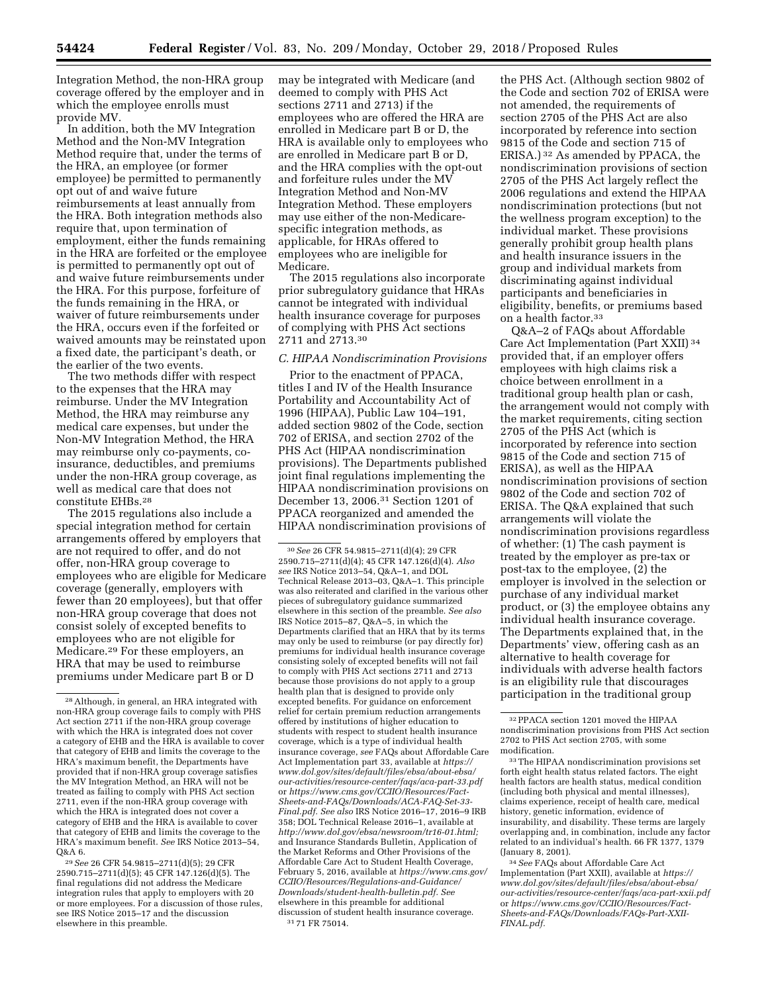Integration Method, the non-HRA group coverage offered by the employer and in which the employee enrolls must provide MV.

In addition, both the MV Integration Method and the Non-MV Integration Method require that, under the terms of the HRA, an employee (or former employee) be permitted to permanently opt out of and waive future reimbursements at least annually from the HRA. Both integration methods also require that, upon termination of employment, either the funds remaining in the HRA are forfeited or the employee is permitted to permanently opt out of and waive future reimbursements under the HRA. For this purpose, forfeiture of the funds remaining in the HRA, or waiver of future reimbursements under the HRA, occurs even if the forfeited or waived amounts may be reinstated upon a fixed date, the participant's death, or the earlier of the two events.

The two methods differ with respect to the expenses that the HRA may reimburse. Under the MV Integration Method, the HRA may reimburse any medical care expenses, but under the Non-MV Integration Method, the HRA may reimburse only co-payments, coinsurance, deductibles, and premiums under the non-HRA group coverage, as well as medical care that does not constitute EHBs.28

The 2015 regulations also include a special integration method for certain arrangements offered by employers that are not required to offer, and do not offer, non-HRA group coverage to employees who are eligible for Medicare coverage (generally, employers with fewer than 20 employees), but that offer non-HRA group coverage that does not consist solely of excepted benefits to employees who are not eligible for Medicare.29 For these employers, an HRA that may be used to reimburse premiums under Medicare part B or D

29*See* 26 CFR 54.9815–2711(d)(5); 29 CFR 2590.715–2711(d)(5); 45 CFR 147.126(d)(5). The final regulations did not address the Medicare integration rules that apply to employers with 20 or more employees. For a discussion of those rules, see IRS Notice 2015–17 and the discussion elsewhere in this preamble.

may be integrated with Medicare (and deemed to comply with PHS Act sections 2711 and 2713) if the employees who are offered the HRA are enrolled in Medicare part B or D, the HRA is available only to employees who are enrolled in Medicare part B or D, and the HRA complies with the opt-out and forfeiture rules under the MV Integration Method and Non-MV Integration Method. These employers may use either of the non-Medicarespecific integration methods, as applicable, for HRAs offered to employees who are ineligible for Medicare.

The 2015 regulations also incorporate prior subregulatory guidance that HRAs cannot be integrated with individual health insurance coverage for purposes of complying with PHS Act sections 2711 and 2713.30

## *C. HIPAA Nondiscrimination Provisions*

Prior to the enactment of PPACA, titles I and IV of the Health Insurance Portability and Accountability Act of 1996 (HIPAA), Public Law 104–191, added section 9802 of the Code, section 702 of ERISA, and section 2702 of the PHS Act (HIPAA nondiscrimination provisions). The Departments published joint final regulations implementing the HIPAA nondiscrimination provisions on December 13, 2006.31 Section 1201 of PPACA reorganized and amended the HIPAA nondiscrimination provisions of

30*See* 26 CFR 54.9815–2711(d)(4); 29 CFR 2590.715–2711(d)(4); 45 CFR 147.126(d)(4). *Also see* IRS Notice 2013–54, Q&A–1, and DOL Technical Release 2013–03, Q&A–1. This principle was also reiterated and clarified in the various other pieces of subregulatory guidance summarized elsewhere in this section of the preamble. *See also*  IRS Notice 2015–87, Q&A–5, in which the Departments clarified that an HRA that by its terms may only be used to reimburse (or pay directly for) premiums for individual health insurance coverage consisting solely of excepted benefits will not fail to comply with PHS Act sections 2711 and 2713 because those provisions do not apply to a group health plan that is designed to provide only excepted benefits. For guidance on enforcement relief for certain premium reduction arrangements offered by institutions of higher education to students with respect to student health insurance coverage, which is a type of individual health insurance coverage, *see* FAQs about Affordable Care Act Implementation part 33, available at *[https://](https://www.dol.gov/sites/default/files/ebsa/about-ebsa/our-activities/resource-center/faqs/aca-part-33.pdf) [www.dol.gov/sites/default/files/ebsa/about-ebsa/](https://www.dol.gov/sites/default/files/ebsa/about-ebsa/our-activities/resource-center/faqs/aca-part-33.pdf) [our-activities/resource-center/faqs/aca-part-33.pdf](https://www.dol.gov/sites/default/files/ebsa/about-ebsa/our-activities/resource-center/faqs/aca-part-33.pdf)*  or *[https://www.cms.gov/CCIIO/Resources/Fact-](https://www.cms.gov/CCIIO/Resources/Fact-Sheets-and-FAQs/Downloads/ACA-FAQ-Set-33-Final.pdf)[Sheets-and-FAQs/Downloads/ACA-FAQ-Set-33-](https://www.cms.gov/CCIIO/Resources/Fact-Sheets-and-FAQs/Downloads/ACA-FAQ-Set-33-Final.pdf)  [Final.pdf.](https://www.cms.gov/CCIIO/Resources/Fact-Sheets-and-FAQs/Downloads/ACA-FAQ-Set-33-Final.pdf) See also* IRS Notice 2016–17, 2016–9 IRB 358; DOL Technical Release 2016–1, available at *[http://www.dol.gov/ebsa/newsroom/tr16-01.html;](http://www.dol.gov/ebsa/newsroom/tr16-01.html)*  and Insurance Standards Bulletin, Application of the Market Reforms and Other Provisions of the Affordable Care Act to Student Health Coverage, February 5, 2016, available at *[https://www.cms.gov/](https://www.cms.gov/CCIIO/Resources/Regulations-and-Guidance/Downloads/student-health-bulletin.pdf)  [CCIIO/Resources/Regulations-and-Guidance/](https://www.cms.gov/CCIIO/Resources/Regulations-and-Guidance/Downloads/student-health-bulletin.pdf)  [Downloads/student-health-bulletin.pdf.](https://www.cms.gov/CCIIO/Resources/Regulations-and-Guidance/Downloads/student-health-bulletin.pdf) See*  elsewhere in this preamble for additional discussion of student health insurance coverage. 31 71 FR 75014.

the PHS Act. (Although section 9802 of the Code and section 702 of ERISA were not amended, the requirements of section 2705 of the PHS Act are also incorporated by reference into section 9815 of the Code and section 715 of ERISA.) 32 As amended by PPACA, the nondiscrimination provisions of section 2705 of the PHS Act largely reflect the 2006 regulations and extend the HIPAA nondiscrimination protections (but not the wellness program exception) to the individual market. These provisions generally prohibit group health plans and health insurance issuers in the group and individual markets from discriminating against individual participants and beneficiaries in eligibility, benefits, or premiums based on a health factor.33

Q&A–2 of FAQs about Affordable Care Act Implementation (Part XXII) 34 provided that, if an employer offers employees with high claims risk a choice between enrollment in a traditional group health plan or cash, the arrangement would not comply with the market requirements, citing section 2705 of the PHS Act (which is incorporated by reference into section 9815 of the Code and section 715 of ERISA), as well as the HIPAA nondiscrimination provisions of section 9802 of the Code and section 702 of ERISA. The Q&A explained that such arrangements will violate the nondiscrimination provisions regardless of whether: (1) The cash payment is treated by the employer as pre-tax or post-tax to the employee, (2) the employer is involved in the selection or purchase of any individual market product, or (3) the employee obtains any individual health insurance coverage. The Departments explained that, in the Departments' view, offering cash as an alternative to health coverage for individuals with adverse health factors is an eligibility rule that discourages participation in the traditional group

<sup>28</sup>Although, in general, an HRA integrated with non-HRA group coverage fails to comply with PHS Act section 2711 if the non-HRA group coverage with which the HRA is integrated does not cover a category of EHB and the HRA is available to cover that category of EHB and limits the coverage to the HRA's maximum benefit, the Departments have provided that if non-HRA group coverage satisfies the MV Integration Method, an HRA will not be treated as failing to comply with PHS Act section 2711, even if the non-HRA group coverage with which the HRA is integrated does not cover a category of EHB and the HRA is available to cover that category of EHB and limits the coverage to the HRA's maximum benefit. *See* IRS Notice 2013–54, Q&A 6.

<sup>32</sup>PPACA section 1201 moved the HIPAA nondiscrimination provisions from PHS Act section 2702 to PHS Act section 2705, with some modification.

<sup>33</sup>The HIPAA nondiscrimination provisions set forth eight health status related factors. The eight health factors are health status, medical condition (including both physical and mental illnesses), claims experience, receipt of health care, medical history, genetic information, evidence of insurability, and disability. These terms are largely overlapping and, in combination, include any factor related to an individual's health. 66 FR 1377, 1379 (January 8, 2001).

<sup>34</sup>*See* FAQs about Affordable Care Act Implementation (Part XXII), available at *[https://](https://www.dol.gov/sites/default/files/ebsa/about-ebsa/our-activities/resource-center/faqs/aca-part-xxii.pdf) [www.dol.gov/sites/default/files/ebsa/about-ebsa/](https://www.dol.gov/sites/default/files/ebsa/about-ebsa/our-activities/resource-center/faqs/aca-part-xxii.pdf) [our-activities/resource-center/faqs/aca-part-xxii.pdf](https://www.dol.gov/sites/default/files/ebsa/about-ebsa/our-activities/resource-center/faqs/aca-part-xxii.pdf)*  or *[https://www.cms.gov/CCIIO/Resources/Fact-](https://www.cms.gov/CCIIO/Resources/Fact-Sheets-and-FAQs/Downloads/FAQs-Part-XXII-FINAL.pdf)[Sheets-and-FAQs/Downloads/FAQs-Part-XXII-](https://www.cms.gov/CCIIO/Resources/Fact-Sheets-and-FAQs/Downloads/FAQs-Part-XXII-FINAL.pdf)[FINAL.pdf.](https://www.cms.gov/CCIIO/Resources/Fact-Sheets-and-FAQs/Downloads/FAQs-Part-XXII-FINAL.pdf)*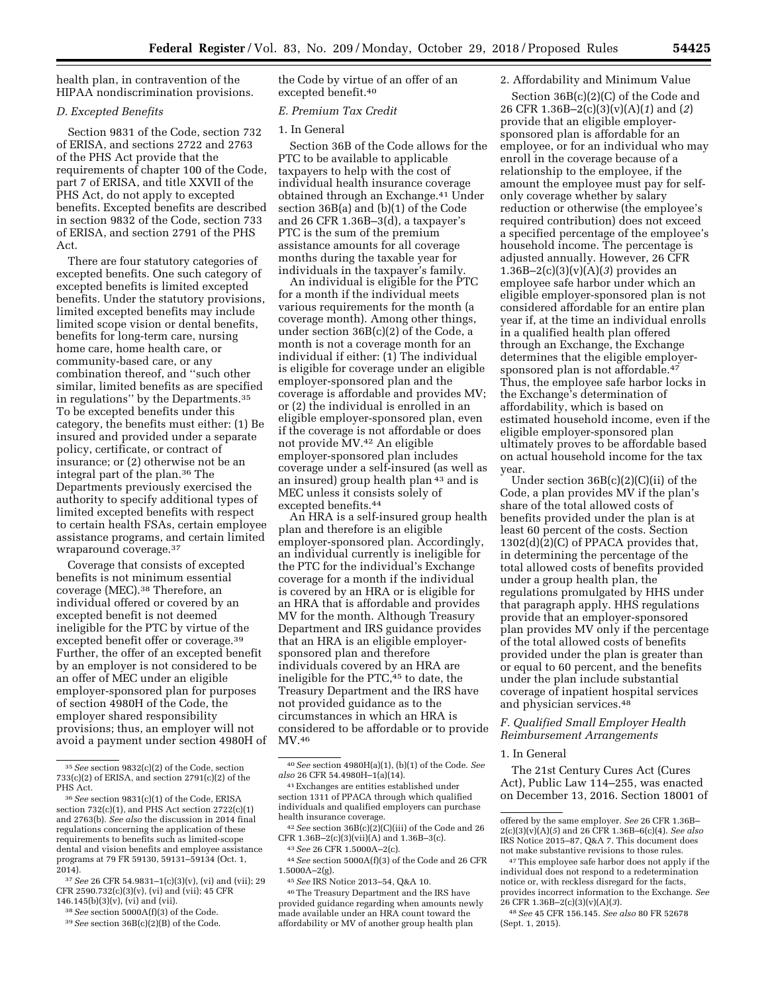health plan, in contravention of the HIPAA nondiscrimination provisions.

## *D. Excepted Benefits*

Section 9831 of the Code, section 732 of ERISA, and sections 2722 and 2763 of the PHS Act provide that the requirements of chapter 100 of the Code, part 7 of ERISA, and title XXVII of the PHS Act, do not apply to excepted benefits. Excepted benefits are described in section 9832 of the Code, section 733 of ERISA, and section 2791 of the PHS Act.

There are four statutory categories of excepted benefits. One such category of excepted benefits is limited excepted benefits. Under the statutory provisions, limited excepted benefits may include limited scope vision or dental benefits, benefits for long-term care, nursing home care, home health care, or community-based care, or any combination thereof, and ''such other similar, limited benefits as are specified in regulations'' by the Departments.35 To be excepted benefits under this category, the benefits must either: (1) Be insured and provided under a separate policy, certificate, or contract of insurance; or (2) otherwise not be an integral part of the plan.36 The Departments previously exercised the authority to specify additional types of limited excepted benefits with respect to certain health FSAs, certain employee assistance programs, and certain limited wraparound coverage.37

Coverage that consists of excepted benefits is not minimum essential coverage (MEC).38 Therefore, an individual offered or covered by an excepted benefit is not deemed ineligible for the PTC by virtue of the excepted benefit offer or coverage.<sup>39</sup> Further, the offer of an excepted benefit by an employer is not considered to be an offer of MEC under an eligible employer-sponsored plan for purposes of section 4980H of the Code, the employer shared responsibility provisions; thus, an employer will not avoid a payment under section 4980H of the Code by virtue of an offer of an excepted benefit.40

#### *E. Premium Tax Credit*

## 1. In General

Section 36B of the Code allows for the PTC to be available to applicable taxpayers to help with the cost of individual health insurance coverage obtained through an Exchange.41 Under section 36B(a) and (b)(1) of the Code and 26 CFR 1.36B–3(d), a taxpayer's PTC is the sum of the premium assistance amounts for all coverage months during the taxable year for individuals in the taxpayer's family.

An individual is eligible for the PTC for a month if the individual meets various requirements for the month (a coverage month). Among other things, under section 36B(c)(2) of the Code, a month is not a coverage month for an individual if either: (1) The individual is eligible for coverage under an eligible employer-sponsored plan and the coverage is affordable and provides MV; or (2) the individual is enrolled in an eligible employer-sponsored plan, even if the coverage is not affordable or does not provide MV.42 An eligible employer-sponsored plan includes coverage under a self-insured (as well as an insured) group health plan 43 and is MEC unless it consists solely of excepted benefits.44

An HRA is a self-insured group health plan and therefore is an eligible employer-sponsored plan. Accordingly, an individual currently is ineligible for the PTC for the individual's Exchange coverage for a month if the individual is covered by an HRA or is eligible for an HRA that is affordable and provides MV for the month. Although Treasury Department and IRS guidance provides that an HRA is an eligible employersponsored plan and therefore individuals covered by an HRA are ineligible for the PTC,45 to date, the Treasury Department and the IRS have not provided guidance as to the circumstances in which an HRA is considered to be affordable or to provide MV.46

42*See* section 36B(c)(2)(C)(iii) of the Code and 26 CFR 1.36B–2(c)(3)(vii)(A) and 1.36B–3(c).

44*See* section 5000A(f)(3) of the Code and 26 CFR 1.5000A–2(g).

45*See* IRS Notice 2013–54, Q&A 10.

46The Treasury Department and the IRS have provided guidance regarding when amounts newly made available under an HRA count toward the affordability or MV of another group health plan

#### 2. Affordability and Minimum Value

Section 36B(c)(2)(C) of the Code and 26 CFR 1.36B–2(c)(3)(v)(A)(*1*) and (*2*) provide that an eligible employersponsored plan is affordable for an employee, or for an individual who may enroll in the coverage because of a relationship to the employee, if the amount the employee must pay for selfonly coverage whether by salary reduction or otherwise (the employee's required contribution) does not exceed a specified percentage of the employee's household income. The percentage is adjusted annually. However, 26 CFR 1.36B–2(c)(3)(v)(A)(*3*) provides an employee safe harbor under which an eligible employer-sponsored plan is not considered affordable for an entire plan year if, at the time an individual enrolls in a qualified health plan offered through an Exchange, the Exchange determines that the eligible employersponsored plan is not affordable.<sup>47</sup> Thus, the employee safe harbor locks in the Exchange's determination of affordability, which is based on estimated household income, even if the eligible employer-sponsored plan ultimately proves to be affordable based on actual household income for the tax year.

Under section  $36B(c)(2)(C)(ii)$  of the Code, a plan provides MV if the plan's share of the total allowed costs of benefits provided under the plan is at least 60 percent of the costs. Section 1302(d)(2)(C) of PPACA provides that, in determining the percentage of the total allowed costs of benefits provided under a group health plan, the regulations promulgated by HHS under that paragraph apply. HHS regulations provide that an employer-sponsored plan provides MV only if the percentage of the total allowed costs of benefits provided under the plan is greater than or equal to 60 percent, and the benefits under the plan include substantial coverage of inpatient hospital services and physician services.48

## *F. Qualified Small Employer Health Reimbursement Arrangements*

#### 1. In General

The 21st Century Cures Act (Cures Act), Public Law 114–255, was enacted on December 13, 2016. Section 18001 of

<sup>35</sup>*See* section 9832(c)(2) of the Code, section 733(c)(2) of ERISA, and section 2791(c)(2) of the PHS Act.

<sup>36</sup>*See* section 9831(c)(1) of the Code, ERISA section 732(c)(1), and PHS Act section 2722(c)(1) and 2763(b). *See also* the discussion in 2014 final regulations concerning the application of these requirements to benefits such as limited-scope dental and vision benefits and employee assistance programs at 79 FR 59130, 59131–59134 (Oct. 1, 2014).

<sup>37</sup>*See* 26 CFR 54.9831–1(c)(3)(v), (vi) and (vii); 29 CFR 2590.732(c)(3)(v), (vi) and (vii); 45 CFR 146.145(b)(3)(v), (vi) and (vii).

<sup>38</sup>*See* section 5000A(f)(3) of the Code.

<sup>39</sup>*See* section 36B(c)(2)(B) of the Code.

<sup>40</sup>*See* section 4980H(a)(1), (b)(1) of the Code. *See also* 26 CFR 54.4980H–1(a)(14).

<sup>41</sup>Exchanges are entities established under section 1311 of PPACA through which qualified individuals and qualified employers can purchase health insurance coverage.

<sup>43</sup>*See* 26 CFR 1.5000A–2(c).

offered by the same employer. *See* 26 CFR 1.36B– 2(c)(3)(v)(A)(*5*) and 26 CFR 1.36B–6(c)(4). *See also*  IRS Notice 2015–87, Q&A 7. This document does not make substantive revisions to those rules.

<sup>47</sup>This employee safe harbor does not apply if the individual does not respond to a redetermination notice or, with reckless disregard for the facts, provides incorrect information to the Exchange. *See*  26 CFR 1.36B–2(c)(3)(v)(A)(*3*).

<sup>48</sup>*See* 45 CFR 156.145. *See also* 80 FR 52678 (Sept. 1, 2015).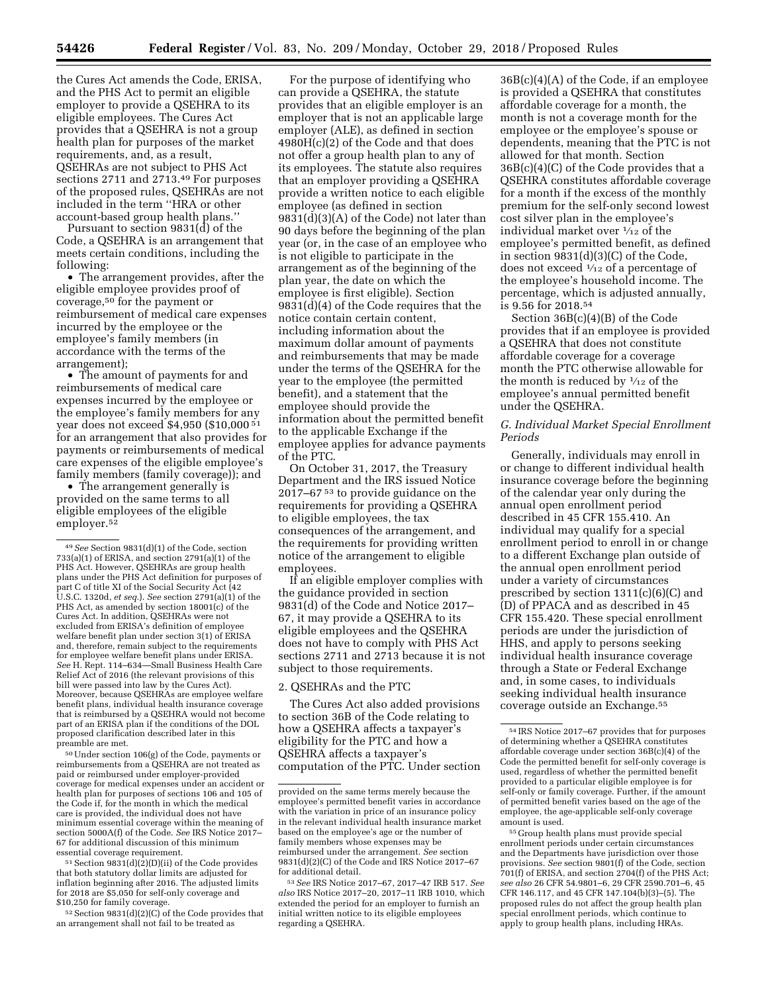the Cures Act amends the Code, ERISA, and the PHS Act to permit an eligible employer to provide a QSEHRA to its eligible employees. The Cures Act provides that a QSEHRA is not a group health plan for purposes of the market requirements, and, as a result, QSEHRAs are not subject to PHS Act sections 2711 and 2713.49 For purposes of the proposed rules, QSEHRAs are not included in the term ''HRA or other account-based group health plans.''

Pursuant to section 9831(d) of the Code, a QSEHRA is an arrangement that meets certain conditions, including the following:

• The arrangement provides, after the eligible employee provides proof of coverage,50 for the payment or reimbursement of medical care expenses incurred by the employee or the employee's family members (in accordance with the terms of the arrangement);

• The amount of payments for and reimbursements of medical care expenses incurred by the employee or the employee's family members for any year does not exceed \$4,950 (\$10,000 51 for an arrangement that also provides for payments or reimbursements of medical care expenses of the eligible employee's family members (family coverage)); and

• The arrangement generally is provided on the same terms to all eligible employees of the eligible employer.<sup>52</sup>

50Under section 106(g) of the Code, payments or reimbursements from a QSEHRA are not treated as paid or reimbursed under employer-provided coverage for medical expenses under an accident or health plan for purposes of sections 106 and 105 of the Code if, for the month in which the medical care is provided, the individual does not have minimum essential coverage within the meaning of section 5000A(f) of the Code. *See* IRS Notice 2017– 67 for additional discussion of this minimum essential coverage requirement.

51Section 9831(d)(2)(D)(ii) of the Code provides that both statutory dollar limits are adjusted for inflation beginning after 2016. The adjusted limits for 2018 are \$5,050 for self-only coverage and

 $52$  Section 9831(d)(2)(C) of the Code provides that an arrangement shall not fail to be treated as

For the purpose of identifying who can provide a QSEHRA, the statute provides that an eligible employer is an employer that is not an applicable large employer (ALE), as defined in section 4980H(c)(2) of the Code and that does not offer a group health plan to any of its employees. The statute also requires that an employer providing a QSEHRA provide a written notice to each eligible employee (as defined in section 9831(d)(3)(A) of the Code) not later than 90 days before the beginning of the plan year (or, in the case of an employee who is not eligible to participate in the arrangement as of the beginning of the plan year, the date on which the employee is first eligible). Section 9831(d)(4) of the Code requires that the notice contain certain content, including information about the maximum dollar amount of payments and reimbursements that may be made under the terms of the QSEHRA for the year to the employee (the permitted benefit), and a statement that the employee should provide the information about the permitted benefit to the applicable Exchange if the employee applies for advance payments of the PTC.

On October 31, 2017, the Treasury Department and the IRS issued Notice 2017–67 53 to provide guidance on the requirements for providing a QSEHRA to eligible employees, the tax consequences of the arrangement, and the requirements for providing written notice of the arrangement to eligible employees.

If an eligible employer complies with the guidance provided in section 9831(d) of the Code and Notice 2017– 67, it may provide a QSEHRA to its eligible employees and the QSEHRA does not have to comply with PHS Act sections 2711 and 2713 because it is not subject to those requirements.

2. QSEHRAs and the PTC

The Cures Act also added provisions to section 36B of the Code relating to how a QSEHRA affects a taxpayer's eligibility for the PTC and how a QSEHRA affects a taxpayer's computation of the PTC. Under section

36B(c)(4)(A) of the Code, if an employee is provided a QSEHRA that constitutes affordable coverage for a month, the month is not a coverage month for the employee or the employee's spouse or dependents, meaning that the PTC is not allowed for that month. Section 36B(c)(4)(C) of the Code provides that a QSEHRA constitutes affordable coverage for a month if the excess of the monthly premium for the self-only second lowest cost silver plan in the employee's individual market over 1⁄12 of the employee's permitted benefit, as defined in section 9831(d)(3)(C) of the Code, does not exceed 1⁄12 of a percentage of the employee's household income. The percentage, which is adjusted annually, is 9.56 for 2018.54

Section 36B(c)(4)(B) of the Code provides that if an employee is provided a QSEHRA that does not constitute affordable coverage for a coverage month the PTC otherwise allowable for the month is reduced by  $\frac{1}{12}$  of the employee's annual permitted benefit under the QSEHRA.

## *G. Individual Market Special Enrollment Periods*

Generally, individuals may enroll in or change to different individual health insurance coverage before the beginning of the calendar year only during the annual open enrollment period described in 45 CFR 155.410. An individual may qualify for a special enrollment period to enroll in or change to a different Exchange plan outside of the annual open enrollment period under a variety of circumstances prescribed by section 1311(c)(6)(C) and (D) of PPACA and as described in 45 CFR 155.420. These special enrollment periods are under the jurisdiction of HHS, and apply to persons seeking individual health insurance coverage through a State or Federal Exchange and, in some cases, to individuals seeking individual health insurance coverage outside an Exchange.55

55 Group health plans must provide special enrollment periods under certain circumstances and the Departments have jurisdiction over those provisions. *See* section 9801(f) of the Code, section 701(f) of ERISA, and section 2704(f) of the PHS Act; *see also* 26 CFR 54.9801–6, 29 CFR 2590.701–6, 45 CFR 146.117, and 45 CFR 147.104(b)(3)–(5). The proposed rules do not affect the group health plan special enrollment periods, which continue to apply to group health plans, including HRAs.

<sup>49</sup>*See* Section 9831(d)(1) of the Code, section 733(a)(1) of ERISA, and section 2791(a)(1) of the PHS Act. However, QSEHRAs are group health plans under the PHS Act definition for purposes of part C of title XI of the Social Security Act (42<br>U.S.C. 1320d, *et seq.*). *See* section 2791(a)(1) of the<br>PHS Act, as amended by section 18001(c) of the Cures Act. In addition, QSEHRAs were not excluded from ERISA's definition of employee welfare benefit plan under section 3(1) of ERISA and, therefore, remain subject to the requirements for employee welfare benefit plans under ERISA. *See* H. Rept. 114–634—Small Business Health Care Relief Act of 2016 (the relevant provisions of this bill were passed into law by the Cures Act). Moreover, because QSEHRAs are employee welfare benefit plans, individual health insurance coverage that is reimbursed by a QSEHRA would not become part of an ERISA plan if the conditions of the DOL proposed clarification described later in this preamble are met.

provided on the same terms merely because the employee's permitted benefit varies in accordance with the variation in price of an insurance policy in the relevant individual health insurance market based on the employee's age or the number of family members whose expenses may be reimbursed under the arrangement. *See* section 9831(d)(2)(C) of the Code and IRS Notice 2017–67 for additional detail.

<sup>53</sup>*See* IRS Notice 2017–67, 2017–47 IRB 517. *See also* IRS Notice 2017–20, 2017–11 IRB 1010, which extended the period for an employer to furnish an initial written notice to its eligible employees regarding a QSEHRA.

<sup>54</sup> IRS Notice 2017–67 provides that for purposes of determining whether a QSEHRA constitutes affordable coverage under section 36B(c)(4) of the Code the permitted benefit for self-only coverage is used, regardless of whether the permitted benefit provided to a particular eligible employee is for self-only or family coverage. Further, if the amount of permitted benefit varies based on the age of the employee, the age-applicable self-only coverage amount is used.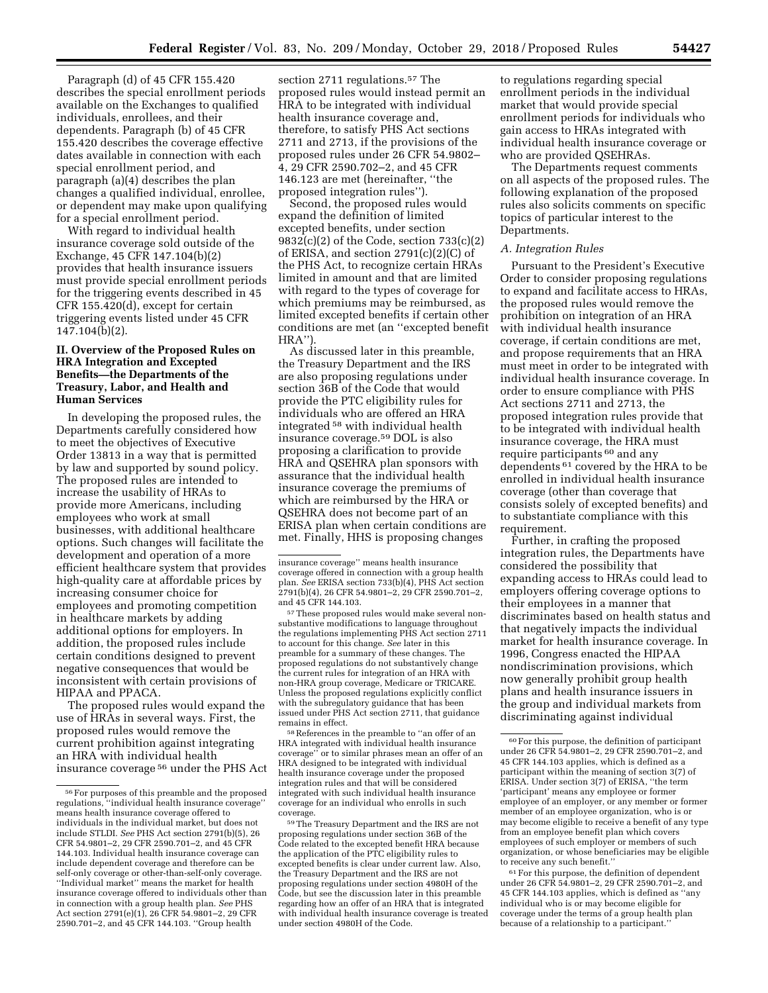Paragraph (d) of 45 CFR 155.420 describes the special enrollment periods available on the Exchanges to qualified individuals, enrollees, and their dependents. Paragraph (b) of 45 CFR 155.420 describes the coverage effective

dates available in connection with each special enrollment period, and paragraph (a)(4) describes the plan changes a qualified individual, enrollee, or dependent may make upon qualifying for a special enrollment period.

With regard to individual health insurance coverage sold outside of the Exchange, 45 CFR 147.104(b)(2) provides that health insurance issuers must provide special enrollment periods for the triggering events described in 45 CFR 155.420(d), except for certain triggering events listed under 45 CFR 147.104(b)(2).

## **II. Overview of the Proposed Rules on HRA Integration and Excepted Benefits—the Departments of the Treasury, Labor, and Health and Human Services**

In developing the proposed rules, the Departments carefully considered how to meet the objectives of Executive Order 13813 in a way that is permitted by law and supported by sound policy. The proposed rules are intended to increase the usability of HRAs to provide more Americans, including employees who work at small businesses, with additional healthcare options. Such changes will facilitate the development and operation of a more efficient healthcare system that provides high-quality care at affordable prices by increasing consumer choice for employees and promoting competition in healthcare markets by adding additional options for employers. In addition, the proposed rules include certain conditions designed to prevent negative consequences that would be inconsistent with certain provisions of HIPAA and PPACA.

The proposed rules would expand the use of HRAs in several ways. First, the proposed rules would remove the current prohibition against integrating an HRA with individual health insurance coverage 56 under the PHS Act

section 2711 regulations.<sup>57</sup> The proposed rules would instead permit an HRA to be integrated with individual health insurance coverage and, therefore, to satisfy PHS Act sections 2711 and 2713, if the provisions of the proposed rules under 26 CFR 54.9802– 4, 29 CFR 2590.702–2, and 45 CFR 146.123 are met (hereinafter, ''the proposed integration rules'').

Second, the proposed rules would expand the definition of limited excepted benefits, under section 9832(c)(2) of the Code, section 733(c)(2) of ERISA, and section 2791(c)(2)(C) of the PHS Act, to recognize certain HRAs limited in amount and that are limited with regard to the types of coverage for which premiums may be reimbursed, as limited excepted benefits if certain other conditions are met (an ''excepted benefit HRA'').

As discussed later in this preamble, the Treasury Department and the IRS are also proposing regulations under section 36B of the Code that would provide the PTC eligibility rules for individuals who are offered an HRA integrated 58 with individual health insurance coverage.59 DOL is also proposing a clarification to provide HRA and QSEHRA plan sponsors with assurance that the individual health insurance coverage the premiums of which are reimbursed by the HRA or QSEHRA does not become part of an ERISA plan when certain conditions are met. Finally, HHS is proposing changes

57These proposed rules would make several nonsubstantive modifications to language throughout the regulations implementing PHS Act section 2711 to account for this change. *See* later in this preamble for a summary of these changes. The proposed regulations do not substantively change the current rules for integration of an HRA with non-HRA group coverage, Medicare or TRICARE. Unless the proposed regulations explicitly conflict with the subregulatory guidance that has been issued under PHS Act section 2711, that guidance remains in effect.

58References in the preamble to ''an offer of an HRA integrated with individual health insurance coverage'' or to similar phrases mean an offer of an HRA designed to be integrated with individual health insurance coverage under the proposed integration rules and that will be considered integrated with such individual health insurance coverage for an individual who enrolls in such coverage.

to regulations regarding special enrollment periods in the individual market that would provide special enrollment periods for individuals who gain access to HRAs integrated with individual health insurance coverage or who are provided QSEHRAs.

The Departments request comments on all aspects of the proposed rules. The following explanation of the proposed rules also solicits comments on specific topics of particular interest to the Departments.

## *A. Integration Rules*

Pursuant to the President's Executive Order to consider proposing regulations to expand and facilitate access to HRAs, the proposed rules would remove the prohibition on integration of an HRA with individual health insurance coverage, if certain conditions are met, and propose requirements that an HRA must meet in order to be integrated with individual health insurance coverage. In order to ensure compliance with PHS Act sections 2711 and 2713, the proposed integration rules provide that to be integrated with individual health insurance coverage, the HRA must require participants 60 and any dependents 61 covered by the HRA to be enrolled in individual health insurance coverage (other than coverage that consists solely of excepted benefits) and to substantiate compliance with this requirement.

Further, in crafting the proposed integration rules, the Departments have considered the possibility that expanding access to HRAs could lead to employers offering coverage options to their employees in a manner that discriminates based on health status and that negatively impacts the individual market for health insurance coverage. In 1996, Congress enacted the HIPAA nondiscrimination provisions, which now generally prohibit group health plans and health insurance issuers in the group and individual markets from discriminating against individual

 $\ensuremath{^{61} \mathrm{For}}$  this purpose, the definition of dependent under 26 CFR 54.9801–2, 29 CFR 2590.701–2, and 45 CFR 144.103 applies, which is defined as ''any individual who is or may become eligible for coverage under the terms of a group health plan because of a relationship to a participant.''

 $^{56}\rm{For}$  purposes of this preamble and the proposed regulations, ''individual health insurance coverage'' means health insurance coverage offered to individuals in the individual market, but does not include STLDI. *See* PHS Act section 2791(b)(5), 26 CFR 54.9801–2, 29 CFR 2590.701–2, and 45 CFR 144.103. Individual health insurance coverage can include dependent coverage and therefore can be self-only coverage or other-than-self-only coverage. ''Individual market'' means the market for health insurance coverage offered to individuals other than in connection with a group health plan. *See* PHS Act section 2791(e)(1), 26 CFR 54.9801–2, 29 CFR 2590.701–2, and 45 CFR 144.103. ''Group health

insurance coverage'' means health insurance coverage offered in connection with a group health plan. *See* ERISA section 733(b)(4), PHS Act section 2791(b)(4), 26 CFR 54.9801–2, 29 CFR 2590.701–2, and 45 CFR 144.103.

<sup>59</sup>The Treasury Department and the IRS are not proposing regulations under section 36B of the Code related to the excepted benefit HRA because the application of the PTC eligibility rules to excepted benefits is clear under current law. Also, the Treasury Department and the IRS are not proposing regulations under section 4980H of the Code, but see the discussion later in this preamble regarding how an offer of an HRA that is integrated with individual health insurance coverage is treated under section 4980H of the Code.

<sup>60</sup>For this purpose, the definition of participant under 26 CFR 54.9801–2, 29 CFR 2590.701–2, and 45 CFR 144.103 applies, which is defined as a participant within the meaning of section 3(7) of ERISA. Under section 3(7) of ERISA, ''the term 'participant' means any employee or former employee of an employer, or any member or former member of an employee organization, who is or may become eligible to receive a benefit of any type from an employee benefit plan which covers employees of such employer or members of such organization, or whose beneficiaries may be eligible to receive any such benefit.''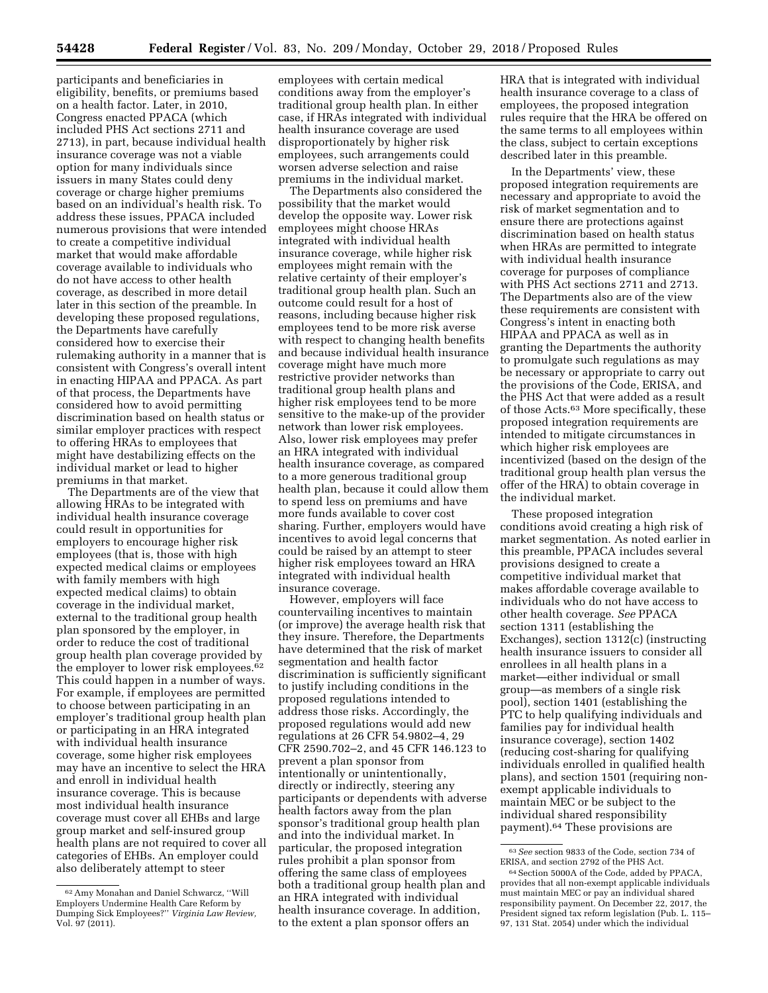participants and beneficiaries in eligibility, benefits, or premiums based on a health factor. Later, in 2010, Congress enacted PPACA (which included PHS Act sections 2711 and 2713), in part, because individual health insurance coverage was not a viable option for many individuals since issuers in many States could deny coverage or charge higher premiums based on an individual's health risk. To address these issues, PPACA included numerous provisions that were intended to create a competitive individual market that would make affordable coverage available to individuals who do not have access to other health coverage, as described in more detail later in this section of the preamble. In developing these proposed regulations, the Departments have carefully considered how to exercise their rulemaking authority in a manner that is consistent with Congress's overall intent in enacting HIPAA and PPACA. As part of that process, the Departments have considered how to avoid permitting discrimination based on health status or similar employer practices with respect to offering HRAs to employees that might have destabilizing effects on the individual market or lead to higher premiums in that market.

The Departments are of the view that allowing HRAs to be integrated with individual health insurance coverage could result in opportunities for employers to encourage higher risk employees (that is, those with high expected medical claims or employees with family members with high expected medical claims) to obtain coverage in the individual market, external to the traditional group health plan sponsored by the employer, in order to reduce the cost of traditional group health plan coverage provided by the employer to lower risk employees.62 This could happen in a number of ways. For example, if employees are permitted to choose between participating in an employer's traditional group health plan or participating in an HRA integrated with individual health insurance coverage, some higher risk employees may have an incentive to select the HRA and enroll in individual health insurance coverage. This is because most individual health insurance coverage must cover all EHBs and large group market and self-insured group health plans are not required to cover all categories of EHBs. An employer could also deliberately attempt to steer

employees with certain medical conditions away from the employer's traditional group health plan. In either case, if HRAs integrated with individual health insurance coverage are used disproportionately by higher risk employees, such arrangements could worsen adverse selection and raise premiums in the individual market.

The Departments also considered the possibility that the market would develop the opposite way. Lower risk employees might choose HRAs integrated with individual health insurance coverage, while higher risk employees might remain with the relative certainty of their employer's traditional group health plan. Such an outcome could result for a host of reasons, including because higher risk employees tend to be more risk averse with respect to changing health benefits and because individual health insurance coverage might have much more restrictive provider networks than traditional group health plans and higher risk employees tend to be more sensitive to the make-up of the provider network than lower risk employees. Also, lower risk employees may prefer an HRA integrated with individual health insurance coverage, as compared to a more generous traditional group health plan, because it could allow them to spend less on premiums and have more funds available to cover cost sharing. Further, employers would have incentives to avoid legal concerns that could be raised by an attempt to steer higher risk employees toward an HRA integrated with individual health insurance coverage.

However, employers will face countervailing incentives to maintain (or improve) the average health risk that they insure. Therefore, the Departments have determined that the risk of market segmentation and health factor discrimination is sufficiently significant to justify including conditions in the proposed regulations intended to address those risks. Accordingly, the proposed regulations would add new regulations at 26 CFR 54.9802–4, 29 CFR 2590.702–2, and 45 CFR 146.123 to prevent a plan sponsor from intentionally or unintentionally, directly or indirectly, steering any participants or dependents with adverse health factors away from the plan sponsor's traditional group health plan and into the individual market. In particular, the proposed integration rules prohibit a plan sponsor from offering the same class of employees both a traditional group health plan and an HRA integrated with individual health insurance coverage. In addition, to the extent a plan sponsor offers an

HRA that is integrated with individual health insurance coverage to a class of employees, the proposed integration rules require that the HRA be offered on the same terms to all employees within the class, subject to certain exceptions described later in this preamble.

In the Departments' view, these proposed integration requirements are necessary and appropriate to avoid the risk of market segmentation and to ensure there are protections against discrimination based on health status when HRAs are permitted to integrate with individual health insurance coverage for purposes of compliance with PHS Act sections 2711 and 2713. The Departments also are of the view these requirements are consistent with Congress's intent in enacting both HIPAA and PPACA as well as in granting the Departments the authority to promulgate such regulations as may be necessary or appropriate to carry out the provisions of the Code, ERISA, and the PHS Act that were added as a result of those Acts.63 More specifically, these proposed integration requirements are intended to mitigate circumstances in which higher risk employees are incentivized (based on the design of the traditional group health plan versus the offer of the HRA) to obtain coverage in the individual market.

These proposed integration conditions avoid creating a high risk of market segmentation. As noted earlier in this preamble, PPACA includes several provisions designed to create a competitive individual market that makes affordable coverage available to individuals who do not have access to other health coverage. *See* PPACA section 1311 (establishing the Exchanges), section 1312(c) (instructing health insurance issuers to consider all enrollees in all health plans in a market—either individual or small group—as members of a single risk pool), section 1401 (establishing the PTC to help qualifying individuals and families pay for individual health insurance coverage), section 1402 (reducing cost-sharing for qualifying individuals enrolled in qualified health plans), and section 1501 (requiring nonexempt applicable individuals to maintain MEC or be subject to the individual shared responsibility payment).64 These provisions are

<sup>62</sup>Amy Monahan and Daniel Schwarcz, ''Will Employers Undermine Health Care Reform by Dumping Sick Employees?'' *Virginia Law Review,*  Vol. 97 (2011).

<sup>63</sup>*See* section 9833 of the Code, section 734 of ERISA, and section 2792 of the PHS Act.

<sup>64</sup> Section 5000A of the Code, added by PPACA, provides that all non-exempt applicable individuals must maintain MEC or pay an individual shared responsibility payment. On December 22, 2017, the President signed tax reform legislation (Pub. L. 115– 97, 131 Stat. 2054) under which the individual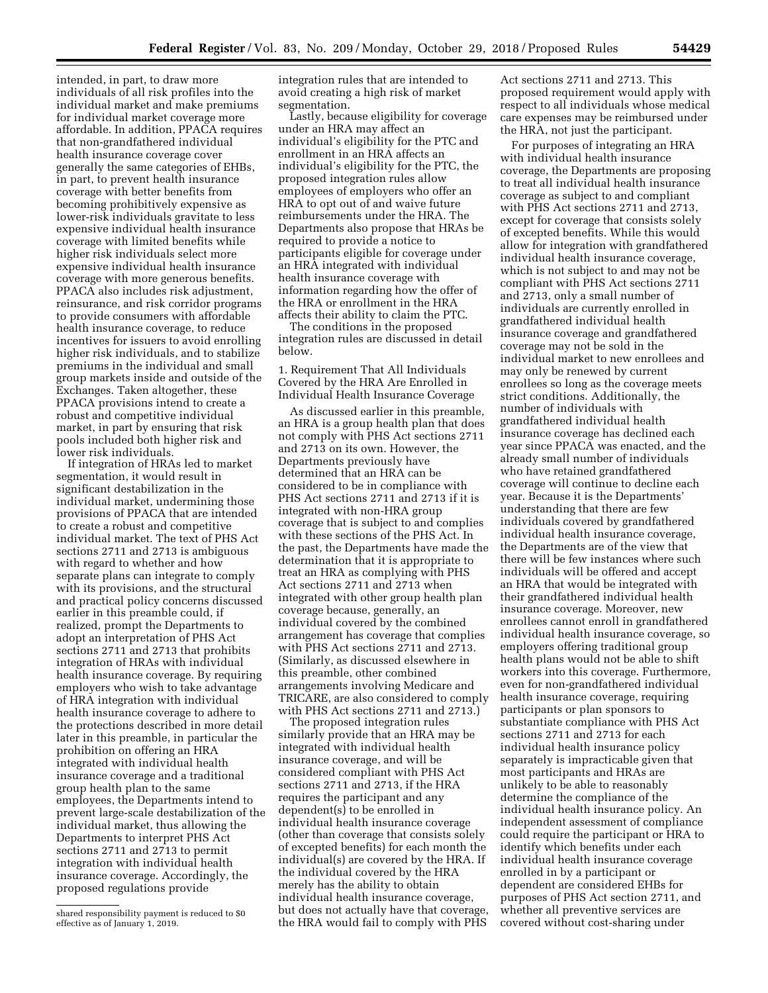intended, in part, to draw more individuals of all risk profiles into the individual market and make premiums for individual market coverage more affordable. In addition, PPACA requires that non-grandfathered individual health insurance coverage cover generally the same categories of EHBs, in part, to prevent health insurance coverage with better benefits from becoming prohibitively expensive as lower-risk individuals gravitate to less expensive individual health insurance coverage with limited benefits while higher risk individuals select more expensive individual health insurance coverage with more generous benefits. PPACA also includes risk adjustment, reinsurance, and risk corridor programs to provide consumers with affordable health insurance coverage, to reduce incentives for issuers to avoid enrolling higher risk individuals, and to stabilize premiums in the individual and small group markets inside and outside of the Exchanges. Taken altogether, these PPACA provisions intend to create a robust and competitive individual market, in part by ensuring that risk pools included both higher risk and lower risk individuals.

If integration of HRAs led to market segmentation, it would result in significant destabilization in the individual market, undermining those provisions of PPACA that are intended to create a robust and competitive individual market. The text of PHS Act sections 2711 and 2713 is ambiguous with regard to whether and how separate plans can integrate to comply with its provisions, and the structural and practical policy concerns discussed earlier in this preamble could, if realized, prompt the Departments to adopt an interpretation of PHS Act sections 2711 and 2713 that prohibits integration of HRAs with individual health insurance coverage. By requiring employers who wish to take advantage of HRA integration with individual health insurance coverage to adhere to the protections described in more detail later in this preamble, in particular the prohibition on offering an HRA integrated with individual health insurance coverage and a traditional group health plan to the same employees, the Departments intend to prevent large-scale destabilization of the individual market, thus allowing the Departments to interpret PHS Act sections 2711 and 2713 to permit integration with individual health insurance coverage. Accordingly, the proposed regulations provide

integration rules that are intended to avoid creating a high risk of market segmentation.

Lastly, because eligibility for coverage under an HRA may affect an individual's eligibility for the PTC and enrollment in an HRA affects an individual's eligibility for the PTC, the proposed integration rules allow employees of employers who offer an HRA to opt out of and waive future reimbursements under the HRA. The Departments also propose that HRAs be required to provide a notice to participants eligible for coverage under an HRA integrated with individual health insurance coverage with information regarding how the offer of the HRA or enrollment in the HRA affects their ability to claim the PTC.

The conditions in the proposed integration rules are discussed in detail below.

1. Requirement That All Individuals Covered by the HRA Are Enrolled in Individual Health Insurance Coverage

As discussed earlier in this preamble, an HRA is a group health plan that does not comply with PHS Act sections 2711 and 2713 on its own. However, the Departments previously have determined that an HRA can be considered to be in compliance with PHS Act sections 2711 and 2713 if it is integrated with non-HRA group coverage that is subject to and complies with these sections of the PHS Act. In the past, the Departments have made the determination that it is appropriate to treat an HRA as complying with PHS Act sections 2711 and 2713 when integrated with other group health plan coverage because, generally, an individual covered by the combined arrangement has coverage that complies with PHS Act sections 2711 and 2713. (Similarly, as discussed elsewhere in this preamble, other combined arrangements involving Medicare and TRICARE, are also considered to comply with PHS Act sections 2711 and 2713.)

The proposed integration rules similarly provide that an HRA may be integrated with individual health insurance coverage, and will be considered compliant with PHS Act sections 2711 and 2713, if the HRA requires the participant and any dependent(s) to be enrolled in individual health insurance coverage (other than coverage that consists solely of excepted benefits) for each month the individual(s) are covered by the HRA. If the individual covered by the HRA merely has the ability to obtain individual health insurance coverage, but does not actually have that coverage, the HRA would fail to comply with PHS

Act sections 2711 and 2713. This proposed requirement would apply with respect to all individuals whose medical care expenses may be reimbursed under the HRA, not just the participant.

For purposes of integrating an HRA with individual health insurance coverage, the Departments are proposing to treat all individual health insurance coverage as subject to and compliant with PHS Act sections 2711 and 2713, except for coverage that consists solely of excepted benefits. While this would allow for integration with grandfathered individual health insurance coverage, which is not subject to and may not be compliant with PHS Act sections 2711 and 2713, only a small number of individuals are currently enrolled in grandfathered individual health insurance coverage and grandfathered coverage may not be sold in the individual market to new enrollees and may only be renewed by current enrollees so long as the coverage meets strict conditions. Additionally, the number of individuals with grandfathered individual health insurance coverage has declined each year since PPACA was enacted, and the already small number of individuals who have retained grandfathered coverage will continue to decline each year. Because it is the Departments' understanding that there are few individuals covered by grandfathered individual health insurance coverage, the Departments are of the view that there will be few instances where such individuals will be offered and accept an HRA that would be integrated with their grandfathered individual health insurance coverage. Moreover, new enrollees cannot enroll in grandfathered individual health insurance coverage, so employers offering traditional group health plans would not be able to shift workers into this coverage. Furthermore, even for non-grandfathered individual health insurance coverage, requiring participants or plan sponsors to substantiate compliance with PHS Act sections 2711 and 2713 for each individual health insurance policy separately is impracticable given that most participants and HRAs are unlikely to be able to reasonably determine the compliance of the individual health insurance policy. An independent assessment of compliance could require the participant or HRA to identify which benefits under each individual health insurance coverage enrolled in by a participant or dependent are considered EHBs for purposes of PHS Act section 2711, and whether all preventive services are covered without cost-sharing under

shared responsibility payment is reduced to \$0 effective as of January 1, 2019.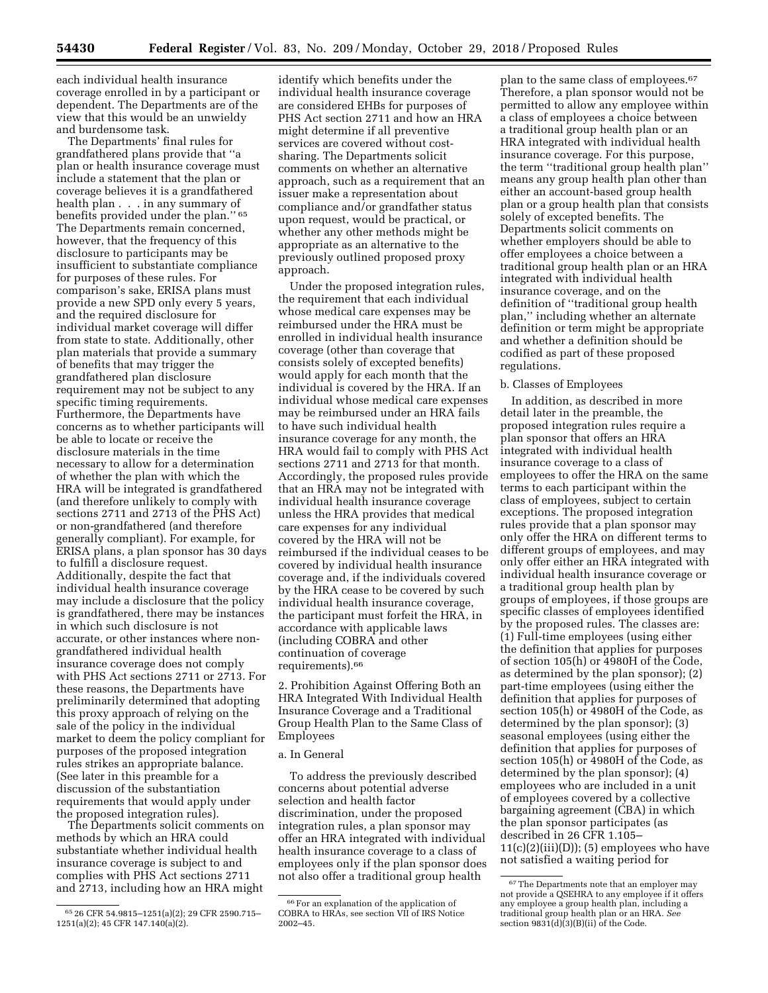each individual health insurance coverage enrolled in by a participant or dependent. The Departments are of the view that this would be an unwieldy and burdensome task.

The Departments' final rules for grandfathered plans provide that ''a plan or health insurance coverage must include a statement that the plan or coverage believes it is a grandfathered health plan . . . in any summary of benefits provided under the plan.'' 65 The Departments remain concerned, however, that the frequency of this disclosure to participants may be insufficient to substantiate compliance for purposes of these rules. For comparison's sake, ERISA plans must provide a new SPD only every 5 years, and the required disclosure for individual market coverage will differ from state to state. Additionally, other plan materials that provide a summary of benefits that may trigger the grandfathered plan disclosure requirement may not be subject to any specific timing requirements. Furthermore, the Departments have concerns as to whether participants will be able to locate or receive the disclosure materials in the time necessary to allow for a determination of whether the plan with which the HRA will be integrated is grandfathered (and therefore unlikely to comply with sections 2711 and 2713 of the PHS Act) or non-grandfathered (and therefore generally compliant). For example, for ERISA plans, a plan sponsor has 30 days to fulfill a disclosure request. Additionally, despite the fact that individual health insurance coverage may include a disclosure that the policy is grandfathered, there may be instances in which such disclosure is not accurate, or other instances where nongrandfathered individual health insurance coverage does not comply with PHS Act sections 2711 or 2713. For these reasons, the Departments have preliminarily determined that adopting this proxy approach of relying on the sale of the policy in the individual market to deem the policy compliant for purposes of the proposed integration rules strikes an appropriate balance. (See later in this preamble for a discussion of the substantiation requirements that would apply under the proposed integration rules).

The Departments solicit comments on methods by which an HRA could substantiate whether individual health insurance coverage is subject to and complies with PHS Act sections 2711 and 2713, including how an HRA might

identify which benefits under the individual health insurance coverage are considered EHBs for purposes of PHS Act section 2711 and how an HRA might determine if all preventive services are covered without costsharing. The Departments solicit comments on whether an alternative approach, such as a requirement that an issuer make a representation about compliance and/or grandfather status upon request, would be practical, or whether any other methods might be appropriate as an alternative to the previously outlined proposed proxy approach.

Under the proposed integration rules, the requirement that each individual whose medical care expenses may be reimbursed under the HRA must be enrolled in individual health insurance coverage (other than coverage that consists solely of excepted benefits) would apply for each month that the individual is covered by the HRA. If an individual whose medical care expenses may be reimbursed under an HRA fails to have such individual health insurance coverage for any month, the HRA would fail to comply with PHS Act sections 2711 and 2713 for that month. Accordingly, the proposed rules provide that an HRA may not be integrated with individual health insurance coverage unless the HRA provides that medical care expenses for any individual covered by the HRA will not be reimbursed if the individual ceases to be covered by individual health insurance coverage and, if the individuals covered by the HRA cease to be covered by such individual health insurance coverage, the participant must forfeit the HRA, in accordance with applicable laws (including COBRA and other continuation of coverage requirements).66

2. Prohibition Against Offering Both an HRA Integrated With Individual Health Insurance Coverage and a Traditional Group Health Plan to the Same Class of Employees

#### a. In General

To address the previously described concerns about potential adverse selection and health factor discrimination, under the proposed integration rules, a plan sponsor may offer an HRA integrated with individual health insurance coverage to a class of employees only if the plan sponsor does not also offer a traditional group health

plan to the same class of employees.<sup>67</sup> Therefore, a plan sponsor would not be permitted to allow any employee within a class of employees a choice between a traditional group health plan or an HRA integrated with individual health insurance coverage. For this purpose, the term ''traditional group health plan'' means any group health plan other than either an account-based group health plan or a group health plan that consists solely of excepted benefits. The Departments solicit comments on whether employers should be able to offer employees a choice between a traditional group health plan or an HRA integrated with individual health insurance coverage, and on the definition of ''traditional group health plan,'' including whether an alternate definition or term might be appropriate and whether a definition should be codified as part of these proposed regulations.

#### b. Classes of Employees

In addition, as described in more detail later in the preamble, the proposed integration rules require a plan sponsor that offers an HRA integrated with individual health insurance coverage to a class of employees to offer the HRA on the same terms to each participant within the class of employees, subject to certain exceptions. The proposed integration rules provide that a plan sponsor may only offer the HRA on different terms to different groups of employees, and may only offer either an HRA integrated with individual health insurance coverage or a traditional group health plan by groups of employees, if those groups are specific classes of employees identified by the proposed rules. The classes are: (1) Full-time employees (using either the definition that applies for purposes of section 105(h) or 4980H of the Code, as determined by the plan sponsor); (2) part-time employees (using either the definition that applies for purposes of section 105(h) or 4980H of the Code, as determined by the plan sponsor); (3) seasonal employees (using either the definition that applies for purposes of section 105(h) or 4980H of the Code, as determined by the plan sponsor); (4) employees who are included in a unit of employees covered by a collective bargaining agreement (CBA) in which the plan sponsor participates (as described in 26 CFR 1.105–  $11(c)(2)(iii)(D))$ ; (5) employees who have not satisfied a waiting period for

<sup>65</sup> 26 CFR 54.9815–1251(a)(2); 29 CFR 2590.715– 1251(a)(2); 45 CFR 147.140(a)(2).

<sup>66</sup>For an explanation of the application of COBRA to HRAs, see section VII of IRS Notice 2002–45.

<sup>67</sup>The Departments note that an employer may not provide a QSEHRA to any employee if it offers any employee a group health plan, including a traditional group health plan or an HRA. *See*  section  $9831(d)(3)(B)(ii)$  of the Code.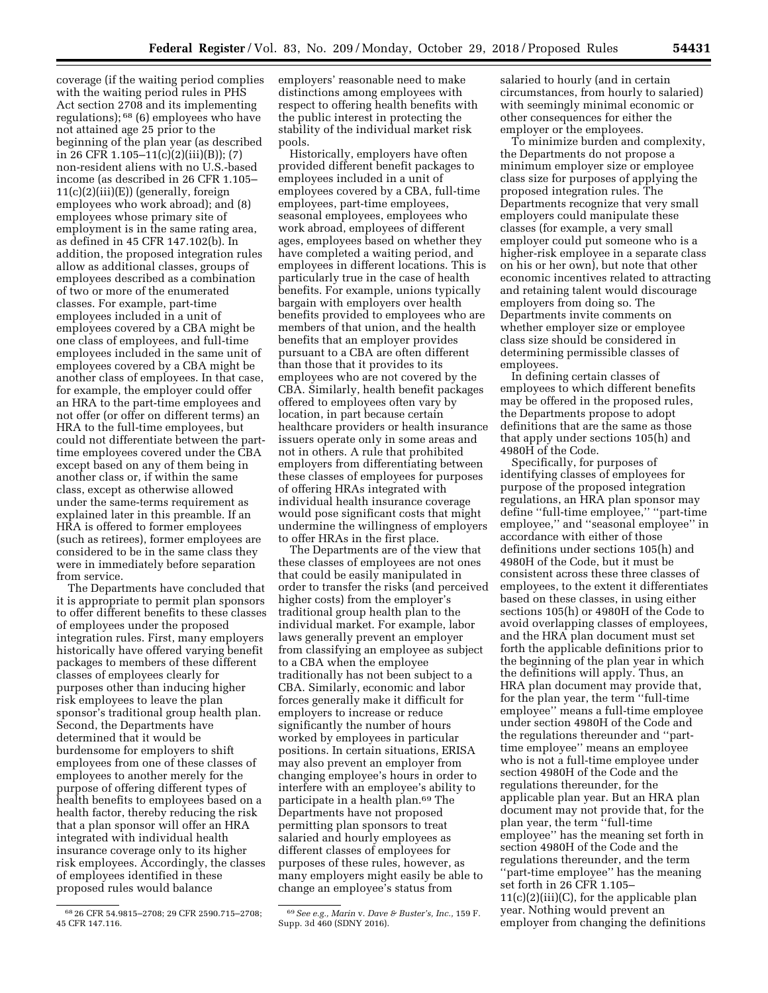coverage (if the waiting period complies with the waiting period rules in PHS Act section 2708 and its implementing regulations); 68 (6) employees who have not attained age 25 prior to the beginning of the plan year (as described in 26 CFR 1.105–11(c)(2)(iii)(B)); (7) non-resident aliens with no U.S.-based income (as described in 26 CFR 1.105–  $11(c)(2)(iii)(E))$  (generally, foreign employees who work abroad); and (8) employees whose primary site of employment is in the same rating area, as defined in 45 CFR 147.102(b). In addition, the proposed integration rules allow as additional classes, groups of employees described as a combination of two or more of the enumerated classes. For example, part-time employees included in a unit of employees covered by a CBA might be one class of employees, and full-time employees included in the same unit of employees covered by a CBA might be another class of employees. In that case, for example, the employer could offer an HRA to the part-time employees and not offer (or offer on different terms) an HRA to the full-time employees, but could not differentiate between the parttime employees covered under the CBA except based on any of them being in another class or, if within the same class, except as otherwise allowed under the same-terms requirement as explained later in this preamble. If an HRA is offered to former employees (such as retirees), former employees are considered to be in the same class they were in immediately before separation from service.

The Departments have concluded that it is appropriate to permit plan sponsors to offer different benefits to these classes of employees under the proposed integration rules. First, many employers historically have offered varying benefit packages to members of these different classes of employees clearly for purposes other than inducing higher risk employees to leave the plan sponsor's traditional group health plan. Second, the Departments have determined that it would be burdensome for employers to shift employees from one of these classes of employees to another merely for the purpose of offering different types of health benefits to employees based on a health factor, thereby reducing the risk that a plan sponsor will offer an HRA integrated with individual health insurance coverage only to its higher risk employees. Accordingly, the classes of employees identified in these proposed rules would balance

employers' reasonable need to make distinctions among employees with respect to offering health benefits with the public interest in protecting the stability of the individual market risk pools.

Historically, employers have often provided different benefit packages to employees included in a unit of employees covered by a CBA, full-time employees, part-time employees, seasonal employees, employees who work abroad, employees of different ages, employees based on whether they have completed a waiting period, and employees in different locations. This is particularly true in the case of health benefits. For example, unions typically bargain with employers over health benefits provided to employees who are members of that union, and the health benefits that an employer provides pursuant to a CBA are often different than those that it provides to its employees who are not covered by the CBA. Similarly, health benefit packages offered to employees often vary by location, in part because certain healthcare providers or health insurance issuers operate only in some areas and not in others. A rule that prohibited employers from differentiating between these classes of employees for purposes of offering HRAs integrated with individual health insurance coverage would pose significant costs that might undermine the willingness of employers to offer HRAs in the first place.

The Departments are of the view that these classes of employees are not ones that could be easily manipulated in order to transfer the risks (and perceived higher costs) from the employer's traditional group health plan to the individual market. For example, labor laws generally prevent an employer from classifying an employee as subject to a CBA when the employee traditionally has not been subject to a CBA. Similarly, economic and labor forces generally make it difficult for employers to increase or reduce significantly the number of hours worked by employees in particular positions. In certain situations, ERISA may also prevent an employer from changing employee's hours in order to interfere with an employee's ability to participate in a health plan.69 The Departments have not proposed permitting plan sponsors to treat salaried and hourly employees as different classes of employees for purposes of these rules, however, as many employers might easily be able to change an employee's status from

salaried to hourly (and in certain circumstances, from hourly to salaried) with seemingly minimal economic or other consequences for either the employer or the employees.

To minimize burden and complexity, the Departments do not propose a minimum employer size or employee class size for purposes of applying the proposed integration rules. The Departments recognize that very small employers could manipulate these classes (for example, a very small employer could put someone who is a higher-risk employee in a separate class on his or her own), but note that other economic incentives related to attracting and retaining talent would discourage employers from doing so. The Departments invite comments on whether employer size or employee class size should be considered in determining permissible classes of employees.

In defining certain classes of employees to which different benefits may be offered in the proposed rules, the Departments propose to adopt definitions that are the same as those that apply under sections 105(h) and 4980H of the Code.

Specifically, for purposes of identifying classes of employees for purpose of the proposed integration regulations, an HRA plan sponsor may define ''full-time employee,'' ''part-time employee,'' and ''seasonal employee'' in accordance with either of those definitions under sections 105(h) and 4980H of the Code, but it must be consistent across these three classes of employees, to the extent it differentiates based on these classes, in using either sections 105(h) or 4980H of the Code to avoid overlapping classes of employees, and the HRA plan document must set forth the applicable definitions prior to the beginning of the plan year in which the definitions will apply. Thus, an HRA plan document may provide that, for the plan year, the term ''full-time employee'' means a full-time employee under section 4980H of the Code and the regulations thereunder and ''parttime employee'' means an employee who is not a full-time employee under section 4980H of the Code and the regulations thereunder, for the applicable plan year. But an HRA plan document may not provide that, for the plan year, the term ''full-time employee'' has the meaning set forth in section 4980H of the Code and the regulations thereunder, and the term ''part-time employee'' has the meaning set forth in 26 CFR 1.105–  $11(c)(2)(iii)(C)$ , for the applicable plan year. Nothing would prevent an employer from changing the definitions

<sup>68</sup> 26 CFR 54.9815–2708; 29 CFR 2590.715–2708; 45 CFR 147.116.

<sup>69</sup>*See e.g., Marin* v. *Dave & Buster's, Inc.,* 159 F. Supp. 3d 460 (SDNY 2016).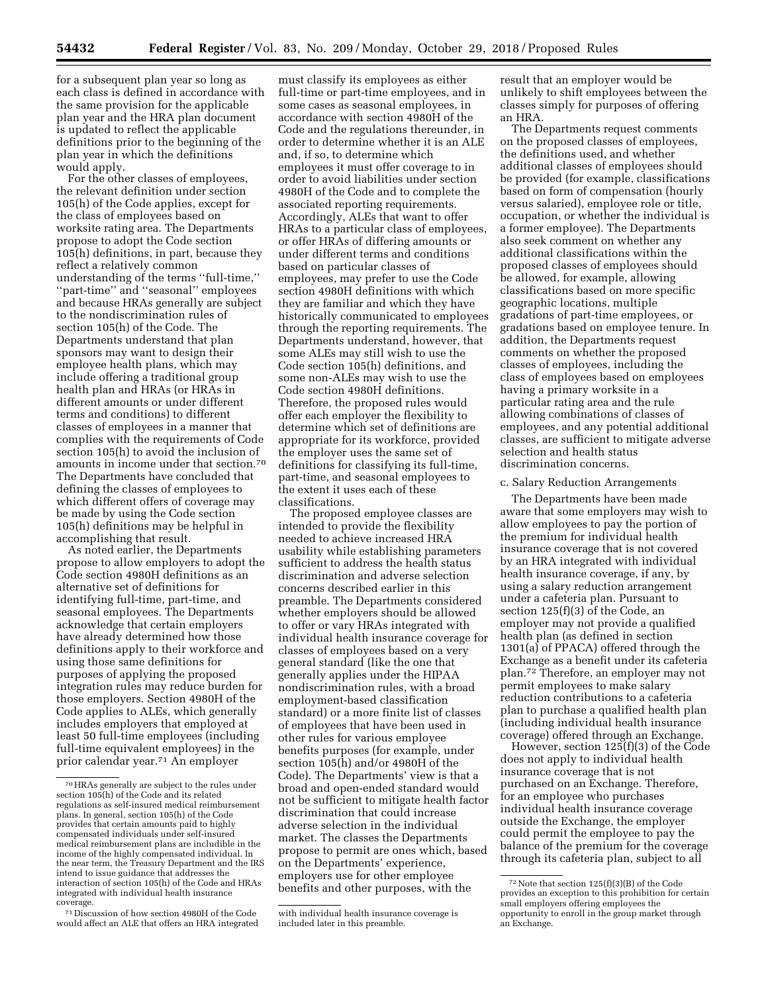for a subsequent plan year so long as each class is defined in accordance with the same provision for the applicable plan year and the HRA plan document is updated to reflect the applicable definitions prior to the beginning of the plan year in which the definitions would apply.

For the other classes of employees, the relevant definition under section 105(h) of the Code applies, except for the class of employees based on worksite rating area. The Departments propose to adopt the Code section 105(h) definitions, in part, because they reflect a relatively common understanding of the terms ''full-time,'' ''part-time'' and ''seasonal'' employees and because HRAs generally are subject to the nondiscrimination rules of section 105(h) of the Code. The Departments understand that plan sponsors may want to design their employee health plans, which may include offering a traditional group health plan and HRAs (or HRAs in different amounts or under different terms and conditions) to different classes of employees in a manner that complies with the requirements of Code section 105(h) to avoid the inclusion of amounts in income under that section.70 The Departments have concluded that defining the classes of employees to which different offers of coverage may be made by using the Code section 105(h) definitions may be helpful in accomplishing that result.

As noted earlier, the Departments propose to allow employers to adopt the Code section 4980H definitions as an alternative set of definitions for identifying full-time, part-time, and seasonal employees. The Departments acknowledge that certain employers have already determined how those definitions apply to their workforce and using those same definitions for purposes of applying the proposed integration rules may reduce burden for those employers. Section 4980H of the Code applies to ALEs, which generally includes employers that employed at least 50 full-time employees (including full-time equivalent employees) in the prior calendar year.71 An employer

must classify its employees as either full-time or part-time employees, and in some cases as seasonal employees, in accordance with section 4980H of the Code and the regulations thereunder, in order to determine whether it is an ALE and, if so, to determine which employees it must offer coverage to in order to avoid liabilities under section 4980H of the Code and to complete the associated reporting requirements. Accordingly, ALEs that want to offer HRAs to a particular class of employees, or offer HRAs of differing amounts or under different terms and conditions based on particular classes of employees, may prefer to use the Code section 4980H definitions with which they are familiar and which they have historically communicated to employees through the reporting requirements. The Departments understand, however, that some ALEs may still wish to use the Code section 105(h) definitions, and some non-ALEs may wish to use the Code section 4980H definitions. Therefore, the proposed rules would offer each employer the flexibility to determine which set of definitions are appropriate for its workforce, provided the employer uses the same set of definitions for classifying its full-time, part-time, and seasonal employees to the extent it uses each of these classifications.

The proposed employee classes are intended to provide the flexibility needed to achieve increased HRA usability while establishing parameters sufficient to address the health status discrimination and adverse selection concerns described earlier in this preamble. The Departments considered whether employers should be allowed to offer or vary HRAs integrated with individual health insurance coverage for classes of employees based on a very general standard (like the one that generally applies under the HIPAA nondiscrimination rules, with a broad employment-based classification standard) or a more finite list of classes of employees that have been used in other rules for various employee benefits purposes (for example, under section 105(h) and/or 4980H of the Code). The Departments' view is that a broad and open-ended standard would not be sufficient to mitigate health factor discrimination that could increase adverse selection in the individual market. The classes the Departments propose to permit are ones which, based on the Departments' experience, employers use for other employee benefits and other purposes, with the

result that an employer would be unlikely to shift employees between the classes simply for purposes of offering an HRA.

The Departments request comments on the proposed classes of employees, the definitions used, and whether additional classes of employees should be provided (for example, classifications based on form of compensation (hourly versus salaried), employee role or title, occupation, or whether the individual is a former employee). The Departments also seek comment on whether any additional classifications within the proposed classes of employees should be allowed, for example, allowing classifications based on more specific geographic locations, multiple gradations of part-time employees, or gradations based on employee tenure. In addition, the Departments request comments on whether the proposed classes of employees, including the class of employees based on employees having a primary worksite in a particular rating area and the rule allowing combinations of classes of employees, and any potential additional classes, are sufficient to mitigate adverse selection and health status discrimination concerns.

#### c. Salary Reduction Arrangements

The Departments have been made aware that some employers may wish to allow employees to pay the portion of the premium for individual health insurance coverage that is not covered by an HRA integrated with individual health insurance coverage, if any, by using a salary reduction arrangement under a cafeteria plan. Pursuant to section 125(f)(3) of the Code, an employer may not provide a qualified health plan (as defined in section 1301(a) of PPACA) offered through the Exchange as a benefit under its cafeteria plan.72 Therefore, an employer may not permit employees to make salary reduction contributions to a cafeteria plan to purchase a qualified health plan (including individual health insurance coverage) offered through an Exchange.

However, section 125(f)(3) of the Code does not apply to individual health insurance coverage that is not purchased on an Exchange. Therefore, for an employee who purchases individual health insurance coverage outside the Exchange, the employer could permit the employee to pay the balance of the premium for the coverage through its cafeteria plan, subject to all

<sup>70</sup>HRAs generally are subject to the rules under section 105(h) of the Code and its related regulations as self-insured medical reimbursement plans. In general, section 105(h) of the Code provides that certain amounts paid to highly compensated individuals under self-insured medical reimbursement plans are includible in the income of the highly compensated individual. In the near term, the Treasury Department and the IRS intend to issue guidance that addresses the interaction of section 105(h) of the Code and HRAs integrated with individual health insurance coverage.

<sup>71</sup> Discussion of how section 4980H of the Code would affect an ALE that offers an HRA integrated

with individual health insurance coverage is included later in this preamble.

 $^{72}\rm{Note}$  that section  $125(f)(3)(B)$  of the Code provides an exception to this prohibition for certain small employers offering employees the opportunity to enroll in the group market through an Exchange.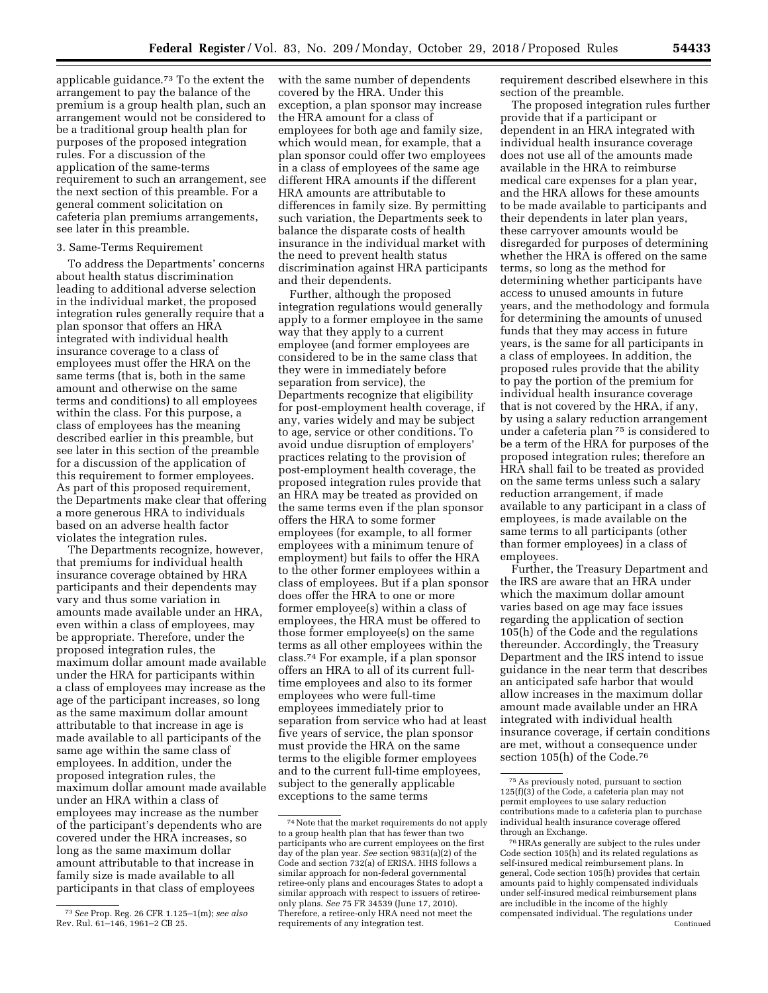applicable guidance.73 To the extent the arrangement to pay the balance of the premium is a group health plan, such an arrangement would not be considered to be a traditional group health plan for purposes of the proposed integration rules. For a discussion of the application of the same-terms requirement to such an arrangement, see the next section of this preamble. For a general comment solicitation on cafeteria plan premiums arrangements, see later in this preamble.

## 3. Same-Terms Requirement

To address the Departments' concerns about health status discrimination leading to additional adverse selection in the individual market, the proposed integration rules generally require that a plan sponsor that offers an HRA integrated with individual health insurance coverage to a class of employees must offer the HRA on the same terms (that is, both in the same amount and otherwise on the same terms and conditions) to all employees within the class. For this purpose, a class of employees has the meaning described earlier in this preamble, but see later in this section of the preamble for a discussion of the application of this requirement to former employees. As part of this proposed requirement, the Departments make clear that offering a more generous HRA to individuals based on an adverse health factor violates the integration rules.

The Departments recognize, however, that premiums for individual health insurance coverage obtained by HRA participants and their dependents may vary and thus some variation in amounts made available under an HRA, even within a class of employees, may be appropriate. Therefore, under the proposed integration rules, the maximum dollar amount made available under the HRA for participants within a class of employees may increase as the age of the participant increases, so long as the same maximum dollar amount attributable to that increase in age is made available to all participants of the same age within the same class of employees. In addition, under the proposed integration rules, the maximum dollar amount made available under an HRA within a class of employees may increase as the number of the participant's dependents who are covered under the HRA increases, so long as the same maximum dollar amount attributable to that increase in family size is made available to all participants in that class of employees

with the same number of dependents covered by the HRA. Under this exception, a plan sponsor may increase the HRA amount for a class of employees for both age and family size, which would mean, for example, that a plan sponsor could offer two employees in a class of employees of the same age different HRA amounts if the different HRA amounts are attributable to differences in family size. By permitting such variation, the Departments seek to balance the disparate costs of health insurance in the individual market with the need to prevent health status discrimination against HRA participants and their dependents.

Further, although the proposed integration regulations would generally apply to a former employee in the same way that they apply to a current employee (and former employees are considered to be in the same class that they were in immediately before separation from service), the Departments recognize that eligibility for post-employment health coverage, if any, varies widely and may be subject to age, service or other conditions. To avoid undue disruption of employers' practices relating to the provision of post-employment health coverage, the proposed integration rules provide that an HRA may be treated as provided on the same terms even if the plan sponsor offers the HRA to some former employees (for example, to all former employees with a minimum tenure of employment) but fails to offer the HRA to the other former employees within a class of employees. But if a plan sponsor does offer the HRA to one or more former employee(s) within a class of employees, the HRA must be offered to those former employee(s) on the same terms as all other employees within the class.74 For example, if a plan sponsor offers an HRA to all of its current fulltime employees and also to its former employees who were full-time employees immediately prior to separation from service who had at least five years of service, the plan sponsor must provide the HRA on the same terms to the eligible former employees and to the current full-time employees, subject to the generally applicable exceptions to the same terms

requirement described elsewhere in this section of the preamble.

The proposed integration rules further provide that if a participant or dependent in an HRA integrated with individual health insurance coverage does not use all of the amounts made available in the HRA to reimburse medical care expenses for a plan year, and the HRA allows for these amounts to be made available to participants and their dependents in later plan years, these carryover amounts would be disregarded for purposes of determining whether the HRA is offered on the same terms, so long as the method for determining whether participants have access to unused amounts in future years, and the methodology and formula for determining the amounts of unused funds that they may access in future years, is the same for all participants in a class of employees. In addition, the proposed rules provide that the ability to pay the portion of the premium for individual health insurance coverage that is not covered by the HRA, if any, by using a salary reduction arrangement under a cafeteria plan 75 is considered to be a term of the HRA for purposes of the proposed integration rules; therefore an HRA shall fail to be treated as provided on the same terms unless such a salary reduction arrangement, if made available to any participant in a class of employees, is made available on the same terms to all participants (other than former employees) in a class of employees.

Further, the Treasury Department and the IRS are aware that an HRA under which the maximum dollar amount varies based on age may face issues regarding the application of section 105(h) of the Code and the regulations thereunder. Accordingly, the Treasury Department and the IRS intend to issue guidance in the near term that describes an anticipated safe harbor that would allow increases in the maximum dollar amount made available under an HRA integrated with individual health insurance coverage, if certain conditions are met, without a consequence under section 105(h) of the Code.76

<sup>73</sup>*See* Prop. Reg. 26 CFR 1.125–1(m); *see also*  Rev. Rul. 61–146, 1961–2 CB 25.

<sup>74</sup>Note that the market requirements do not apply to a group health plan that has fewer than two participants who are current employees on the first day of the plan year. *See* section 9831(a)(2) of the Code and section 732(a) of ERISA. HHS follows a similar approach for non-federal governmental retiree-only plans and encourages States to adopt a similar approach with respect to issuers of retireeonly plans. *See* 75 FR 34539 (June 17, 2010). Therefore, a retiree-only HRA need not meet the requirements of any integration test.

<sup>75</sup>As previously noted, pursuant to section  $125(f)(3)$  of the Code, a cafeteria plan may not permit employees to use salary reduction contributions made to a cafeteria plan to purchase individual health insurance coverage offered through an Exchange.

<sup>76</sup>HRAs generally are subject to the rules under Code section 105(h) and its related regulations as self-insured medical reimbursement plans. In general, Code section 105(h) provides that certain amounts paid to highly compensated individuals under self-insured medical reimbursement plans are includible in the income of the highly compensated individual. The regulations under Continued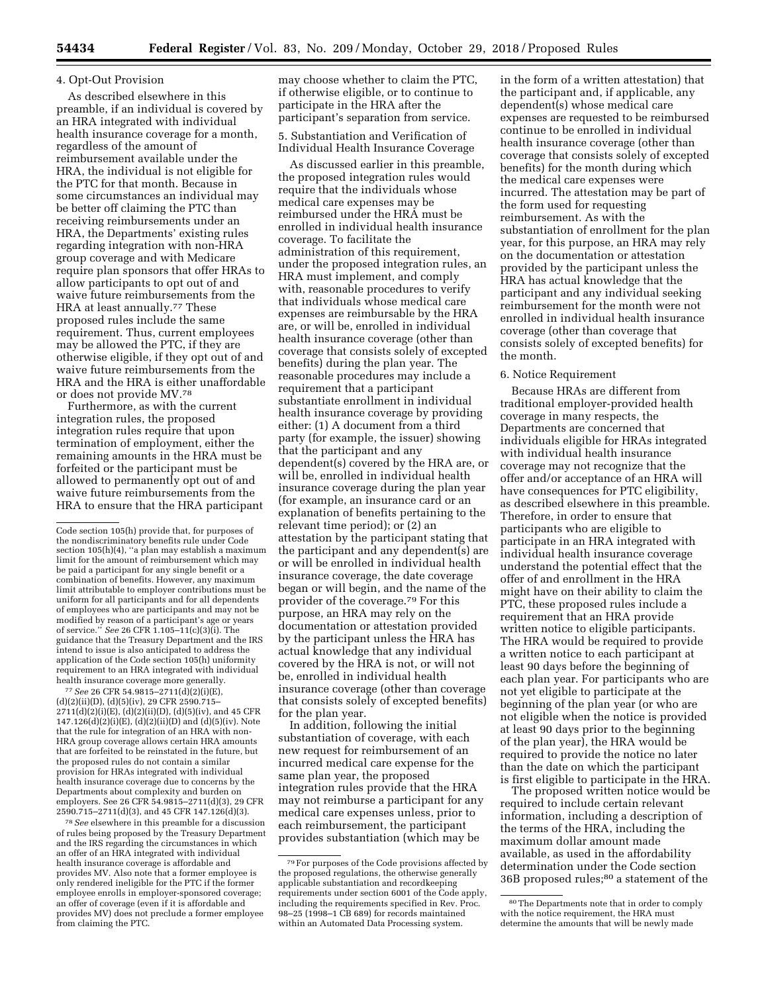### 4. Opt-Out Provision

As described elsewhere in this preamble, if an individual is covered by an HRA integrated with individual health insurance coverage for a month, regardless of the amount of reimbursement available under the HRA, the individual is not eligible for the PTC for that month. Because in some circumstances an individual may be better off claiming the PTC than receiving reimbursements under an HRA, the Departments' existing rules regarding integration with non-HRA group coverage and with Medicare require plan sponsors that offer HRAs to allow participants to opt out of and waive future reimbursements from the HRA at least annually.<sup>77</sup> These proposed rules include the same requirement. Thus, current employees may be allowed the PTC, if they are otherwise eligible, if they opt out of and waive future reimbursements from the HRA and the HRA is either unaffordable or does not provide MV.78

Furthermore, as with the current integration rules, the proposed integration rules require that upon termination of employment, either the remaining amounts in the HRA must be forfeited or the participant must be allowed to permanently opt out of and waive future reimbursements from the HRA to ensure that the HRA participant

77*See* 26 CFR 54.9815–2711(d)(2)(i)(E),  $(d)(2)(ii)(D), (d)(5)(iv), 29$  CFR  $2590.715-$ 2711(d)(2)(i)(E), (d)(2)(ii)(D), (d)(5)(iv), and 45 CFR  $147.126(d)(2)(i)(E)$ ,  $(d)(2)(ii)(D)$  and  $(d)(5)(iv)$ . Note that the rule for integration of an HRA with non-HRA group coverage allows certain HRA amounts that are forfeited to be reinstated in the future, but the proposed rules do not contain a similar provision for HRAs integrated with individual health insurance coverage due to concerns by the Departments about complexity and burden on employers. See 26 CFR 54.9815–2711(d)(3), 29 CFR 2590.715–2711(d)(3), and 45 CFR 147.126(d)(3).

78*See* elsewhere in this preamble for a discussion of rules being proposed by the Treasury Department and the IRS regarding the circumstances in which an offer of an HRA integrated with individual health insurance coverage is affordable and provides MV. Also note that a former employee is only rendered ineligible for the PTC if the former employee enrolls in employer-sponsored coverage; an offer of coverage (even if it is affordable and provides MV) does not preclude a former employee from claiming the PTC.

may choose whether to claim the PTC, if otherwise eligible, or to continue to participate in the HRA after the participant's separation from service.

5. Substantiation and Verification of Individual Health Insurance Coverage

As discussed earlier in this preamble, the proposed integration rules would require that the individuals whose medical care expenses may be reimbursed under the HRA must be enrolled in individual health insurance coverage. To facilitate the administration of this requirement, under the proposed integration rules, an HRA must implement, and comply with, reasonable procedures to verify that individuals whose medical care expenses are reimbursable by the HRA are, or will be, enrolled in individual health insurance coverage (other than coverage that consists solely of excepted benefits) during the plan year. The reasonable procedures may include a requirement that a participant substantiate enrollment in individual health insurance coverage by providing either: (1) A document from a third party (for example, the issuer) showing that the participant and any dependent(s) covered by the HRA are, or will be, enrolled in individual health insurance coverage during the plan year (for example, an insurance card or an explanation of benefits pertaining to the relevant time period); or (2) an attestation by the participant stating that the participant and any dependent(s) are or will be enrolled in individual health insurance coverage, the date coverage began or will begin, and the name of the provider of the coverage.79 For this purpose, an HRA may rely on the documentation or attestation provided by the participant unless the HRA has actual knowledge that any individual covered by the HRA is not, or will not be, enrolled in individual health insurance coverage (other than coverage that consists solely of excepted benefits) for the plan year.

In addition, following the initial substantiation of coverage, with each new request for reimbursement of an incurred medical care expense for the same plan year, the proposed integration rules provide that the HRA may not reimburse a participant for any medical care expenses unless, prior to each reimbursement, the participant provides substantiation (which may be

in the form of a written attestation) that the participant and, if applicable, any dependent(s) whose medical care expenses are requested to be reimbursed continue to be enrolled in individual health insurance coverage (other than coverage that consists solely of excepted benefits) for the month during which the medical care expenses were incurred. The attestation may be part of the form used for requesting reimbursement. As with the substantiation of enrollment for the plan year, for this purpose, an HRA may rely on the documentation or attestation provided by the participant unless the HRA has actual knowledge that the participant and any individual seeking reimbursement for the month were not enrolled in individual health insurance coverage (other than coverage that consists solely of excepted benefits) for the month.

#### 6. Notice Requirement

Because HRAs are different from traditional employer-provided health coverage in many respects, the Departments are concerned that individuals eligible for HRAs integrated with individual health insurance coverage may not recognize that the offer and/or acceptance of an HRA will have consequences for PTC eligibility, as described elsewhere in this preamble. Therefore, in order to ensure that participants who are eligible to participate in an HRA integrated with individual health insurance coverage understand the potential effect that the offer of and enrollment in the HRA might have on their ability to claim the PTC, these proposed rules include a requirement that an HRA provide written notice to eligible participants. The HRA would be required to provide a written notice to each participant at least 90 days before the beginning of each plan year. For participants who are not yet eligible to participate at the beginning of the plan year (or who are not eligible when the notice is provided at least 90 days prior to the beginning of the plan year), the HRA would be required to provide the notice no later than the date on which the participant is first eligible to participate in the HRA.

The proposed written notice would be required to include certain relevant information, including a description of the terms of the HRA, including the maximum dollar amount made available, as used in the affordability determination under the Code section 36B proposed rules;<sup>80</sup> a statement of the

Code section 105(h) provide that, for purposes of the nondiscriminatory benefits rule under Code section 105(h)(4), ''a plan may establish a maximum limit for the amount of reimbursement which may be paid a participant for any single benefit or a combination of benefits. However, any maximum limit attributable to employer contributions must be uniform for all participants and for all dependents of employees who are participants and may not be modified by reason of a participant's age or years of service.'' *See* 26 CFR 1.105–11(c)(3)(i). The guidance that the Treasury Department and the IRS intend to issue is also anticipated to address the application of the Code section 105(h) uniformity requirement to an HRA integrated with individual health insurance coverage more generally.

<sup>79</sup>For purposes of the Code provisions affected by the proposed regulations, the otherwise generally applicable substantiation and recordkeeping requirements under section 6001 of the Code apply, including the requirements specified in Rev. Proc. 98–25 (1998–1 CB 689) for records maintained within an Automated Data Processing system.

<sup>80</sup>The Departments note that in order to comply with the notice requirement, the HRA must determine the amounts that will be newly made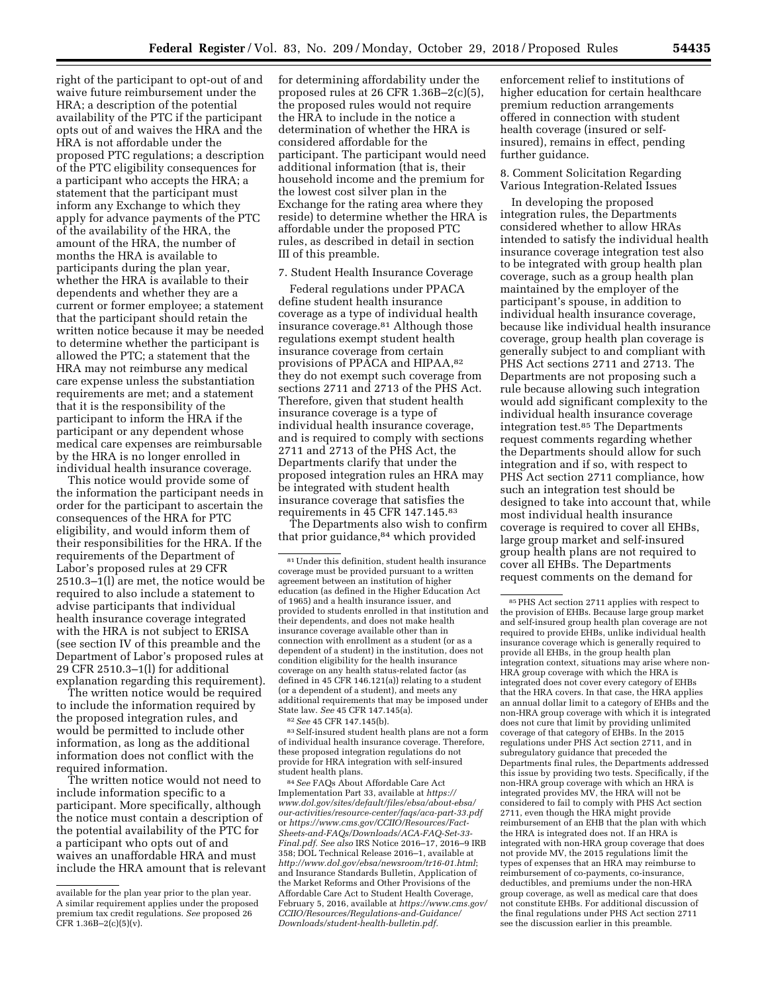right of the participant to opt-out of and waive future reimbursement under the HRA; a description of the potential availability of the PTC if the participant opts out of and waives the HRA and the HRA is not affordable under the proposed PTC regulations; a description of the PTC eligibility consequences for a participant who accepts the HRA; a statement that the participant must inform any Exchange to which they apply for advance payments of the PTC of the availability of the HRA, the amount of the HRA, the number of months the HRA is available to participants during the plan year, whether the HRA is available to their dependents and whether they are a current or former employee; a statement that the participant should retain the written notice because it may be needed to determine whether the participant is allowed the PTC; a statement that the HRA may not reimburse any medical care expense unless the substantiation requirements are met; and a statement that it is the responsibility of the participant to inform the HRA if the participant or any dependent whose medical care expenses are reimbursable by the HRA is no longer enrolled in individual health insurance coverage.

This notice would provide some of the information the participant needs in order for the participant to ascertain the consequences of the HRA for PTC eligibility, and would inform them of their responsibilities for the HRA. If the requirements of the Department of Labor's proposed rules at 29 CFR 2510.3–1(l) are met, the notice would be required to also include a statement to advise participants that individual health insurance coverage integrated with the HRA is not subject to ERISA (see section IV of this preamble and the Department of Labor's proposed rules at 29 CFR 2510.3–1(l) for additional explanation regarding this requirement).

The written notice would be required to include the information required by the proposed integration rules, and would be permitted to include other information, as long as the additional information does not conflict with the required information.

The written notice would not need to include information specific to a participant. More specifically, although the notice must contain a description of the potential availability of the PTC for a participant who opts out of and waives an unaffordable HRA and must include the HRA amount that is relevant

for determining affordability under the proposed rules at 26 CFR 1.36B–2(c)(5), the proposed rules would not require the HRA to include in the notice a determination of whether the HRA is considered affordable for the participant. The participant would need additional information (that is, their household income and the premium for the lowest cost silver plan in the Exchange for the rating area where they reside) to determine whether the HRA is affordable under the proposed PTC rules, as described in detail in section III of this preamble.

#### 7. Student Health Insurance Coverage

Federal regulations under PPACA define student health insurance coverage as a type of individual health insurance coverage.81 Although those regulations exempt student health insurance coverage from certain provisions of PPACA and HIPAA,82 they do not exempt such coverage from sections 2711 and 2713 of the PHS Act. Therefore, given that student health insurance coverage is a type of individual health insurance coverage, and is required to comply with sections 2711 and 2713 of the PHS Act, the Departments clarify that under the proposed integration rules an HRA may be integrated with student health insurance coverage that satisfies the requirements in 45 CFR 147.145.83

The Departments also wish to confirm that prior guidance,<sup>84</sup> which provided

81Under this definition, student health insurance coverage must be provided pursuant to a written agreement between an institution of higher education (as defined in the Higher Education Act of 1965) and a health insurance issuer, and provided to students enrolled in that institution and their dependents, and does not make health insurance coverage available other than in connection with enrollment as a student (or as a dependent of a student) in the institution, does not condition eligibility for the health insurance coverage on any health status-related factor (as defined in 45 CFR 146.121(a)) relating to a student (or a dependent of a student), and meets any additional requirements that may be imposed under State law. *See* 45 CFR 147.145(a).

82*See* 45 CFR 147.145(b).

83Self-insured student health plans are not a form of individual health insurance coverage. Therefore, these proposed integration regulations do not provide for HRA integration with self-insured student health plans.

84*See* FAQs About Affordable Care Act Implementation Part 33, available at *[https://](https://www.dol.gov/sites/default/files/ebsa/about-ebsa/our-activities/resource-center/faqs/aca-part-33.pdf) [www.dol.gov/sites/default/files/ebsa/about-ebsa/](https://www.dol.gov/sites/default/files/ebsa/about-ebsa/our-activities/resource-center/faqs/aca-part-33.pdf) [our-activities/resource-center/faqs/aca-part-33.pdf](https://www.dol.gov/sites/default/files/ebsa/about-ebsa/our-activities/resource-center/faqs/aca-part-33.pdf)*  or *[https://www.cms.gov/CCIIO/Resources/Fact-](https://www.cms.gov/CCIIO/Resources/Fact-Sheets-and-FAQs/Downloads/ACA-FAQ-Set-33-Final.pdf)[Sheets-and-FAQs/Downloads/ACA-FAQ-Set-33-](https://www.cms.gov/CCIIO/Resources/Fact-Sheets-and-FAQs/Downloads/ACA-FAQ-Set-33-Final.pdf)  [Final.pdf.](https://www.cms.gov/CCIIO/Resources/Fact-Sheets-and-FAQs/Downloads/ACA-FAQ-Set-33-Final.pdf) See also* IRS Notice 2016–17, 2016–9 IRB 358; DOL Technical Release 2016–1, available at *<http://www.dol.gov/ebsa/newsroom/tr16-01.html>*; and Insurance Standards Bulletin, Application of the Market Reforms and Other Provisions of the Affordable Care Act to Student Health Coverage, February 5, 2016, available at *[https://www.cms.gov/](https://www.cms.gov/CCIIO/Resources/Regulations-and-Guidance/Downloads/student-health-bulletin.pdf)  [CCIIO/Resources/Regulations-and-Guidance/](https://www.cms.gov/CCIIO/Resources/Regulations-and-Guidance/Downloads/student-health-bulletin.pdf)  [Downloads/student-health-bulletin.pdf.](https://www.cms.gov/CCIIO/Resources/Regulations-and-Guidance/Downloads/student-health-bulletin.pdf)* 

enforcement relief to institutions of higher education for certain healthcare premium reduction arrangements offered in connection with student health coverage (insured or selfinsured), remains in effect, pending further guidance.

## 8. Comment Solicitation Regarding Various Integration-Related Issues

In developing the proposed integration rules, the Departments considered whether to allow HRAs intended to satisfy the individual health insurance coverage integration test also to be integrated with group health plan coverage, such as a group health plan maintained by the employer of the participant's spouse, in addition to individual health insurance coverage, because like individual health insurance coverage, group health plan coverage is generally subject to and compliant with PHS Act sections 2711 and 2713. The Departments are not proposing such a rule because allowing such integration would add significant complexity to the individual health insurance coverage integration test.85 The Departments request comments regarding whether the Departments should allow for such integration and if so, with respect to PHS Act section 2711 compliance, how such an integration test should be designed to take into account that, while most individual health insurance coverage is required to cover all EHBs, large group market and self-insured group health plans are not required to cover all EHBs. The Departments request comments on the demand for

available for the plan year prior to the plan year. A similar requirement applies under the proposed premium tax credit regulations. *See* proposed 26 CFR  $1.36B - 2(c)(5)(v)$ .

<sup>85</sup>PHS Act section 2711 applies with respect to the provision of EHBs. Because large group market and self-insured group health plan coverage are not required to provide EHBs, unlike individual health insurance coverage which is generally required to provide all EHBs, in the group health plan integration context, situations may arise where non-HRA group coverage with which the HRA is integrated does not cover every category of EHBs that the HRA covers. In that case, the HRA applies an annual dollar limit to a category of EHBs and the non-HRA group coverage with which it is integrated does not cure that limit by providing unlimited coverage of that category of EHBs. In the 2015 regulations under PHS Act section 2711, and in subregulatory guidance that preceded the Departments final rules, the Departments addressed this issue by providing two tests. Specifically, if the non-HRA group coverage with which an HRA is integrated provides MV, the HRA will not be considered to fail to comply with PHS Act section 2711, even though the HRA might provide reimbursement of an EHB that the plan with which the HRA is integrated does not. If an HRA is integrated with non-HRA group coverage that does not provide MV, the 2015 regulations limit the types of expenses that an HRA may reimburse to reimbursement of co-payments, co-insurance, deductibles, and premiums under the non-HRA group coverage, as well as medical care that does not constitute EHBs. For additional discussion of the final regulations under PHS Act section 2711 see the discussion earlier in this preamble.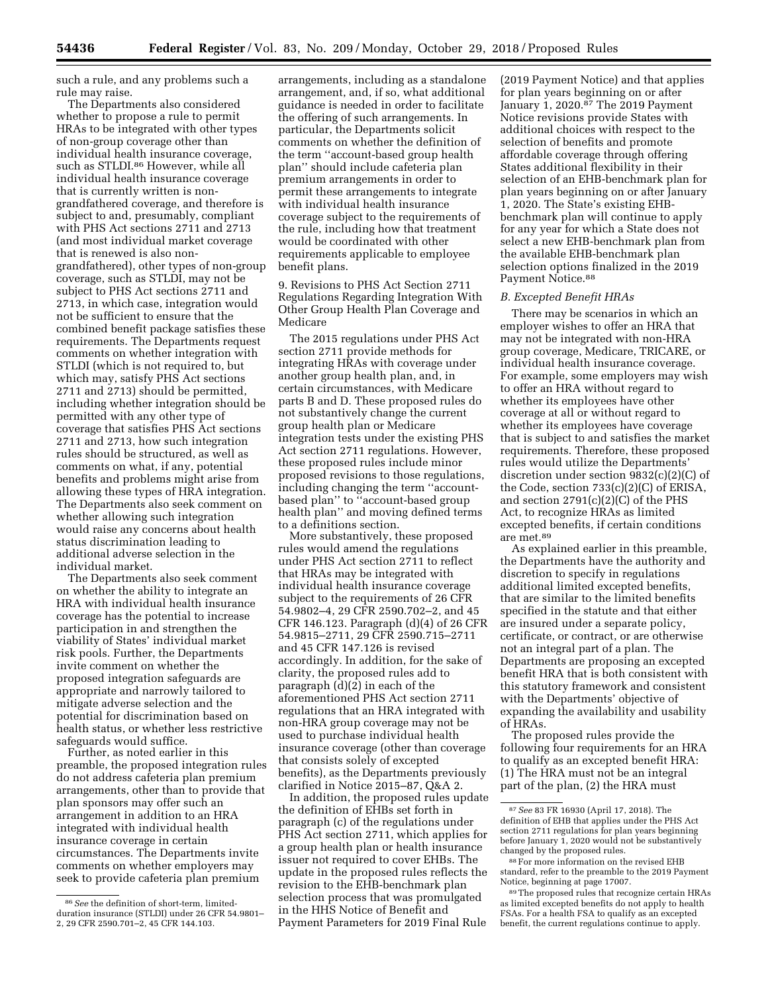such a rule, and any problems such a rule may raise.

The Departments also considered whether to propose a rule to permit HRAs to be integrated with other types of non-group coverage other than individual health insurance coverage, such as STLDI.<sup>86</sup> However, while all individual health insurance coverage that is currently written is nongrandfathered coverage, and therefore is subject to and, presumably, compliant with PHS Act sections 2711 and 2713 (and most individual market coverage that is renewed is also nongrandfathered), other types of non-group coverage, such as STLDI, may not be subject to PHS Act sections 2711 and 2713, in which case, integration would not be sufficient to ensure that the combined benefit package satisfies these requirements. The Departments request comments on whether integration with STLDI (which is not required to, but which may, satisfy PHS Act sections 2711 and 2713) should be permitted, including whether integration should be permitted with any other type of coverage that satisfies PHS Act sections 2711 and 2713, how such integration rules should be structured, as well as comments on what, if any, potential benefits and problems might arise from allowing these types of HRA integration. The Departments also seek comment on whether allowing such integration would raise any concerns about health status discrimination leading to additional adverse selection in the individual market.

The Departments also seek comment on whether the ability to integrate an HRA with individual health insurance coverage has the potential to increase participation in and strengthen the viability of States' individual market risk pools. Further, the Departments invite comment on whether the proposed integration safeguards are appropriate and narrowly tailored to mitigate adverse selection and the potential for discrimination based on health status, or whether less restrictive safeguards would suffice.

Further, as noted earlier in this preamble, the proposed integration rules do not address cafeteria plan premium arrangements, other than to provide that plan sponsors may offer such an arrangement in addition to an HRA integrated with individual health insurance coverage in certain circumstances. The Departments invite comments on whether employers may seek to provide cafeteria plan premium

arrangements, including as a standalone arrangement, and, if so, what additional guidance is needed in order to facilitate the offering of such arrangements. In particular, the Departments solicit comments on whether the definition of the term ''account-based group health plan'' should include cafeteria plan premium arrangements in order to permit these arrangements to integrate with individual health insurance coverage subject to the requirements of the rule, including how that treatment would be coordinated with other requirements applicable to employee benefit plans.

9. Revisions to PHS Act Section 2711 Regulations Regarding Integration With Other Group Health Plan Coverage and Medicare

The 2015 regulations under PHS Act section 2711 provide methods for integrating HRAs with coverage under another group health plan, and, in certain circumstances, with Medicare parts B and D. These proposed rules do not substantively change the current group health plan or Medicare integration tests under the existing PHS Act section 2711 regulations. However, these proposed rules include minor proposed revisions to those regulations, including changing the term ''accountbased plan'' to ''account-based group health plan'' and moving defined terms to a definitions section.

More substantively, these proposed rules would amend the regulations under PHS Act section 2711 to reflect that HRAs may be integrated with individual health insurance coverage subject to the requirements of 26 CFR 54.9802–4, 29 CFR 2590.702–2, and 45 CFR 146.123. Paragraph (d)(4) of 26 CFR 54.9815–2711, 29 CFR 2590.715–2711 and 45 CFR 147.126 is revised accordingly. In addition, for the sake of clarity, the proposed rules add to paragraph (d)(2) in each of the aforementioned PHS Act section 2711 regulations that an HRA integrated with non-HRA group coverage may not be used to purchase individual health insurance coverage (other than coverage that consists solely of excepted benefits), as the Departments previously clarified in Notice 2015–87, Q&A 2.

In addition, the proposed rules update the definition of EHBs set forth in paragraph (c) of the regulations under PHS Act section 2711, which applies for a group health plan or health insurance issuer not required to cover EHBs. The update in the proposed rules reflects the revision to the EHB-benchmark plan selection process that was promulgated in the HHS Notice of Benefit and Payment Parameters for 2019 Final Rule

(2019 Payment Notice) and that applies for plan years beginning on or after January 1, 2020.87 The 2019 Payment Notice revisions provide States with additional choices with respect to the selection of benefits and promote affordable coverage through offering States additional flexibility in their selection of an EHB-benchmark plan for plan years beginning on or after January 1, 2020. The State's existing EHBbenchmark plan will continue to apply for any year for which a State does not select a new EHB-benchmark plan from the available EHB-benchmark plan selection options finalized in the 2019 Payment Notice.<sup>88</sup>

#### *B. Excepted Benefit HRAs*

There may be scenarios in which an employer wishes to offer an HRA that may not be integrated with non-HRA group coverage, Medicare, TRICARE, or individual health insurance coverage. For example, some employers may wish to offer an HRA without regard to whether its employees have other coverage at all or without regard to whether its employees have coverage that is subject to and satisfies the market requirements. Therefore, these proposed rules would utilize the Departments' discretion under section 9832(c)(2)(C) of the Code, section 733(c)(2)(C) of ERISA, and section 2791(c)(2)(C) of the PHS Act, to recognize HRAs as limited excepted benefits, if certain conditions are met.89

As explained earlier in this preamble, the Departments have the authority and discretion to specify in regulations additional limited excepted benefits, that are similar to the limited benefits specified in the statute and that either are insured under a separate policy, certificate, or contract, or are otherwise not an integral part of a plan. The Departments are proposing an excepted benefit HRA that is both consistent with this statutory framework and consistent with the Departments' objective of expanding the availability and usability of HRAs.

The proposed rules provide the following four requirements for an HRA to qualify as an excepted benefit HRA: (1) The HRA must not be an integral part of the plan, (2) the HRA must

<sup>86</sup>*See* the definition of short-term, limitedduration insurance (STLDI) under 26 CFR 54.9801– 2, 29 CFR 2590.701–2, 45 CFR 144.103.

<sup>87</sup>*See* 83 FR 16930 (April 17, 2018). The definition of EHB that applies under the PHS Act section 2711 regulations for plan years beginning before January 1, 2020 would not be substantively changed by the proposed rules.

<sup>88</sup>For more information on the revised EHB standard, refer to the preamble to the 2019 Payment Notice, beginning at page 17007.

<sup>89</sup>The proposed rules that recognize certain HRAs as limited excepted benefits do not apply to health FSAs. For a health FSA to qualify as an excepted benefit, the current regulations continue to apply.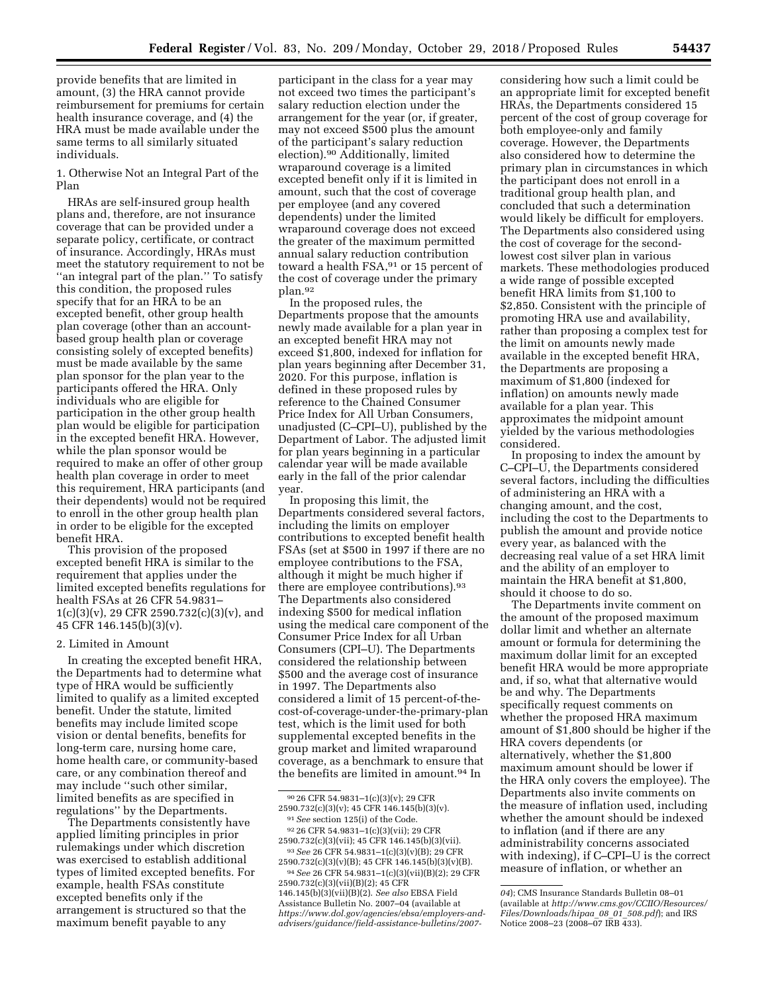provide benefits that are limited in amount, (3) the HRA cannot provide reimbursement for premiums for certain health insurance coverage, and (4) the HRA must be made available under the same terms to all similarly situated individuals.

1. Otherwise Not an Integral Part of the Plan

HRAs are self-insured group health plans and, therefore, are not insurance coverage that can be provided under a separate policy, certificate, or contract of insurance. Accordingly, HRAs must meet the statutory requirement to not be "an integral part of the plan." To satisfy this condition, the proposed rules specify that for an HRA to be an excepted benefit, other group health plan coverage (other than an accountbased group health plan or coverage consisting solely of excepted benefits) must be made available by the same plan sponsor for the plan year to the participants offered the HRA. Only individuals who are eligible for participation in the other group health plan would be eligible for participation in the excepted benefit HRA. However, while the plan sponsor would be required to make an offer of other group health plan coverage in order to meet this requirement, HRA participants (and their dependents) would not be required to enroll in the other group health plan in order to be eligible for the excepted benefit HRA.

This provision of the proposed excepted benefit HRA is similar to the requirement that applies under the limited excepted benefits regulations for health FSAs at 26 CFR 54.9831– 1(c)(3)(v), 29 CFR 2590.732(c)(3)(v), and 45 CFR 146.145(b)(3)(v).

#### 2. Limited in Amount

In creating the excepted benefit HRA, the Departments had to determine what type of HRA would be sufficiently limited to qualify as a limited excepted benefit. Under the statute, limited benefits may include limited scope vision or dental benefits, benefits for long-term care, nursing home care, home health care, or community-based care, or any combination thereof and may include ''such other similar, limited benefits as are specified in regulations'' by the Departments.

The Departments consistently have applied limiting principles in prior rulemakings under which discretion was exercised to establish additional types of limited excepted benefits. For example, health FSAs constitute excepted benefits only if the arrangement is structured so that the maximum benefit payable to any

participant in the class for a year may not exceed two times the participant's salary reduction election under the arrangement for the year (or, if greater, may not exceed \$500 plus the amount of the participant's salary reduction election).90 Additionally, limited wraparound coverage is a limited excepted benefit only if it is limited in amount, such that the cost of coverage per employee (and any covered dependents) under the limited wraparound coverage does not exceed the greater of the maximum permitted annual salary reduction contribution toward a health FSA,<sup>91</sup> or 15 percent of the cost of coverage under the primary plan.92

In the proposed rules, the Departments propose that the amounts newly made available for a plan year in an excepted benefit HRA may not exceed \$1,800, indexed for inflation for plan years beginning after December 31, 2020. For this purpose, inflation is defined in these proposed rules by reference to the Chained Consumer Price Index for All Urban Consumers, unadjusted (C–CPI–U), published by the Department of Labor. The adjusted limit for plan years beginning in a particular calendar year will be made available early in the fall of the prior calendar year.

In proposing this limit, the Departments considered several factors, including the limits on employer contributions to excepted benefit health FSAs (set at \$500 in 1997 if there are no employee contributions to the FSA, although it might be much higher if there are employee contributions).93 The Departments also considered indexing \$500 for medical inflation using the medical care component of the Consumer Price Index for all Urban Consumers (CPI–U). The Departments considered the relationship between \$500 and the average cost of insurance in 1997. The Departments also considered a limit of 15 percent-of-thecost-of-coverage-under-the-primary-plan test, which is the limit used for both supplemental excepted benefits in the group market and limited wraparound coverage, as a benchmark to ensure that the benefits are limited in amount.94 In

92 26 CFR 54.9831–1(c)(3)(vii); 29 CFR 2590.732(c)(3)(vii); 45 CFR 146.145(b)(3)(vii).

93*See* 26 CFR 54.9831–1(c)(3)(v)(B); 29 CFR 2590.732(c)(3)(v)(B); 45 CFR 146.145(b)(3)(v)(B).

94*See* 26 CFR 54.9831–1(c)(3)(vii)(B)(2); 29 CFR 2590.732(c)(3)(vii)(B)(2); 45 CFR 146.145(b)(3)(vii)(B)(2). *See also* EBSA Field Assistance Bulletin No. 2007–04 (available at *[https://www.dol.gov/agencies/ebsa/employers-and](https://www.dol.gov/agencies/ebsa/employers-and-advisers/guidance/field-assistance-bulletins/2007-04)[advisers/guidance/field-assistance-bulletins/2007-](https://www.dol.gov/agencies/ebsa/employers-and-advisers/guidance/field-assistance-bulletins/2007-04)* 

considering how such a limit could be an appropriate limit for excepted benefit HRAs, the Departments considered 15 percent of the cost of group coverage for both employee-only and family coverage. However, the Departments also considered how to determine the primary plan in circumstances in which the participant does not enroll in a traditional group health plan, and concluded that such a determination would likely be difficult for employers. The Departments also considered using the cost of coverage for the secondlowest cost silver plan in various markets. These methodologies produced a wide range of possible excepted benefit HRA limits from \$1,100 to \$2,850. Consistent with the principle of promoting HRA use and availability, rather than proposing a complex test for the limit on amounts newly made available in the excepted benefit HRA, the Departments are proposing a maximum of \$1,800 (indexed for inflation) on amounts newly made available for a plan year. This approximates the midpoint amount yielded by the various methodologies considered.

In proposing to index the amount by C–CPI–U, the Departments considered several factors, including the difficulties of administering an HRA with a changing amount, and the cost, including the cost to the Departments to publish the amount and provide notice every year, as balanced with the decreasing real value of a set HRA limit and the ability of an employer to maintain the HRA benefit at \$1,800, should it choose to do so.

The Departments invite comment on the amount of the proposed maximum dollar limit and whether an alternate amount or formula for determining the maximum dollar limit for an excepted benefit HRA would be more appropriate and, if so, what that alternative would be and why. The Departments specifically request comments on whether the proposed HRA maximum amount of \$1,800 should be higher if the HRA covers dependents (or alternatively, whether the \$1,800 maximum amount should be lower if the HRA only covers the employee). The Departments also invite comments on the measure of inflation used, including whether the amount should be indexed to inflation (and if there are any administrability concerns associated with indexing), if C–CPI–U is the correct measure of inflation, or whether an

<sup>90</sup> 26 CFR 54.9831–1(c)(3)(v); 29 CFR 2590.732(c)(3)(v); 45 CFR 146.145(b)(3)(v).

<sup>91</sup>*See* section 125(i) of the Code.

*[<sup>04</sup>](https://www.dol.gov/agencies/ebsa/employers-and-advisers/guidance/field-assistance-bulletins/2007-04)*); CMS Insurance Standards Bulletin 08–01 (available at *[http://www.cms.gov/CCIIO/Resources/](http://www.cms.gov/CCIIO/Resources/Files/Downloads/hipaa_08_01_508.pdf) [Files/Downloads/hipaa](http://www.cms.gov/CCIIO/Resources/Files/Downloads/hipaa_08_01_508.pdf)*\_*08*\_*01*\_*508.pdf*); and IRS Notice 2008–23 (2008–07 IRB 433).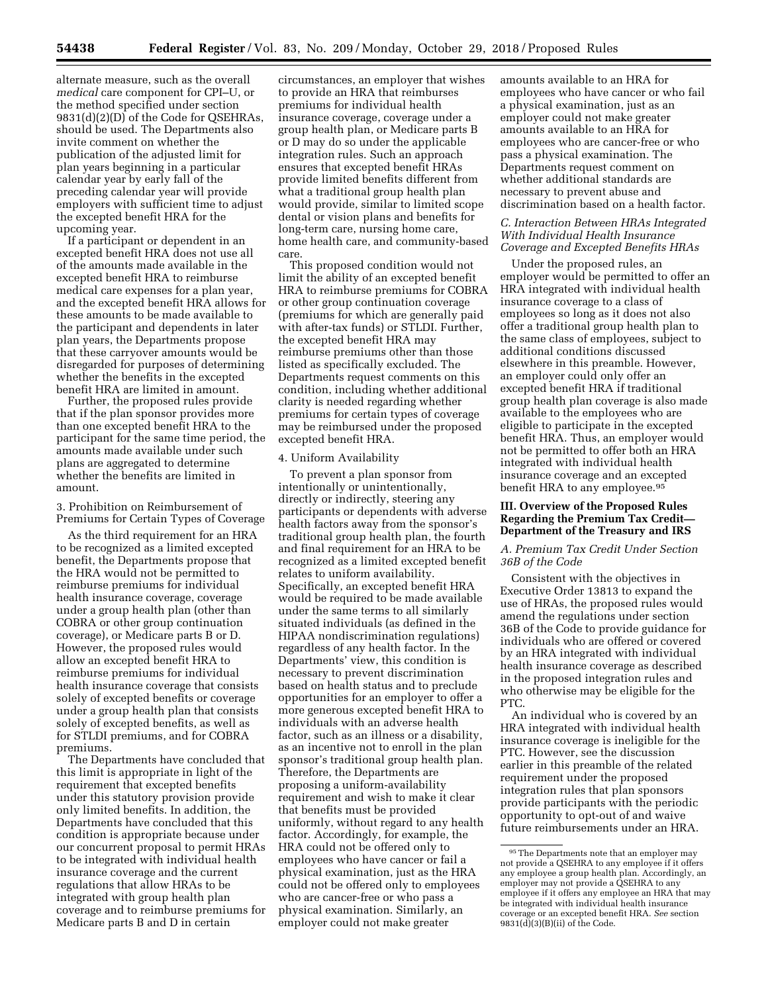alternate measure, such as the overall *medical* care component for CPI–U, or the method specified under section 9831(d)(2)(D) of the Code for QSEHRAs, should be used. The Departments also invite comment on whether the publication of the adjusted limit for plan years beginning in a particular calendar year by early fall of the preceding calendar year will provide employers with sufficient time to adjust the excepted benefit HRA for the upcoming year.

If a participant or dependent in an excepted benefit HRA does not use all of the amounts made available in the excepted benefit HRA to reimburse medical care expenses for a plan year, and the excepted benefit HRA allows for these amounts to be made available to the participant and dependents in later plan years, the Departments propose that these carryover amounts would be disregarded for purposes of determining whether the benefits in the excepted benefit HRA are limited in amount.

Further, the proposed rules provide that if the plan sponsor provides more than one excepted benefit HRA to the participant for the same time period, the amounts made available under such plans are aggregated to determine whether the benefits are limited in amount.

3. Prohibition on Reimbursement of Premiums for Certain Types of Coverage

As the third requirement for an HRA to be recognized as a limited excepted benefit, the Departments propose that the HRA would not be permitted to reimburse premiums for individual health insurance coverage, coverage under a group health plan (other than COBRA or other group continuation coverage), or Medicare parts B or D. However, the proposed rules would allow an excepted benefit HRA to reimburse premiums for individual health insurance coverage that consists solely of excepted benefits or coverage under a group health plan that consists solely of excepted benefits, as well as for STLDI premiums, and for COBRA premiums.

The Departments have concluded that this limit is appropriate in light of the requirement that excepted benefits under this statutory provision provide only limited benefits. In addition, the Departments have concluded that this condition is appropriate because under our concurrent proposal to permit HRAs to be integrated with individual health insurance coverage and the current regulations that allow HRAs to be integrated with group health plan coverage and to reimburse premiums for Medicare parts B and D in certain

circumstances, an employer that wishes to provide an HRA that reimburses premiums for individual health insurance coverage, coverage under a group health plan, or Medicare parts B or D may do so under the applicable integration rules. Such an approach ensures that excepted benefit HRAs provide limited benefits different from what a traditional group health plan would provide, similar to limited scope dental or vision plans and benefits for long-term care, nursing home care, home health care, and community-based care.

This proposed condition would not limit the ability of an excepted benefit HRA to reimburse premiums for COBRA or other group continuation coverage (premiums for which are generally paid with after-tax funds) or STLDI. Further, the excepted benefit HRA may reimburse premiums other than those listed as specifically excluded. The Departments request comments on this condition, including whether additional clarity is needed regarding whether premiums for certain types of coverage may be reimbursed under the proposed excepted benefit HRA.

#### 4. Uniform Availability

To prevent a plan sponsor from intentionally or unintentionally, directly or indirectly, steering any participants or dependents with adverse health factors away from the sponsor's traditional group health plan, the fourth and final requirement for an HRA to be recognized as a limited excepted benefit relates to uniform availability. Specifically, an excepted benefit HRA would be required to be made available under the same terms to all similarly situated individuals (as defined in the HIPAA nondiscrimination regulations) regardless of any health factor. In the Departments' view, this condition is necessary to prevent discrimination based on health status and to preclude opportunities for an employer to offer a more generous excepted benefit HRA to individuals with an adverse health factor, such as an illness or a disability, as an incentive not to enroll in the plan sponsor's traditional group health plan. Therefore, the Departments are proposing a uniform-availability requirement and wish to make it clear that benefits must be provided uniformly, without regard to any health factor. Accordingly, for example, the HRA could not be offered only to employees who have cancer or fail a physical examination, just as the HRA could not be offered only to employees who are cancer-free or who pass a physical examination. Similarly, an employer could not make greater

amounts available to an HRA for employees who have cancer or who fail a physical examination, just as an employer could not make greater amounts available to an HRA for employees who are cancer-free or who pass a physical examination. The Departments request comment on whether additional standards are necessary to prevent abuse and discrimination based on a health factor.

## *C. Interaction Between HRAs Integrated With Individual Health Insurance Coverage and Excepted Benefits HRAs*

Under the proposed rules, an employer would be permitted to offer an HRA integrated with individual health insurance coverage to a class of employees so long as it does not also offer a traditional group health plan to the same class of employees, subject to additional conditions discussed elsewhere in this preamble. However, an employer could only offer an excepted benefit HRA if traditional group health plan coverage is also made available to the employees who are eligible to participate in the excepted benefit HRA. Thus, an employer would not be permitted to offer both an HRA integrated with individual health insurance coverage and an excepted benefit HRA to any employee.95

## **III. Overview of the Proposed Rules Regarding the Premium Tax Credit— Department of the Treasury and IRS**

## *A. Premium Tax Credit Under Section 36B of the Code*

Consistent with the objectives in Executive Order 13813 to expand the use of HRAs, the proposed rules would amend the regulations under section 36B of the Code to provide guidance for individuals who are offered or covered by an HRA integrated with individual health insurance coverage as described in the proposed integration rules and who otherwise may be eligible for the PTC.

An individual who is covered by an HRA integrated with individual health insurance coverage is ineligible for the PTC. However, see the discussion earlier in this preamble of the related requirement under the proposed integration rules that plan sponsors provide participants with the periodic opportunity to opt-out of and waive future reimbursements under an HRA.

<sup>95</sup>The Departments note that an employer may not provide a QSEHRA to any employee if it offers any employee a group health plan. Accordingly, an employer may not provide a QSEHRA to any employee if it offers any employee an HRA that may be integrated with individual health insurance coverage or an excepted benefit HRA. *See* section  $9831(d)(3)(B)(ii)$  of the Code.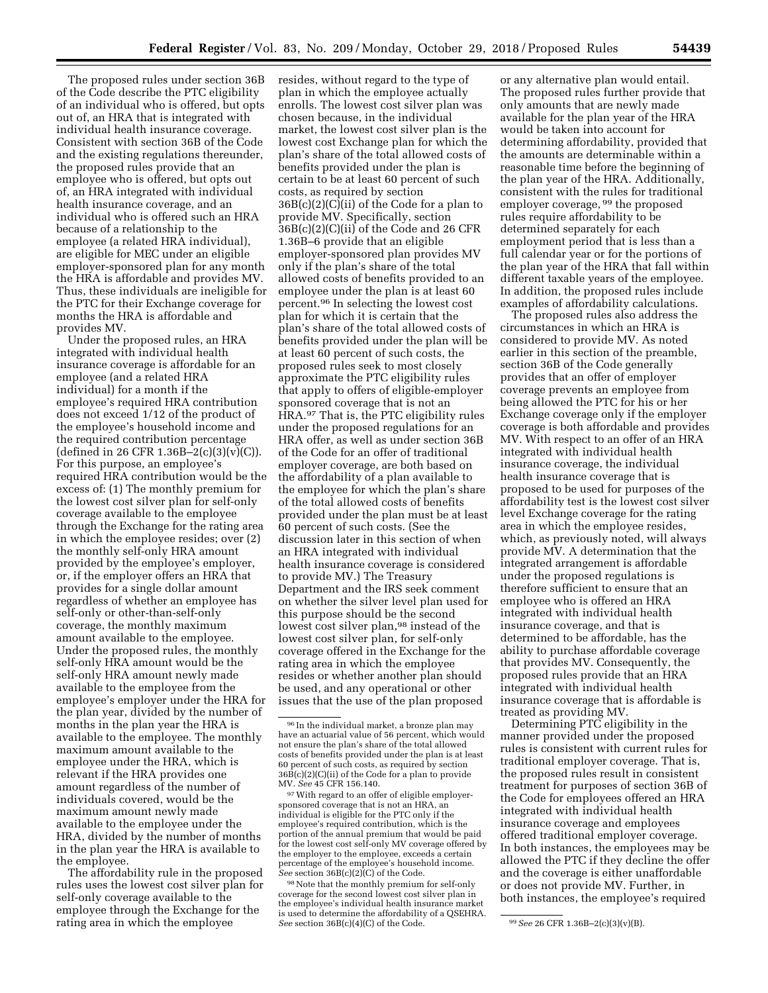The proposed rules under section 36B of the Code describe the PTC eligibility of an individual who is offered, but opts out of, an HRA that is integrated with individual health insurance coverage. Consistent with section 36B of the Code and the existing regulations thereunder, the proposed rules provide that an employee who is offered, but opts out of, an HRA integrated with individual health insurance coverage, and an individual who is offered such an HRA because of a relationship to the employee (a related HRA individual), are eligible for MEC under an eligible employer-sponsored plan for any month the HRA is affordable and provides MV. Thus, these individuals are ineligible for the PTC for their Exchange coverage for months the HRA is affordable and provides MV.

Under the proposed rules, an HRA integrated with individual health insurance coverage is affordable for an employee (and a related HRA individual) for a month if the employee's required HRA contribution does not exceed 1/12 of the product of the employee's household income and the required contribution percentage (defined in 26 CFR 1.36B-2(c)(3)(v)(C)). For this purpose, an employee's required HRA contribution would be the excess of: (1) The monthly premium for the lowest cost silver plan for self-only coverage available to the employee through the Exchange for the rating area in which the employee resides; over (2) the monthly self-only HRA amount provided by the employee's employer, or, if the employer offers an HRA that provides for a single dollar amount regardless of whether an employee has self-only or other-than-self-only coverage, the monthly maximum amount available to the employee. Under the proposed rules, the monthly self-only HRA amount would be the self-only HRA amount newly made available to the employee from the employee's employer under the HRA for the plan year, divided by the number of months in the plan year the HRA is available to the employee. The monthly maximum amount available to the employee under the HRA, which is relevant if the HRA provides one amount regardless of the number of individuals covered, would be the maximum amount newly made available to the employee under the HRA, divided by the number of months in the plan year the HRA is available to the employee.

The affordability rule in the proposed rules uses the lowest cost silver plan for self-only coverage available to the employee through the Exchange for the rating area in which the employee

resides, without regard to the type of plan in which the employee actually enrolls. The lowest cost silver plan was chosen because, in the individual market, the lowest cost silver plan is the lowest cost Exchange plan for which the plan's share of the total allowed costs of benefits provided under the plan is certain to be at least 60 percent of such costs, as required by section 36B(c)(2)(C)(ii) of the Code for a plan to provide MV. Specifically, section 36B(c)(2)(C)(ii) of the Code and 26 CFR 1.36B–6 provide that an eligible employer-sponsored plan provides MV only if the plan's share of the total allowed costs of benefits provided to an employee under the plan is at least 60 percent.96 In selecting the lowest cost plan for which it is certain that the plan's share of the total allowed costs of benefits provided under the plan will be at least 60 percent of such costs, the proposed rules seek to most closely approximate the PTC eligibility rules that apply to offers of eligible-employer sponsored coverage that is not an HRA.97 That is, the PTC eligibility rules under the proposed regulations for an HRA offer, as well as under section 36B of the Code for an offer of traditional employer coverage, are both based on the affordability of a plan available to the employee for which the plan's share of the total allowed costs of benefits provided under the plan must be at least 60 percent of such costs. (See the discussion later in this section of when an HRA integrated with individual health insurance coverage is considered to provide MV.) The Treasury Department and the IRS seek comment on whether the silver level plan used for this purpose should be the second lowest cost silver plan,<sup>98</sup> instead of the lowest cost silver plan, for self-only coverage offered in the Exchange for the rating area in which the employee resides or whether another plan should be used, and any operational or other issues that the use of the plan proposed

<sup>97</sup> With regard to an offer of eligible employersponsored coverage that is not an HRA, an individual is eligible for the PTC only if the employee's required contribution, which is the portion of the annual premium that would be paid for the lowest cost self-only MV coverage offered by the employer to the employee, exceeds a certain percentage of the employee's household income. *See* section 36B(c)(2)(C) of the Code.

 $^{98}\rm{Note}$  that the monthly premium for self-only coverage for the second lowest cost silver plan in the employee's individual health insurance market is used to determine the affordability of a QSEHRA. *See* section 36B(c)(4)(C) of the Code. 99*See* 26 CFR 1.36B–2(c)(3)(v)(B).

or any alternative plan would entail. The proposed rules further provide that only amounts that are newly made available for the plan year of the HRA would be taken into account for determining affordability, provided that the amounts are determinable within a reasonable time before the beginning of the plan year of the HRA. Additionally, consistent with the rules for traditional employer coverage, 99 the proposed rules require affordability to be determined separately for each employment period that is less than a full calendar year or for the portions of the plan year of the HRA that fall within different taxable years of the employee. In addition, the proposed rules include examples of affordability calculations.

The proposed rules also address the circumstances in which an HRA is considered to provide MV. As noted earlier in this section of the preamble, section 36B of the Code generally provides that an offer of employer coverage prevents an employee from being allowed the PTC for his or her Exchange coverage only if the employer coverage is both affordable and provides MV. With respect to an offer of an HRA integrated with individual health insurance coverage, the individual health insurance coverage that is proposed to be used for purposes of the affordability test is the lowest cost silver level Exchange coverage for the rating area in which the employee resides, which, as previously noted, will always provide MV. A determination that the integrated arrangement is affordable under the proposed regulations is therefore sufficient to ensure that an employee who is offered an HRA integrated with individual health insurance coverage, and that is determined to be affordable, has the ability to purchase affordable coverage that provides MV. Consequently, the proposed rules provide that an HRA integrated with individual health insurance coverage that is affordable is treated as providing MV.

Determining PTC eligibility in the manner provided under the proposed rules is consistent with current rules for traditional employer coverage. That is, the proposed rules result in consistent treatment for purposes of section 36B of the Code for employees offered an HRA integrated with individual health insurance coverage and employees offered traditional employer coverage. In both instances, the employees may be allowed the PTC if they decline the offer and the coverage is either unaffordable or does not provide MV. Further, in both instances, the employee's required

<sup>96</sup> In the individual market, a bronze plan may have an actuarial value of 56 percent, which would not ensure the plan's share of the total allowed costs of benefits provided under the plan is at least 60 percent of such costs, as required by section  $36\overline{B}(c)(2)(C)(ii)$  of the Code for a plan to provide MV. *See* 45 CFR 156.140.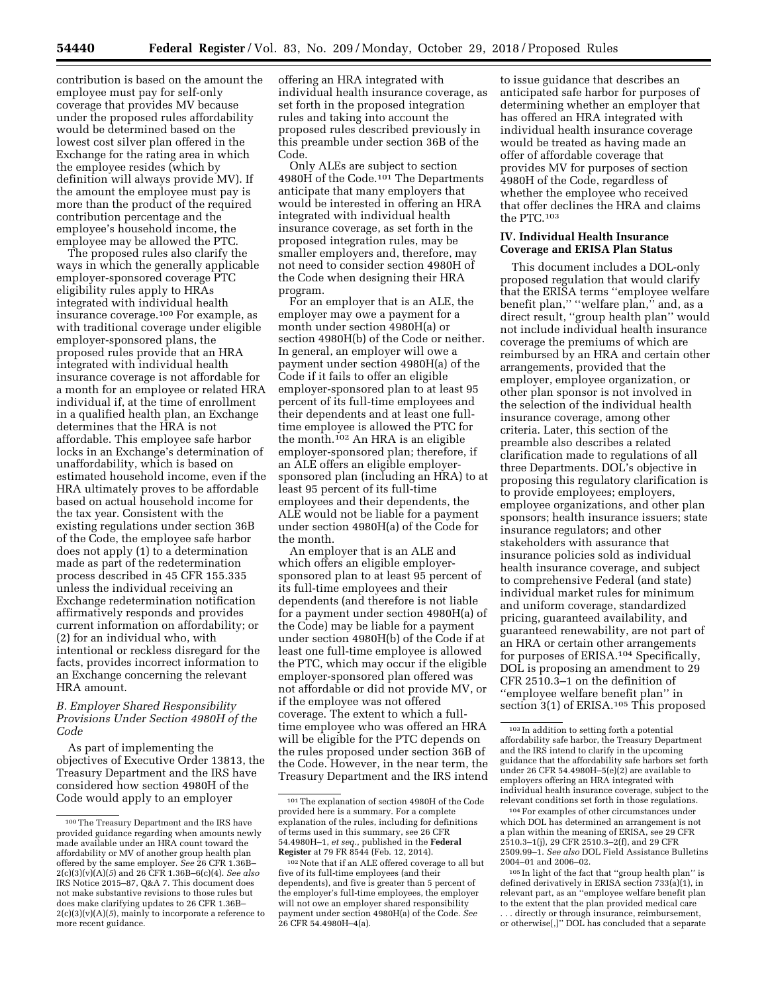contribution is based on the amount the employee must pay for self-only coverage that provides MV because under the proposed rules affordability would be determined based on the lowest cost silver plan offered in the Exchange for the rating area in which the employee resides (which by definition will always provide MV). If the amount the employee must pay is more than the product of the required contribution percentage and the employee's household income, the employee may be allowed the PTC.

The proposed rules also clarify the ways in which the generally applicable employer-sponsored coverage PTC eligibility rules apply to HRAs integrated with individual health insurance coverage.100 For example, as with traditional coverage under eligible employer-sponsored plans, the proposed rules provide that an HRA integrated with individual health insurance coverage is not affordable for a month for an employee or related HRA individual if, at the time of enrollment in a qualified health plan, an Exchange determines that the HRA is not affordable. This employee safe harbor locks in an Exchange's determination of unaffordability, which is based on estimated household income, even if the HRA ultimately proves to be affordable based on actual household income for the tax year. Consistent with the existing regulations under section 36B of the Code, the employee safe harbor does not apply (1) to a determination made as part of the redetermination process described in 45 CFR 155.335 unless the individual receiving an Exchange redetermination notification affirmatively responds and provides current information on affordability; or (2) for an individual who, with intentional or reckless disregard for the facts, provides incorrect information to an Exchange concerning the relevant HRA amount.

## *B. Employer Shared Responsibility Provisions Under Section 4980H of the Code*

As part of implementing the objectives of Executive Order 13813, the Treasury Department and the IRS have considered how section 4980H of the Code would apply to an employer

offering an HRA integrated with individual health insurance coverage, as set forth in the proposed integration rules and taking into account the proposed rules described previously in this preamble under section 36B of the Code.

Only ALEs are subject to section 4980H of the Code.<sup>101</sup> The Departments anticipate that many employers that would be interested in offering an HRA integrated with individual health insurance coverage, as set forth in the proposed integration rules, may be smaller employers and, therefore, may not need to consider section 4980H of the Code when designing their HRA program.

For an employer that is an ALE, the employer may owe a payment for a month under section 4980H(a) or section 4980H(b) of the Code or neither. In general, an employer will owe a payment under section 4980H(a) of the Code if it fails to offer an eligible employer-sponsored plan to at least 95 percent of its full-time employees and their dependents and at least one fulltime employee is allowed the PTC for the month.102 An HRA is an eligible employer-sponsored plan; therefore, if an ALE offers an eligible employersponsored plan (including an HRA) to at least 95 percent of its full-time employees and their dependents, the ALE would not be liable for a payment under section 4980H(a) of the Code for the month.

An employer that is an ALE and which offers an eligible employersponsored plan to at least 95 percent of its full-time employees and their dependents (and therefore is not liable for a payment under section 4980H(a) of the Code) may be liable for a payment under section 4980H(b) of the Code if at least one full-time employee is allowed the PTC, which may occur if the eligible employer-sponsored plan offered was not affordable or did not provide MV, or if the employee was not offered coverage. The extent to which a fulltime employee who was offered an HRA will be eligible for the PTC depends on the rules proposed under section 36B of the Code. However, in the near term, the Treasury Department and the IRS intend

to issue guidance that describes an anticipated safe harbor for purposes of determining whether an employer that has offered an HRA integrated with individual health insurance coverage would be treated as having made an offer of affordable coverage that provides MV for purposes of section 4980H of the Code, regardless of whether the employee who received that offer declines the HRA and claims the PTC.103

## **IV. Individual Health Insurance Coverage and ERISA Plan Status**

This document includes a DOL-only proposed regulation that would clarify that the ERISA terms ''employee welfare benefit plan,'' ''welfare plan,'' and, as a direct result, ''group health plan'' would not include individual health insurance coverage the premiums of which are reimbursed by an HRA and certain other arrangements, provided that the employer, employee organization, or other plan sponsor is not involved in the selection of the individual health insurance coverage, among other criteria. Later, this section of the preamble also describes a related clarification made to regulations of all three Departments. DOL's objective in proposing this regulatory clarification is to provide employees; employers, employee organizations, and other plan sponsors; health insurance issuers; state insurance regulators; and other stakeholders with assurance that insurance policies sold as individual health insurance coverage, and subject to comprehensive Federal (and state) individual market rules for minimum and uniform coverage, standardized pricing, guaranteed availability, and guaranteed renewability, are not part of an HRA or certain other arrangements for purposes of ERISA.104 Specifically, DOL is proposing an amendment to 29 CFR 2510.3–1 on the definition of ''employee welfare benefit plan'' in section 3(1) of ERISA.105 This proposed

104For examples of other circumstances under which DOL has determined an arrangement is not a plan within the meaning of ERISA, see 29 CFR 2510.3–1(j), 29 CFR 2510.3–2(f), and 29 CFR 2509.99–1. *See also* DOL Field Assistance Bulletins 2004–01 and 2006–02.

<sup>100</sup>The Treasury Department and the IRS have provided guidance regarding when amounts newly made available under an HRA count toward the affordability or MV of another group health plan offered by the same employer. *See* 26 CFR 1.36B– 2(c)(3)(v)(A)(*5*) and 26 CFR 1.36B–6(c)(4). *See also*  IRS Notice 2015–87, Q&A 7. This document does not make substantive revisions to those rules but does make clarifying updates to 26 CFR 1.36B–  $2(c)(3)(v)(A)(5)$ , mainly to incorporate a reference to more recent guidance.

<sup>101</sup>The explanation of section 4980H of the Code provided here is a summary. For a complete explanation of the rules, including for definitions of terms used in this summary, see 26 CFR 54.4980H–1, *et seq.,* published in the **Federal Register** at 79 FR 8544 (Feb. 12, 2014).

<sup>102</sup>Note that if an ALE offered coverage to all but five of its full-time employees (and their dependents), and five is greater than 5 percent of the employer's full-time employees, the employer will not owe an employer shared responsibility payment under section 4980H(a) of the Code. *See*  26 CFR 54.4980H–4(a).

 $^{\rm 103}$  In addition to setting forth a potential affordability safe harbor, the Treasury Department and the IRS intend to clarify in the upcoming guidance that the affordability safe harbors set forth under 26 CFR 54.4980H-5(e) $(2)$  are available to employers offering an HRA integrated with individual health insurance coverage, subject to the relevant conditions set forth in those regulations.

<sup>105</sup> In light of the fact that ''group health plan'' is defined derivatively in ERISA section 733(a)(1), in relevant part, as an ''employee welfare benefit plan to the extent that the plan provided medical care .. directly or through insurance, reimbursement, or otherwise[,]'' DOL has concluded that a separate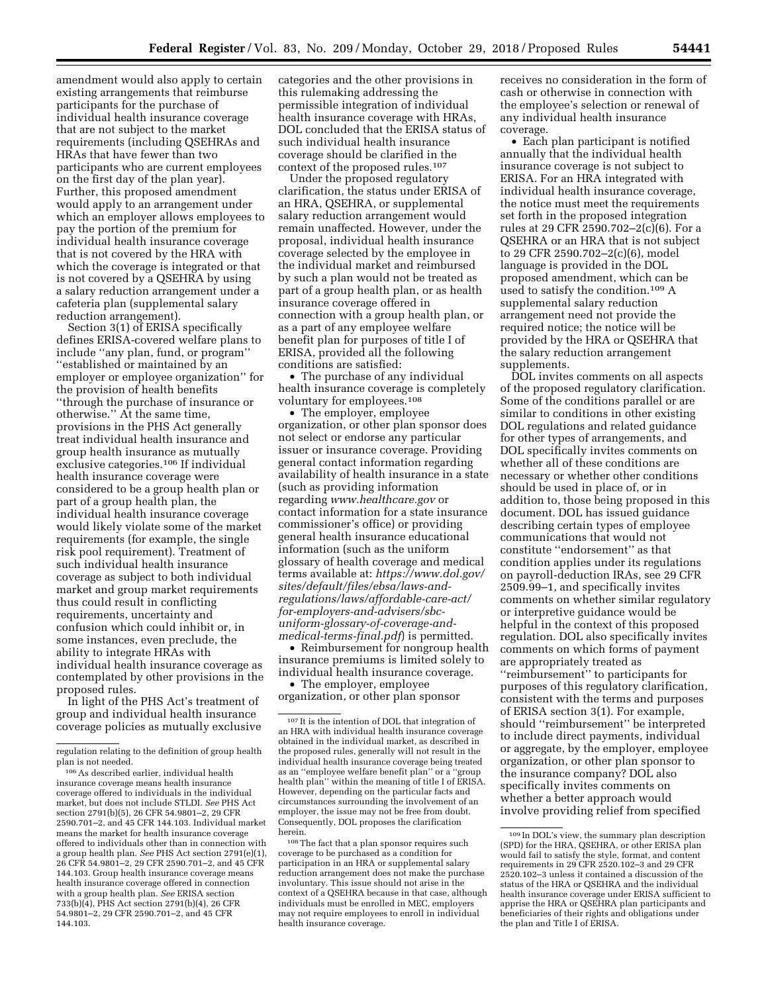amendment would also apply to certain existing arrangements that reimburse participants for the purchase of individual health insurance coverage that are not subject to the market requirements (including QSEHRAs and HRAs that have fewer than two participants who are current employees on the first day of the plan year). Further, this proposed amendment would apply to an arrangement under which an employer allows employees to pay the portion of the premium for individual health insurance coverage that is not covered by the HRA with which the coverage is integrated or that is not covered by a QSEHRA by using

a salary reduction arrangement under a cafeteria plan (supplemental salary reduction arrangement). Section 3(1) of ERISA specifically

defines ERISA-covered welfare plans to include ''any plan, fund, or program'' ''established or maintained by an employer or employee organization'' for the provision of health benefits ''through the purchase of insurance or otherwise.'' At the same time, provisions in the PHS Act generally treat individual health insurance and group health insurance as mutually exclusive categories.106 If individual health insurance coverage were considered to be a group health plan or part of a group health plan, the individual health insurance coverage would likely violate some of the market requirements (for example, the single risk pool requirement). Treatment of such individual health insurance coverage as subject to both individual market and group market requirements thus could result in conflicting requirements, uncertainty and confusion which could inhibit or, in some instances, even preclude, the ability to integrate HRAs with individual health insurance coverage as contemplated by other provisions in the proposed rules.

In light of the PHS Act's treatment of group and individual health insurance coverage policies as mutually exclusive categories and the other provisions in this rulemaking addressing the permissible integration of individual health insurance coverage with HRAs, DOL concluded that the ERISA status of such individual health insurance coverage should be clarified in the context of the proposed rules.107

Under the proposed regulatory clarification, the status under ERISA of an HRA, QSEHRA, or supplemental salary reduction arrangement would remain unaffected. However, under the proposal, individual health insurance coverage selected by the employee in the individual market and reimbursed by such a plan would not be treated as part of a group health plan, or as health insurance coverage offered in connection with a group health plan, or as a part of any employee welfare benefit plan for purposes of title I of ERISA, provided all the following conditions are satisfied:

• The purchase of any individual health insurance coverage is completely voluntary for employees.108

• The employer, employee organization, or other plan sponsor does not select or endorse any particular issuer or insurance coverage. Providing general contact information regarding availability of health insurance in a state (such as providing information regarding *[www.healthcare.gov](http://www.healthcare.gov)* or contact information for a state insurance commissioner's office) or providing general health insurance educational information (such as the uniform glossary of health coverage and medical terms available at: *[https://www.dol.gov/](https://www.dol.gov/sites/default/files/ebsa/laws-and-regulations/laws/affordable-care-act/for-employers-and-advisers/sbc-uniform-glossary-of-coverage-and-medical-terms-final.pdf)  [sites/default/files/ebsa/laws-and](https://www.dol.gov/sites/default/files/ebsa/laws-and-regulations/laws/affordable-care-act/for-employers-and-advisers/sbc-uniform-glossary-of-coverage-and-medical-terms-final.pdf)[regulations/laws/affordable-care-act/](https://www.dol.gov/sites/default/files/ebsa/laws-and-regulations/laws/affordable-care-act/for-employers-and-advisers/sbc-uniform-glossary-of-coverage-and-medical-terms-final.pdf)  [for-employers-and-advisers/sbc](https://www.dol.gov/sites/default/files/ebsa/laws-and-regulations/laws/affordable-care-act/for-employers-and-advisers/sbc-uniform-glossary-of-coverage-and-medical-terms-final.pdf)[uniform-glossary-of-coverage-and](https://www.dol.gov/sites/default/files/ebsa/laws-and-regulations/laws/affordable-care-act/for-employers-and-advisers/sbc-uniform-glossary-of-coverage-and-medical-terms-final.pdf)[medical-terms-final.pdf](https://www.dol.gov/sites/default/files/ebsa/laws-and-regulations/laws/affordable-care-act/for-employers-and-advisers/sbc-uniform-glossary-of-coverage-and-medical-terms-final.pdf)*) is permitted.

• Reimbursement for nongroup health insurance premiums is limited solely to individual health insurance coverage. • The employer, employee

organization, or other plan sponsor

108The fact that a plan sponsor requires such coverage to be purchased as a condition for participation in an HRA or supplemental salary reduction arrangement does not make the purchase involuntary. This issue should not arise in the context of a QSEHRA because in that case, although individuals must be enrolled in MEC, employers may not require employees to enroll in individual health insurance coverage.

receives no consideration in the form of cash or otherwise in connection with the employee's selection or renewal of any individual health insurance coverage.

• Each plan participant is notified annually that the individual health insurance coverage is not subject to ERISA. For an HRA integrated with individual health insurance coverage, the notice must meet the requirements set forth in the proposed integration rules at 29 CFR 2590.702–2(c)(6). For a QSEHRA or an HRA that is not subject to 29 CFR 2590.702–2(c)(6), model language is provided in the DOL proposed amendment, which can be used to satisfy the condition.109 A supplemental salary reduction arrangement need not provide the required notice; the notice will be provided by the HRA or QSEHRA that the salary reduction arrangement supplements.

DOL invites comments on all aspects of the proposed regulatory clarification. Some of the conditions parallel or are similar to conditions in other existing DOL regulations and related guidance for other types of arrangements, and DOL specifically invites comments on whether all of these conditions are necessary or whether other conditions should be used in place of, or in addition to, those being proposed in this document. DOL has issued guidance describing certain types of employee communications that would not constitute ''endorsement'' as that condition applies under its regulations on payroll-deduction IRAs, see 29 CFR 2509.99–1, and specifically invites comments on whether similar regulatory or interpretive guidance would be helpful in the context of this proposed regulation. DOL also specifically invites comments on which forms of payment are appropriately treated as ''reimbursement'' to participants for purposes of this regulatory clarification, consistent with the terms and purposes of ERISA section 3(1). For example, should ''reimbursement'' be interpreted to include direct payments, individual or aggregate, by the employer, employee organization, or other plan sponsor to the insurance company? DOL also specifically invites comments on whether a better approach would involve providing relief from specified

regulation relating to the definition of group health plan is not needed.

<sup>106</sup>As described earlier, individual health insurance coverage means health insurance coverage offered to individuals in the individual market, but does not include STLDI. *See* PHS Act section 2791(b)(5), 26 CFR 54.9801–2, 29 CFR 2590.701–2, and 45 CFR 144.103. Individual market means the market for health insurance coverage offered to individuals other than in connection with a group health plan. *See* PHS Act section 2791(e)(1), 26 CFR 54.9801–2, 29 CFR 2590.701–2, and 45 CFR 144.103. Group health insurance coverage means health insurance coverage offered in connection with a group health plan. *See* ERISA section 733(b)(4), PHS Act section 2791(b)(4), 26 CFR 54.9801–2, 29 CFR 2590.701–2, and 45 CFR 144.103.

<sup>107</sup> It is the intention of DOL that integration of an HRA with individual health insurance coverage obtained in the individual market, as described in the proposed rules, generally will not result in the individual health insurance coverage being treated as an ''employee welfare benefit plan'' or a ''group health plan'' within the meaning of title I of ERISA. However, depending on the particular facts and circumstances surrounding the involvement of an employer, the issue may not be free from doubt. Consequently, DOL proposes the clarification herein.

<sup>109</sup> In DOL's view, the summary plan description (SPD) for the HRA, QSEHRA, or other ERISA plan would fail to satisfy the style, format, and content requirements in 29 CFR 2520.102–3 and 29 CFR 2520.102–3 unless it contained a discussion of the status of the HRA or QSEHRA and the individual health insurance coverage under ERISA sufficient to apprise the HRA or QSEHRA plan participants and beneficiaries of their rights and obligations under the plan and Title I of ERISA.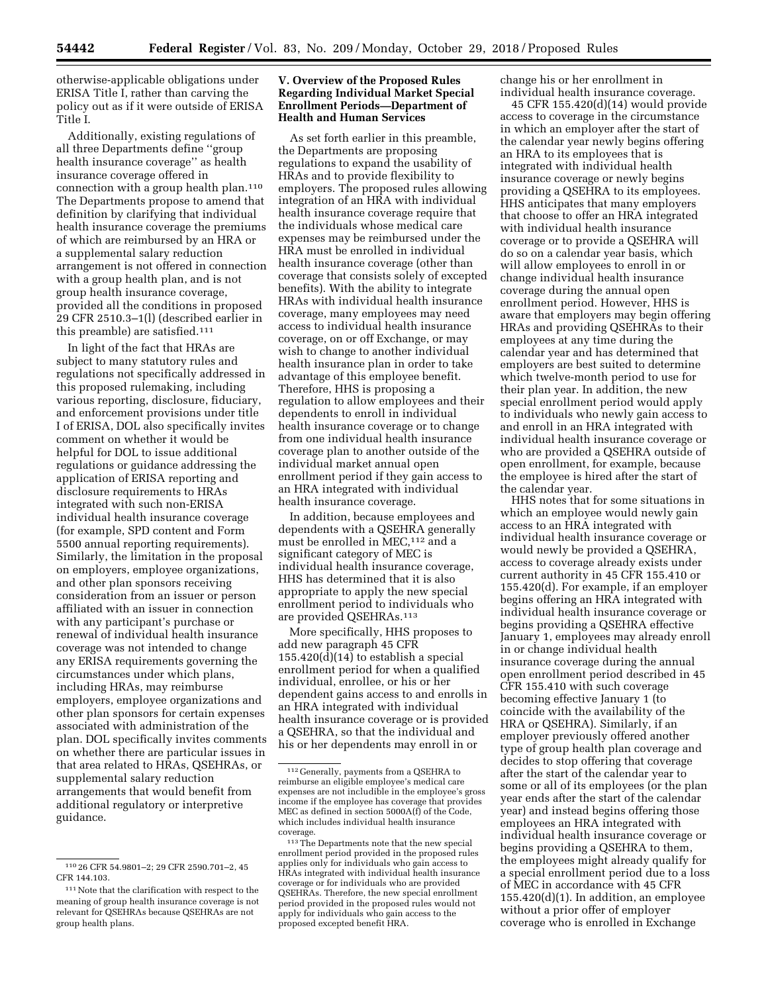otherwise-applicable obligations under ERISA Title I, rather than carving the policy out as if it were outside of ERISA Title I.

Additionally, existing regulations of all three Departments define ''group health insurance coverage'' as health insurance coverage offered in connection with a group health plan.110 The Departments propose to amend that definition by clarifying that individual health insurance coverage the premiums of which are reimbursed by an HRA or a supplemental salary reduction arrangement is not offered in connection with a group health plan, and is not group health insurance coverage, provided all the conditions in proposed 29 CFR 2510.3–1(l) (described earlier in this preamble) are satisfied.111

In light of the fact that HRAs are subject to many statutory rules and regulations not specifically addressed in this proposed rulemaking, including various reporting, disclosure, fiduciary, and enforcement provisions under title I of ERISA, DOL also specifically invites comment on whether it would be helpful for DOL to issue additional regulations or guidance addressing the application of ERISA reporting and disclosure requirements to HRAs integrated with such non-ERISA individual health insurance coverage (for example, SPD content and Form 5500 annual reporting requirements). Similarly, the limitation in the proposal on employers, employee organizations, and other plan sponsors receiving consideration from an issuer or person affiliated with an issuer in connection with any participant's purchase or renewal of individual health insurance coverage was not intended to change any ERISA requirements governing the circumstances under which plans, including HRAs, may reimburse employers, employee organizations and other plan sponsors for certain expenses associated with administration of the plan. DOL specifically invites comments on whether there are particular issues in that area related to HRAs, QSEHRAs, or supplemental salary reduction arrangements that would benefit from additional regulatory or interpretive guidance.

## **V. Overview of the Proposed Rules Regarding Individual Market Special Enrollment Periods—Department of Health and Human Services**

As set forth earlier in this preamble, the Departments are proposing regulations to expand the usability of HRAs and to provide flexibility to employers. The proposed rules allowing integration of an HRA with individual health insurance coverage require that the individuals whose medical care expenses may be reimbursed under the HRA must be enrolled in individual health insurance coverage (other than coverage that consists solely of excepted benefits). With the ability to integrate HRAs with individual health insurance coverage, many employees may need access to individual health insurance coverage, on or off Exchange, or may wish to change to another individual health insurance plan in order to take advantage of this employee benefit. Therefore, HHS is proposing a regulation to allow employees and their dependents to enroll in individual health insurance coverage or to change from one individual health insurance coverage plan to another outside of the individual market annual open enrollment period if they gain access to an HRA integrated with individual health insurance coverage.

In addition, because employees and dependents with a QSEHRA generally must be enrolled in MEC,<sup>112</sup> and a significant category of MEC is individual health insurance coverage, HHS has determined that it is also appropriate to apply the new special enrollment period to individuals who are provided QSEHRAs.113

More specifically, HHS proposes to add new paragraph 45 CFR 155.420(d)(14) to establish a special enrollment period for when a qualified individual, enrollee, or his or her dependent gains access to and enrolls in an HRA integrated with individual health insurance coverage or is provided a QSEHRA, so that the individual and his or her dependents may enroll in or

change his or her enrollment in individual health insurance coverage.

45 CFR 155.420(d)(14) would provide access to coverage in the circumstance in which an employer after the start of the calendar year newly begins offering an HRA to its employees that is integrated with individual health insurance coverage or newly begins providing a QSEHRA to its employees. HHS anticipates that many employers that choose to offer an HRA integrated with individual health insurance coverage or to provide a QSEHRA will do so on a calendar year basis, which will allow employees to enroll in or change individual health insurance coverage during the annual open enrollment period. However, HHS is aware that employers may begin offering HRAs and providing QSEHRAs to their employees at any time during the calendar year and has determined that employers are best suited to determine which twelve-month period to use for their plan year. In addition, the new special enrollment period would apply to individuals who newly gain access to and enroll in an HRA integrated with individual health insurance coverage or who are provided a QSEHRA outside of open enrollment, for example, because the employee is hired after the start of the calendar year.

HHS notes that for some situations in which an employee would newly gain access to an HRA integrated with individual health insurance coverage or would newly be provided a QSEHRA, access to coverage already exists under current authority in 45 CFR 155.410 or 155.420(d). For example, if an employer begins offering an HRA integrated with individual health insurance coverage or begins providing a QSEHRA effective January 1, employees may already enroll in or change individual health insurance coverage during the annual open enrollment period described in 45 CFR 155.410 with such coverage becoming effective January 1 (to coincide with the availability of the HRA or QSEHRA). Similarly, if an employer previously offered another type of group health plan coverage and decides to stop offering that coverage after the start of the calendar year to some or all of its employees (or the plan year ends after the start of the calendar year) and instead begins offering those employees an HRA integrated with individual health insurance coverage or begins providing a QSEHRA to them, the employees might already qualify for a special enrollment period due to a loss of MEC in accordance with 45 CFR  $155.420(d)(1)$ . In addition, an employee without a prior offer of employer coverage who is enrolled in Exchange

<sup>110</sup> 26 CFR 54.9801–2; 29 CFR 2590.701–2, 45 CFR 144.103.

<sup>111</sup> Note that the clarification with respect to the meaning of group health insurance coverage is not relevant for QSEHRAs because QSEHRAs are not group health plans.

<sup>112</sup> Generally, payments from a QSEHRA to reimburse an eligible employee's medical care expenses are not includible in the employee's gross income if the employee has coverage that provides MEC as defined in section 5000A(f) of the Code, which includes individual health insurance coverage.

<sup>113</sup>The Departments note that the new special enrollment period provided in the proposed rules applies only for individuals who gain access to HRAs integrated with individual health insurance coverage or for individuals who are provided QSEHRAs. Therefore, the new special enrollment period provided in the proposed rules would not apply for individuals who gain access to the proposed excepted benefit HRA.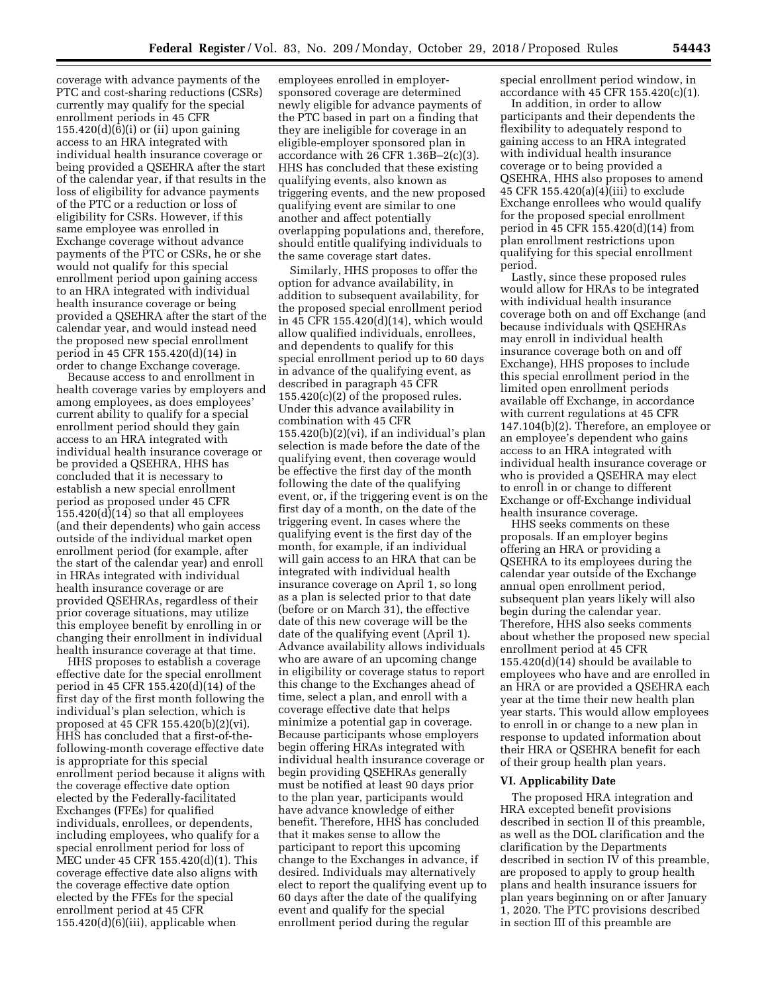coverage with advance payments of the PTC and cost-sharing reductions (CSRs) currently may qualify for the special enrollment periods in 45 CFR  $155.420(d)(6)(i)$  or (ii) upon gaining access to an HRA integrated with individual health insurance coverage or being provided a QSEHRA after the start of the calendar year, if that results in the loss of eligibility for advance payments of the PTC or a reduction or loss of eligibility for CSRs. However, if this same employee was enrolled in Exchange coverage without advance payments of the PTC or CSRs, he or she would not qualify for this special enrollment period upon gaining access to an HRA integrated with individual health insurance coverage or being provided a QSEHRA after the start of the calendar year, and would instead need the proposed new special enrollment period in 45 CFR 155.420(d)(14) in order to change Exchange coverage.

Because access to and enrollment in health coverage varies by employers and among employees, as does employees' current ability to qualify for a special enrollment period should they gain access to an HRA integrated with individual health insurance coverage or be provided a QSEHRA, HHS has concluded that it is necessary to establish a new special enrollment period as proposed under 45 CFR  $155.420(d)(14)$  so that all employees (and their dependents) who gain access outside of the individual market open enrollment period (for example, after the start of the calendar year) and enroll in HRAs integrated with individual health insurance coverage or are provided QSEHRAs, regardless of their prior coverage situations, may utilize this employee benefit by enrolling in or changing their enrollment in individual health insurance coverage at that time.

HHS proposes to establish a coverage effective date for the special enrollment period in 45 CFR 155.420(d)(14) of the first day of the first month following the individual's plan selection, which is proposed at 45 CFR 155.420(b)(2)(vi). HHS has concluded that a first-of-thefollowing-month coverage effective date is appropriate for this special enrollment period because it aligns with the coverage effective date option elected by the Federally-facilitated Exchanges (FFEs) for qualified individuals, enrollees, or dependents, including employees, who qualify for a special enrollment period for loss of MEC under 45 CFR 155.420(d)(1). This coverage effective date also aligns with the coverage effective date option elected by the FFEs for the special enrollment period at 45 CFR  $155.420(d)(6)(iii)$ , applicable when

employees enrolled in employersponsored coverage are determined newly eligible for advance payments of the PTC based in part on a finding that they are ineligible for coverage in an eligible-employer sponsored plan in accordance with  $26$  CFR  $1.36B-2(c)(3)$ . HHS has concluded that these existing qualifying events, also known as triggering events, and the new proposed qualifying event are similar to one another and affect potentially overlapping populations and, therefore, should entitle qualifying individuals to the same coverage start dates.

Similarly, HHS proposes to offer the option for advance availability, in addition to subsequent availability, for the proposed special enrollment period in 45 CFR 155.420(d)(14), which would allow qualified individuals, enrollees, and dependents to qualify for this special enrollment period up to 60 days in advance of the qualifying event, as described in paragraph 45 CFR  $155.420(c)(2)$  of the proposed rules. Under this advance availability in combination with 45 CFR  $155.420(b)(2)(vi)$ , if an individual's plan selection is made before the date of the qualifying event, then coverage would be effective the first day of the month following the date of the qualifying event, or, if the triggering event is on the first day of a month, on the date of the triggering event. In cases where the qualifying event is the first day of the month, for example, if an individual will gain access to an HRA that can be integrated with individual health insurance coverage on April 1, so long as a plan is selected prior to that date (before or on March 31), the effective date of this new coverage will be the date of the qualifying event (April 1). Advance availability allows individuals who are aware of an upcoming change in eligibility or coverage status to report this change to the Exchanges ahead of time, select a plan, and enroll with a coverage effective date that helps minimize a potential gap in coverage. Because participants whose employers begin offering HRAs integrated with individual health insurance coverage or begin providing QSEHRAs generally must be notified at least 90 days prior to the plan year, participants would have advance knowledge of either benefit. Therefore, HHS has concluded that it makes sense to allow the participant to report this upcoming change to the Exchanges in advance, if desired. Individuals may alternatively elect to report the qualifying event up to 60 days after the date of the qualifying event and qualify for the special enrollment period during the regular

special enrollment period window, in accordance with 45 CFR 155.420(c)(1).

In addition, in order to allow participants and their dependents the flexibility to adequately respond to gaining access to an HRA integrated with individual health insurance coverage or to being provided a QSEHRA, HHS also proposes to amend 45 CFR 155.420(a)(4)(iii) to exclude Exchange enrollees who would qualify for the proposed special enrollment period in 45 CFR 155.420(d)(14) from plan enrollment restrictions upon qualifying for this special enrollment period.

Lastly, since these proposed rules would allow for HRAs to be integrated with individual health insurance coverage both on and off Exchange (and because individuals with QSEHRAs may enroll in individual health insurance coverage both on and off Exchange), HHS proposes to include this special enrollment period in the limited open enrollment periods available off Exchange, in accordance with current regulations at 45 CFR 147.104(b)(2). Therefore, an employee or an employee's dependent who gains access to an HRA integrated with individual health insurance coverage or who is provided a QSEHRA may elect to enroll in or change to different Exchange or off-Exchange individual health insurance coverage.

HHS seeks comments on these proposals. If an employer begins offering an HRA or providing a QSEHRA to its employees during the calendar year outside of the Exchange annual open enrollment period, subsequent plan years likely will also begin during the calendar year. Therefore, HHS also seeks comments about whether the proposed new special enrollment period at 45 CFR 155.420(d)(14) should be available to employees who have and are enrolled in an HRA or are provided a QSEHRA each year at the time their new health plan year starts. This would allow employees to enroll in or change to a new plan in response to updated information about their HRA or QSEHRA benefit for each of their group health plan years.

#### **VI. Applicability Date**

The proposed HRA integration and HRA excepted benefit provisions described in section II of this preamble, as well as the DOL clarification and the clarification by the Departments described in section IV of this preamble, are proposed to apply to group health plans and health insurance issuers for plan years beginning on or after January 1, 2020. The PTC provisions described in section III of this preamble are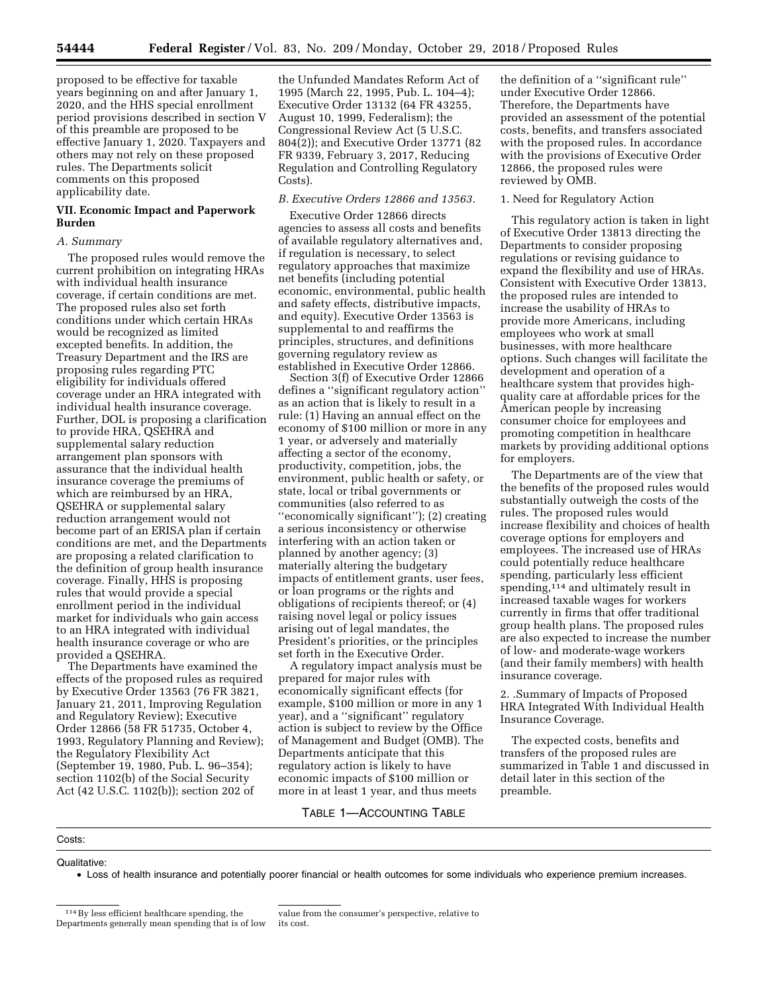proposed to be effective for taxable years beginning on and after January 1, 2020, and the HHS special enrollment period provisions described in section V of this preamble are proposed to be effective January 1, 2020. Taxpayers and others may not rely on these proposed rules. The Departments solicit comments on this proposed applicability date.

#### **VII. Economic Impact and Paperwork Burden**

#### *A. Summary*

The proposed rules would remove the current prohibition on integrating HRAs with individual health insurance coverage, if certain conditions are met. The proposed rules also set forth conditions under which certain HRAs would be recognized as limited excepted benefits. In addition, the Treasury Department and the IRS are proposing rules regarding PTC eligibility for individuals offered coverage under an HRA integrated with individual health insurance coverage. Further, DOL is proposing a clarification to provide HRA, QSEHRA and supplemental salary reduction arrangement plan sponsors with assurance that the individual health insurance coverage the premiums of which are reimbursed by an HRA, QSEHRA or supplemental salary reduction arrangement would not become part of an ERISA plan if certain conditions are met, and the Departments are proposing a related clarification to the definition of group health insurance coverage. Finally, HHS is proposing rules that would provide a special enrollment period in the individual market for individuals who gain access to an HRA integrated with individual health insurance coverage or who are provided a QSEHRA.

The Departments have examined the effects of the proposed rules as required by Executive Order 13563 (76 FR 3821, January 21, 2011, Improving Regulation and Regulatory Review); Executive Order 12866 (58 FR 51735, October 4, 1993, Regulatory Planning and Review); the Regulatory Flexibility Act (September 19, 1980, Pub. L. 96–354); section 1102(b) of the Social Security Act (42 U.S.C. 1102(b)); section 202 of

the Unfunded Mandates Reform Act of 1995 (March 22, 1995, Pub. L. 104–4); Executive Order 13132 (64 FR 43255, August 10, 1999, Federalism); the Congressional Review Act (5 U.S.C. 804(2)); and Executive Order 13771 (82 FR 9339, February 3, 2017, Reducing Regulation and Controlling Regulatory Costs).

## *B. Executive Orders 12866 and 13563.*

Executive Order 12866 directs agencies to assess all costs and benefits of available regulatory alternatives and, if regulation is necessary, to select regulatory approaches that maximize net benefits (including potential economic, environmental, public health and safety effects, distributive impacts, and equity). Executive Order 13563 is supplemental to and reaffirms the principles, structures, and definitions governing regulatory review as established in Executive Order 12866.

Section 3(f) of Executive Order 12866 defines a ''significant regulatory action'' as an action that is likely to result in a rule: (1) Having an annual effect on the economy of \$100 million or more in any 1 year, or adversely and materially affecting a sector of the economy, productivity, competition, jobs, the environment, public health or safety, or state, local or tribal governments or communities (also referred to as ''economically significant''); (2) creating a serious inconsistency or otherwise interfering with an action taken or planned by another agency; (3) materially altering the budgetary impacts of entitlement grants, user fees, or loan programs or the rights and obligations of recipients thereof; or (4) raising novel legal or policy issues arising out of legal mandates, the President's priorities, or the principles set forth in the Executive Order.

A regulatory impact analysis must be prepared for major rules with economically significant effects (for example, \$100 million or more in any 1 year), and a ''significant'' regulatory action is subject to review by the Office of Management and Budget (OMB). The Departments anticipate that this regulatory action is likely to have economic impacts of \$100 million or more in at least 1 year, and thus meets

## TABLE 1—ACCOUNTING TABLE

## Costs:

#### Qualitative:

• Loss of health insurance and potentially poorer financial or health outcomes for some individuals who experience premium increases.

value from the consumer's perspective, relative to its cost.

the definition of a ''significant rule'' under Executive Order 12866. Therefore, the Departments have provided an assessment of the potential costs, benefits, and transfers associated with the proposed rules. In accordance with the provisions of Executive Order 12866, the proposed rules were reviewed by OMB.

## 1. Need for Regulatory Action

This regulatory action is taken in light of Executive Order 13813 directing the Departments to consider proposing regulations or revising guidance to expand the flexibility and use of HRAs. Consistent with Executive Order 13813, the proposed rules are intended to increase the usability of HRAs to provide more Americans, including employees who work at small businesses, with more healthcare options. Such changes will facilitate the development and operation of a healthcare system that provides highquality care at affordable prices for the American people by increasing consumer choice for employees and promoting competition in healthcare markets by providing additional options for employers.

The Departments are of the view that the benefits of the proposed rules would substantially outweigh the costs of the rules. The proposed rules would increase flexibility and choices of health coverage options for employers and employees. The increased use of HRAs could potentially reduce healthcare spending, particularly less efficient spending,<sup>114</sup> and ultimately result in increased taxable wages for workers currently in firms that offer traditional group health plans. The proposed rules are also expected to increase the number of low- and moderate-wage workers (and their family members) with health insurance coverage.

2. .Summary of Impacts of Proposed HRA Integrated With Individual Health Insurance Coverage.

The expected costs, benefits and transfers of the proposed rules are summarized in Table 1 and discussed in detail later in this section of the preamble.

<sup>114</sup>By less efficient healthcare spending, the Departments generally mean spending that is of low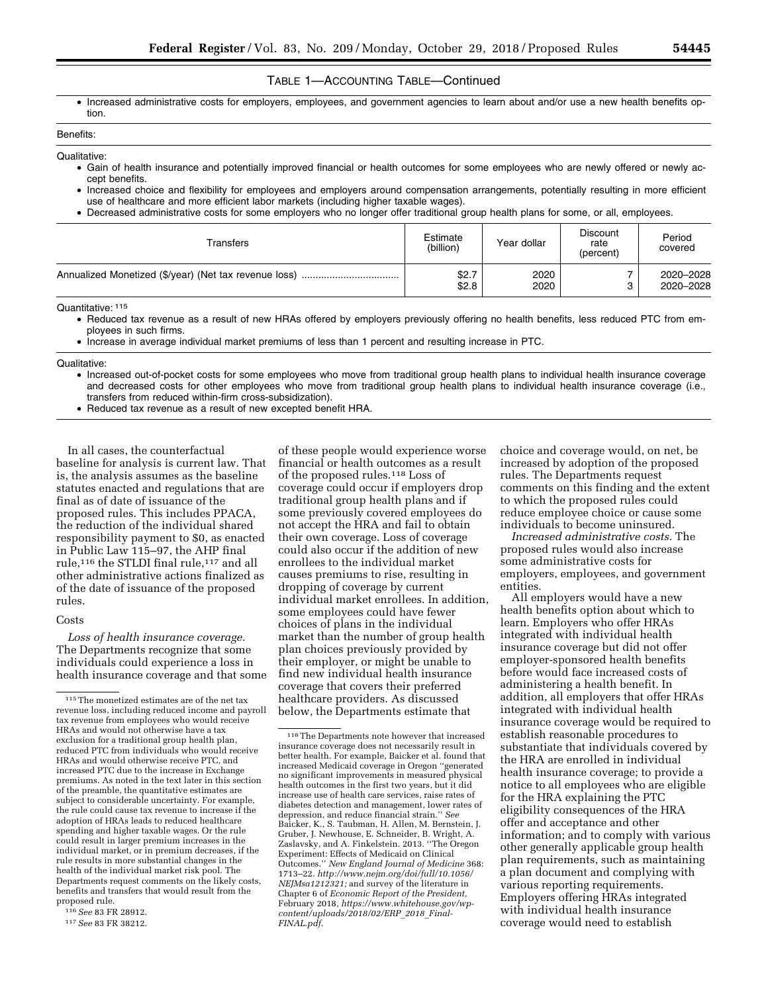## TABLE 1—ACCOUNTING TABLE—Continued

• Increased administrative costs for employers, employees, and government agencies to learn about and/or use a new health benefits option.

# Benefits:

- Qualitative:
	- Gain of health insurance and potentially improved financial or health outcomes for some employees who are newly offered or newly accept benefits.
	- Increased choice and flexibility for employees and employers around compensation arrangements, potentially resulting in more efficient use of healthcare and more efficient labor markets (including higher taxable wages).
	- Decreased administrative costs for some employers who no longer offer traditional group health plans for some, or all, employees.

| Transfers | Estimate<br>(billion) | Year dollar  | <b>Discount</b><br>rate<br>(percent) | Period<br>covered      |
|-----------|-----------------------|--------------|--------------------------------------|------------------------|
|           | \$2.7<br>\$2.8        | 2020<br>2020 |                                      | 2020-2028<br>2020-2028 |

Quantitative: 115

- Reduced tax revenue as a result of new HRAs offered by employers previously offering no health benefits, less reduced PTC from employees in such firms.
- Increase in average individual market premiums of less than 1 percent and resulting increase in PTC.
- Qualitative:
	- Increased out-of-pocket costs for some employees who move from traditional group health plans to individual health insurance coverage and decreased costs for other employees who move from traditional group health plans to individual health insurance coverage (i.e., transfers from reduced within-firm cross-subsidization).
	- Reduced tax revenue as a result of new excepted benefit HRA.

In all cases, the counterfactual baseline for analysis is current law. That is, the analysis assumes as the baseline statutes enacted and regulations that are final as of date of issuance of the proposed rules. This includes PPACA, the reduction of the individual shared responsibility payment to \$0, as enacted in Public Law 115–97, the AHP final rule,116 the STLDI final rule,117 and all other administrative actions finalized as of the date of issuance of the proposed rules.

## Costs

*Loss of health insurance coverage.*  The Departments recognize that some individuals could experience a loss in health insurance coverage and that some

of these people would experience worse financial or health outcomes as a result of the proposed rules.118 Loss of coverage could occur if employers drop traditional group health plans and if some previously covered employees do not accept the HRA and fail to obtain their own coverage. Loss of coverage could also occur if the addition of new enrollees to the individual market causes premiums to rise, resulting in dropping of coverage by current individual market enrollees. In addition, some employees could have fewer choices of plans in the individual market than the number of group health plan choices previously provided by their employer, or might be unable to find new individual health insurance coverage that covers their preferred healthcare providers. As discussed below, the Departments estimate that

choice and coverage would, on net, be increased by adoption of the proposed rules. The Departments request comments on this finding and the extent to which the proposed rules could reduce employee choice or cause some individuals to become uninsured.

*Increased administrative costs.* The proposed rules would also increase some administrative costs for employers, employees, and government entities.

All employers would have a new health benefits option about which to learn. Employers who offer HRAs integrated with individual health insurance coverage but did not offer employer-sponsored health benefits before would face increased costs of administering a health benefit. In addition, all employers that offer HRAs integrated with individual health insurance coverage would be required to establish reasonable procedures to substantiate that individuals covered by the HRA are enrolled in individual health insurance coverage; to provide a notice to all employees who are eligible for the HRA explaining the PTC eligibility consequences of the HRA offer and acceptance and other information; and to comply with various other generally applicable group health plan requirements, such as maintaining a plan document and complying with various reporting requirements. Employers offering HRAs integrated with individual health insurance coverage would need to establish

 $^{\rm 115}\!$  The monetized estimates are of the net tax revenue loss, including reduced income and payroll tax revenue from employees who would receive HRAs and would not otherwise have a tax exclusion for a traditional group health plan, reduced PTC from individuals who would receive HRAs and would otherwise receive PTC, and increased PTC due to the increase in Exchange premiums. As noted in the text later in this section of the preamble, the quantitative estimates are subject to considerable uncertainty. For example, the rule could cause tax revenue to increase if the adoption of HRAs leads to reduced healthcare spending and higher taxable wages. Or the rule could result in larger premium increases in the individual market, or in premium decreases, if the rule results in more substantial changes in the health of the individual market risk pool. The Departments request comments on the likely costs, benefits and transfers that would result from the proposed rule.

<sup>116</sup>*See* 83 FR 28912.

<sup>117</sup>*See* 83 FR 38212.

<sup>118</sup>The Departments note however that increased insurance coverage does not necessarily result in better health. For example, Baicker et al. found that increased Medicaid coverage in Oregon ''generated no significant improvements in measured physical health outcomes in the first two years, but it did increase use of health care services, raise rates of diabetes detection and management, lower rates of depression, and reduce financial strain.'' *See*  Baicker, K., S. Taubman, H. Allen, M. Bernstein, J. Gruber, J. Newhouse, E. Schneider, B. Wright, A. Zaslavsky, and A. Finkelstein. 2013. ''The Oregon Experiment: Effects of Medicaid on Clinical Outcomes.'' *New England Journal of Medicine* 368: 1713–22. *[http://www.nejm.org/doi/full/10.1056/](http://www.nejm.org/doi/full/10.1056/NEJMsa1212321) [NEJMsa1212321;](http://www.nejm.org/doi/full/10.1056/NEJMsa1212321)* and survey of the literature in Chapter 6 of *Economic Report of the President,*  February 2018, *[https://www.whitehouse.gov/wp](https://www.whitehouse.gov/wp-content/uploads/2018/02/ERP_2018_Final-FINAL.pdf)[content/uploads/2018/02/ERP](https://www.whitehouse.gov/wp-content/uploads/2018/02/ERP_2018_Final-FINAL.pdf)*\_*2018*\_*Final-[FINAL.pdf](https://www.whitehouse.gov/wp-content/uploads/2018/02/ERP_2018_Final-FINAL.pdf)*.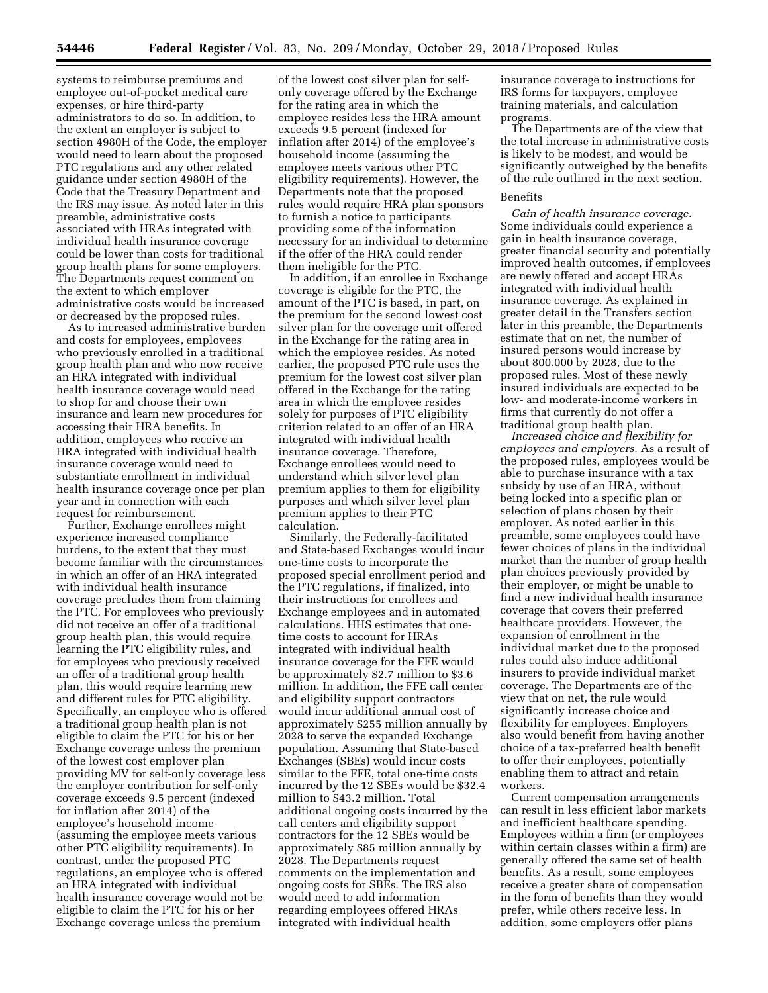systems to reimburse premiums and employee out-of-pocket medical care expenses, or hire third-party administrators to do so. In addition, to the extent an employer is subject to section 4980H of the Code, the employer would need to learn about the proposed PTC regulations and any other related guidance under section 4980H of the Code that the Treasury Department and the IRS may issue. As noted later in this preamble, administrative costs associated with HRAs integrated with individual health insurance coverage could be lower than costs for traditional group health plans for some employers. The Departments request comment on the extent to which employer administrative costs would be increased or decreased by the proposed rules.

As to increased administrative burden and costs for employees, employees who previously enrolled in a traditional group health plan and who now receive an HRA integrated with individual health insurance coverage would need to shop for and choose their own insurance and learn new procedures for accessing their HRA benefits. In addition, employees who receive an HRA integrated with individual health insurance coverage would need to substantiate enrollment in individual health insurance coverage once per plan year and in connection with each request for reimbursement.

Further, Exchange enrollees might experience increased compliance burdens, to the extent that they must become familiar with the circumstances in which an offer of an HRA integrated with individual health insurance coverage precludes them from claiming the PTC. For employees who previously did not receive an offer of a traditional group health plan, this would require learning the PTC eligibility rules, and for employees who previously received an offer of a traditional group health plan, this would require learning new and different rules for PTC eligibility. Specifically, an employee who is offered a traditional group health plan is not eligible to claim the PTC for his or her Exchange coverage unless the premium of the lowest cost employer plan providing MV for self-only coverage less the employer contribution for self-only coverage exceeds 9.5 percent (indexed for inflation after 2014) of the employee's household income (assuming the employee meets various other PTC eligibility requirements). In contrast, under the proposed PTC regulations, an employee who is offered an HRA integrated with individual health insurance coverage would not be eligible to claim the PTC for his or her Exchange coverage unless the premium

of the lowest cost silver plan for selfonly coverage offered by the Exchange for the rating area in which the employee resides less the HRA amount exceeds 9.5 percent (indexed for inflation after 2014) of the employee's household income (assuming the employee meets various other PTC eligibility requirements). However, the Departments note that the proposed rules would require HRA plan sponsors to furnish a notice to participants providing some of the information necessary for an individual to determine if the offer of the HRA could render them ineligible for the PTC.

In addition, if an enrollee in Exchange coverage is eligible for the PTC, the amount of the PTC is based, in part, on the premium for the second lowest cost silver plan for the coverage unit offered in the Exchange for the rating area in which the employee resides. As noted earlier, the proposed PTC rule uses the premium for the lowest cost silver plan offered in the Exchange for the rating area in which the employee resides solely for purposes of PTC eligibility criterion related to an offer of an HRA integrated with individual health insurance coverage. Therefore, Exchange enrollees would need to understand which silver level plan premium applies to them for eligibility purposes and which silver level plan premium applies to their PTC calculation.

Similarly, the Federally-facilitated and State-based Exchanges would incur one-time costs to incorporate the proposed special enrollment period and the PTC regulations, if finalized, into their instructions for enrollees and Exchange employees and in automated calculations. HHS estimates that onetime costs to account for HRAs integrated with individual health insurance coverage for the FFE would be approximately \$2.7 million to \$3.6 million. In addition, the FFE call center and eligibility support contractors would incur additional annual cost of approximately \$255 million annually by 2028 to serve the expanded Exchange population. Assuming that State-based Exchanges (SBEs) would incur costs similar to the FFE, total one-time costs incurred by the 12 SBEs would be \$32.4 million to \$43.2 million. Total additional ongoing costs incurred by the call centers and eligibility support contractors for the 12 SBEs would be approximately \$85 million annually by 2028. The Departments request comments on the implementation and ongoing costs for SBEs. The IRS also would need to add information regarding employees offered HRAs integrated with individual health

insurance coverage to instructions for IRS forms for taxpayers, employee training materials, and calculation programs.

The Departments are of the view that the total increase in administrative costs is likely to be modest, and would be significantly outweighed by the benefits of the rule outlined in the next section.

## Benefits

*Gain of health insurance coverage.*  Some individuals could experience a gain in health insurance coverage, greater financial security and potentially improved health outcomes, if employees are newly offered and accept HRAs integrated with individual health insurance coverage. As explained in greater detail in the Transfers section later in this preamble, the Departments estimate that on net, the number of insured persons would increase by about 800,000 by 2028, due to the proposed rules. Most of these newly insured individuals are expected to be low- and moderate-income workers in firms that currently do not offer a traditional group health plan.

*Increased choice and flexibility for employees and employers.* As a result of the proposed rules, employees would be able to purchase insurance with a tax subsidy by use of an HRA, without being locked into a specific plan or selection of plans chosen by their employer. As noted earlier in this preamble, some employees could have fewer choices of plans in the individual market than the number of group health plan choices previously provided by their employer, or might be unable to find a new individual health insurance coverage that covers their preferred healthcare providers. However, the expansion of enrollment in the individual market due to the proposed rules could also induce additional insurers to provide individual market coverage. The Departments are of the view that on net, the rule would significantly increase choice and flexibility for employees. Employers also would benefit from having another choice of a tax-preferred health benefit to offer their employees, potentially enabling them to attract and retain workers.

Current compensation arrangements can result in less efficient labor markets and inefficient healthcare spending. Employees within a firm (or employees within certain classes within a firm) are generally offered the same set of health benefits. As a result, some employees receive a greater share of compensation in the form of benefits than they would prefer, while others receive less. In addition, some employers offer plans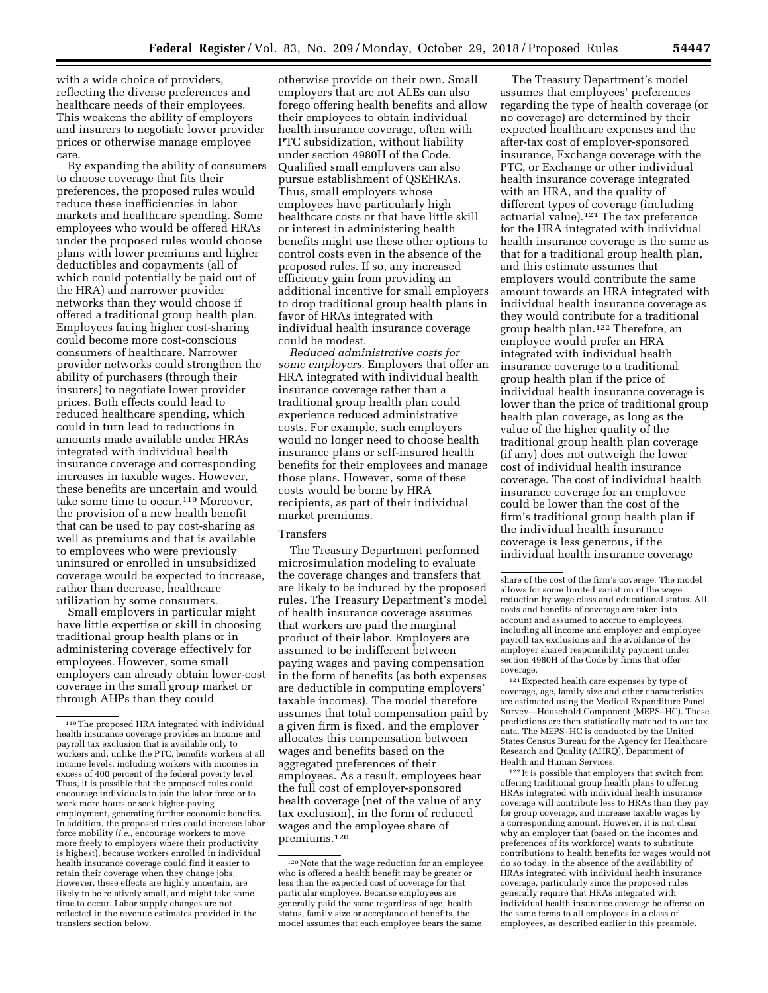with a wide choice of providers, reflecting the diverse preferences and healthcare needs of their employees. This weakens the ability of employers and insurers to negotiate lower provider prices or otherwise manage employee care.

By expanding the ability of consumers to choose coverage that fits their preferences, the proposed rules would reduce these inefficiencies in labor markets and healthcare spending. Some employees who would be offered HRAs under the proposed rules would choose plans with lower premiums and higher deductibles and copayments (all of which could potentially be paid out of the HRA) and narrower provider networks than they would choose if offered a traditional group health plan. Employees facing higher cost-sharing could become more cost-conscious consumers of healthcare. Narrower provider networks could strengthen the ability of purchasers (through their insurers) to negotiate lower provider prices. Both effects could lead to reduced healthcare spending, which could in turn lead to reductions in amounts made available under HRAs integrated with individual health insurance coverage and corresponding increases in taxable wages. However, these benefits are uncertain and would take some time to occur.119 Moreover, the provision of a new health benefit that can be used to pay cost-sharing as well as premiums and that is available to employees who were previously uninsured or enrolled in unsubsidized coverage would be expected to increase, rather than decrease, healthcare utilization by some consumers.

Small employers in particular might have little expertise or skill in choosing traditional group health plans or in administering coverage effectively for employees. However, some small employers can already obtain lower-cost coverage in the small group market or through AHPs than they could

otherwise provide on their own. Small employers that are not ALEs can also forego offering health benefits and allow their employees to obtain individual health insurance coverage, often with PTC subsidization, without liability under section 4980H of the Code. Qualified small employers can also pursue establishment of QSEHRAs. Thus, small employers whose employees have particularly high healthcare costs or that have little skill or interest in administering health benefits might use these other options to control costs even in the absence of the proposed rules. If so, any increased efficiency gain from providing an additional incentive for small employers to drop traditional group health plans in favor of HRAs integrated with individual health insurance coverage could be modest.

*Reduced administrative costs for some employers.* Employers that offer an HRA integrated with individual health insurance coverage rather than a traditional group health plan could experience reduced administrative costs. For example, such employers would no longer need to choose health insurance plans or self-insured health benefits for their employees and manage those plans. However, some of these costs would be borne by HRA recipients, as part of their individual market premiums.

## Transfers

The Treasury Department performed microsimulation modeling to evaluate the coverage changes and transfers that are likely to be induced by the proposed rules. The Treasury Department's model of health insurance coverage assumes that workers are paid the marginal product of their labor. Employers are assumed to be indifferent between paying wages and paying compensation in the form of benefits (as both expenses are deductible in computing employers' taxable incomes). The model therefore assumes that total compensation paid by a given firm is fixed, and the employer allocates this compensation between wages and benefits based on the aggregated preferences of their employees. As a result, employees bear the full cost of employer-sponsored health coverage (net of the value of any tax exclusion), in the form of reduced wages and the employee share of premiums.120

The Treasury Department's model assumes that employees' preferences regarding the type of health coverage (or no coverage) are determined by their expected healthcare expenses and the after-tax cost of employer-sponsored insurance, Exchange coverage with the PTC, or Exchange or other individual health insurance coverage integrated with an HRA, and the quality of different types of coverage (including actuarial value).121 The tax preference for the HRA integrated with individual health insurance coverage is the same as that for a traditional group health plan, and this estimate assumes that employers would contribute the same amount towards an HRA integrated with individual health insurance coverage as they would contribute for a traditional group health plan.122 Therefore, an employee would prefer an HRA integrated with individual health insurance coverage to a traditional group health plan if the price of individual health insurance coverage is lower than the price of traditional group health plan coverage, as long as the value of the higher quality of the traditional group health plan coverage (if any) does not outweigh the lower cost of individual health insurance coverage. The cost of individual health insurance coverage for an employee could be lower than the cost of the firm's traditional group health plan if the individual health insurance coverage is less generous, if the individual health insurance coverage

121Expected health care expenses by type of coverage, age, family size and other characteristics are estimated using the Medical Expenditure Panel Survey—Household Component (MEPS–HC). These predictions are then statistically matched to our tax data. The MEPS–HC is conducted by the United States Census Bureau for the Agency for Healthcare Research and Quality (AHRQ), Department of Health and Human Services.

122 It is possible that employers that switch from offering traditional group health plans to offering HRAs integrated with individual health insurance coverage will contribute less to HRAs than they pay for group coverage, and increase taxable wages by a corresponding amount. However, it is not clear why an employer that (based on the incomes and preferences of its workforce) wants to substitute contributions to health benefits for wages would not do so today, in the absence of the availability of HRAs integrated with individual health insurance coverage, particularly since the proposed rules generally require that HRAs integrated with individual health insurance coverage be offered on the same terms to all employees in a class of employees, as described earlier in this preamble.

<sup>119</sup>The proposed HRA integrated with individual health insurance coverage provides an income and payroll tax exclusion that is available only to workers and, unlike the PTC, benefits workers at all income levels, including workers with incomes in excess of 400 percent of the federal poverty level. Thus, it is possible that the proposed rules could encourage individuals to join the labor force or to work more hours or seek higher-paying employment, generating further economic benefits. In addition, the proposed rules could increase labor force mobility (*i.e.,* encourage workers to move more freely to employers where their productivity is highest), because workers enrolled in individual health insurance coverage could find it easier to retain their coverage when they change jobs. However, these effects are highly uncertain, are likely to be relatively small, and might take some time to occur. Labor supply changes are not reflected in the revenue estimates provided in the transfers section below.

<sup>120</sup>Note that the wage reduction for an employee who is offered a health benefit may be greater or less than the expected cost of coverage for that particular employee. Because employees are generally paid the same regardless of age, health status, family size or acceptance of benefits, the model assumes that each employee bears the same

share of the cost of the firm's coverage. The model allows for some limited variation of the wage reduction by wage class and educational status. All costs and benefits of coverage are taken into account and assumed to accrue to employees, including all income and employer and employee payroll tax exclusions and the avoidance of the employer shared responsibility payment under section 4980H of the Code by firms that offer coverage.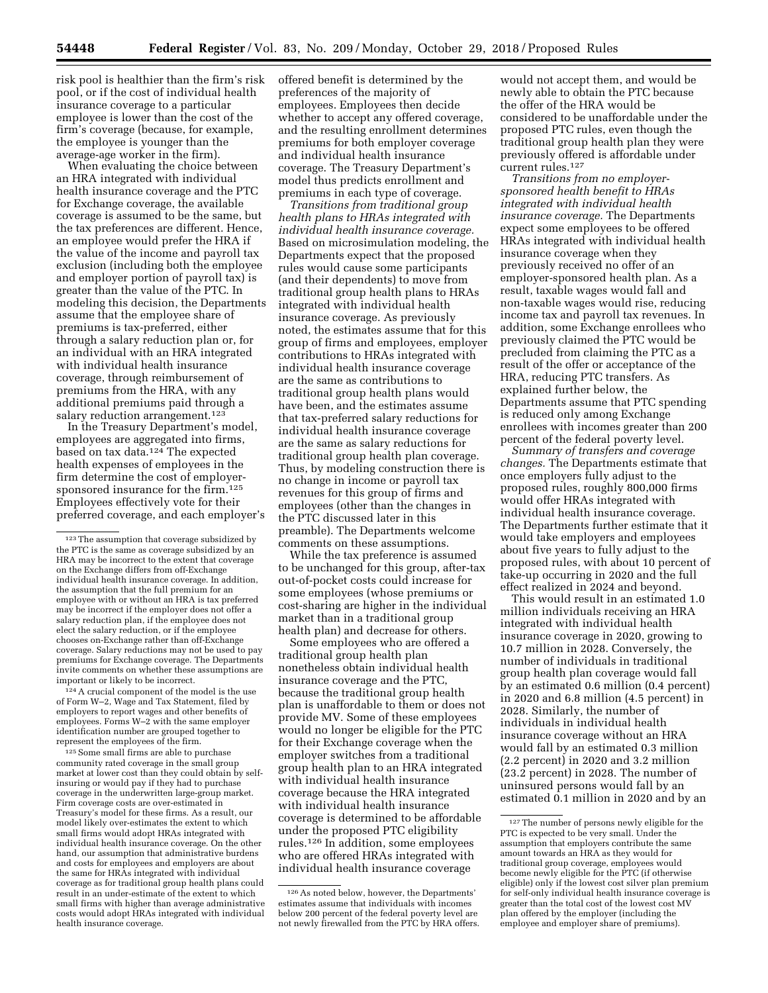risk pool is healthier than the firm's risk pool, or if the cost of individual health insurance coverage to a particular employee is lower than the cost of the firm's coverage (because, for example, the employee is younger than the average-age worker in the firm).

When evaluating the choice between an HRA integrated with individual health insurance coverage and the PTC for Exchange coverage, the available coverage is assumed to be the same, but the tax preferences are different. Hence, an employee would prefer the HRA if the value of the income and payroll tax exclusion (including both the employee and employer portion of payroll tax) is greater than the value of the PTC. In modeling this decision, the Departments assume that the employee share of premiums is tax-preferred, either through a salary reduction plan or, for an individual with an HRA integrated with individual health insurance coverage, through reimbursement of premiums from the HRA, with any additional premiums paid through a salary reduction arrangement.<sup>123</sup>

In the Treasury Department's model, employees are aggregated into firms, based on tax data.124 The expected health expenses of employees in the firm determine the cost of employersponsored insurance for the firm.125 Employees effectively vote for their preferred coverage, and each employer's

124A crucial component of the model is the use of Form W–2, Wage and Tax Statement, filed by employers to report wages and other benefits of employees. Forms W–2 with the same employer identification number are grouped together to represent the employees of the firm.

 $^{125}\!$  Some small firms are able to purchase community rated coverage in the small group market at lower cost than they could obtain by selfinsuring or would pay if they had to purchase coverage in the underwritten large-group market. Firm coverage costs are over-estimated in Treasury's model for these firms. As a result, our model likely over-estimates the extent to which small firms would adopt HRAs integrated with individual health insurance coverage. On the other hand, our assumption that administrative burdens and costs for employees and employers are about the same for HRAs integrated with individual coverage as for traditional group health plans could result in an under-estimate of the extent to which small firms with higher than average administrative costs would adopt HRAs integrated with individual health insurance coverage.

offered benefit is determined by the preferences of the majority of employees. Employees then decide whether to accept any offered coverage, and the resulting enrollment determines premiums for both employer coverage and individual health insurance coverage. The Treasury Department's model thus predicts enrollment and premiums in each type of coverage.

*Transitions from traditional group health plans to HRAs integrated with individual health insurance coverage.*  Based on microsimulation modeling, the Departments expect that the proposed rules would cause some participants (and their dependents) to move from traditional group health plans to HRAs integrated with individual health insurance coverage. As previously noted, the estimates assume that for this group of firms and employees, employer contributions to HRAs integrated with individual health insurance coverage are the same as contributions to traditional group health plans would have been, and the estimates assume that tax-preferred salary reductions for individual health insurance coverage are the same as salary reductions for traditional group health plan coverage. Thus, by modeling construction there is no change in income or payroll tax revenues for this group of firms and employees (other than the changes in the PTC discussed later in this preamble). The Departments welcome comments on these assumptions.

While the tax preference is assumed to be unchanged for this group, after-tax out-of-pocket costs could increase for some employees (whose premiums or cost-sharing are higher in the individual market than in a traditional group health plan) and decrease for others.

Some employees who are offered a traditional group health plan nonetheless obtain individual health insurance coverage and the PTC, because the traditional group health plan is unaffordable to them or does not provide MV. Some of these employees would no longer be eligible for the PTC for their Exchange coverage when the employer switches from a traditional group health plan to an HRA integrated with individual health insurance coverage because the HRA integrated with individual health insurance coverage is determined to be affordable under the proposed PTC eligibility rules.126 In addition, some employees who are offered HRAs integrated with individual health insurance coverage

would not accept them, and would be newly able to obtain the PTC because the offer of the HRA would be considered to be unaffordable under the proposed PTC rules, even though the traditional group health plan they were previously offered is affordable under current rules.127

*Transitions from no employersponsored health benefit to HRAs integrated with individual health insurance coverage.* The Departments expect some employees to be offered HRAs integrated with individual health insurance coverage when they previously received no offer of an employer-sponsored health plan. As a result, taxable wages would fall and non-taxable wages would rise, reducing income tax and payroll tax revenues. In addition, some Exchange enrollees who previously claimed the PTC would be precluded from claiming the PTC as a result of the offer or acceptance of the HRA, reducing PTC transfers. As explained further below, the Departments assume that PTC spending is reduced only among Exchange enrollees with incomes greater than 200 percent of the federal poverty level.

*Summary of transfers and coverage changes.* The Departments estimate that once employers fully adjust to the proposed rules, roughly 800,000 firms would offer HRAs integrated with individual health insurance coverage. The Departments further estimate that it would take employers and employees about five years to fully adjust to the proposed rules, with about 10 percent of take-up occurring in 2020 and the full effect realized in 2024 and beyond.

This would result in an estimated 1.0 million individuals receiving an HRA integrated with individual health insurance coverage in 2020, growing to 10.7 million in 2028. Conversely, the number of individuals in traditional group health plan coverage would fall by an estimated 0.6 million (0.4 percent) in 2020 and 6.8 million (4.5 percent) in 2028. Similarly, the number of individuals in individual health insurance coverage without an HRA would fall by an estimated 0.3 million (2.2 percent) in 2020 and 3.2 million (23.2 percent) in 2028. The number of uninsured persons would fall by an estimated 0.1 million in 2020 and by an

<sup>123</sup>The assumption that coverage subsidized by the PTC is the same as coverage subsidized by an HRA may be incorrect to the extent that coverage on the Exchange differs from off-Exchange individual health insurance coverage. In addition, the assumption that the full premium for an employee with or without an HRA is tax preferred may be incorrect if the employer does not offer a salary reduction plan, if the employee does not elect the salary reduction, or if the employee chooses on-Exchange rather than off-Exchange coverage. Salary reductions may not be used to pay premiums for Exchange coverage. The Departments invite comments on whether these assumptions are important or likely to be incorrect.

<sup>126</sup>As noted below, however, the Departments' estimates assume that individuals with incomes below 200 percent of the federal poverty level are not newly firewalled from the PTC by HRA offers.

<sup>127</sup>The number of persons newly eligible for the PTC is expected to be very small. Under the assumption that employers contribute the same amount towards an HRA as they would for traditional group coverage, employees would become newly eligible for the PTC (if otherwise eligible) only if the lowest cost silver plan premium for self-only individual health insurance coverage is greater than the total cost of the lowest cost MV plan offered by the employer (including the employee and employer share of premiums).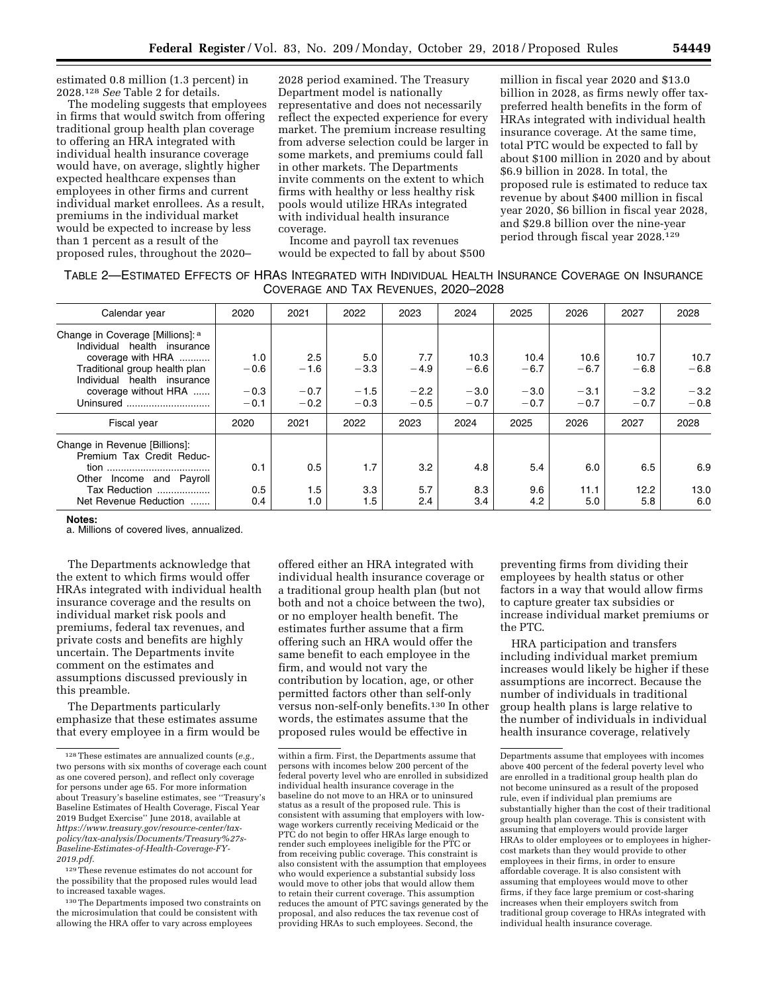estimated 0.8 million (1.3 percent) in 2028.128 *See* Table 2 for details.

The modeling suggests that employees in firms that would switch from offering traditional group health plan coverage to offering an HRA integrated with individual health insurance coverage would have, on average, slightly higher expected healthcare expenses than employees in other firms and current individual market enrollees. As a result, premiums in the individual market would be expected to increase by less than 1 percent as a result of the proposed rules, throughout the 2020–

2028 period examined. The Treasury Department model is nationally representative and does not necessarily reflect the expected experience for every market. The premium increase resulting from adverse selection could be larger in some markets, and premiums could fall in other markets. The Departments invite comments on the extent to which firms with healthy or less healthy risk pools would utilize HRAs integrated with individual health insurance coverage.

Income and payroll tax revenues would be expected to fall by about \$500

million in fiscal year 2020 and \$13.0 billion in 2028, as firms newly offer taxpreferred health benefits in the form of HRAs integrated with individual health insurance coverage. At the same time, total PTC would be expected to fall by about \$100 million in 2020 and by about \$6.9 billion in 2028. In total, the proposed rule is estimated to reduce tax revenue by about \$400 million in fiscal year 2020, \$6 billion in fiscal year 2028, and \$29.8 billion over the nine-year period through fiscal year 2028.129

## TABLE 2—ESTIMATED EFFECTS OF HRAS INTEGRATED WITH INDIVIDUAL HEALTH INSURANCE COVERAGE ON INSURANCE COVERAGE AND TAX REVENUES, 2020–2028

| Calendar year                    | 2020   | 2021   | 2022   | 2023   | 2024   | 2025   | 2026   | 2027   | 2028   |
|----------------------------------|--------|--------|--------|--------|--------|--------|--------|--------|--------|
| Change in Coverage [Millions]: a |        |        |        |        |        |        |        |        |        |
| Individual health insurance      |        |        |        |        |        |        |        |        |        |
| coverage with HRA                | 1.0    | 2.5    | 5.0    | 7.7    | 10.3   | 10.4   | 10.6   | 10.7   | 10.7   |
| Traditional group health plan    | $-0.6$ | $-1.6$ | $-3.3$ | $-4.9$ | $-6.6$ | $-6.7$ | $-6.7$ | $-6.8$ | $-6.8$ |
| Individual health insurance      |        |        |        |        |        |        |        |        |        |
| coverage without HRA             | $-0.3$ | $-0.7$ | $-1.5$ | $-2.2$ | $-3.0$ | $-3.0$ | $-3.1$ | $-3.2$ | $-3.2$ |
| Uninsured                        | $-0.1$ | $-0.2$ | $-0.3$ | $-0.5$ | $-0.7$ | $-0.7$ | $-0.7$ | $-0.7$ | $-0.8$ |
| Fiscal year                      | 2020   | 2021   | 2022   | 2023   | 2024   | 2025   | 2026   | 2027   | 2028   |
| Change in Revenue [Billions]:    |        |        |        |        |        |        |        |        |        |
| Premium Tax Credit Reduc-        |        |        |        |        |        |        |        |        |        |
|                                  | 0.1    | 0.5    | 1.7    | 3.2    | 4.8    | 5.4    | 6.0    | 6.5    | 6.9    |
| Other Income and Payroll         |        |        |        |        |        |        |        |        |        |
| Tax Reduction                    | 0.5    | 1.5    | 3.3    | 5.7    | 8.3    | 9.6    | 11.1   | 12.2   | 13.0   |
|                                  |        |        |        |        |        |        |        |        |        |
| Net Revenue Reduction            | 0.4    | 1.0    | 1.5    | 2.4    | 3.4    | 4.2    | 5.0    | 5.8    | 6.0    |

#### **Notes:**

a. Millions of covered lives, annualized.

The Departments acknowledge that the extent to which firms would offer HRAs integrated with individual health insurance coverage and the results on individual market risk pools and premiums, federal tax revenues, and private costs and benefits are highly uncertain. The Departments invite comment on the estimates and assumptions discussed previously in this preamble.

The Departments particularly emphasize that these estimates assume that every employee in a firm would be

130The Departments imposed two constraints on the microsimulation that could be consistent with allowing the HRA offer to vary across employees

offered either an HRA integrated with individual health insurance coverage or a traditional group health plan (but not both and not a choice between the two), or no employer health benefit. The estimates further assume that a firm offering such an HRA would offer the same benefit to each employee in the firm, and would not vary the contribution by location, age, or other permitted factors other than self-only versus non-self-only benefits.130 In other words, the estimates assume that the proposed rules would be effective in

preventing firms from dividing their employees by health status or other factors in a way that would allow firms to capture greater tax subsidies or increase individual market premiums or the PTC.

HRA participation and transfers including individual market premium increases would likely be higher if these assumptions are incorrect. Because the number of individuals in traditional group health plans is large relative to the number of individuals in individual health insurance coverage, relatively

<sup>128</sup>These estimates are annualized counts (*e.g.,*  two persons with six months of coverage each count as one covered person), and reflect only coverage for persons under age 65. For more information about Treasury's baseline estimates, see ''Treasury's Baseline Estimates of Health Coverage, Fiscal Year 2019 Budget Exercise'' June 2018, available at *[https://www.treasury.gov/resource-center/tax](https://www.treasury.gov/resource-center/tax-policy/tax-analysis/Documents/Treasury%27s-Baseline-Estimates-of-Health-Coverage-FY-2019.pdf)[policy/tax-analysis/Documents/Treasury%27s-](https://www.treasury.gov/resource-center/tax-policy/tax-analysis/Documents/Treasury%27s-Baseline-Estimates-of-Health-Coverage-FY-2019.pdf)[Baseline-Estimates-of-Health-Coverage-FY-](https://www.treasury.gov/resource-center/tax-policy/tax-analysis/Documents/Treasury%27s-Baseline-Estimates-of-Health-Coverage-FY-2019.pdf)[2019.pdf](https://www.treasury.gov/resource-center/tax-policy/tax-analysis/Documents/Treasury%27s-Baseline-Estimates-of-Health-Coverage-FY-2019.pdf)*.

<sup>129</sup>These revenue estimates do not account for the possibility that the proposed rules would lead to increased taxable wages.

within a firm. First, the Departments assume that persons with incomes below 200 percent of the federal poverty level who are enrolled in subsidized individual health insurance coverage in the baseline do not move to an HRA or to uninsured status as a result of the proposed rule. This is consistent with assuming that employers with lowwage workers currently receiving Medicaid or the PTC do not begin to offer HRAs large enough to render such employees ineligible for the PTC or from receiving public coverage. This constraint is also consistent with the assumption that employees who would experience a substantial subsidy loss would move to other jobs that would allow them to retain their current coverage. This assumption reduces the amount of PTC savings generated by the proposal, and also reduces the tax revenue cost of providing HRAs to such employees. Second, the

Departments assume that employees with incomes above 400 percent of the federal poverty level who are enrolled in a traditional group health plan do not become uninsured as a result of the proposed rule, even if individual plan premiums are substantially higher than the cost of their traditional group health plan coverage. This is consistent with assuming that employers would provide larger HRAs to older employees or to employees in highercost markets than they would provide to other employees in their firms, in order to ensure affordable coverage. It is also consistent with assuming that employees would move to other firms, if they face large premium or cost-sharing increases when their employers switch from traditional group coverage to HRAs integrated with individual health insurance coverage.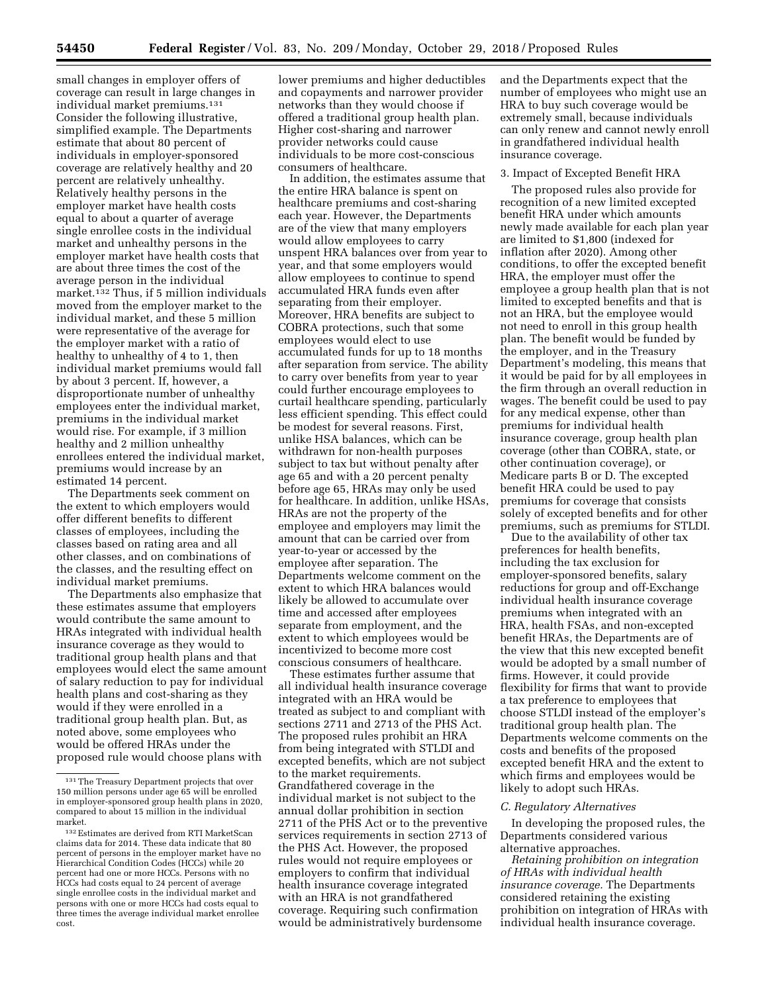small changes in employer offers of coverage can result in large changes in individual market premiums.131 Consider the following illustrative, simplified example. The Departments estimate that about 80 percent of individuals in employer-sponsored coverage are relatively healthy and 20 percent are relatively unhealthy. Relatively healthy persons in the employer market have health costs equal to about a quarter of average single enrollee costs in the individual market and unhealthy persons in the employer market have health costs that are about three times the cost of the average person in the individual market.132 Thus, if 5 million individuals moved from the employer market to the individual market, and these 5 million were representative of the average for the employer market with a ratio of healthy to unhealthy of 4 to 1, then individual market premiums would fall by about 3 percent. If, however, a disproportionate number of unhealthy employees enter the individual market, premiums in the individual market would rise. For example, if 3 million healthy and 2 million unhealthy enrollees entered the individual market, premiums would increase by an estimated 14 percent.

The Departments seek comment on the extent to which employers would offer different benefits to different classes of employees, including the classes based on rating area and all other classes, and on combinations of the classes, and the resulting effect on individual market premiums.

The Departments also emphasize that these estimates assume that employers would contribute the same amount to HRAs integrated with individual health insurance coverage as they would to traditional group health plans and that employees would elect the same amount of salary reduction to pay for individual health plans and cost-sharing as they would if they were enrolled in a traditional group health plan. But, as noted above, some employees who would be offered HRAs under the proposed rule would choose plans with

lower premiums and higher deductibles and copayments and narrower provider networks than they would choose if offered a traditional group health plan. Higher cost-sharing and narrower provider networks could cause individuals to be more cost-conscious consumers of healthcare.

In addition, the estimates assume that the entire HRA balance is spent on healthcare premiums and cost-sharing each year. However, the Departments are of the view that many employers would allow employees to carry unspent HRA balances over from year to year, and that some employers would allow employees to continue to spend accumulated HRA funds even after separating from their employer. Moreover, HRA benefits are subject to COBRA protections, such that some employees would elect to use accumulated funds for up to 18 months after separation from service. The ability to carry over benefits from year to year could further encourage employees to curtail healthcare spending, particularly less efficient spending. This effect could be modest for several reasons. First, unlike HSA balances, which can be withdrawn for non-health purposes subject to tax but without penalty after age 65 and with a 20 percent penalty before age 65, HRAs may only be used for healthcare. In addition, unlike HSAs, HRAs are not the property of the employee and employers may limit the amount that can be carried over from year-to-year or accessed by the employee after separation. The Departments welcome comment on the extent to which HRA balances would likely be allowed to accumulate over time and accessed after employees separate from employment, and the extent to which employees would be incentivized to become more cost conscious consumers of healthcare.

These estimates further assume that all individual health insurance coverage integrated with an HRA would be treated as subject to and compliant with sections 2711 and 2713 of the PHS Act. The proposed rules prohibit an HRA from being integrated with STLDI and excepted benefits, which are not subject to the market requirements. Grandfathered coverage in the individual market is not subject to the annual dollar prohibition in section 2711 of the PHS Act or to the preventive services requirements in section 2713 of the PHS Act. However, the proposed rules would not require employees or employers to confirm that individual health insurance coverage integrated with an HRA is not grandfathered coverage. Requiring such confirmation would be administratively burdensome

and the Departments expect that the number of employees who might use an HRA to buy such coverage would be extremely small, because individuals can only renew and cannot newly enroll in grandfathered individual health insurance coverage.

#### 3. Impact of Excepted Benefit HRA

The proposed rules also provide for recognition of a new limited excepted benefit HRA under which amounts newly made available for each plan year are limited to \$1,800 (indexed for inflation after 2020). Among other conditions, to offer the excepted benefit HRA, the employer must offer the employee a group health plan that is not limited to excepted benefits and that is not an HRA, but the employee would not need to enroll in this group health plan. The benefit would be funded by the employer, and in the Treasury Department's modeling, this means that it would be paid for by all employees in the firm through an overall reduction in wages. The benefit could be used to pay for any medical expense, other than premiums for individual health insurance coverage, group health plan coverage (other than COBRA, state, or other continuation coverage), or Medicare parts B or D. The excepted benefit HRA could be used to pay premiums for coverage that consists solely of excepted benefits and for other premiums, such as premiums for STLDI.

Due to the availability of other tax preferences for health benefits, including the tax exclusion for employer-sponsored benefits, salary reductions for group and off-Exchange individual health insurance coverage premiums when integrated with an HRA, health FSAs, and non-excepted benefit HRAs, the Departments are of the view that this new excepted benefit would be adopted by a small number of firms. However, it could provide flexibility for firms that want to provide a tax preference to employees that choose STLDI instead of the employer's traditional group health plan. The Departments welcome comments on the costs and benefits of the proposed excepted benefit HRA and the extent to which firms and employees would be likely to adopt such HRAs.

#### *C. Regulatory Alternatives*

In developing the proposed rules, the Departments considered various alternative approaches.

*Retaining prohibition on integration of HRAs with individual health insurance coverage.* The Departments considered retaining the existing prohibition on integration of HRAs with individual health insurance coverage.

<sup>131</sup>The Treasury Department projects that over 150 million persons under age 65 will be enrolled in employer-sponsored group health plans in 2020, compared to about 15 million in the individual market.

<sup>132</sup>Estimates are derived from RTI MarketScan claims data for 2014. These data indicate that 80 percent of persons in the employer market have no Hierarchical Condition Codes (HCCs) while 20 percent had one or more HCCs. Persons with no HCCs had costs equal to 24 percent of average single enrollee costs in the individual market and persons with one or more HCCs had costs equal to three times the average individual market enrollee cost.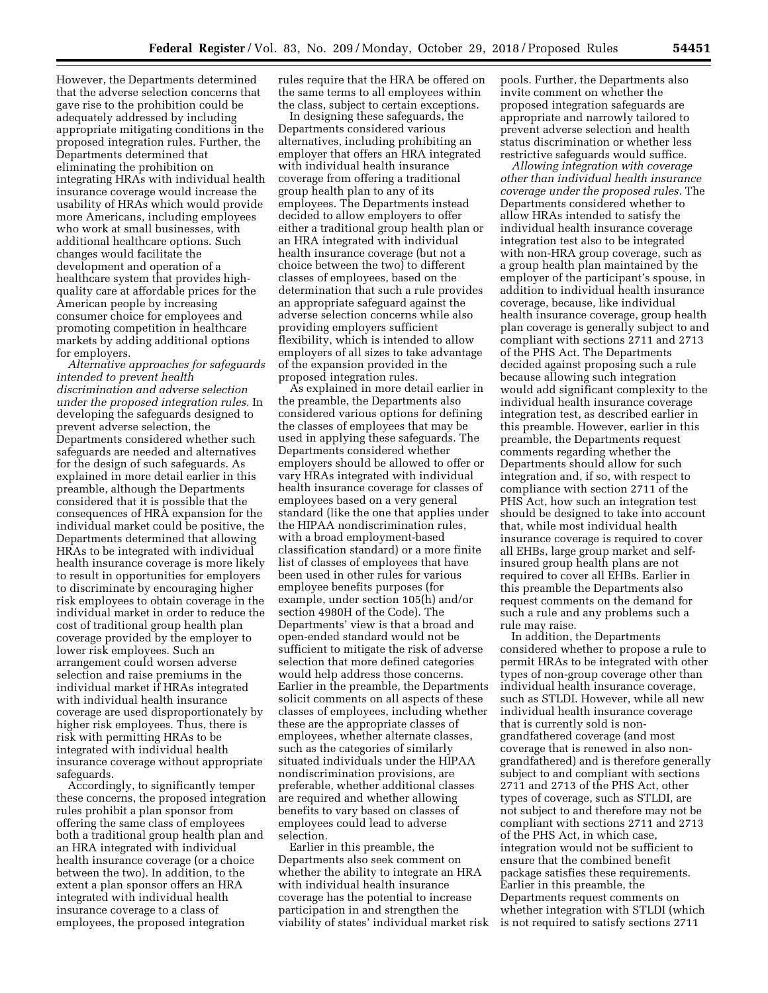However, the Departments determined that the adverse selection concerns that gave rise to the prohibition could be adequately addressed by including appropriate mitigating conditions in the proposed integration rules. Further, the Departments determined that eliminating the prohibition on integrating HRAs with individual health insurance coverage would increase the usability of HRAs which would provide more Americans, including employees who work at small businesses, with additional healthcare options. Such changes would facilitate the development and operation of a healthcare system that provides highquality care at affordable prices for the American people by increasing consumer choice for employees and promoting competition in healthcare markets by adding additional options for employers.

*Alternative approaches for safeguards intended to prevent health discrimination and adverse selection under the proposed integration rules.* In developing the safeguards designed to prevent adverse selection, the Departments considered whether such safeguards are needed and alternatives for the design of such safeguards. As explained in more detail earlier in this preamble, although the Departments considered that it is possible that the consequences of HRA expansion for the individual market could be positive, the Departments determined that allowing HRAs to be integrated with individual health insurance coverage is more likely to result in opportunities for employers to discriminate by encouraging higher risk employees to obtain coverage in the individual market in order to reduce the cost of traditional group health plan coverage provided by the employer to lower risk employees. Such an arrangement could worsen adverse selection and raise premiums in the individual market if HRAs integrated with individual health insurance coverage are used disproportionately by higher risk employees. Thus, there is risk with permitting HRAs to be integrated with individual health insurance coverage without appropriate safeguards.

Accordingly, to significantly temper these concerns, the proposed integration rules prohibit a plan sponsor from offering the same class of employees both a traditional group health plan and an HRA integrated with individual health insurance coverage (or a choice between the two). In addition, to the extent a plan sponsor offers an HRA integrated with individual health insurance coverage to a class of employees, the proposed integration

rules require that the HRA be offered on the same terms to all employees within the class, subject to certain exceptions.

In designing these safeguards, the Departments considered various alternatives, including prohibiting an employer that offers an HRA integrated with individual health insurance coverage from offering a traditional group health plan to any of its employees. The Departments instead decided to allow employers to offer either a traditional group health plan or an HRA integrated with individual health insurance coverage (but not a choice between the two) to different classes of employees, based on the determination that such a rule provides an appropriate safeguard against the adverse selection concerns while also providing employers sufficient flexibility, which is intended to allow employers of all sizes to take advantage of the expansion provided in the proposed integration rules.

As explained in more detail earlier in the preamble, the Departments also considered various options for defining the classes of employees that may be used in applying these safeguards. The Departments considered whether employers should be allowed to offer or vary HRAs integrated with individual health insurance coverage for classes of employees based on a very general standard (like the one that applies under the HIPAA nondiscrimination rules, with a broad employment-based classification standard) or a more finite list of classes of employees that have been used in other rules for various employee benefits purposes (for example, under section 105(h) and/or section 4980H of the Code). The Departments' view is that a broad and open-ended standard would not be sufficient to mitigate the risk of adverse selection that more defined categories would help address those concerns. Earlier in the preamble, the Departments solicit comments on all aspects of these classes of employees, including whether these are the appropriate classes of employees, whether alternate classes, such as the categories of similarly situated individuals under the HIPAA nondiscrimination provisions, are preferable, whether additional classes are required and whether allowing benefits to vary based on classes of employees could lead to adverse selection.

Earlier in this preamble, the Departments also seek comment on whether the ability to integrate an HRA with individual health insurance coverage has the potential to increase participation in and strengthen the viability of states' individual market risk pools. Further, the Departments also invite comment on whether the proposed integration safeguards are appropriate and narrowly tailored to prevent adverse selection and health status discrimination or whether less restrictive safeguards would suffice.

*Allowing integration with coverage other than individual health insurance coverage under the proposed rules.* The Departments considered whether to allow HRAs intended to satisfy the individual health insurance coverage integration test also to be integrated with non-HRA group coverage, such as a group health plan maintained by the employer of the participant's spouse, in addition to individual health insurance coverage, because, like individual health insurance coverage, group health plan coverage is generally subject to and compliant with sections 2711 and 2713 of the PHS Act. The Departments decided against proposing such a rule because allowing such integration would add significant complexity to the individual health insurance coverage integration test, as described earlier in this preamble. However, earlier in this preamble, the Departments request comments regarding whether the Departments should allow for such integration and, if so, with respect to compliance with section 2711 of the PHS Act, how such an integration test should be designed to take into account that, while most individual health insurance coverage is required to cover all EHBs, large group market and selfinsured group health plans are not required to cover all EHBs. Earlier in this preamble the Departments also request comments on the demand for such a rule and any problems such a rule may raise.

In addition, the Departments considered whether to propose a rule to permit HRAs to be integrated with other types of non-group coverage other than individual health insurance coverage, such as STLDI. However, while all new individual health insurance coverage that is currently sold is nongrandfathered coverage (and most coverage that is renewed in also nongrandfathered) and is therefore generally subject to and compliant with sections 2711 and 2713 of the PHS Act, other types of coverage, such as STLDI, are not subject to and therefore may not be compliant with sections 2711 and 2713 of the PHS Act, in which case, integration would not be sufficient to ensure that the combined benefit package satisfies these requirements. Earlier in this preamble, the Departments request comments on whether integration with STLDI (which is not required to satisfy sections 2711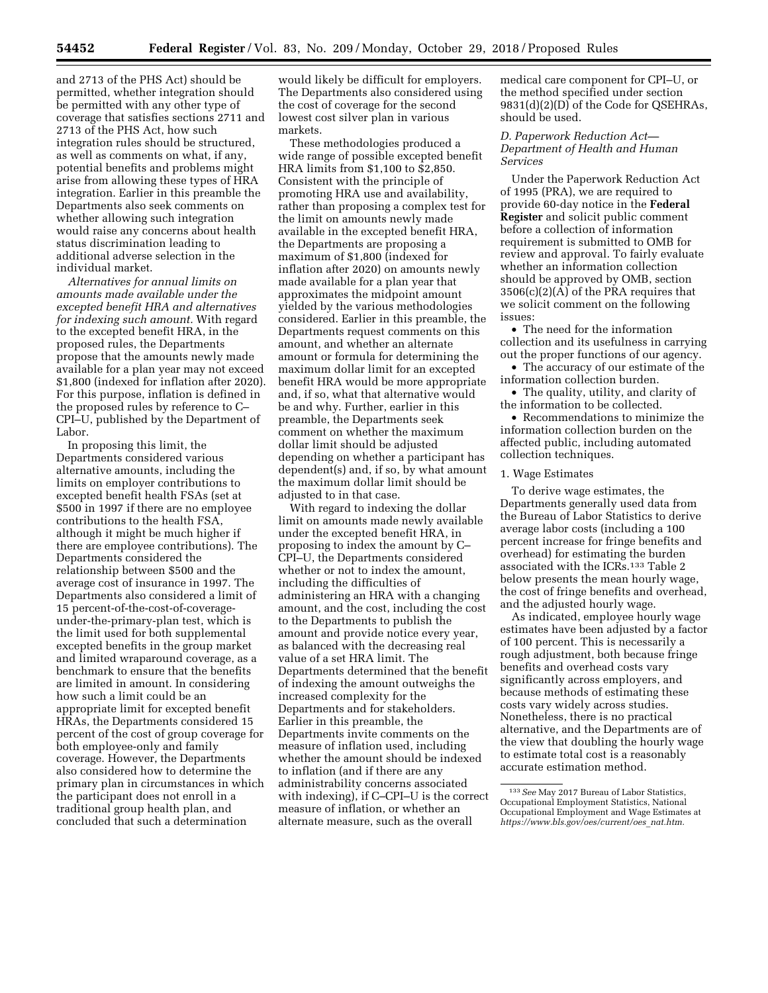and 2713 of the PHS Act) should be permitted, whether integration should be permitted with any other type of coverage that satisfies sections 2711 and 2713 of the PHS Act, how such integration rules should be structured, as well as comments on what, if any, potential benefits and problems might arise from allowing these types of HRA integration. Earlier in this preamble the Departments also seek comments on whether allowing such integration would raise any concerns about health status discrimination leading to additional adverse selection in the individual market.

*Alternatives for annual limits on amounts made available under the excepted benefit HRA and alternatives for indexing such amount.* With regard to the excepted benefit HRA, in the proposed rules, the Departments propose that the amounts newly made available for a plan year may not exceed \$1,800 (indexed for inflation after 2020). For this purpose, inflation is defined in the proposed rules by reference to C– CPI–U, published by the Department of Labor.

In proposing this limit, the Departments considered various alternative amounts, including the limits on employer contributions to excepted benefit health FSAs (set at \$500 in 1997 if there are no employee contributions to the health FSA, although it might be much higher if there are employee contributions). The Departments considered the relationship between \$500 and the average cost of insurance in 1997. The Departments also considered a limit of 15 percent-of-the-cost-of-coverageunder-the-primary-plan test, which is the limit used for both supplemental excepted benefits in the group market and limited wraparound coverage, as a benchmark to ensure that the benefits are limited in amount. In considering how such a limit could be an appropriate limit for excepted benefit HRAs, the Departments considered 15 percent of the cost of group coverage for both employee-only and family coverage. However, the Departments also considered how to determine the primary plan in circumstances in which the participant does not enroll in a traditional group health plan, and concluded that such a determination

would likely be difficult for employers. The Departments also considered using the cost of coverage for the second lowest cost silver plan in various markets.

These methodologies produced a wide range of possible excepted benefit HRA limits from \$1,100 to \$2,850. Consistent with the principle of promoting HRA use and availability, rather than proposing a complex test for the limit on amounts newly made available in the excepted benefit HRA, the Departments are proposing a maximum of \$1,800 (indexed for inflation after 2020) on amounts newly made available for a plan year that approximates the midpoint amount yielded by the various methodologies considered. Earlier in this preamble, the Departments request comments on this amount, and whether an alternate amount or formula for determining the maximum dollar limit for an excepted benefit HRA would be more appropriate and, if so, what that alternative would be and why. Further, earlier in this preamble, the Departments seek comment on whether the maximum dollar limit should be adjusted depending on whether a participant has dependent(s) and, if so, by what amount the maximum dollar limit should be adjusted to in that case.

With regard to indexing the dollar limit on amounts made newly available under the excepted benefit HRA, in proposing to index the amount by C– CPI–U, the Departments considered whether or not to index the amount, including the difficulties of administering an HRA with a changing amount, and the cost, including the cost to the Departments to publish the amount and provide notice every year, as balanced with the decreasing real value of a set HRA limit. The Departments determined that the benefit of indexing the amount outweighs the increased complexity for the Departments and for stakeholders. Earlier in this preamble, the Departments invite comments on the measure of inflation used, including whether the amount should be indexed to inflation (and if there are any administrability concerns associated with indexing), if C–CPI–U is the correct measure of inflation, or whether an alternate measure, such as the overall

medical care component for CPI–U, or the method specified under section 9831(d)(2)(D) of the Code for QSEHRAs, should be used.

## *D. Paperwork Reduction Act— Department of Health and Human Services*

Under the Paperwork Reduction Act of 1995 (PRA), we are required to provide 60-day notice in the **Federal Register** and solicit public comment before a collection of information requirement is submitted to OMB for review and approval. To fairly evaluate whether an information collection should be approved by OMB, section 3506(c)(2)(A) of the PRA requires that we solicit comment on the following issues:

• The need for the information collection and its usefulness in carrying out the proper functions of our agency.

• The accuracy of our estimate of the information collection burden.

• The quality, utility, and clarity of the information to be collected.

• Recommendations to minimize the information collection burden on the affected public, including automated collection techniques.

## 1. Wage Estimates

To derive wage estimates, the Departments generally used data from the Bureau of Labor Statistics to derive average labor costs (including a 100 percent increase for fringe benefits and overhead) for estimating the burden associated with the ICRs.133 Table 2 below presents the mean hourly wage, the cost of fringe benefits and overhead, and the adjusted hourly wage.

As indicated, employee hourly wage estimates have been adjusted by a factor of 100 percent. This is necessarily a rough adjustment, both because fringe benefits and overhead costs vary significantly across employers, and because methods of estimating these costs vary widely across studies. Nonetheless, there is no practical alternative, and the Departments are of the view that doubling the hourly wage to estimate total cost is a reasonably accurate estimation method.

<sup>133</sup>*See* May 2017 Bureau of Labor Statistics, Occupational Employment Statistics, National Occupational Employment and Wage Estimates at *[https://www.bls.gov/oes/current/oes](https://www.bls.gov/oes/current/oes_nat.htm)*\_*nat.htm.*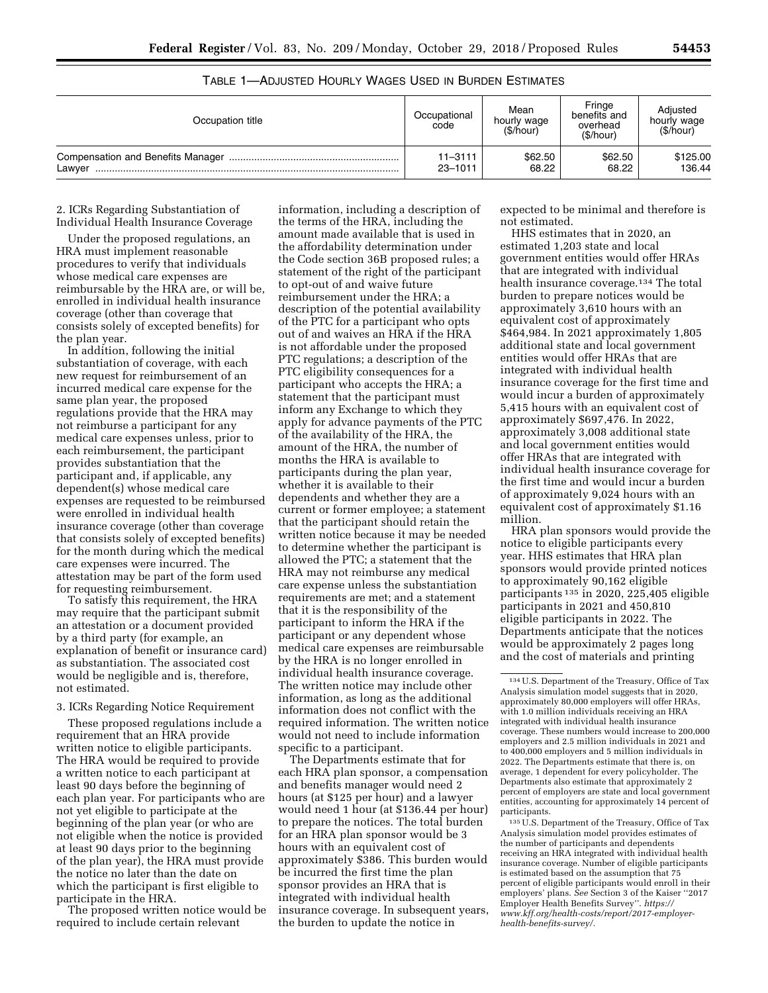| Occupation title | Occupational<br>code       | Mean<br>hourly wage<br>(\$/hour) | Fringe<br>benefits and<br>overhead<br>(\$/hour) | Adiusted<br>hourly wage<br>(\$/hour) |
|------------------|----------------------------|----------------------------------|-------------------------------------------------|--------------------------------------|
| Lawver           | $11 - 3111$<br>$23 - 1011$ | \$62.50<br>68.22                 | \$62.50<br>68.22                                | \$125.00<br>136.44                   |

## TABLE 1—ADJUSTED HOURLY WAGES USED IN BURDEN ESTIMATES

2. ICRs Regarding Substantiation of Individual Health Insurance Coverage

Under the proposed regulations, an HRA must implement reasonable procedures to verify that individuals whose medical care expenses are reimbursable by the HRA are, or will be, enrolled in individual health insurance coverage (other than coverage that consists solely of excepted benefits) for the plan year.

In addition, following the initial substantiation of coverage, with each new request for reimbursement of an incurred medical care expense for the same plan year, the proposed regulations provide that the HRA may not reimburse a participant for any medical care expenses unless, prior to each reimbursement, the participant provides substantiation that the participant and, if applicable, any dependent(s) whose medical care expenses are requested to be reimbursed were enrolled in individual health insurance coverage (other than coverage that consists solely of excepted benefits) for the month during which the medical care expenses were incurred. The attestation may be part of the form used for requesting reimbursement.

To satisfy this requirement, the HRA may require that the participant submit an attestation or a document provided by a third party (for example, an explanation of benefit or insurance card) as substantiation. The associated cost would be negligible and is, therefore, not estimated.

#### 3. ICRs Regarding Notice Requirement

These proposed regulations include a requirement that an HRA provide written notice to eligible participants. The HRA would be required to provide a written notice to each participant at least 90 days before the beginning of each plan year. For participants who are not yet eligible to participate at the beginning of the plan year (or who are not eligible when the notice is provided at least 90 days prior to the beginning of the plan year), the HRA must provide the notice no later than the date on which the participant is first eligible to participate in the HRA.

The proposed written notice would be required to include certain relevant

information, including a description of the terms of the HRA, including the amount made available that is used in the affordability determination under the Code section 36B proposed rules; a statement of the right of the participant to opt-out of and waive future reimbursement under the HRA; a description of the potential availability of the PTC for a participant who opts out of and waives an HRA if the HRA is not affordable under the proposed PTC regulations; a description of the PTC eligibility consequences for a participant who accepts the HRA; a statement that the participant must inform any Exchange to which they apply for advance payments of the PTC of the availability of the HRA, the amount of the HRA, the number of months the HRA is available to participants during the plan year, whether it is available to their dependents and whether they are a current or former employee; a statement that the participant should retain the written notice because it may be needed to determine whether the participant is allowed the PTC; a statement that the HRA may not reimburse any medical care expense unless the substantiation requirements are met; and a statement that it is the responsibility of the participant to inform the HRA if the participant or any dependent whose medical care expenses are reimbursable by the HRA is no longer enrolled in individual health insurance coverage. The written notice may include other information, as long as the additional information does not conflict with the required information. The written notice would not need to include information specific to a participant.

The Departments estimate that for each HRA plan sponsor, a compensation and benefits manager would need 2 hours (at \$125 per hour) and a lawyer would need 1 hour (at \$136.44 per hour) to prepare the notices. The total burden for an HRA plan sponsor would be 3 hours with an equivalent cost of approximately \$386. This burden would be incurred the first time the plan sponsor provides an HRA that is integrated with individual health insurance coverage. In subsequent years, the burden to update the notice in

expected to be minimal and therefore is not estimated.

HHS estimates that in 2020, an estimated 1,203 state and local government entities would offer HRAs that are integrated with individual health insurance coverage.134 The total burden to prepare notices would be approximately 3,610 hours with an equivalent cost of approximately \$464,984. In 2021 approximately 1,805 additional state and local government entities would offer HRAs that are integrated with individual health insurance coverage for the first time and would incur a burden of approximately 5,415 hours with an equivalent cost of approximately \$697,476. In 2022, approximately 3,008 additional state and local government entities would offer HRAs that are integrated with individual health insurance coverage for the first time and would incur a burden of approximately 9,024 hours with an equivalent cost of approximately \$1.16 million.

HRA plan sponsors would provide the notice to eligible participants every year. HHS estimates that HRA plan sponsors would provide printed notices to approximately 90,162 eligible participants 135 in 2020, 225,405 eligible participants in 2021 and 450,810 eligible participants in 2022. The Departments anticipate that the notices would be approximately 2 pages long and the cost of materials and printing

135U.S. Department of the Treasury, Office of Tax Analysis simulation model provides estimates of the number of participants and dependents receiving an HRA integrated with individual health insurance coverage. Number of eligible participants is estimated based on the assumption that 75 percent of eligible participants would enroll in their employers' plans. *See* Section 3 of the Kaiser ''2017 Employer Health Benefits Survey''. *[https://](https://www.kff.org/health-costs/report/2017-employer-health-benefits-survey/) [www.kff.org/health-costs/report/2017-employer](https://www.kff.org/health-costs/report/2017-employer-health-benefits-survey/)[health-benefits-survey/.](https://www.kff.org/health-costs/report/2017-employer-health-benefits-survey/)* 

<sup>134</sup>U.S. Department of the Treasury, Office of Tax Analysis simulation model suggests that in 2020, approximately 80,000 employers will offer HRAs, with 1.0 million individuals receiving an HRA integrated with individual health insurance coverage. These numbers would increase to 200,000 employers and 2.5 million individuals in 2021 and to 400,000 employers and 5 million individuals in 2022. The Departments estimate that there is, on average, 1 dependent for every policyholder. The Departments also estimate that approximately 2 percent of employers are state and local government entities, accounting for approximately 14 percent of participants.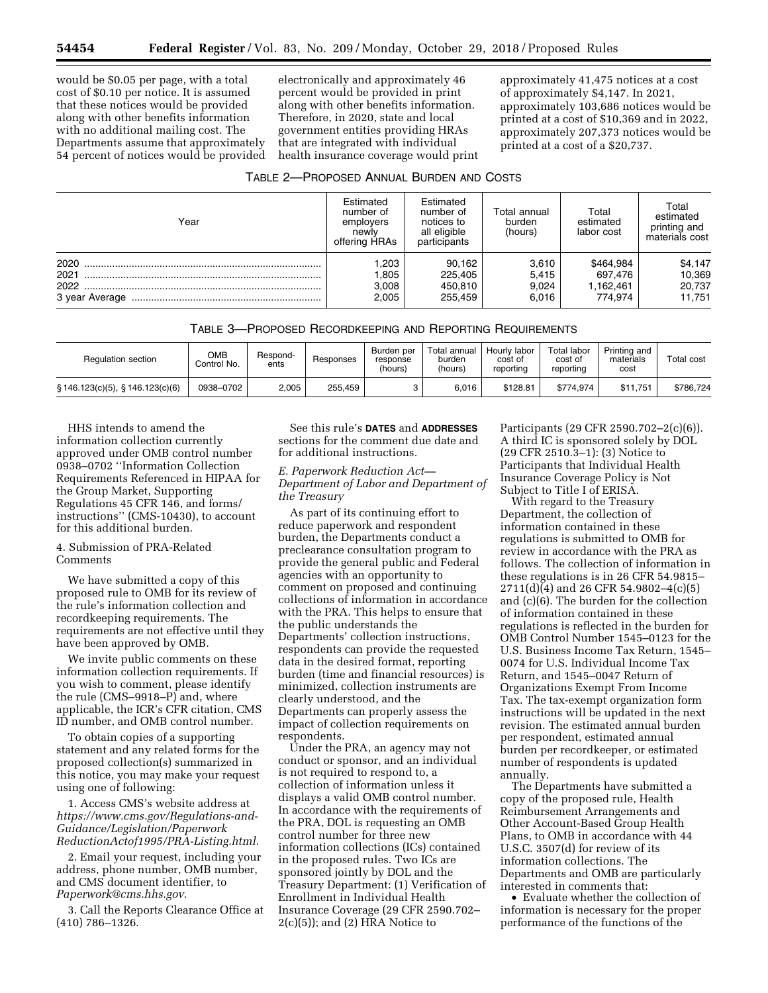would be \$0.05 per page, with a total cost of \$0.10 per notice. It is assumed that these notices would be provided along with other benefits information with no additional mailing cost. The Departments assume that approximately 54 percent of notices would be provided electronically and approximately 46 percent would be provided in print along with other benefits information. Therefore, in 2020, state and local government entities providing HRAs that are integrated with individual health insurance coverage would print

approximately 41,475 notices at a cost of approximately \$4,147. In 2021, approximately 103,686 notices would be printed at a cost of \$10,369 and in 2022, approximately 207,373 notices would be printed at a cost of a \$20,737.

| TABLE 2-PROPOSED ANNUAL BURDEN AND COSTS |  |  |  |  |
|------------------------------------------|--|--|--|--|
|------------------------------------------|--|--|--|--|

| Year                                   | Estimated<br>number of<br>emplovers<br>newly<br>offering HRAs | Estimated<br>number of<br>notices to<br>all eligible<br>participants | Total annual<br>burden<br>(hours) | Total<br>estimated<br>labor cost             | Total<br>estimated<br>printing and<br>materials cost |
|----------------------------------------|---------------------------------------------------------------|----------------------------------------------------------------------|-----------------------------------|----------------------------------------------|------------------------------------------------------|
| 2020<br>2021<br>2022<br>3 year Average | ,203<br>.805<br>3,008<br>2.005                                | 90.162<br>225.405<br>450,810<br>255.459                              | 3,610<br>5,415<br>9,024<br>6.016  | \$464,984<br>697.476<br>1,162,461<br>774.974 | \$4,147<br>10,369<br>20,737<br>11.751                |

TABLE 3—PROPOSED RECORDKEEPING AND REPORTING REQUIREMENTS

| <b>Regulation section</b>              | ОМВ<br>Control No. | Respond-<br>ents | Responses | Burden per<br>response<br>(hours) | Total annual<br>burden<br>(hours) | Hourly labor<br>cost of<br>reporting | Total labor<br>cost of<br>reporting | Printing and<br>materials<br>cost | <b>Total cost</b> |
|----------------------------------------|--------------------|------------------|-----------|-----------------------------------|-----------------------------------|--------------------------------------|-------------------------------------|-----------------------------------|-------------------|
| $\S$ 146.123(c)(5), $\S$ 146.123(c)(6) | 0938-0702          | 2,005            | 255.459   |                                   | 6.016                             | \$128.81                             | \$774.974                           | \$11.751                          | \$786.724         |

HHS intends to amend the information collection currently approved under OMB control number 0938–0702 ''Information Collection Requirements Referenced in HIPAA for the Group Market, Supporting Regulations 45 CFR 146, and forms/ instructions'' (CMS-10430), to account for this additional burden.

## 4. Submission of PRA-Related **Comments**

We have submitted a copy of this proposed rule to OMB for its review of the rule's information collection and recordkeeping requirements. The requirements are not effective until they have been approved by OMB.

We invite public comments on these information collection requirements. If you wish to comment, please identify the rule (CMS–9918–P) and, where applicable, the ICR's CFR citation, CMS ID number, and OMB control number.

To obtain copies of a supporting statement and any related forms for the proposed collection(s) summarized in this notice, you may make your request using one of following:

1. Access CMS's website address at *[https://www.cms.gov/Regulations-and-](https://www.cms.gov/Regulations-and-Guidance/Legislation/PaperworkReductionActof1995/PRA-Listing.html)[Guidance/Legislation/Paperwork](https://www.cms.gov/Regulations-and-Guidance/Legislation/PaperworkReductionActof1995/PRA-Listing.html) [ReductionActof1995/PRA-Listing.html.](https://www.cms.gov/Regulations-and-Guidance/Legislation/PaperworkReductionActof1995/PRA-Listing.html)* 

2. Email your request, including your address, phone number, OMB number, and CMS document identifier, to *[Paperwork@cms.hhs.gov.](mailto:Paperwork@cms.hhs.gov)* 

3. Call the Reports Clearance Office at (410) 786–1326.

See this rule's **DATES** and **ADDRESSES** sections for the comment due date and for additional instructions.

## *E. Paperwork Reduction Act— Department of Labor and Department of the Treasury*

As part of its continuing effort to reduce paperwork and respondent burden, the Departments conduct a preclearance consultation program to provide the general public and Federal agencies with an opportunity to comment on proposed and continuing collections of information in accordance with the PRA. This helps to ensure that the public understands the Departments' collection instructions, respondents can provide the requested data in the desired format, reporting burden (time and financial resources) is minimized, collection instruments are clearly understood, and the Departments can properly assess the impact of collection requirements on respondents.

Under the PRA, an agency may not conduct or sponsor, and an individual is not required to respond to, a collection of information unless it displays a valid OMB control number. In accordance with the requirements of the PRA, DOL is requesting an OMB control number for three new information collections (ICs) contained in the proposed rules. Two ICs are sponsored jointly by DOL and the Treasury Department: (1) Verification of Enrollment in Individual Health Insurance Coverage (29 CFR 2590.702–  $2(c)(5)$ ; and  $(2)$  HRA Notice to

Participants (29 CFR 2590.702–2(c)(6)). A third IC is sponsored solely by DOL (29 CFR 2510.3–1): (3) Notice to Participants that Individual Health Insurance Coverage Policy is Not Subject to Title I of ERISA.

With regard to the Treasury Department, the collection of information contained in these regulations is submitted to OMB for review in accordance with the PRA as follows. The collection of information in these regulations is in 26 CFR 54.9815– 2711(d)(4) and 26 CFR 54.9802–4(c)(5) and (c)(6). The burden for the collection of information contained in these regulations is reflected in the burden for OMB Control Number 1545–0123 for the U.S. Business Income Tax Return, 1545– 0074 for U.S. Individual Income Tax Return, and 1545–0047 Return of Organizations Exempt From Income Tax. The tax-exempt organization form instructions will be updated in the next revision. The estimated annual burden per respondent, estimated annual burden per recordkeeper, or estimated number of respondents is updated annually.

The Departments have submitted a copy of the proposed rule, Health Reimbursement Arrangements and Other Account-Based Group Health Plans, to OMB in accordance with 44 U.S.C. 3507(d) for review of its information collections. The Departments and OMB are particularly interested in comments that:

• Evaluate whether the collection of information is necessary for the proper performance of the functions of the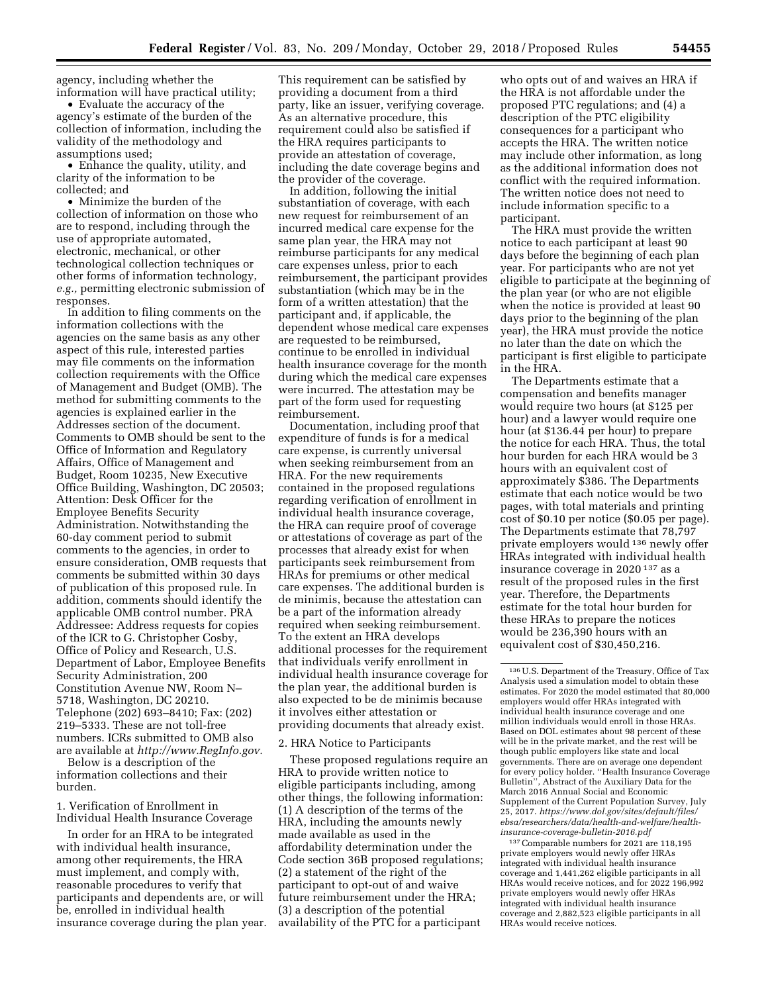agency, including whether the information will have practical utility;

• Evaluate the accuracy of the agency's estimate of the burden of the collection of information, including the validity of the methodology and assumptions used;

• Enhance the quality, utility, and clarity of the information to be collected; and

• Minimize the burden of the collection of information on those who are to respond, including through the use of appropriate automated, electronic, mechanical, or other technological collection techniques or other forms of information technology, *e.g.,* permitting electronic submission of responses.

In addition to filing comments on the information collections with the agencies on the same basis as any other aspect of this rule, interested parties may file comments on the information collection requirements with the Office of Management and Budget (OMB). The method for submitting comments to the agencies is explained earlier in the Addresses section of the document. Comments to OMB should be sent to the Office of Information and Regulatory Affairs, Office of Management and Budget, Room 10235, New Executive Office Building, Washington, DC 20503; Attention: Desk Officer for the Employee Benefits Security Administration. Notwithstanding the 60-day comment period to submit comments to the agencies, in order to ensure consideration, OMB requests that comments be submitted within 30 days of publication of this proposed rule. In addition, comments should identify the applicable OMB control number. PRA Addressee: Address requests for copies of the ICR to G. Christopher Cosby, Office of Policy and Research, U.S. Department of Labor, Employee Benefits Security Administration, 200 Constitution Avenue NW, Room N– 5718, Washington, DC 20210. Telephone (202) 693–8410; Fax: (202) 219–5333. These are not toll-free numbers. ICRs submitted to OMB also are available at *[http://www.RegInfo.gov.](http://www.RegInfo.gov)* 

Below is a description of the information collections and their burden.

1. Verification of Enrollment in Individual Health Insurance Coverage

In order for an HRA to be integrated with individual health insurance, among other requirements, the HRA must implement, and comply with, reasonable procedures to verify that participants and dependents are, or will be, enrolled in individual health insurance coverage during the plan year.

This requirement can be satisfied by providing a document from a third party, like an issuer, verifying coverage. As an alternative procedure, this requirement could also be satisfied if the HRA requires participants to provide an attestation of coverage, including the date coverage begins and the provider of the coverage.

In addition, following the initial substantiation of coverage, with each new request for reimbursement of an incurred medical care expense for the same plan year, the HRA may not reimburse participants for any medical care expenses unless, prior to each reimbursement, the participant provides substantiation (which may be in the form of a written attestation) that the participant and, if applicable, the dependent whose medical care expenses are requested to be reimbursed, continue to be enrolled in individual health insurance coverage for the month during which the medical care expenses were incurred. The attestation may be part of the form used for requesting reimbursement.

Documentation, including proof that expenditure of funds is for a medical care expense, is currently universal when seeking reimbursement from an HRA. For the new requirements contained in the proposed regulations regarding verification of enrollment in individual health insurance coverage, the HRA can require proof of coverage or attestations of coverage as part of the processes that already exist for when participants seek reimbursement from HRAs for premiums or other medical care expenses. The additional burden is de minimis, because the attestation can be a part of the information already required when seeking reimbursement. To the extent an HRA develops additional processes for the requirement that individuals verify enrollment in individual health insurance coverage for the plan year, the additional burden is also expected to be de minimis because it involves either attestation or providing documents that already exist.

#### 2. HRA Notice to Participants

These proposed regulations require an HRA to provide written notice to eligible participants including, among other things, the following information: (1) A description of the terms of the HRA, including the amounts newly made available as used in the affordability determination under the Code section 36B proposed regulations; (2) a statement of the right of the participant to opt-out of and waive future reimbursement under the HRA; (3) a description of the potential availability of the PTC for a participant

who opts out of and waives an HRA if the HRA is not affordable under the proposed PTC regulations; and (4) a description of the PTC eligibility consequences for a participant who accepts the HRA. The written notice may include other information, as long as the additional information does not conflict with the required information. The written notice does not need to include information specific to a participant.

The HRA must provide the written notice to each participant at least 90 days before the beginning of each plan year. For participants who are not yet eligible to participate at the beginning of the plan year (or who are not eligible when the notice is provided at least 90 days prior to the beginning of the plan year), the HRA must provide the notice no later than the date on which the participant is first eligible to participate in the HRA.

The Departments estimate that a compensation and benefits manager would require two hours (at \$125 per hour) and a lawyer would require one hour (at \$136.44 per hour) to prepare the notice for each HRA. Thus, the total hour burden for each HRA would be 3 hours with an equivalent cost of approximately \$386. The Departments estimate that each notice would be two pages, with total materials and printing cost of \$0.10 per notice (\$0.05 per page). The Departments estimate that 78,797 private employers would 136 newly offer HRAs integrated with individual health insurance coverage in 2020 137 as a result of the proposed rules in the first year. Therefore, the Departments estimate for the total hour burden for these HRAs to prepare the notices would be 236,390 hours with an equivalent cost of \$30,450,216.

137Comparable numbers for 2021 are 118,195 private employers would newly offer HRAs integrated with individual health insurance coverage and 1,441,262 eligible participants in all HRAs would receive notices, and for 2022 196,992 private employers would newly offer HRAs integrated with individual health insurance coverage and 2,882,523 eligible participants in all HRAs would receive notices.

<sup>136</sup>U.S. Department of the Treasury, Office of Tax Analysis used a simulation model to obtain these estimates. For 2020 the model estimated that 80,000 employers would offer HRAs integrated with individual health insurance coverage and one million individuals would enroll in those HRAs. Based on DOL estimates about 98 percent of these will be in the private market, and the rest will be though public employers like state and local governments. There are on average one dependent for every policy holder. ''Health Insurance Coverage Bulletin'', Abstract of the Auxiliary Data for the March 2016 Annual Social and Economic Supplement of the Current Population Survey, July 25, 2017. *[https://www.dol.gov/sites/default/files/](https://www.dol.gov/sites/default/files/ebsa/researchers/data/health-and-welfare/health-insurance-coverage-bulletin-2016.pdf) [ebsa/researchers/data/health-and-welfare/health](https://www.dol.gov/sites/default/files/ebsa/researchers/data/health-and-welfare/health-insurance-coverage-bulletin-2016.pdf)[insurance-coverage-bulletin-2016.pdf](https://www.dol.gov/sites/default/files/ebsa/researchers/data/health-and-welfare/health-insurance-coverage-bulletin-2016.pdf)*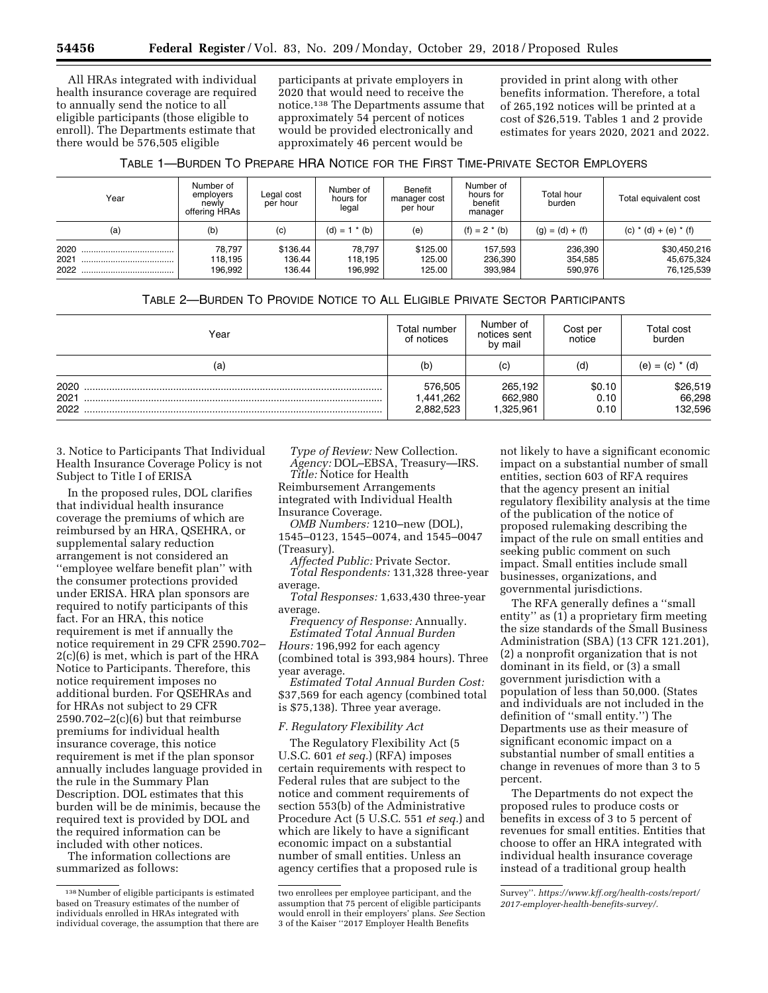All HRAs integrated with individual health insurance coverage are required to annually send the notice to all eligible participants (those eligible to enroll). The Departments estimate that there would be 576,505 eligible

participants at private employers in 2020 that would need to receive the notice.138 The Departments assume that approximately 54 percent of notices would be provided electronically and approximately 46 percent would be

provided in print along with other benefits information. Therefore, a total of 265,192 notices will be printed at a cost of \$26,519. Tables 1 and 2 provide estimates for years 2020, 2021 and 2022.

| TABLE 1-BURDEN TO PREPARE HRA NOTICE FOR THE FIRST TIME-PRIVATE SECTOR EMPLOYERS |  |
|----------------------------------------------------------------------------------|--|
|----------------------------------------------------------------------------------|--|

| Year                     | Number of<br>employers<br>newly<br>offering HRAs | Legal cost<br>per hour       | Number of<br>hours for<br>legal | Benefit<br>manager cost<br>per hour | Number of<br>hours for<br>benefit<br>manager | Total hour<br>burden          | Total equivalent cost                    |
|--------------------------|--------------------------------------------------|------------------------------|---------------------------------|-------------------------------------|----------------------------------------------|-------------------------------|------------------------------------------|
| (a)                      | (b)                                              | (c)                          | $(d) = 1 * (b)$                 | (e)                                 | $(f) = 2 * (b)$                              | $(g) = (d) + (f)$             | (c) $*(d) + (e) * (f)$                   |
| 2020<br>2021<br><br>2022 | 78.797<br>118.195<br>196.992                     | \$136.44<br>136.44<br>136.44 | 78.797<br>118.195<br>196.992    | \$125.00<br>125.00<br>125.00        | 157,593<br>236,390<br>393.984                | 236,390<br>354,585<br>590.976 | \$30,450,216<br>45,675,324<br>76,125,539 |

## TABLE 2—BURDEN TO PROVIDE NOTICE TO ALL ELIGIBLE PRIVATE SECTOR PARTICIPANTS

| Year                 | Total number<br>of notices        | Number of<br>notices sent<br>by mail | Cost per<br>notice     | Total cost<br>burden          |
|----------------------|-----------------------------------|--------------------------------------|------------------------|-------------------------------|
| (a)                  | (b)                               | (c)                                  | (d)                    | (e) = (c) $*$ (d)             |
| 2020<br>2021<br>2022 | 576,505<br>1,441,262<br>2,882,523 | 265,192<br>662,980<br>1,325,961      | \$0.10<br>0.10<br>0.10 | \$26,519<br>66,298<br>132,596 |

3. Notice to Participants That Individual Health Insurance Coverage Policy is not Subject to Title I of ERISA

In the proposed rules, DOL clarifies that individual health insurance coverage the premiums of which are reimbursed by an HRA, QSEHRA, or supplemental salary reduction arrangement is not considered an ''employee welfare benefit plan'' with the consumer protections provided under ERISA. HRA plan sponsors are required to notify participants of this fact. For an HRA, this notice requirement is met if annually the notice requirement in 29 CFR 2590.702– 2(c)(6) is met, which is part of the HRA Notice to Participants. Therefore, this notice requirement imposes no additional burden. For QSEHRAs and for HRAs not subject to 29 CFR  $2590.702-2(c)(6)$  but that reimburse premiums for individual health insurance coverage, this notice requirement is met if the plan sponsor annually includes language provided in the rule in the Summary Plan Description. DOL estimates that this burden will be de minimis, because the required text is provided by DOL and the required information can be included with other notices.

The information collections are summarized as follows:

*Type of Review:* New Collection. *Agency:* DOL–EBSA, Treasury—IRS.

*Title:* Notice for Health

Reimbursement Arrangements integrated with Individual Health Insurance Coverage.

*OMB Numbers:* 1210–new (DOL), 1545–0123, 1545–0074, and 1545–0047 (Treasury).

*Affected Public:* Private Sector. *Total Respondents:* 131,328 three-year average.

*Total Responses:* 1,633,430 three-year average.

*Frequency of Response:* Annually. *Estimated Total Annual Burden Hours:* 196,992 for each agency (combined total is 393,984 hours). Three year average.

*Estimated Total Annual Burden Cost:*  \$37,569 for each agency (combined total is \$75,138). Three year average.

#### *F. Regulatory Flexibility Act*

The Regulatory Flexibility Act (5 U.S.C. 601 *et seq.*) (RFA) imposes certain requirements with respect to Federal rules that are subject to the notice and comment requirements of section 553(b) of the Administrative Procedure Act (5 U.S.C. 551 *et seq.*) and which are likely to have a significant economic impact on a substantial number of small entities. Unless an agency certifies that a proposed rule is

not likely to have a significant economic impact on a substantial number of small entities, section 603 of RFA requires that the agency present an initial regulatory flexibility analysis at the time of the publication of the notice of proposed rulemaking describing the impact of the rule on small entities and seeking public comment on such impact. Small entities include small businesses, organizations, and governmental jurisdictions.

The RFA generally defines a ''small entity'' as (1) a proprietary firm meeting the size standards of the Small Business Administration (SBA) (13 CFR 121.201), (2) a nonprofit organization that is not dominant in its field, or (3) a small government jurisdiction with a population of less than 50,000. (States and individuals are not included in the definition of ''small entity.'') The Departments use as their measure of significant economic impact on a substantial number of small entities a change in revenues of more than 3 to 5 percent.

The Departments do not expect the proposed rules to produce costs or benefits in excess of 3 to 5 percent of revenues for small entities. Entities that choose to offer an HRA integrated with individual health insurance coverage instead of a traditional group health

<sup>138</sup>Number of eligible participants is estimated based on Treasury estimates of the number of individuals enrolled in HRAs integrated with individual coverage, the assumption that there are

two enrollees per employee participant, and the assumption that 75 percent of eligible participants would enroll in their employers' plans. *See* Section 3 of the Kaiser ''2017 Employer Health Benefits

Survey''. *[https://www.kff.org/health-costs/report/](https://www.kff.org/health-costs/report/2017-employer-health-benefits-survey/)  [2017-employer-health-benefits-survey/.](https://www.kff.org/health-costs/report/2017-employer-health-benefits-survey/)*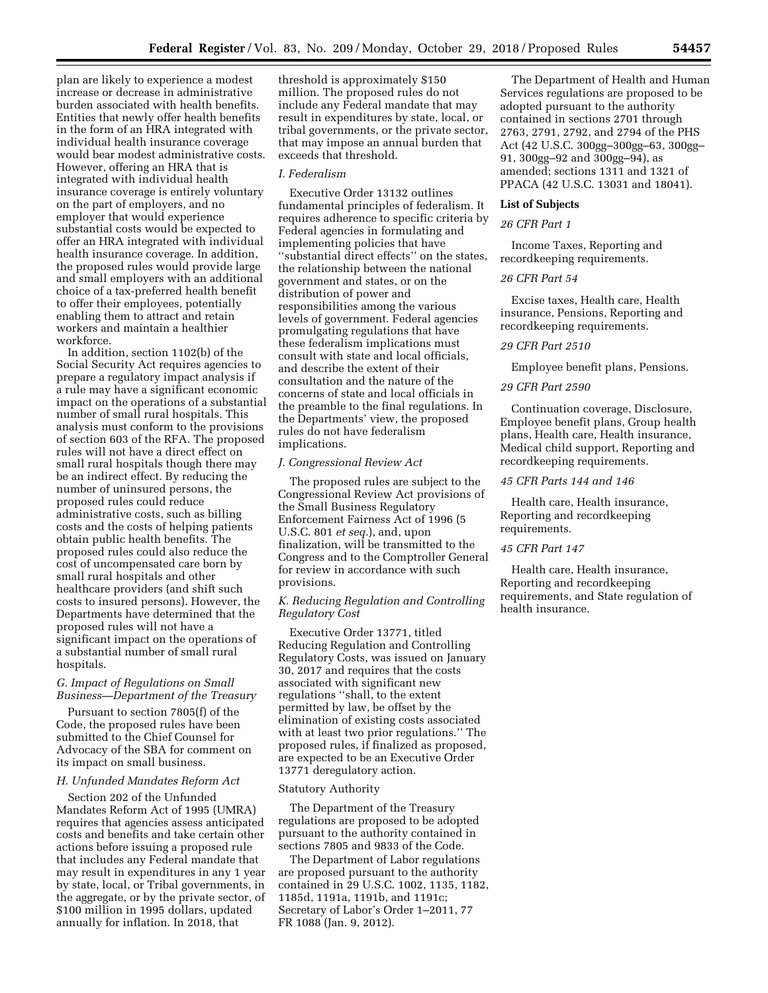plan are likely to experience a modest increase or decrease in administrative burden associated with health benefits. Entities that newly offer health benefits in the form of an HRA integrated with individual health insurance coverage would bear modest administrative costs. However, offering an HRA that is integrated with individual health insurance coverage is entirely voluntary on the part of employers, and no employer that would experience substantial costs would be expected to offer an HRA integrated with individual health insurance coverage. In addition, the proposed rules would provide large and small employers with an additional choice of a tax-preferred health benefit to offer their employees, potentially enabling them to attract and retain workers and maintain a healthier workforce.

In addition, section 1102(b) of the Social Security Act requires agencies to prepare a regulatory impact analysis if a rule may have a significant economic impact on the operations of a substantial number of small rural hospitals. This analysis must conform to the provisions of section 603 of the RFA. The proposed rules will not have a direct effect on small rural hospitals though there may be an indirect effect. By reducing the number of uninsured persons, the proposed rules could reduce administrative costs, such as billing costs and the costs of helping patients obtain public health benefits. The proposed rules could also reduce the cost of uncompensated care born by small rural hospitals and other healthcare providers (and shift such costs to insured persons). However, the Departments have determined that the proposed rules will not have a significant impact on the operations of a substantial number of small rural hospitals.

## *G. Impact of Regulations on Small Business—Department of the Treasury*

Pursuant to section 7805(f) of the Code, the proposed rules have been submitted to the Chief Counsel for Advocacy of the SBA for comment on its impact on small business.

#### *H. Unfunded Mandates Reform Act*

Section 202 of the Unfunded Mandates Reform Act of 1995 (UMRA) requires that agencies assess anticipated costs and benefits and take certain other actions before issuing a proposed rule that includes any Federal mandate that may result in expenditures in any 1 year by state, local, or Tribal governments, in the aggregate, or by the private sector, of \$100 million in 1995 dollars, updated annually for inflation. In 2018, that

threshold is approximately \$150 million. The proposed rules do not include any Federal mandate that may result in expenditures by state, local, or tribal governments, or the private sector, that may impose an annual burden that exceeds that threshold.

## *I. Federalism*

Executive Order 13132 outlines fundamental principles of federalism. It requires adherence to specific criteria by Federal agencies in formulating and implementing policies that have ''substantial direct effects'' on the states, the relationship between the national government and states, or on the distribution of power and responsibilities among the various levels of government. Federal agencies promulgating regulations that have these federalism implications must consult with state and local officials, and describe the extent of their consultation and the nature of the concerns of state and local officials in the preamble to the final regulations. In the Departments' view, the proposed rules do not have federalism implications.

#### *J. Congressional Review Act*

The proposed rules are subject to the Congressional Review Act provisions of the Small Business Regulatory Enforcement Fairness Act of 1996 (5 U.S.C. 801 *et seq.*), and, upon finalization, will be transmitted to the Congress and to the Comptroller General for review in accordance with such provisions.

## *K. Reducing Regulation and Controlling Regulatory Cost*

Executive Order 13771, titled Reducing Regulation and Controlling Regulatory Costs, was issued on January 30, 2017 and requires that the costs associated with significant new regulations ''shall, to the extent permitted by law, be offset by the elimination of existing costs associated with at least two prior regulations.'' The proposed rules, if finalized as proposed, are expected to be an Executive Order 13771 deregulatory action.

#### Statutory Authority

The Department of the Treasury regulations are proposed to be adopted pursuant to the authority contained in sections 7805 and 9833 of the Code.

The Department of Labor regulations are proposed pursuant to the authority contained in 29 U.S.C. 1002, 1135, 1182, 1185d, 1191a, 1191b, and 1191c; Secretary of Labor's Order 1–2011, 77 FR 1088 (Jan. 9, 2012).

The Department of Health and Human Services regulations are proposed to be adopted pursuant to the authority contained in sections 2701 through 2763, 2791, 2792, and 2794 of the PHS Act (42 U.S.C. 300gg–300gg–63, 300gg– 91, 300gg–92 and 300gg–94), as amended; sections 1311 and 1321 of PPACA (42 U.S.C. 13031 and 18041).

#### **List of Subjects**

#### *26 CFR Part 1*

Income Taxes, Reporting and recordkeeping requirements.

## *26 CFR Part 54*

Excise taxes, Health care, Health insurance, Pensions, Reporting and recordkeeping requirements.

#### *29 CFR Part 2510*

Employee benefit plans, Pensions.

#### *29 CFR Part 2590*

Continuation coverage, Disclosure, Employee benefit plans, Group health plans, Health care, Health insurance, Medical child support, Reporting and recordkeeping requirements.

#### *45 CFR Parts 144 and 146*

Health care, Health insurance, Reporting and recordkeeping requirements.

## *45 CFR Part 147*

Health care, Health insurance, Reporting and recordkeeping requirements, and State regulation of health insurance.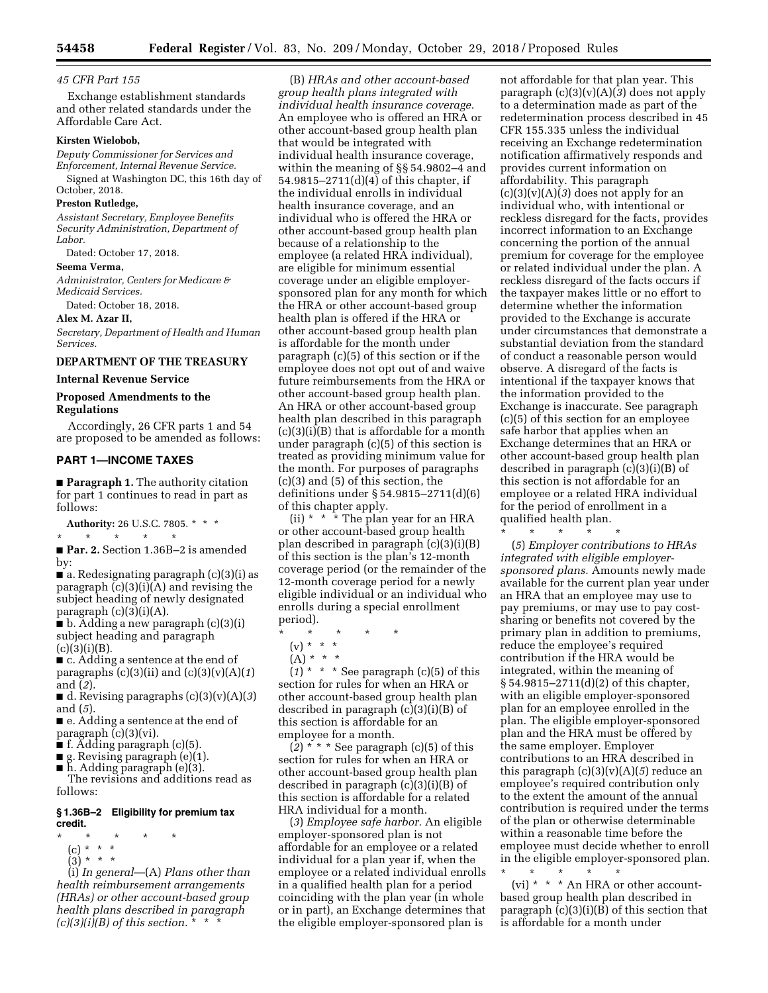*45 CFR Part 155* 

Exchange establishment standards and other related standards under the Affordable Care Act.

#### **Kirsten Wielobob,**

*Deputy Commissioner for Services and Enforcement, Internal Revenue Service.* 

Signed at Washington DC, this 16th day of October, 2018.

#### **Preston Rutledge,**

*Assistant Secretary, Employee Benefits Security Administration, Department of Labor.* 

Dated: October 17, 2018.

## **Seema Verma,**

*Administrator, Centers for Medicare & Medicaid Services.* 

Dated: October 18, 2018.

**Alex M. Azar II,** 

*Secretary, Department of Health and Human Services.* 

## **DEPARTMENT OF THE TREASURY**

**Internal Revenue Service** 

## **Proposed Amendments to the Regulations**

Accordingly, 26 CFR parts 1 and 54 are proposed to be amended as follows:

## **PART 1—INCOME TAXES**

■ **Paragraph 1.** The authority citation for part 1 continues to read in part as follows:

**Authority:** 26 U.S.C. 7805. \* \* \*

\* \* \* \* \*

■ **Par. 2.** Section 1.36B-2 is amended by:

■ a. Redesignating paragraph (c)(3)(i) as paragraph (c)(3)(i)(A) and revising the subject heading of newly designated paragraph  $(c)(3)(i)(A)$ .

■ b. Adding a new paragraph (c)(3)(i) subject heading and paragraph  $(c)(3)(i)(B).$ 

■ c. Adding a sentence at the end of paragraphs (c)(3)(ii) and (c)(3)(v)(A)(*1*) and (*2*).

■ d. Revising paragraphs (c)(3)(v)(A)(*3*) and (*5*).

■ e. Adding a sentence at the end of paragraph (c)(3)(vi).

- f. Adding paragraph (c)(5).
- g. Revising paragraph (e)(1).
- h. Adding paragraph (e)(3).

The revisions and additions read as follows:

## **§ 1.36B–2 Eligibility for premium tax credit.**

- \* \* \* \* \*
	- (c) \* \* \*
- $(3) * * * *$

(i) *In general*—(A) *Plans other than health reimbursement arrangements (HRAs) or other account-based group health plans described in paragraph*   $(c)(3)(i)(B)$  of this section.  $*$   $*$ 

(B) *HRAs and other account-based group health plans integrated with individual health insurance coverage.*  An employee who is offered an HRA or other account-based group health plan that would be integrated with individual health insurance coverage, within the meaning of §§ 54.9802–4 and 54.9815–2711(d)(4) of this chapter, if the individual enrolls in individual health insurance coverage, and an individual who is offered the HRA or other account-based group health plan because of a relationship to the employee (a related HRA individual), are eligible for minimum essential coverage under an eligible employersponsored plan for any month for which the HRA or other account-based group health plan is offered if the HRA or other account-based group health plan is affordable for the month under paragraph (c)(5) of this section or if the employee does not opt out of and waive future reimbursements from the HRA or other account-based group health plan. An HRA or other account-based group health plan described in this paragraph (c)(3)(i)(B) that is affordable for a month under paragraph (c)(5) of this section is treated as providing minimum value for the month. For purposes of paragraphs (c)(3) and (5) of this section, the definitions under § 54.9815–2711(d)(6) of this chapter apply.

(ii)  $* * *$  The plan year for an HRA or other account-based group health plan described in paragraph (c)(3)(i)(B) of this section is the plan's 12-month coverage period (or the remainder of the 12-month coverage period for a newly eligible individual or an individual who enrolls during a special enrollment period).

- \* \* \* \* \*
	- (v) \* \* \*
- $(A) * * * *$

 $(1)$ <sup>\*</sup> \* \* See paragraph (c)(5) of this section for rules for when an HRA or other account-based group health plan described in paragraph (c)(3)(i)(B) of this section is affordable for an employee for a month.

 $(2)$  \* \* \* See paragraph  $(c)(5)$  of this section for rules for when an HRA or other account-based group health plan described in paragraph (c)(3)(i)(B) of this section is affordable for a related HRA individual for a month.

(*3*) *Employee safe harbor.* An eligible employer-sponsored plan is not affordable for an employee or a related individual for a plan year if, when the employee or a related individual enrolls in a qualified health plan for a period coinciding with the plan year (in whole or in part), an Exchange determines that the eligible employer-sponsored plan is

not affordable for that plan year. This paragraph (c)(3)(v)(A)(*3*) does not apply to a determination made as part of the redetermination process described in 45 CFR 155.335 unless the individual receiving an Exchange redetermination notification affirmatively responds and provides current information on affordability. This paragraph (c)(3)(v)(A)(*3*) does not apply for an individual who, with intentional or reckless disregard for the facts, provides incorrect information to an Exchange concerning the portion of the annual premium for coverage for the employee or related individual under the plan. A reckless disregard of the facts occurs if the taxpayer makes little or no effort to determine whether the information provided to the Exchange is accurate under circumstances that demonstrate a substantial deviation from the standard of conduct a reasonable person would observe. A disregard of the facts is intentional if the taxpayer knows that the information provided to the Exchange is inaccurate. See paragraph (c)(5) of this section for an employee safe harbor that applies when an Exchange determines that an HRA or other account-based group health plan described in paragraph (c)(3)(i)(B) of this section is not affordable for an employee or a related HRA individual for the period of enrollment in a qualified health plan.

\* \* \* \* \*

(*5*) *Employer contributions to HRAs integrated with eligible employersponsored plans.* Amounts newly made available for the current plan year under an HRA that an employee may use to pay premiums, or may use to pay costsharing or benefits not covered by the primary plan in addition to premiums, reduce the employee's required contribution if the HRA would be integrated, within the meaning of § 54.9815–2711(d)(2) of this chapter, with an eligible employer-sponsored plan for an employee enrolled in the plan. The eligible employer-sponsored plan and the HRA must be offered by the same employer. Employer contributions to an HRA described in this paragraph (c)(3)(v)(A)(*5*) reduce an employee's required contribution only to the extent the amount of the annual contribution is required under the terms of the plan or otherwise determinable within a reasonable time before the employee must decide whether to enroll in the eligible employer-sponsored plan.

\* \* \* \* \* (vi) \* \* \* An HRA or other accountbased group health plan described in paragraph  $(c)(3)(i)(B)$  of this section that is affordable for a month under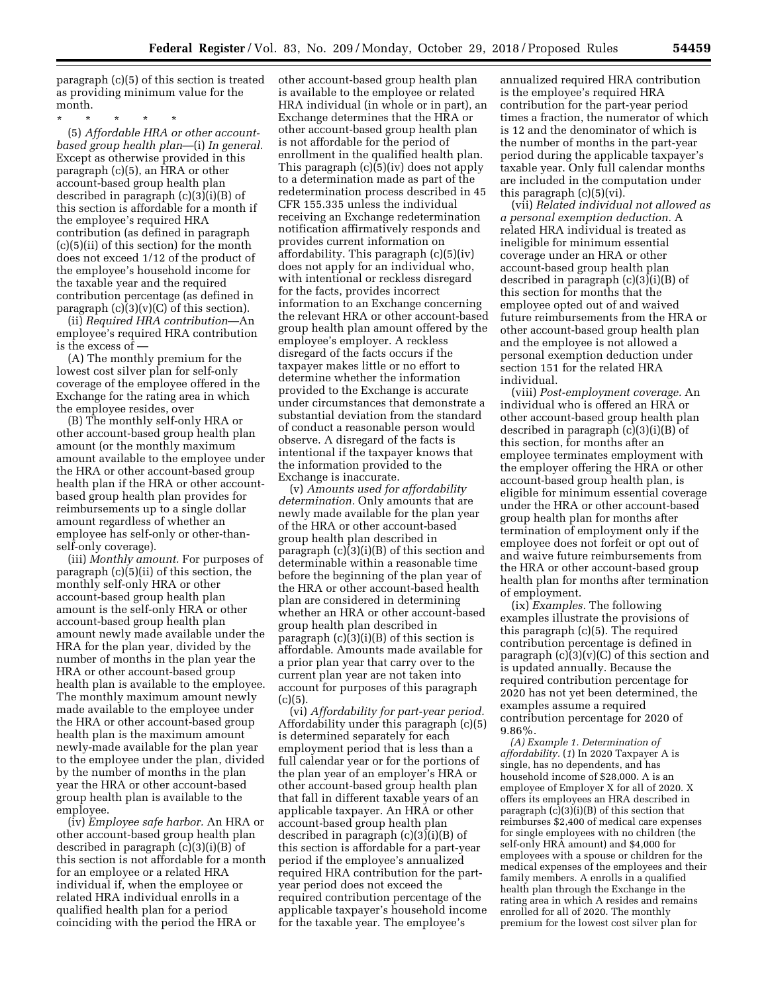paragraph (c)(5) of this section is treated as providing minimum value for the month.

\* \* \* \* \*

(5) *Affordable HRA or other accountbased group health plan*—(i) *In general.*  Except as otherwise provided in this paragraph (c)(5), an HRA or other account-based group health plan described in paragraph (c)(3)(i)(B) of this section is affordable for a month if the employee's required HRA contribution (as defined in paragraph (c)(5)(ii) of this section) for the month does not exceed 1/12 of the product of the employee's household income for the taxable year and the required contribution percentage (as defined in paragraph  $(c)(3)(v)(C)$  of this section).

(ii) *Required HRA contribution*—An employee's required HRA contribution is the excess of —

(A) The monthly premium for the lowest cost silver plan for self-only coverage of the employee offered in the Exchange for the rating area in which the employee resides, over

(B) The monthly self-only HRA or other account-based group health plan amount (or the monthly maximum amount available to the employee under the HRA or other account-based group health plan if the HRA or other accountbased group health plan provides for reimbursements up to a single dollar amount regardless of whether an employee has self-only or other-thanself-only coverage).

(iii) *Monthly amount.* For purposes of paragraph (c)(5)(ii) of this section, the monthly self-only HRA or other account-based group health plan amount is the self-only HRA or other account-based group health plan amount newly made available under the HRA for the plan year, divided by the number of months in the plan year the HRA or other account-based group health plan is available to the employee. The monthly maximum amount newly made available to the employee under the HRA or other account-based group health plan is the maximum amount newly-made available for the plan year to the employee under the plan, divided by the number of months in the plan year the HRA or other account-based group health plan is available to the employee.

(iv) *Employee safe harbor.* An HRA or other account-based group health plan described in paragraph (c)(3)(i)(B) of this section is not affordable for a month for an employee or a related HRA individual if, when the employee or related HRA individual enrolls in a qualified health plan for a period coinciding with the period the HRA or

other account-based group health plan is available to the employee or related HRA individual (in whole or in part), an Exchange determines that the HRA or other account-based group health plan is not affordable for the period of enrollment in the qualified health plan. This paragraph (c)(5)(iv) does not apply to a determination made as part of the redetermination process described in 45 CFR 155.335 unless the individual receiving an Exchange redetermination notification affirmatively responds and provides current information on affordability. This paragraph (c)(5)(iv) does not apply for an individual who, with intentional or reckless disregard for the facts, provides incorrect information to an Exchange concerning the relevant HRA or other account-based group health plan amount offered by the employee's employer. A reckless disregard of the facts occurs if the taxpayer makes little or no effort to determine whether the information provided to the Exchange is accurate under circumstances that demonstrate a substantial deviation from the standard of conduct a reasonable person would observe. A disregard of the facts is intentional if the taxpayer knows that the information provided to the Exchange is inaccurate.

(v) *Amounts used for affordability determination.* Only amounts that are newly made available for the plan year of the HRA or other account-based group health plan described in paragraph (c)(3)(i)(B) of this section and determinable within a reasonable time before the beginning of the plan year of the HRA or other account-based health plan are considered in determining whether an HRA or other account-based group health plan described in paragraph (c)(3)(i)(B) of this section is affordable. Amounts made available for a prior plan year that carry over to the current plan year are not taken into account for purposes of this paragraph  $(c)(5)$ .

(vi) *Affordability for part-year period.*  Affordability under this paragraph (c)(5) is determined separately for each employment period that is less than a full calendar year or for the portions of the plan year of an employer's HRA or other account-based group health plan that fall in different taxable years of an applicable taxpayer. An HRA or other account-based group health plan described in paragraph (c)(3)(i)(B) of this section is affordable for a part-year period if the employee's annualized required HRA contribution for the partyear period does not exceed the required contribution percentage of the applicable taxpayer's household income for the taxable year. The employee's

annualized required HRA contribution is the employee's required HRA contribution for the part-year period times a fraction, the numerator of which is 12 and the denominator of which is the number of months in the part-year period during the applicable taxpayer's taxable year. Only full calendar months are included in the computation under this paragraph  $(c)(5)(vi)$ .

(vii) *Related individual not allowed as a personal exemption deduction.* A related HRA individual is treated as ineligible for minimum essential coverage under an HRA or other account-based group health plan described in paragraph (c)(3)(i)(B) of this section for months that the employee opted out of and waived future reimbursements from the HRA or other account-based group health plan and the employee is not allowed a personal exemption deduction under section 151 for the related HRA individual.

(viii) *Post-employment coverage.* An individual who is offered an HRA or other account-based group health plan described in paragraph (c)(3)(i)(B) of this section, for months after an employee terminates employment with the employer offering the HRA or other account-based group health plan, is eligible for minimum essential coverage under the HRA or other account-based group health plan for months after termination of employment only if the employee does not forfeit or opt out of and waive future reimbursements from the HRA or other account-based group health plan for months after termination of employment.

(ix) *Examples.* The following examples illustrate the provisions of this paragraph (c)(5). The required contribution percentage is defined in paragraph  $(c)(3)(v)(C)$  of this section and is updated annually. Because the required contribution percentage for 2020 has not yet been determined, the examples assume a required contribution percentage for 2020 of 9.86%.

*(A) Example 1. Determination of affordability.* (*1*) In 2020 Taxpayer A is single, has no dependents, and has household income of \$28,000. A is an employee of Employer X for all of 2020. X offers its employees an HRA described in paragraph  $(c)(3)(i)(B)$  of this section that reimburses \$2,400 of medical care expenses for single employees with no children (the self-only HRA amount) and \$4,000 for employees with a spouse or children for the medical expenses of the employees and their family members. A enrolls in a qualified health plan through the Exchange in the rating area in which A resides and remains enrolled for all of 2020. The monthly premium for the lowest cost silver plan for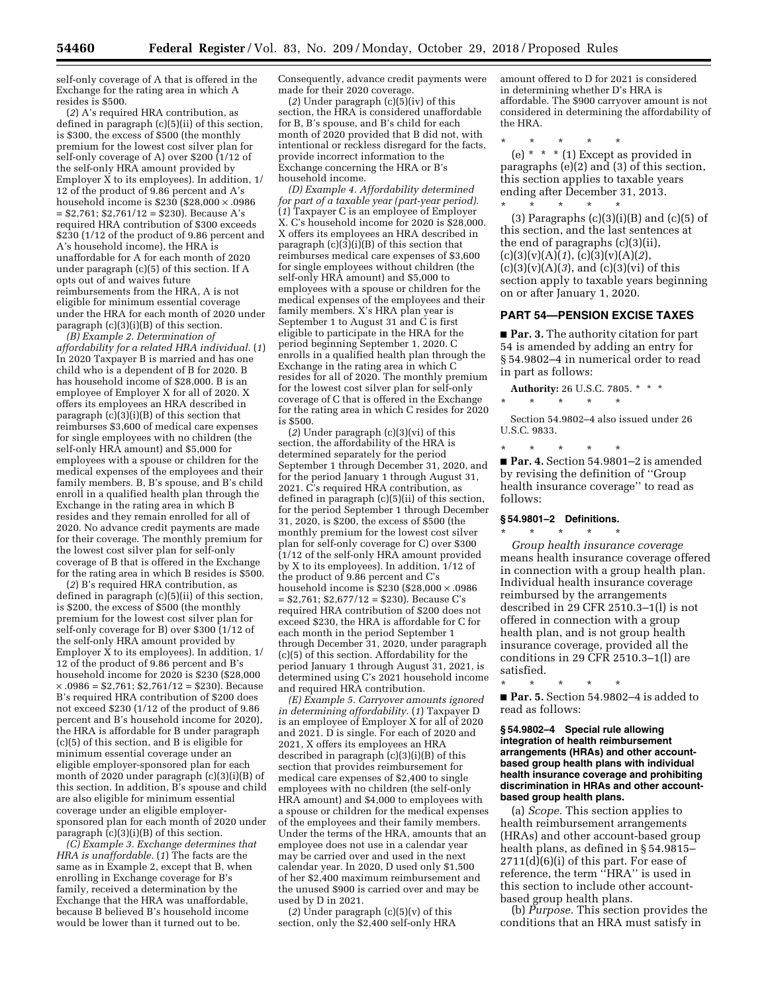self-only coverage of A that is offered in the Exchange for the rating area in which A resides is \$500.

(*2*) A's required HRA contribution, as defined in paragraph (c)(5)(ii) of this section, is \$300, the excess of \$500 (the monthly premium for the lowest cost silver plan for self-only coverage of A) over \$200 (1/12 of the self-only HRA amount provided by Employer X to its employees). In addition, 1/ 12 of the product of 9.86 percent and A's household income is  $$230$  ( $$28,000 \times .0986$  $= $2,761; $2,761/12 = $230$ . Because A's required HRA contribution of \$300 exceeds \$230 (1/12 of the product of 9.86 percent and A's household income), the HRA is unaffordable for A for each month of 2020 under paragraph (c)(5) of this section. If A opts out of and waives future reimbursements from the HRA, A is not eligible for minimum essential coverage under the HRA for each month of 2020 under paragraph (c)(3)(i)(B) of this section.

*(B) Example 2. Determination of affordability for a related HRA individual.* (*1*) In 2020 Taxpayer B is married and has one child who is a dependent of B for 2020. B has household income of \$28,000. B is an employee of Employer X for all of 2020. X offers its employees an HRA described in paragraph (c)(3)(i)(B) of this section that reimburses \$3,600 of medical care expenses for single employees with no children (the self-only HRA amount) and \$5,000 for employees with a spouse or children for the medical expenses of the employees and their family members. B, B's spouse, and B's child enroll in a qualified health plan through the Exchange in the rating area in which B resides and they remain enrolled for all of 2020. No advance credit payments are made for their coverage. The monthly premium for the lowest cost silver plan for self-only coverage of B that is offered in the Exchange for the rating area in which B resides is \$500.

(*2*) B's required HRA contribution, as defined in paragraph (c)(5)(ii) of this section, is \$200, the excess of \$500 (the monthly premium for the lowest cost silver plan for self-only coverage for B) over \$300 (1/12 of the self-only HRA amount provided by Employer X to its employees). In addition, 1/ 12 of the product of 9.86 percent and B's household income for 2020 is \$230 (\$28,000  $\times$ ,0986 = \$2,761; \$2,761/12 = \$230). Because B's required HRA contribution of \$200 does not exceed \$230 (1/12 of the product of 9.86 percent and B's household income for 2020), the HRA is affordable for B under paragraph (c)(5) of this section, and B is eligible for minimum essential coverage under an eligible employer-sponsored plan for each month of 2020 under paragraph (c)(3)(i)(B) of this section. In addition, B's spouse and child are also eligible for minimum essential coverage under an eligible employersponsored plan for each month of 2020 under paragraph (c)(3)(i)(B) of this section.

*(C) Example 3. Exchange determines that HRA is unaffordable.* (*1*) The facts are the same as in Example 2, except that B, when enrolling in Exchange coverage for B's family, received a determination by the Exchange that the HRA was unaffordable, because B believed B's household income would be lower than it turned out to be.

Consequently, advance credit payments were made for their 2020 coverage.

(2) Under paragraph  $(c)(5)(iv)$  of this section, the HRA is considered unaffordable for B, B's spouse, and B's child for each month of 2020 provided that B did not, with intentional or reckless disregard for the facts, provide incorrect information to the Exchange concerning the HRA or B's household income.

*(D) Example 4. Affordability determined for part of a taxable year (part-year period).*  (*1*) Taxpayer C is an employee of Employer X. C's household income for 2020 is \$28,000. X offers its employees an HRA described in paragraph  $(c)(3)(i)(B)$  of this section that reimburses medical care expenses of \$3,600 for single employees without children (the self-only HRA amount) and \$5,000 to employees with a spouse or children for the medical expenses of the employees and their family members. X's HRA plan year is September 1 to August 31 and C is first eligible to participate in the HRA for the period beginning September 1, 2020. C enrolls in a qualified health plan through the Exchange in the rating area in which C resides for all of 2020. The monthly premium for the lowest cost silver plan for self-only coverage of C that is offered in the Exchange for the rating area in which C resides for 2020 is \$500.

(*2*) Under paragraph (c)(3)(vi) of this section, the affordability of the HRA is determined separately for the period September 1 through December 31, 2020, and for the period January 1 through August 31, 2021. C's required HRA contribution, as defined in paragraph (c)(5)(ii) of this section, for the period September 1 through December 31, 2020, is \$200, the excess of \$500 (the monthly premium for the lowest cost silver plan for self-only coverage for C) over \$300 (1/12 of the self-only HRA amount provided by X to its employees). In addition, 1/12 of the product of 9.86 percent and C's household income is \$230 (\$28,000 × .0986  $=$  \$2,761; \$2,677/12 = \$230). Because C's required HRA contribution of \$200 does not exceed \$230, the HRA is affordable for C for each month in the period September 1 through December 31, 2020, under paragraph (c)(5) of this section. Affordability for the period January 1 through August 31, 2021, is determined using C's 2021 household income and required HRA contribution.

*(E) Example 5. Carryover amounts ignored in determining affordability.* (*1*) Taxpayer D is an employee of Employer X for all of 2020 and 2021. D is single. For each of 2020 and 2021, X offers its employees an HRA described in paragraph (c)(3)(i)(B) of this section that provides reimbursement for medical care expenses of \$2,400 to single employees with no children (the self-only HRA amount) and \$4,000 to employees with a spouse or children for the medical expenses of the employees and their family members. Under the terms of the HRA, amounts that an employee does not use in a calendar year may be carried over and used in the next calendar year. In 2020, D used only \$1,500 of her \$2,400 maximum reimbursement and the unused \$900 is carried over and may be used by D in 2021.

(2) Under paragraph  $(c)(5)(v)$  of this section, only the \$2,400 self-only HRA amount offered to D for 2021 is considered in determining whether D's HRA is affordable. The \$900 carryover amount is not considered in determining the affordability of the HRA.

\* \* \* \* \*

\* \* \* \* \*

(e) \* \* \* (1) Except as provided in paragraphs (e)(2) and (3) of this section, this section applies to taxable years ending after December 31, 2013.

(3) Paragraphs  $(c)(3)(i)(B)$  and  $(c)(5)$  of this section, and the last sentences at the end of paragraphs (c)(3)(ii), (c)(3)(v)(A)(*1*), (c)(3)(v)(A)(*2*),  $(c)(3)(v)(A)(3)$ , and  $(c)(3)(vi)$  of this section apply to taxable years beginning on or after January 1, 2020.

#### **PART 54—PENSION EXCISE TAXES**

■ **Par. 3.** The authority citation for part 54 is amended by adding an entry for § 54.9802–4 in numerical order to read in part as follows:

- **Authority:** 26 U.S.C. 7805. \* \* \*
- \* \* \* \* \*

Section 54.9802–4 also issued under 26 U.S.C. 9833.

\* \* \* \* \* ■ **Par. 4.** Section 54.9801–2 is amended by revising the definition of ''Group health insurance coverage'' to read as follows:

## **§ 54.9801–2 Definitions.**

\* \* \* \* \* *Group health insurance coverage*  means health insurance coverage offered in connection with a group health plan. Individual health insurance coverage reimbursed by the arrangements described in 29 CFR 2510.3–1(l) is not offered in connection with a group health plan, and is not group health insurance coverage, provided all the conditions in 29 CFR 2510.3–1(l) are satisfied.

\* \* \* \* \* ■ **Par. 5.** Section 54.9802–4 is added to read as follows:

#### **§ 54.9802–4 Special rule allowing integration of health reimbursement arrangements (HRAs) and other accountbased group health plans with individual health insurance coverage and prohibiting discrimination in HRAs and other accountbased group health plans.**

(a) *Scope.* This section applies to health reimbursement arrangements (HRAs) and other account-based group health plans, as defined in § 54.9815–  $2711(d)(6)(i)$  of this part. For ease of reference, the term ''HRA'' is used in this section to include other accountbased group health plans.

(b) *Purpose.* This section provides the conditions that an HRA must satisfy in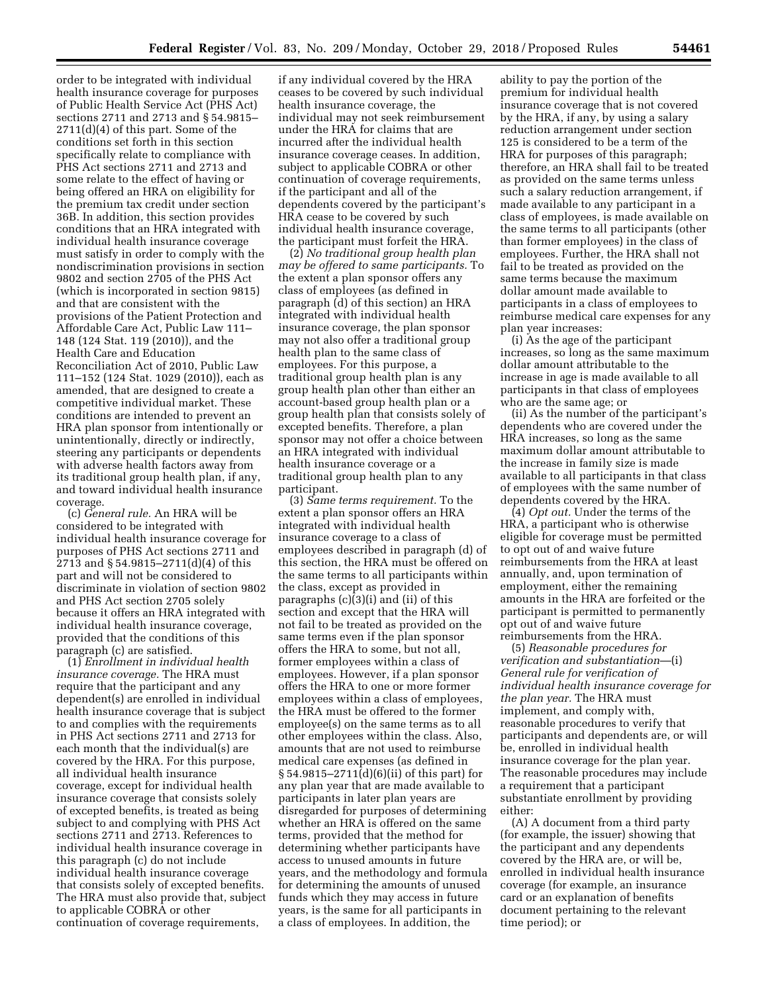order to be integrated with individual health insurance coverage for purposes of Public Health Service Act (PHS Act) sections 2711 and 2713 and § 54.9815– 2711(d)(4) of this part. Some of the conditions set forth in this section specifically relate to compliance with PHS Act sections 2711 and 2713 and some relate to the effect of having or being offered an HRA on eligibility for the premium tax credit under section 36B. In addition, this section provides conditions that an HRA integrated with individual health insurance coverage must satisfy in order to comply with the nondiscrimination provisions in section 9802 and section 2705 of the PHS Act (which is incorporated in section 9815) and that are consistent with the provisions of the Patient Protection and Affordable Care Act, Public Law 111– 148 (124 Stat. 119 (2010)), and the Health Care and Education Reconciliation Act of 2010, Public Law 111–152 (124 Stat. 1029 (2010)), each as amended, that are designed to create a competitive individual market. These conditions are intended to prevent an HRA plan sponsor from intentionally or unintentionally, directly or indirectly, steering any participants or dependents with adverse health factors away from its traditional group health plan, if any, and toward individual health insurance coverage.

(c) *General rule.* An HRA will be considered to be integrated with individual health insurance coverage for purposes of PHS Act sections 2711 and 2713 and § 54.9815–2711(d)(4) of this part and will not be considered to discriminate in violation of section 9802 and PHS Act section 2705 solely because it offers an HRA integrated with individual health insurance coverage, provided that the conditions of this paragraph (c) are satisfied.

(1) *Enrollment in individual health insurance coverage.* The HRA must require that the participant and any dependent(s) are enrolled in individual health insurance coverage that is subject to and complies with the requirements in PHS Act sections 2711 and 2713 for each month that the individual(s) are covered by the HRA. For this purpose, all individual health insurance coverage, except for individual health insurance coverage that consists solely of excepted benefits, is treated as being subject to and complying with PHS Act sections 2711 and 2713. References to individual health insurance coverage in this paragraph (c) do not include individual health insurance coverage that consists solely of excepted benefits. The HRA must also provide that, subject to applicable COBRA or other continuation of coverage requirements,

if any individual covered by the HRA ceases to be covered by such individual health insurance coverage, the individual may not seek reimbursement under the HRA for claims that are incurred after the individual health insurance coverage ceases. In addition, subject to applicable COBRA or other continuation of coverage requirements, if the participant and all of the dependents covered by the participant's HRA cease to be covered by such individual health insurance coverage, the participant must forfeit the HRA.

(2) *No traditional group health plan may be offered to same participants.* To the extent a plan sponsor offers any class of employees (as defined in paragraph (d) of this section) an HRA integrated with individual health insurance coverage, the plan sponsor may not also offer a traditional group health plan to the same class of employees. For this purpose, a traditional group health plan is any group health plan other than either an account-based group health plan or a group health plan that consists solely of excepted benefits. Therefore, a plan sponsor may not offer a choice between an HRA integrated with individual health insurance coverage or a traditional group health plan to any participant.

(3) *Same terms requirement.* To the extent a plan sponsor offers an HRA integrated with individual health insurance coverage to a class of employees described in paragraph (d) of this section, the HRA must be offered on the same terms to all participants within the class, except as provided in paragraphs (c)(3)(i) and (ii) of this section and except that the HRA will not fail to be treated as provided on the same terms even if the plan sponsor offers the HRA to some, but not all, former employees within a class of employees. However, if a plan sponsor offers the HRA to one or more former employees within a class of employees, the HRA must be offered to the former employee(s) on the same terms as to all other employees within the class. Also, amounts that are not used to reimburse medical care expenses (as defined in § 54.9815–2711(d)(6)(ii) of this part) for any plan year that are made available to participants in later plan years are disregarded for purposes of determining whether an HRA is offered on the same terms, provided that the method for determining whether participants have access to unused amounts in future years, and the methodology and formula for determining the amounts of unused funds which they may access in future years, is the same for all participants in a class of employees. In addition, the

ability to pay the portion of the premium for individual health insurance coverage that is not covered by the HRA, if any, by using a salary reduction arrangement under section 125 is considered to be a term of the HRA for purposes of this paragraph; therefore, an HRA shall fail to be treated as provided on the same terms unless such a salary reduction arrangement, if made available to any participant in a class of employees, is made available on the same terms to all participants (other than former employees) in the class of employees. Further, the HRA shall not fail to be treated as provided on the same terms because the maximum dollar amount made available to participants in a class of employees to reimburse medical care expenses for any plan year increases:

(i) As the age of the participant increases, so long as the same maximum dollar amount attributable to the increase in age is made available to all participants in that class of employees who are the same age; or

(ii) As the number of the participant's dependents who are covered under the HRA increases, so long as the same maximum dollar amount attributable to the increase in family size is made available to all participants in that class of employees with the same number of dependents covered by the HRA.

(4) *Opt out.* Under the terms of the HRA, a participant who is otherwise eligible for coverage must be permitted to opt out of and waive future reimbursements from the HRA at least annually, and, upon termination of employment, either the remaining amounts in the HRA are forfeited or the participant is permitted to permanently opt out of and waive future reimbursements from the HRA.

(5) *Reasonable procedures for verification and substantiation*—(i) *General rule for verification of individual health insurance coverage for the plan year.* The HRA must implement, and comply with, reasonable procedures to verify that participants and dependents are, or will be, enrolled in individual health insurance coverage for the plan year. The reasonable procedures may include a requirement that a participant substantiate enrollment by providing either:

(A) A document from a third party (for example, the issuer) showing that the participant and any dependents covered by the HRA are, or will be, enrolled in individual health insurance coverage (for example, an insurance card or an explanation of benefits document pertaining to the relevant time period); or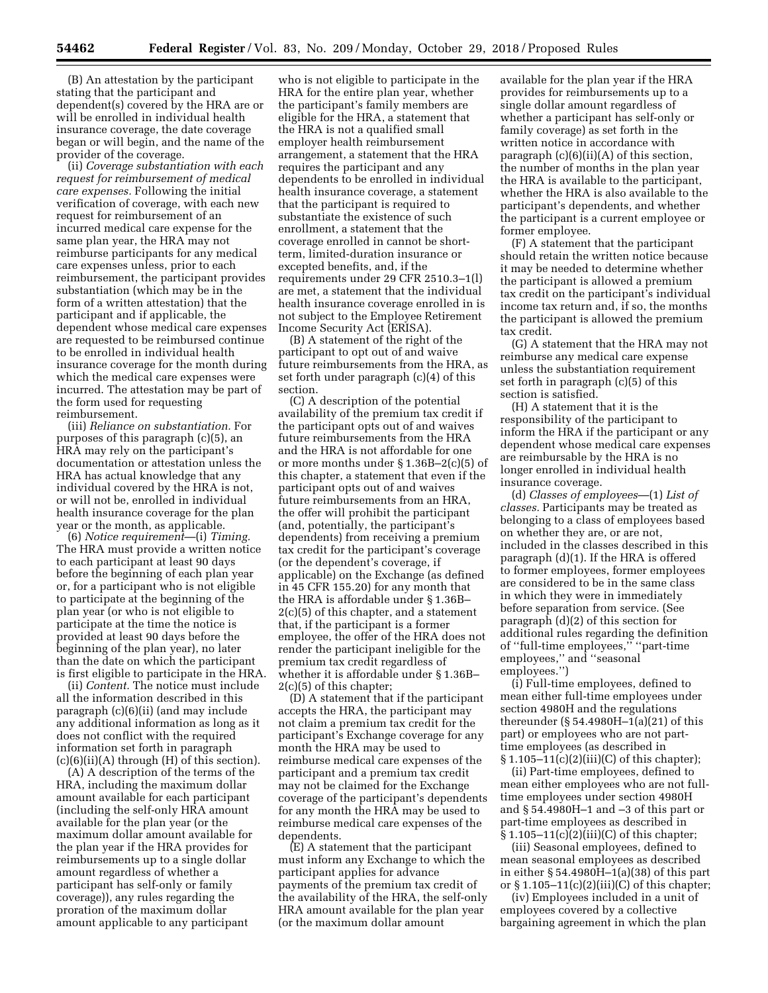(B) An attestation by the participant stating that the participant and dependent(s) covered by the HRA are or will be enrolled in individual health insurance coverage, the date coverage began or will begin, and the name of the provider of the coverage.

(ii) *Coverage substantiation with each request for reimbursement of medical care expenses.* Following the initial verification of coverage, with each new request for reimbursement of an incurred medical care expense for the same plan year, the HRA may not reimburse participants for any medical care expenses unless, prior to each reimbursement, the participant provides substantiation (which may be in the form of a written attestation) that the participant and if applicable, the dependent whose medical care expenses are requested to be reimbursed continue to be enrolled in individual health insurance coverage for the month during which the medical care expenses were incurred. The attestation may be part of the form used for requesting reimbursement.

(iii) *Reliance on substantiation.* For purposes of this paragraph (c)(5), an HRA may rely on the participant's documentation or attestation unless the HRA has actual knowledge that any individual covered by the HRA is not, or will not be, enrolled in individual health insurance coverage for the plan year or the month, as applicable.

(6) *Notice requirement*—(i) *Timing.*  The HRA must provide a written notice to each participant at least 90 days before the beginning of each plan year or, for a participant who is not eligible to participate at the beginning of the plan year (or who is not eligible to participate at the time the notice is provided at least 90 days before the beginning of the plan year), no later than the date on which the participant is first eligible to participate in the HRA.

(ii) *Content.* The notice must include all the information described in this paragraph (c)(6)(ii) (and may include any additional information as long as it does not conflict with the required information set forth in paragraph  $(c)(6)(ii)(A)$  through  $(H)$  of this section).

(A) A description of the terms of the HRA, including the maximum dollar amount available for each participant (including the self-only HRA amount available for the plan year (or the maximum dollar amount available for the plan year if the HRA provides for reimbursements up to a single dollar amount regardless of whether a participant has self-only or family coverage)), any rules regarding the proration of the maximum dollar amount applicable to any participant

who is not eligible to participate in the HRA for the entire plan year, whether the participant's family members are eligible for the HRA, a statement that the HRA is not a qualified small employer health reimbursement arrangement, a statement that the HRA requires the participant and any dependents to be enrolled in individual health insurance coverage, a statement that the participant is required to substantiate the existence of such enrollment, a statement that the coverage enrolled in cannot be shortterm, limited-duration insurance or excepted benefits, and, if the requirements under 29 CFR 2510.3–1(l) are met, a statement that the individual health insurance coverage enrolled in is not subject to the Employee Retirement Income Security Act (ERISA).

(B) A statement of the right of the participant to opt out of and waive future reimbursements from the HRA, as set forth under paragraph (c)(4) of this section.

(C) A description of the potential availability of the premium tax credit if the participant opts out of and waives future reimbursements from the HRA and the HRA is not affordable for one or more months under § 1.36B–2(c)(5) of this chapter, a statement that even if the participant opts out of and waives future reimbursements from an HRA, the offer will prohibit the participant (and, potentially, the participant's dependents) from receiving a premium tax credit for the participant's coverage (or the dependent's coverage, if applicable) on the Exchange (as defined in 45 CFR 155.20) for any month that the HRA is affordable under § 1.36B– 2(c)(5) of this chapter, and a statement that, if the participant is a former employee, the offer of the HRA does not render the participant ineligible for the premium tax credit regardless of whether it is affordable under § 1.36B– 2(c)(5) of this chapter;

(D) A statement that if the participant accepts the HRA, the participant may not claim a premium tax credit for the participant's Exchange coverage for any month the HRA may be used to reimburse medical care expenses of the participant and a premium tax credit may not be claimed for the Exchange coverage of the participant's dependents for any month the HRA may be used to reimburse medical care expenses of the dependents.

(E) A statement that the participant must inform any Exchange to which the participant applies for advance payments of the premium tax credit of the availability of the HRA, the self-only HRA amount available for the plan year (or the maximum dollar amount

available for the plan year if the HRA provides for reimbursements up to a single dollar amount regardless of whether a participant has self-only or family coverage) as set forth in the written notice in accordance with paragraph  $(c)(6)(ii)(A)$  of this section, the number of months in the plan year the HRA is available to the participant, whether the HRA is also available to the participant's dependents, and whether the participant is a current employee or former employee.

(F) A statement that the participant should retain the written notice because it may be needed to determine whether the participant is allowed a premium tax credit on the participant's individual income tax return and, if so, the months the participant is allowed the premium tax credit.

(G) A statement that the HRA may not reimburse any medical care expense unless the substantiation requirement set forth in paragraph (c)(5) of this section is satisfied.

(H) A statement that it is the responsibility of the participant to inform the HRA if the participant or any dependent whose medical care expenses are reimbursable by the HRA is no longer enrolled in individual health insurance coverage.

(d) *Classes of employees*—(1) *List of classes.* Participants may be treated as belonging to a class of employees based on whether they are, or are not, included in the classes described in this paragraph (d)(1). If the HRA is offered to former employees, former employees are considered to be in the same class in which they were in immediately before separation from service. (See paragraph (d)(2) of this section for additional rules regarding the definition of ''full-time employees,'' ''part-time employees,'' and ''seasonal employees.'')

(i) Full-time employees, defined to mean either full-time employees under section 4980H and the regulations thereunder (§ 54.4980H–1(a)(21) of this part) or employees who are not parttime employees (as described in § 1.105–11(c)(2)(iii)(C) of this chapter);

(ii) Part-time employees, defined to mean either employees who are not fulltime employees under section 4980H and § 54.4980H–1 and –3 of this part or part-time employees as described in § 1.105–11(c)(2)(iii)(C) of this chapter;

(iii) Seasonal employees, defined to mean seasonal employees as described in either § 54.4980H–1(a)(38) of this part or  $\S 1.105-11(c)(2)(iii)(C)$  of this chapter;

(iv) Employees included in a unit of employees covered by a collective bargaining agreement in which the plan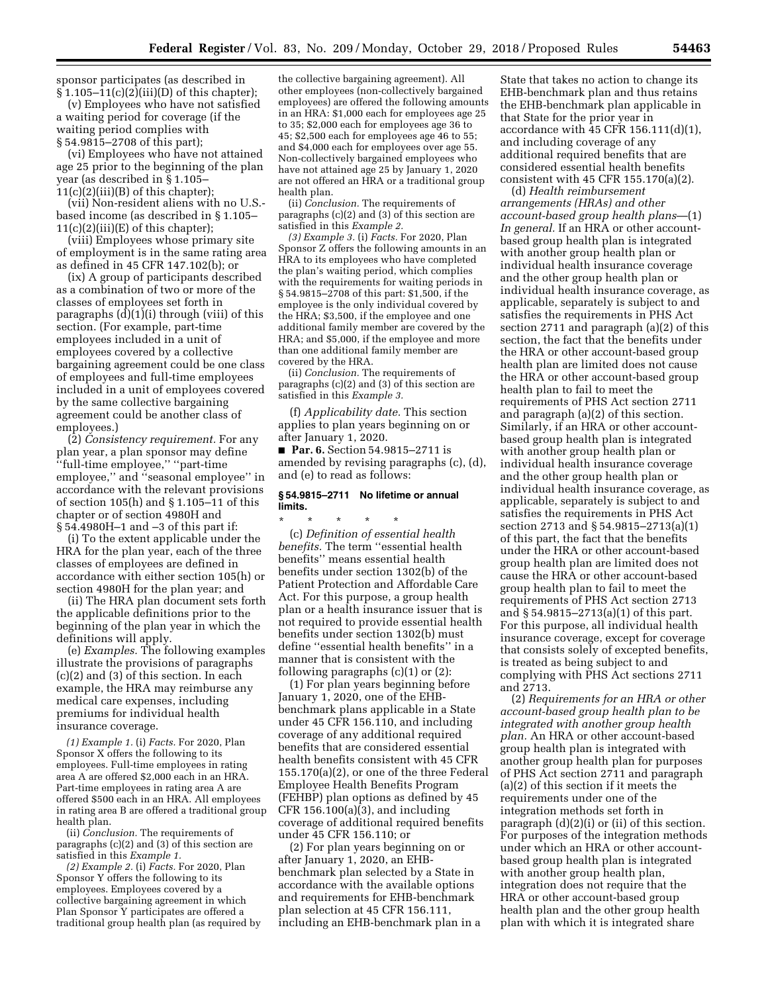sponsor participates (as described in § 1.105–11(c)(2)(iii)(D) of this chapter);

(v) Employees who have not satisfied a waiting period for coverage (if the waiting period complies with § 54.9815–2708 of this part);

(vi) Employees who have not attained age 25 prior to the beginning of the plan year (as described in § 1.105–  $11(c)(2)(iii)(B)$  of this chapter);

(vii) Non-resident aliens with no U.S. based income (as described in § 1.105–  $11(c)(2)(iii)(E)$  of this chapter);

(viii) Employees whose primary site of employment is in the same rating area as defined in 45 CFR 147.102(b); or

(ix) A group of participants described as a combination of two or more of the classes of employees set forth in paragraphs (d)(1)(i) through (viii) of this section. (For example, part-time employees included in a unit of employees covered by a collective bargaining agreement could be one class of employees and full-time employees included in a unit of employees covered by the same collective bargaining agreement could be another class of employees.)

(2) *Consistency requirement.* For any plan year, a plan sponsor may define 'full-time employee," "part-time employee,'' and ''seasonal employee'' in accordance with the relevant provisions of section 105(h) and § 1.105–11 of this chapter or of section 4980H and § 54.4980H–1 and –3 of this part if:

(i) To the extent applicable under the HRA for the plan year, each of the three classes of employees are defined in accordance with either section 105(h) or section 4980H for the plan year; and

(ii) The HRA plan document sets forth the applicable definitions prior to the beginning of the plan year in which the definitions will apply.

(e) *Examples.* The following examples illustrate the provisions of paragraphs (c)(2) and (3) of this section. In each example, the HRA may reimburse any medical care expenses, including premiums for individual health insurance coverage.

*(1) Example 1.* (i) *Facts.* For 2020, Plan Sponsor X offers the following to its employees. Full-time employees in rating area A are offered \$2,000 each in an HRA. Part-time employees in rating area A are offered \$500 each in an HRA. All employees in rating area B are offered a traditional group health plan.

(ii) *Conclusion.* The requirements of paragraphs (c)(2) and (3) of this section are satisfied in this *Example 1.* 

*(2) Example 2.* (i) *Facts.* For 2020, Plan Sponsor Y offers the following to its employees. Employees covered by a collective bargaining agreement in which Plan Sponsor Y participates are offered a traditional group health plan (as required by

the collective bargaining agreement). All other employees (non-collectively bargained employees) are offered the following amounts in an HRA: \$1,000 each for employees age 25 to 35; \$2,000 each for employees age 36 to 45; \$2,500 each for employees age 46 to 55; and \$4,000 each for employees over age 55. Non-collectively bargained employees who have not attained age 25 by January 1, 2020 are not offered an HRA or a traditional group health plan.

(ii) *Conclusion.* The requirements of paragraphs (c)(2) and (3) of this section are satisfied in this *Example 2.* 

*(3) Example 3.* (i) *Facts.* For 2020, Plan Sponsor Z offers the following amounts in an HRA to its employees who have completed the plan's waiting period, which complies with the requirements for waiting periods in § 54.9815–2708 of this part: \$1,500, if the employee is the only individual covered by the HRA; \$3,500, if the employee and one additional family member are covered by the HRA; and \$5,000, if the employee and more than one additional family member are covered by the HRA.

(ii) *Conclusion.* The requirements of paragraphs (c)(2) and (3) of this section are satisfied in this *Example 3.* 

(f) *Applicability date.* This section applies to plan years beginning on or after January 1, 2020.

■ **Par. 6.** Section 54.9815–2711 is amended by revising paragraphs (c), (d), and (e) to read as follows:

## **§ 54.9815–2711 No lifetime or annual limits.**

\* \* \* \* \*

(c) *Definition of essential health benefits.* The term ''essential health benefits'' means essential health benefits under section 1302(b) of the Patient Protection and Affordable Care Act. For this purpose, a group health plan or a health insurance issuer that is not required to provide essential health benefits under section 1302(b) must define ''essential health benefits'' in a manner that is consistent with the following paragraphs  $(c)(1)$  or  $(2)$ :

(1) For plan years beginning before January 1, 2020, one of the EHBbenchmark plans applicable in a State under 45 CFR 156.110, and including coverage of any additional required benefits that are considered essential health benefits consistent with 45 CFR 155.170(a)(2), or one of the three Federal Employee Health Benefits Program (FEHBP) plan options as defined by 45 CFR 156.100(a)(3), and including coverage of additional required benefits under 45 CFR 156.110; or

(2) For plan years beginning on or after January 1, 2020, an EHBbenchmark plan selected by a State in accordance with the available options and requirements for EHB-benchmark plan selection at 45 CFR 156.111, including an EHB-benchmark plan in a

State that takes no action to change its EHB-benchmark plan and thus retains the EHB-benchmark plan applicable in that State for the prior year in accordance with 45 CFR 156.111(d)(1), and including coverage of any additional required benefits that are considered essential health benefits consistent with 45 CFR 155.170(a)(2).

(d) *Health reimbursement arrangements (HRAs) and other account-based group health plans*—(1) *In general.* If an HRA or other accountbased group health plan is integrated with another group health plan or individual health insurance coverage and the other group health plan or individual health insurance coverage, as applicable, separately is subject to and satisfies the requirements in PHS Act section 2711 and paragraph (a)(2) of this section, the fact that the benefits under the HRA or other account-based group health plan are limited does not cause the HRA or other account-based group health plan to fail to meet the requirements of PHS Act section 2711 and paragraph (a)(2) of this section. Similarly, if an HRA or other accountbased group health plan is integrated with another group health plan or individual health insurance coverage and the other group health plan or individual health insurance coverage, as applicable, separately is subject to and satisfies the requirements in PHS Act section 2713 and § 54.9815–2713(a)(1) of this part, the fact that the benefits under the HRA or other account-based group health plan are limited does not cause the HRA or other account-based group health plan to fail to meet the requirements of PHS Act section 2713 and § 54.9815–2713(a)(1) of this part. For this purpose, all individual health insurance coverage, except for coverage that consists solely of excepted benefits, is treated as being subject to and complying with PHS Act sections 2711 and 2713.

(2) *Requirements for an HRA or other account-based group health plan to be integrated with another group health plan.* An HRA or other account-based group health plan is integrated with another group health plan for purposes of PHS Act section 2711 and paragraph (a)(2) of this section if it meets the requirements under one of the integration methods set forth in paragraph (d)(2)(i) or (ii) of this section. For purposes of the integration methods under which an HRA or other accountbased group health plan is integrated with another group health plan, integration does not require that the HRA or other account-based group health plan and the other group health plan with which it is integrated share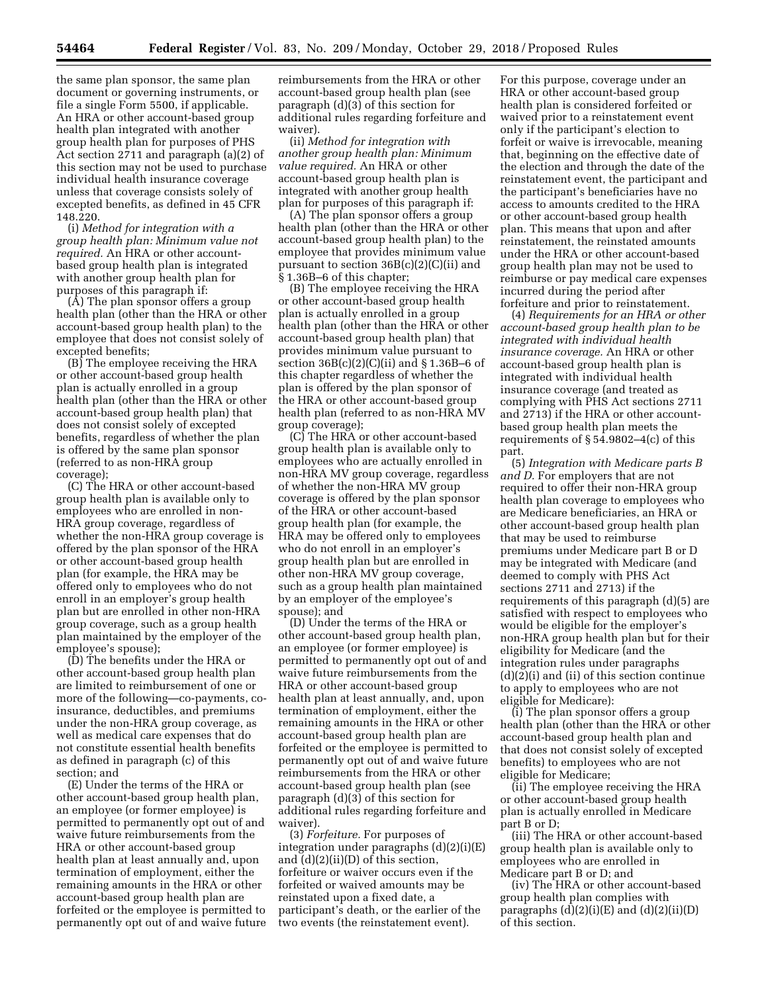the same plan sponsor, the same plan document or governing instruments, or file a single Form 5500, if applicable. An HRA or other account-based group health plan integrated with another group health plan for purposes of PHS Act section 2711 and paragraph (a)(2) of this section may not be used to purchase individual health insurance coverage unless that coverage consists solely of excepted benefits, as defined in 45 CFR 148.220.

(i) *Method for integration with a group health plan: Minimum value not required.* An HRA or other accountbased group health plan is integrated with another group health plan for purposes of this paragraph if:

(A) The plan sponsor offers a group health plan (other than the HRA or other account-based group health plan) to the employee that does not consist solely of excepted benefits;

(B) The employee receiving the HRA or other account-based group health plan is actually enrolled in a group health plan (other than the HRA or other account-based group health plan) that does not consist solely of excepted benefits, regardless of whether the plan is offered by the same plan sponsor (referred to as non-HRA group coverage);

(C) The HRA or other account-based group health plan is available only to employees who are enrolled in non-HRA group coverage, regardless of whether the non-HRA group coverage is offered by the plan sponsor of the HRA or other account-based group health plan (for example, the HRA may be offered only to employees who do not enroll in an employer's group health plan but are enrolled in other non-HRA group coverage, such as a group health plan maintained by the employer of the employee's spouse);

(D) The benefits under the HRA or other account-based group health plan are limited to reimbursement of one or more of the following—co-payments, coinsurance, deductibles, and premiums under the non-HRA group coverage, as well as medical care expenses that do not constitute essential health benefits as defined in paragraph (c) of this section; and

(E) Under the terms of the HRA or other account-based group health plan, an employee (or former employee) is permitted to permanently opt out of and waive future reimbursements from the HRA or other account-based group health plan at least annually and, upon termination of employment, either the remaining amounts in the HRA or other account-based group health plan are forfeited or the employee is permitted to permanently opt out of and waive future

reimbursements from the HRA or other account-based group health plan (see paragraph (d)(3) of this section for additional rules regarding forfeiture and waiver).

(ii) *Method for integration with another group health plan: Minimum value required.* An HRA or other account-based group health plan is integrated with another group health plan for purposes of this paragraph if:

(A) The plan sponsor offers a group health plan (other than the HRA or other account-based group health plan) to the employee that provides minimum value pursuant to section 36B(c)(2)(C)(ii) and § 1.36B–6 of this chapter;

(B) The employee receiving the HRA or other account-based group health plan is actually enrolled in a group health plan (other than the HRA or other account-based group health plan) that provides minimum value pursuant to section  $36B(c)(2)(C)(ii)$  and § 1.36B-6 of this chapter regardless of whether the plan is offered by the plan sponsor of the HRA or other account-based group health plan (referred to as non-HRA MV group coverage);

(C) The HRA or other account-based group health plan is available only to employees who are actually enrolled in non-HRA MV group coverage, regardless of whether the non-HRA MV group coverage is offered by the plan sponsor of the HRA or other account-based group health plan (for example, the HRA may be offered only to employees who do not enroll in an employer's group health plan but are enrolled in other non-HRA MV group coverage, such as a group health plan maintained by an employer of the employee's spouse); and

(D) Under the terms of the HRA or other account-based group health plan, an employee (or former employee) is permitted to permanently opt out of and waive future reimbursements from the HRA or other account-based group health plan at least annually, and, upon termination of employment, either the remaining amounts in the HRA or other account-based group health plan are forfeited or the employee is permitted to permanently opt out of and waive future reimbursements from the HRA or other account-based group health plan (see paragraph (d)(3) of this section for additional rules regarding forfeiture and waiver).

(3) *Forfeiture.* For purposes of integration under paragraphs (d)(2)(i)(E) and (d)(2)(ii)(D) of this section, forfeiture or waiver occurs even if the forfeited or waived amounts may be reinstated upon a fixed date, a participant's death, or the earlier of the two events (the reinstatement event).

For this purpose, coverage under an HRA or other account-based group health plan is considered forfeited or waived prior to a reinstatement event only if the participant's election to forfeit or waive is irrevocable, meaning that, beginning on the effective date of the election and through the date of the reinstatement event, the participant and the participant's beneficiaries have no access to amounts credited to the HRA or other account-based group health plan. This means that upon and after reinstatement, the reinstated amounts under the HRA or other account-based group health plan may not be used to reimburse or pay medical care expenses incurred during the period after forfeiture and prior to reinstatement.

(4) *Requirements for an HRA or other account-based group health plan to be integrated with individual health insurance coverage.* An HRA or other account-based group health plan is integrated with individual health insurance coverage (and treated as complying with PHS Act sections 2711 and 2713) if the HRA or other accountbased group health plan meets the requirements of § 54.9802–4(c) of this part.

(5) *Integration with Medicare parts B and D.* For employers that are not required to offer their non-HRA group health plan coverage to employees who are Medicare beneficiaries, an HRA or other account-based group health plan that may be used to reimburse premiums under Medicare part B or D may be integrated with Medicare (and deemed to comply with PHS Act sections 2711 and 2713) if the requirements of this paragraph (d)(5) are satisfied with respect to employees who would be eligible for the employer's non-HRA group health plan but for their eligibility for Medicare (and the integration rules under paragraphs (d)(2)(i) and (ii) of this section continue to apply to employees who are not eligible for Medicare):

(i) The plan sponsor offers a group health plan (other than the HRA or other account-based group health plan and that does not consist solely of excepted benefits) to employees who are not eligible for Medicare;

(ii) The employee receiving the HRA or other account-based group health plan is actually enrolled in Medicare part B or D;

(iii) The HRA or other account-based group health plan is available only to employees who are enrolled in Medicare part B or D; and

(iv) The HRA or other account-based group health plan complies with paragraphs  $(d)(2)(i)(E)$  and  $(d)(2)(ii)(D)$ of this section.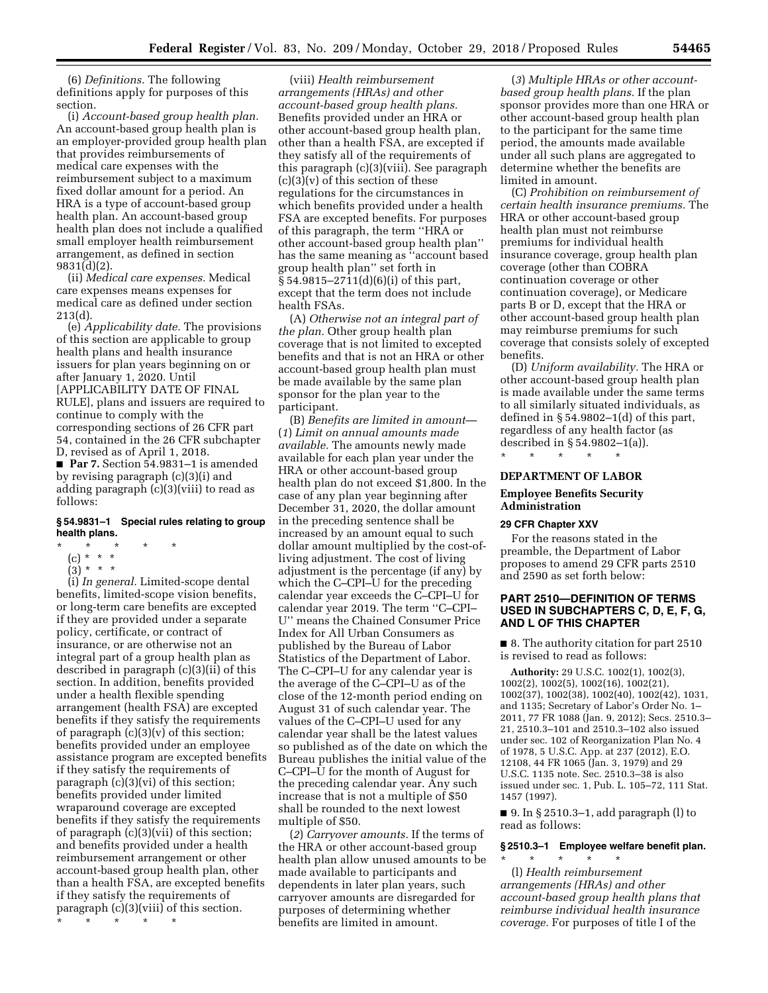(6) *Definitions.* The following definitions apply for purposes of this section.

(i) *Account-based group health plan.*  An account-based group health plan is an employer-provided group health plan that provides reimbursements of medical care expenses with the reimbursement subject to a maximum fixed dollar amount for a period. An HRA is a type of account-based group health plan. An account-based group health plan does not include a qualified small employer health reimbursement arrangement, as defined in section 9831(d)(2).

(ii) *Medical care expenses.* Medical care expenses means expenses for medical care as defined under section 213(d).

(e) *Applicability date.* The provisions of this section are applicable to group health plans and health insurance issuers for plan years beginning on or after January 1, 2020. Until [APPLICABILITY DATE OF FINAL RULE], plans and issuers are required to continue to comply with the corresponding sections of 26 CFR part 54, contained in the 26 CFR subchapter D, revised as of April 1, 2018. ■ **Par 7.** Section 54.9831–1 is amended by revising paragraph (c)(3)(i) and adding paragraph (c)(3)(viii) to read as

#### **§ 54.9831–1 Special rules relating to group health plans.**

- \* \* \* \* \*
	- (c) \* \* \*
	- $(3) * * * *$

follows:

(i) *In general.* Limited-scope dental benefits, limited-scope vision benefits, or long-term care benefits are excepted if they are provided under a separate policy, certificate, or contract of insurance, or are otherwise not an integral part of a group health plan as described in paragraph (c)(3)(ii) of this section. In addition, benefits provided under a health flexible spending arrangement (health FSA) are excepted benefits if they satisfy the requirements of paragraph (c)(3)(v) of this section; benefits provided under an employee assistance program are excepted benefits if they satisfy the requirements of paragraph (c)(3)(vi) of this section; benefits provided under limited wraparound coverage are excepted benefits if they satisfy the requirements of paragraph (c)(3)(vii) of this section; and benefits provided under a health reimbursement arrangement or other account-based group health plan, other than a health FSA, are excepted benefits if they satisfy the requirements of paragraph (c)(3)(viii) of this section. \* \* \* \* \*

(viii) *Health reimbursement arrangements (HRAs) and other account-based group health plans.*  Benefits provided under an HRA or other account-based group health plan, other than a health FSA, are excepted if they satisfy all of the requirements of this paragraph (c)(3)(viii). See paragraph  $(c)(3)(v)$  of this section of these regulations for the circumstances in which benefits provided under a health FSA are excepted benefits. For purposes of this paragraph, the term ''HRA or other account-based group health plan'' has the same meaning as ''account based group health plan'' set forth in  $§ 54.9815 - 2711(d)(6)(i)$  of this part, except that the term does not include health FSAs.

(A) *Otherwise not an integral part of the plan.* Other group health plan coverage that is not limited to excepted benefits and that is not an HRA or other account-based group health plan must be made available by the same plan sponsor for the plan year to the participant.

(B) *Benefits are limited in amount*— (*1*) *Limit on annual amounts made available.* The amounts newly made available for each plan year under the HRA or other account-based group health plan do not exceed \$1,800. In the case of any plan year beginning after December 31, 2020, the dollar amount in the preceding sentence shall be increased by an amount equal to such dollar amount multiplied by the cost-ofliving adjustment. The cost of living adjustment is the percentage (if any) by which the C–CPI–U for the preceding calendar year exceeds the C–CPI–U for calendar year 2019. The term ''C–CPI– U'' means the Chained Consumer Price Index for All Urban Consumers as published by the Bureau of Labor Statistics of the Department of Labor. The C–CPI–U for any calendar year is the average of the C–CPI–U as of the close of the 12-month period ending on August 31 of such calendar year. The values of the C–CPI–U used for any calendar year shall be the latest values so published as of the date on which the Bureau publishes the initial value of the C–CPI–U for the month of August for the preceding calendar year. Any such increase that is not a multiple of \$50 shall be rounded to the next lowest multiple of \$50.

(*2*) *Carryover amounts.* If the terms of the HRA or other account-based group health plan allow unused amounts to be made available to participants and dependents in later plan years, such carryover amounts are disregarded for purposes of determining whether benefits are limited in amount.

(*3*) *Multiple HRAs or other accountbased group health plans.* If the plan sponsor provides more than one HRA or other account-based group health plan to the participant for the same time period, the amounts made available under all such plans are aggregated to determine whether the benefits are limited in amount.

(C) *Prohibition on reimbursement of certain health insurance premiums.* The HRA or other account-based group health plan must not reimburse premiums for individual health insurance coverage, group health plan coverage (other than COBRA continuation coverage or other continuation coverage), or Medicare parts B or D, except that the HRA or other account-based group health plan may reimburse premiums for such coverage that consists solely of excepted benefits.

(D) *Uniform availability.* The HRA or other account-based group health plan is made available under the same terms to all similarly situated individuals, as defined in  $\S$  54.9802–1(d) of this part, regardless of any health factor (as described in § 54.9802–1(a)).

## **DEPARTMENT OF LABOR**

\* \* \* \* \*

## **Employee Benefits Security Administration**

## **29 CFR Chapter XXV**

For the reasons stated in the preamble, the Department of Labor proposes to amend 29 CFR parts 2510 and 2590 as set forth below:

## **PART 2510—DEFINITION OF TERMS USED IN SUBCHAPTERS C, D, E, F, G, AND L OF THIS CHAPTER**

■ 8. The authority citation for part 2510 is revised to read as follows:

**Authority:** 29 U.S.C. 1002(1), 1002(3), 1002(2), 1002(5), 1002(16), 1002(21), 1002(37), 1002(38), 1002(40), 1002(42), 1031, and 1135; Secretary of Labor's Order No. 1– 2011, 77 FR 1088 (Jan. 9, 2012); Secs. 2510.3– 21, 2510.3–101 and 2510.3–102 also issued under sec. 102 of Reorganization Plan No. 4 of 1978, 5 U.S.C. App. at 237 (2012), E.O. 12108, 44 FR 1065 (Jan. 3, 1979) and 29 U.S.C. 1135 note. Sec. 2510.3–38 is also issued under sec. 1, Pub. L. 105–72, 111 Stat. 1457 (1997).

■ 9. In § 2510.3–1, add paragraph (l) to read as follows:

## **§ 2510.3–1 Employee welfare benefit plan.**

\* \* \* \* \* (l) *Health reimbursement arrangements (HRAs) and other account-based group health plans that reimburse individual health insurance coverage.* For purposes of title I of the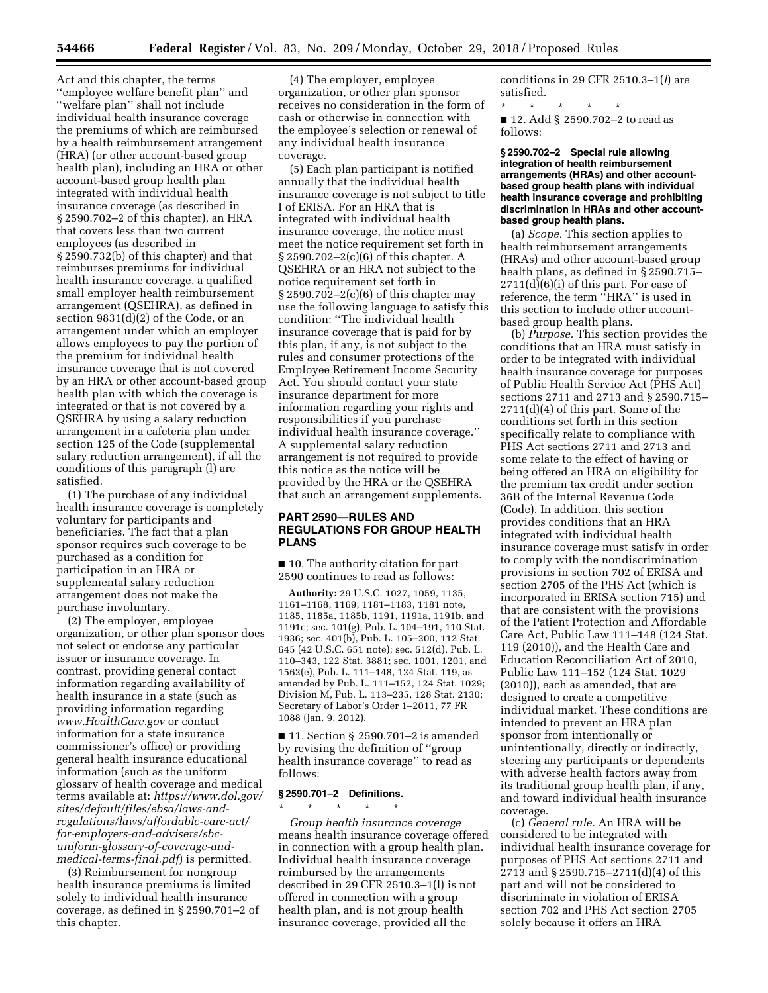Act and this chapter, the terms ''employee welfare benefit plan'' and ''welfare plan'' shall not include individual health insurance coverage the premiums of which are reimbursed by a health reimbursement arrangement (HRA) (or other account-based group health plan), including an HRA or other account-based group health plan integrated with individual health insurance coverage (as described in § 2590.702–2 of this chapter), an HRA that covers less than two current employees (as described in § 2590.732(b) of this chapter) and that reimburses premiums for individual health insurance coverage, a qualified small employer health reimbursement arrangement (QSEHRA), as defined in section 9831(d)(2) of the Code, or an arrangement under which an employer allows employees to pay the portion of the premium for individual health insurance coverage that is not covered by an HRA or other account-based group health plan with which the coverage is integrated or that is not covered by a QSEHRA by using a salary reduction arrangement in a cafeteria plan under section 125 of the Code (supplemental salary reduction arrangement), if all the conditions of this paragraph (l) are satisfied.

(1) The purchase of any individual health insurance coverage is completely voluntary for participants and beneficiaries. The fact that a plan sponsor requires such coverage to be purchased as a condition for participation in an HRA or supplemental salary reduction arrangement does not make the purchase involuntary.

(2) The employer, employee organization, or other plan sponsor does not select or endorse any particular issuer or insurance coverage. In contrast, providing general contact information regarding availability of health insurance in a state (such as providing information regarding *[www.HealthCare.gov](http://www.HealthCare.gov)* or contact information for a state insurance commissioner's office) or providing general health insurance educational information (such as the uniform glossary of health coverage and medical terms available at: *[https://www.dol.gov/](https://www.dol.gov/sites/default/files/ebsa/laws-and-regulations/laws/affordable-care-act/for-employers-and-advisers/sbc-uniform-glossary-of-coverage-and-medical-terms-final.pdf)  [sites/default/files/ebsa/laws-and](https://www.dol.gov/sites/default/files/ebsa/laws-and-regulations/laws/affordable-care-act/for-employers-and-advisers/sbc-uniform-glossary-of-coverage-and-medical-terms-final.pdf)[regulations/laws/affordable-care-act/](https://www.dol.gov/sites/default/files/ebsa/laws-and-regulations/laws/affordable-care-act/for-employers-and-advisers/sbc-uniform-glossary-of-coverage-and-medical-terms-final.pdf)  [for-employers-and-advisers/sbc](https://www.dol.gov/sites/default/files/ebsa/laws-and-regulations/laws/affordable-care-act/for-employers-and-advisers/sbc-uniform-glossary-of-coverage-and-medical-terms-final.pdf)[uniform-glossary-of-coverage-and](https://www.dol.gov/sites/default/files/ebsa/laws-and-regulations/laws/affordable-care-act/for-employers-and-advisers/sbc-uniform-glossary-of-coverage-and-medical-terms-final.pdf)[medical-terms-final.pdf](https://www.dol.gov/sites/default/files/ebsa/laws-and-regulations/laws/affordable-care-act/for-employers-and-advisers/sbc-uniform-glossary-of-coverage-and-medical-terms-final.pdf)*) is permitted.

(3) Reimbursement for nongroup health insurance premiums is limited solely to individual health insurance coverage, as defined in § 2590.701–2 of this chapter.

(4) The employer, employee organization, or other plan sponsor receives no consideration in the form of cash or otherwise in connection with the employee's selection or renewal of any individual health insurance coverage.

(5) Each plan participant is notified annually that the individual health insurance coverage is not subject to title I of ERISA. For an HRA that is integrated with individual health insurance coverage, the notice must meet the notice requirement set forth in § 2590.702–2(c)(6) of this chapter. A QSEHRA or an HRA not subject to the notice requirement set forth in § 2590.702–2(c)(6) of this chapter may use the following language to satisfy this condition: ''The individual health insurance coverage that is paid for by this plan, if any, is not subject to the rules and consumer protections of the Employee Retirement Income Security Act. You should contact your state insurance department for more information regarding your rights and responsibilities if you purchase individual health insurance coverage.'' A supplemental salary reduction arrangement is not required to provide this notice as the notice will be provided by the HRA or the QSEHRA that such an arrangement supplements.

## **PART 2590—RULES AND REGULATIONS FOR GROUP HEALTH PLANS**

■ 10. The authority citation for part 2590 continues to read as follows:

**Authority:** 29 U.S.C. 1027, 1059, 1135, 1161–1168, 1169, 1181–1183, 1181 note, 1185, 1185a, 1185b, 1191, 1191a, 1191b, and 1191c; sec. 101(g), Pub. L. 104–191, 110 Stat. 1936; sec. 401(b), Pub. L. 105–200, 112 Stat. 645 (42 U.S.C. 651 note); sec. 512(d), Pub. L. 110–343, 122 Stat. 3881; sec. 1001, 1201, and 1562(e), Pub. L. 111–148, 124 Stat. 119, as amended by Pub. L. 111–152, 124 Stat. 1029; Division M, Pub. L. 113–235, 128 Stat. 2130; Secretary of Labor's Order 1–2011, 77 FR 1088 (Jan. 9, 2012).

■ 11. Section § 2590.701–2 is amended by revising the definition of ''group health insurance coverage'' to read as follows:

## **§ 2590.701–2 Definitions.**

\* \* \* \* \* *Group health insurance coverage*  means health insurance coverage offered in connection with a group health plan. Individual health insurance coverage reimbursed by the arrangements described in 29 CFR 2510.3–1(l) is not offered in connection with a group health plan, and is not group health insurance coverage, provided all the

conditions in 29 CFR 2510.3–1(*l*) are satisfied.

\* \* \* \* \* ■ 12. Add § 2590.702-2 to read as follows:

#### **§ 2590.702–2 Special rule allowing integration of health reimbursement arrangements (HRAs) and other accountbased group health plans with individual health insurance coverage and prohibiting discrimination in HRAs and other accountbased group health plans.**

(a) *Scope.* This section applies to health reimbursement arrangements (HRAs) and other account-based group health plans, as defined in § 2590.715– 2711(d)(6)(i) of this part. For ease of reference, the term ''HRA'' is used in this section to include other accountbased group health plans.

(b) *Purpose.* This section provides the conditions that an HRA must satisfy in order to be integrated with individual health insurance coverage for purposes of Public Health Service Act (PHS Act) sections 2711 and 2713 and § 2590.715– 2711(d)(4) of this part. Some of the conditions set forth in this section specifically relate to compliance with PHS Act sections 2711 and 2713 and some relate to the effect of having or being offered an HRA on eligibility for the premium tax credit under section 36B of the Internal Revenue Code (Code). In addition, this section provides conditions that an HRA integrated with individual health insurance coverage must satisfy in order to comply with the nondiscrimination provisions in section 702 of ERISA and section 2705 of the PHS Act (which is incorporated in ERISA section 715) and that are consistent with the provisions of the Patient Protection and Affordable Care Act, Public Law 111–148 (124 Stat. 119 (2010)), and the Health Care and Education Reconciliation Act of 2010, Public Law 111–152 (124 Stat. 1029 (2010)), each as amended, that are designed to create a competitive individual market. These conditions are intended to prevent an HRA plan sponsor from intentionally or unintentionally, directly or indirectly, steering any participants or dependents with adverse health factors away from its traditional group health plan, if any, and toward individual health insurance coverage.

(c) *General rule.* An HRA will be considered to be integrated with individual health insurance coverage for purposes of PHS Act sections 2711 and 2713 and § 2590.715–2711(d)(4) of this part and will not be considered to discriminate in violation of ERISA section 702 and PHS Act section 2705 solely because it offers an HRA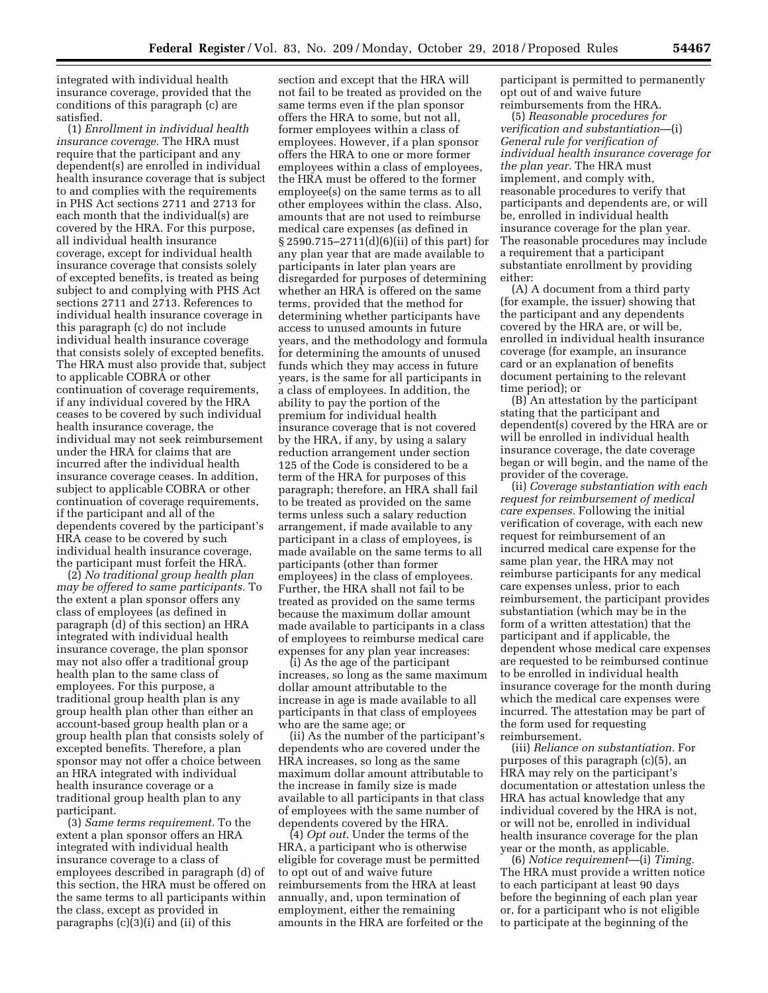integrated with individual health insurance coverage, provided that the conditions of this paragraph (c) are satisfied.

(1) *Enrollment in individual health insurance coverage.* The HRA must require that the participant and any dependent(s) are enrolled in individual health insurance coverage that is subject to and complies with the requirements in PHS Act sections 2711 and 2713 for each month that the individual(s) are covered by the HRA. For this purpose, all individual health insurance coverage, except for individual health insurance coverage that consists solely of excepted benefits, is treated as being subject to and complying with PHS Act sections 2711 and 2713. References to individual health insurance coverage in this paragraph (c) do not include individual health insurance coverage that consists solely of excepted benefits. The HRA must also provide that, subject to applicable COBRA or other continuation of coverage requirements, if any individual covered by the HRA ceases to be covered by such individual health insurance coverage, the individual may not seek reimbursement under the HRA for claims that are incurred after the individual health insurance coverage ceases. In addition, subject to applicable COBRA or other continuation of coverage requirements, if the participant and all of the dependents covered by the participant's HRA cease to be covered by such individual health insurance coverage, the participant must forfeit the HRA.

(2) *No traditional group health plan may be offered to same participants.* To the extent a plan sponsor offers any class of employees (as defined in paragraph (d) of this section) an HRA integrated with individual health insurance coverage, the plan sponsor may not also offer a traditional group health plan to the same class of employees. For this purpose, a traditional group health plan is any group health plan other than either an account-based group health plan or a group health plan that consists solely of excepted benefits. Therefore, a plan sponsor may not offer a choice between an HRA integrated with individual health insurance coverage or a traditional group health plan to any participant.

(3) *Same terms requirement.* To the extent a plan sponsor offers an HRA integrated with individual health insurance coverage to a class of employees described in paragraph (d) of this section, the HRA must be offered on the same terms to all participants within the class, except as provided in paragraphs (c)(3)(i) and (ii) of this

section and except that the HRA will not fail to be treated as provided on the same terms even if the plan sponsor offers the HRA to some, but not all, former employees within a class of employees. However, if a plan sponsor offers the HRA to one or more former employees within a class of employees, the HRA must be offered to the former employee(s) on the same terms as to all other employees within the class. Also, amounts that are not used to reimburse medical care expenses (as defined in § 2590.715–2711(d)(6)(ii) of this part) for any plan year that are made available to participants in later plan years are disregarded for purposes of determining whether an HRA is offered on the same terms, provided that the method for determining whether participants have access to unused amounts in future years, and the methodology and formula for determining the amounts of unused funds which they may access in future years, is the same for all participants in a class of employees. In addition, the ability to pay the portion of the premium for individual health insurance coverage that is not covered by the HRA, if any, by using a salary reduction arrangement under section 125 of the Code is considered to be a term of the HRA for purposes of this paragraph; therefore, an HRA shall fail to be treated as provided on the same terms unless such a salary reduction arrangement, if made available to any participant in a class of employees, is made available on the same terms to all participants (other than former employees) in the class of employees. Further, the HRA shall not fail to be treated as provided on the same terms because the maximum dollar amount made available to participants in a class of employees to reimburse medical care expenses for any plan year increases:

(i) As the age of the participant increases, so long as the same maximum dollar amount attributable to the increase in age is made available to all participants in that class of employees who are the same age; or

(ii) As the number of the participant's dependents who are covered under the HRA increases, so long as the same maximum dollar amount attributable to the increase in family size is made available to all participants in that class of employees with the same number of dependents covered by the HRA.

(4) *Opt out.* Under the terms of the HRA, a participant who is otherwise eligible for coverage must be permitted to opt out of and waive future reimbursements from the HRA at least annually, and, upon termination of employment, either the remaining amounts in the HRA are forfeited or the

participant is permitted to permanently opt out of and waive future reimbursements from the HRA.

(5) *Reasonable procedures for verification and substantiation*—(i) *General rule for verification of individual health insurance coverage for the plan year.* The HRA must implement, and comply with, reasonable procedures to verify that participants and dependents are, or will be, enrolled in individual health insurance coverage for the plan year. The reasonable procedures may include a requirement that a participant substantiate enrollment by providing either:

(A) A document from a third party (for example, the issuer) showing that the participant and any dependents covered by the HRA are, or will be, enrolled in individual health insurance coverage (for example, an insurance card or an explanation of benefits document pertaining to the relevant time period); or

(B) An attestation by the participant stating that the participant and dependent(s) covered by the HRA are or will be enrolled in individual health insurance coverage, the date coverage began or will begin, and the name of the provider of the coverage.

(ii) *Coverage substantiation with each request for reimbursement of medical care expenses.* Following the initial verification of coverage, with each new request for reimbursement of an incurred medical care expense for the same plan year, the HRA may not reimburse participants for any medical care expenses unless, prior to each reimbursement, the participant provides substantiation (which may be in the form of a written attestation) that the participant and if applicable, the dependent whose medical care expenses are requested to be reimbursed continue to be enrolled in individual health insurance coverage for the month during which the medical care expenses were incurred. The attestation may be part of the form used for requesting reimbursement.

(iii) *Reliance on substantiation.* For purposes of this paragraph (c)(5), an HRA may rely on the participant's documentation or attestation unless the HRA has actual knowledge that any individual covered by the HRA is not, or will not be, enrolled in individual health insurance coverage for the plan year or the month, as applicable.

(6) *Notice requirement*—(i) *Timing.*  The HRA must provide a written notice to each participant at least 90 days before the beginning of each plan year or, for a participant who is not eligible to participate at the beginning of the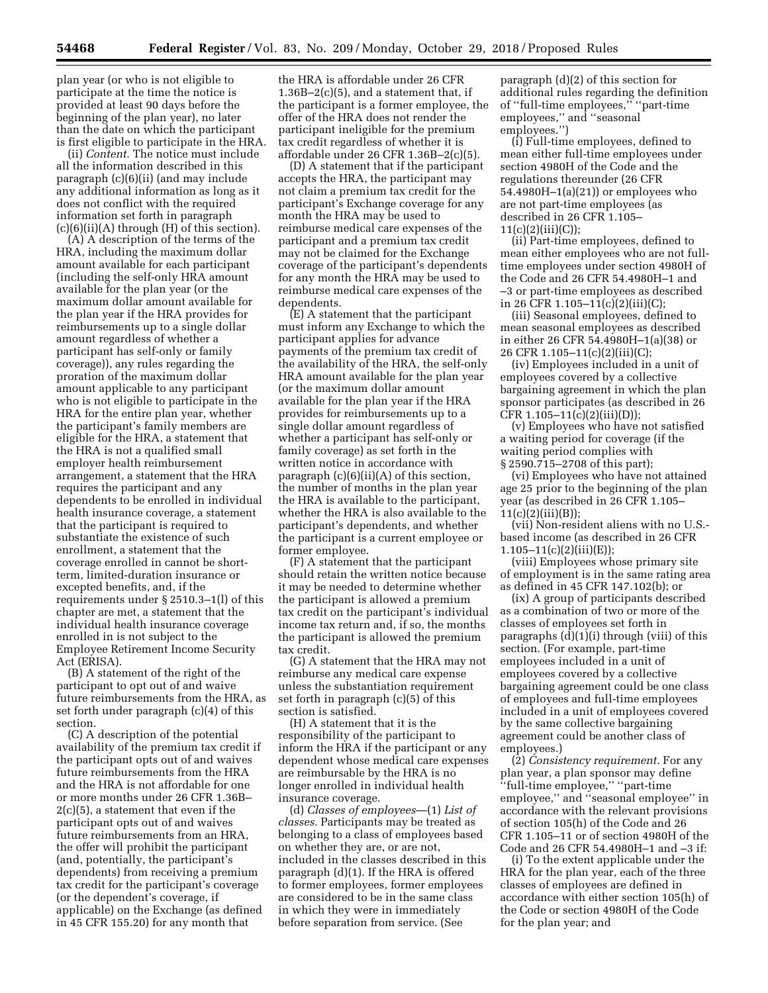plan year (or who is not eligible to participate at the time the notice is provided at least 90 days before the beginning of the plan year), no later than the date on which the participant is first eligible to participate in the HRA.

(ii) *Content.* The notice must include all the information described in this paragraph (c)(6)(ii) (and may include any additional information as long as it does not conflict with the required information set forth in paragraph (c)(6)(ii)(A) through (H) of this section).

(A) A description of the terms of the HRA, including the maximum dollar amount available for each participant (including the self-only HRA amount available for the plan year (or the maximum dollar amount available for the plan year if the HRA provides for reimbursements up to a single dollar amount regardless of whether a participant has self-only or family coverage)), any rules regarding the proration of the maximum dollar amount applicable to any participant who is not eligible to participate in the HRA for the entire plan year, whether the participant's family members are eligible for the HRA, a statement that the HRA is not a qualified small employer health reimbursement arrangement, a statement that the HRA requires the participant and any dependents to be enrolled in individual health insurance coverage, a statement that the participant is required to substantiate the existence of such enrollment, a statement that the coverage enrolled in cannot be shortterm, limited-duration insurance or excepted benefits, and, if the requirements under § 2510.3–1(l) of this chapter are met, a statement that the individual health insurance coverage enrolled in is not subject to the Employee Retirement Income Security Act (ERISA).

(B) A statement of the right of the participant to opt out of and waive future reimbursements from the HRA, as set forth under paragraph (c)(4) of this section.

(C) A description of the potential availability of the premium tax credit if the participant opts out of and waives future reimbursements from the HRA and the HRA is not affordable for one or more months under 26 CFR 1.36B– 2(c)(5), a statement that even if the participant opts out of and waives future reimbursements from an HRA, the offer will prohibit the participant (and, potentially, the participant's dependents) from receiving a premium tax credit for the participant's coverage (or the dependent's coverage, if applicable) on the Exchange (as defined in 45 CFR 155.20) for any month that

the HRA is affordable under 26 CFR  $1.36B-2(c)(5)$ , and a statement that, if the participant is a former employee, the offer of the HRA does not render the participant ineligible for the premium tax credit regardless of whether it is affordable under 26 CFR 1.36B–2(c)(5).

(D) A statement that if the participant accepts the HRA, the participant may not claim a premium tax credit for the participant's Exchange coverage for any month the HRA may be used to reimburse medical care expenses of the participant and a premium tax credit may not be claimed for the Exchange coverage of the participant's dependents for any month the HRA may be used to reimburse medical care expenses of the dependents.

(E) A statement that the participant must inform any Exchange to which the participant applies for advance payments of the premium tax credit of the availability of the HRA, the self-only HRA amount available for the plan year (or the maximum dollar amount available for the plan year if the HRA provides for reimbursements up to a single dollar amount regardless of whether a participant has self-only or family coverage) as set forth in the written notice in accordance with paragraph  $(c)(6)(ii)(A)$  of this section, the number of months in the plan year the HRA is available to the participant, whether the HRA is also available to the participant's dependents, and whether the participant is a current employee or former employee.

(F) A statement that the participant should retain the written notice because it may be needed to determine whether the participant is allowed a premium tax credit on the participant's individual income tax return and, if so, the months the participant is allowed the premium tax credit.

(G) A statement that the HRA may not reimburse any medical care expense unless the substantiation requirement set forth in paragraph (c)(5) of this section is satisfied.

(H) A statement that it is the responsibility of the participant to inform the HRA if the participant or any dependent whose medical care expenses are reimbursable by the HRA is no longer enrolled in individual health insurance coverage.

(d) *Classes of employees*—(1) *List of classes.* Participants may be treated as belonging to a class of employees based on whether they are, or are not, included in the classes described in this paragraph (d)(1). If the HRA is offered to former employees, former employees are considered to be in the same class in which they were in immediately before separation from service. (See

paragraph (d)(2) of this section for additional rules regarding the definition of ''full-time employees,'' ''part-time employees," and "seasonal employees.'')

(i) Full-time employees, defined to mean either full-time employees under section 4980H of the Code and the regulations thereunder (26 CFR 54.4980H–1(a)(21)) or employees who are not part-time employees (as described in 26 CFR 1.105–  $11(c)(2)(iii)(C));$ 

(ii) Part-time employees, defined to mean either employees who are not fulltime employees under section 4980H of the Code and 26 CFR 54.4980H–1 and –3 or part-time employees as described in 26 CFR 1.105–11(c)(2)(iii)(C);

(iii) Seasonal employees, defined to mean seasonal employees as described in either 26 CFR 54.4980H–1(a)(38) or 26 CFR 1.105–11(c)(2)(iii)(C);

(iv) Employees included in a unit of employees covered by a collective bargaining agreement in which the plan sponsor participates (as described in 26 CFR 1.105–11(c)(2)(iii)(D));

(v) Employees who have not satisfied a waiting period for coverage (if the waiting period complies with § 2590.715–2708 of this part);

(vi) Employees who have not attained age 25 prior to the beginning of the plan year (as described in 26 CFR 1.105– 11(c)(2)(iii)(B));

(vii) Non-resident aliens with no U.S. based income (as described in 26 CFR  $1.105-11(c)(2)(iii)(E));$ 

(viii) Employees whose primary site of employment is in the same rating area as defined in 45 CFR 147.102(b); or

(ix) A group of participants described as a combination of two or more of the classes of employees set forth in paragraphs (d)(1)(i) through (viii) of this section. (For example, part-time employees included in a unit of employees covered by a collective bargaining agreement could be one class of employees and full-time employees included in a unit of employees covered by the same collective bargaining agreement could be another class of employees.)

(2) *Consistency requirement.* For any plan year, a plan sponsor may define ''full-time employee,'' ''part-time employee,'' and ''seasonal employee'' in accordance with the relevant provisions of section 105(h) of the Code and 26 CFR 1.105–11 or of section 4980H of the Code and 26 CFR 54.4980H–1 and –3 if:

(i) To the extent applicable under the HRA for the plan year, each of the three classes of employees are defined in accordance with either section 105(h) of the Code or section 4980H of the Code for the plan year; and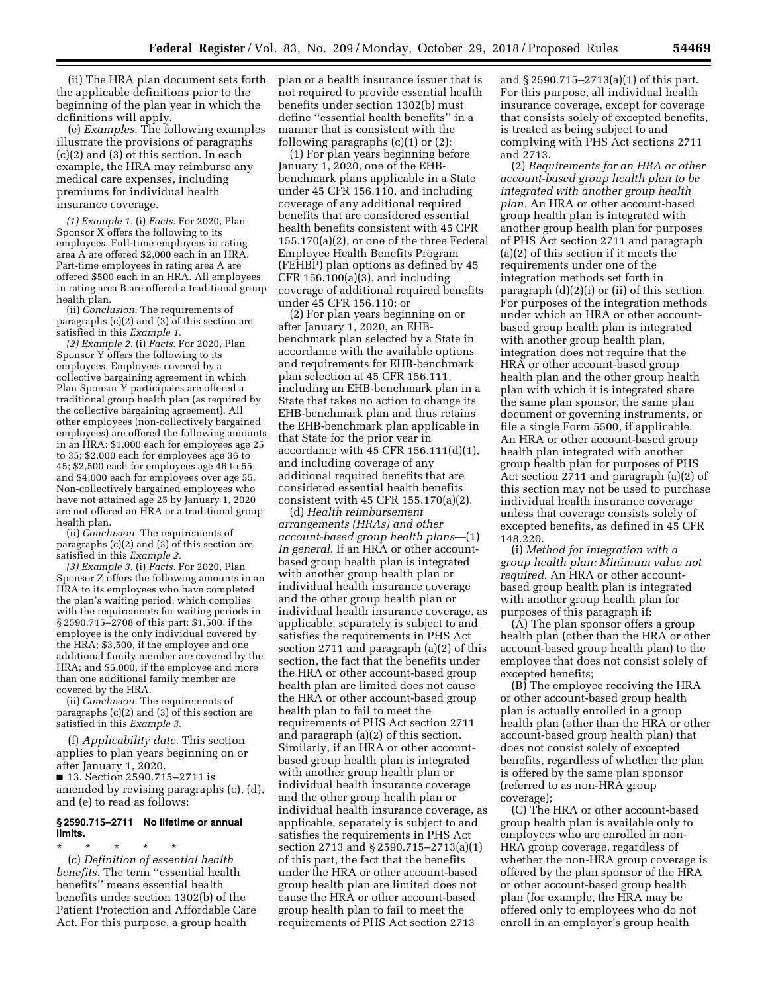(ii) The HRA plan document sets forth the applicable definitions prior to the beginning of the plan year in which the definitions will apply.

(e) *Examples.* The following examples illustrate the provisions of paragraphs (c)(2) and (3) of this section. In each example, the HRA may reimburse any medical care expenses, including premiums for individual health insurance coverage.

*(1) Example 1.* (i) *Facts.* For 2020, Plan Sponsor X offers the following to its employees. Full-time employees in rating area A are offered \$2,000 each in an HRA. Part-time employees in rating area A are offered \$500 each in an HRA. All employees in rating area B are offered a traditional group health plan.

(ii) *Conclusion.* The requirements of paragraphs (c)(2) and (3) of this section are satisfied in this *Example 1.* 

*(2) Example 2.* (i) *Facts.* For 2020, Plan Sponsor Y offers the following to its employees. Employees covered by a collective bargaining agreement in which Plan Sponsor Y participates are offered a traditional group health plan (as required by the collective bargaining agreement). All other employees (non-collectively bargained employees) are offered the following amounts in an HRA: \$1,000 each for employees age 25 to 35; \$2,000 each for employees age 36 to 45; \$2,500 each for employees age 46 to 55; and \$4,000 each for employees over age 55. Non-collectively bargained employees who have not attained age 25 by January 1, 2020 are not offered an HRA or a traditional group health plan.

(ii) *Conclusion.* The requirements of paragraphs (c)(2) and (3) of this section are satisfied in this *Example 2.* 

*(3) Example 3.* (i) *Facts.* For 2020, Plan Sponsor Z offers the following amounts in an HRA to its employees who have completed the plan's waiting period, which complies with the requirements for waiting periods in § 2590.715–2708 of this part: \$1,500, if the employee is the only individual covered by the HRA; \$3,500, if the employee and one additional family member are covered by the HRA; and \$5,000, if the employee and more than one additional family member are covered by the HRA.

(ii) *Conclusion.* The requirements of paragraphs (c)(2) and (3) of this section are satisfied in this *Example 3.* 

(f) *Applicability date.* This section applies to plan years beginning on or after January 1, 2020.

■ 13. Section 2590.715–2711 is amended by revising paragraphs (c), (d), and (e) to read as follows:

#### **§ 2590.715–2711 No lifetime or annual limits.**

\* \* \* \* \* (c) *Definition of essential health benefits.* The term ''essential health benefits'' means essential health benefits under section 1302(b) of the Patient Protection and Affordable Care Act. For this purpose, a group health

plan or a health insurance issuer that is not required to provide essential health benefits under section 1302(b) must define ''essential health benefits'' in a manner that is consistent with the following paragraphs  $(c)(1)$  or  $(2)$ :

(1) For plan years beginning before January 1, 2020, one of the EHBbenchmark plans applicable in a State under 45 CFR 156.110, and including coverage of any additional required benefits that are considered essential health benefits consistent with 45 CFR 155.170(a)(2), or one of the three Federal Employee Health Benefits Program (FEHBP) plan options as defined by 45 CFR 156.100(a)(3), and including coverage of additional required benefits under 45 CFR 156.110; or

(2) For plan years beginning on or after January 1, 2020, an EHBbenchmark plan selected by a State in accordance with the available options and requirements for EHB-benchmark plan selection at 45 CFR 156.111, including an EHB-benchmark plan in a State that takes no action to change its EHB-benchmark plan and thus retains the EHB-benchmark plan applicable in that State for the prior year in accordance with 45 CFR 156.111(d)(1), and including coverage of any additional required benefits that are considered essential health benefits consistent with 45 CFR 155.170(a)(2).

(d) *Health reimbursement arrangements (HRAs) and other account-based group health plans*—(1) *In general.* If an HRA or other accountbased group health plan is integrated with another group health plan or individual health insurance coverage and the other group health plan or individual health insurance coverage, as applicable, separately is subject to and satisfies the requirements in PHS Act section 2711 and paragraph (a)(2) of this section, the fact that the benefits under the HRA or other account-based group health plan are limited does not cause the HRA or other account-based group health plan to fail to meet the requirements of PHS Act section 2711 and paragraph (a)(2) of this section. Similarly, if an HRA or other accountbased group health plan is integrated with another group health plan or individual health insurance coverage and the other group health plan or individual health insurance coverage, as applicable, separately is subject to and satisfies the requirements in PHS Act section 2713 and § 2590.715–2713(a)(1) of this part, the fact that the benefits under the HRA or other account-based group health plan are limited does not cause the HRA or other account-based group health plan to fail to meet the requirements of PHS Act section 2713

and § 2590.715–2713(a)(1) of this part. For this purpose, all individual health insurance coverage, except for coverage that consists solely of excepted benefits, is treated as being subject to and complying with PHS Act sections 2711 and 2713.

(2) *Requirements for an HRA or other account-based group health plan to be integrated with another group health plan.* An HRA or other account-based group health plan is integrated with another group health plan for purposes of PHS Act section 2711 and paragraph (a)(2) of this section if it meets the requirements under one of the integration methods set forth in paragraph (d)(2)(i) or (ii) of this section. For purposes of the integration methods under which an HRA or other accountbased group health plan is integrated with another group health plan, integration does not require that the HRA or other account-based group health plan and the other group health plan with which it is integrated share the same plan sponsor, the same plan document or governing instruments, or file a single Form 5500, if applicable. An HRA or other account-based group health plan integrated with another group health plan for purposes of PHS Act section 2711 and paragraph (a)(2) of this section may not be used to purchase individual health insurance coverage unless that coverage consists solely of excepted benefits, as defined in 45 CFR 148.220.

(i) *Method for integration with a group health plan: Minimum value not required.* An HRA or other accountbased group health plan is integrated with another group health plan for purposes of this paragraph if:

(A) The plan sponsor offers a group health plan (other than the HRA or other account-based group health plan) to the employee that does not consist solely of excepted benefits;

(B) The employee receiving the HRA or other account-based group health plan is actually enrolled in a group health plan (other than the HRA or other account-based group health plan) that does not consist solely of excepted benefits, regardless of whether the plan is offered by the same plan sponsor (referred to as non-HRA group coverage);

(C) The HRA or other account-based group health plan is available only to employees who are enrolled in non-HRA group coverage, regardless of whether the non-HRA group coverage is offered by the plan sponsor of the HRA or other account-based group health plan (for example, the HRA may be offered only to employees who do not enroll in an employer's group health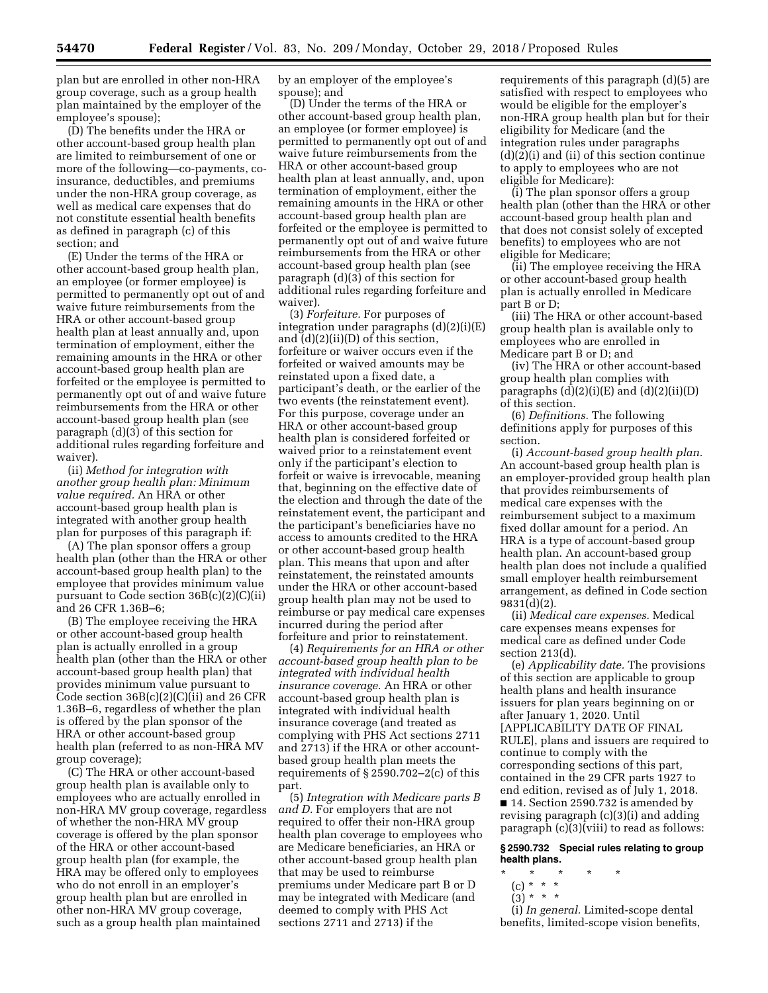plan but are enrolled in other non-HRA group coverage, such as a group health plan maintained by the employer of the employee's spouse);

(D) The benefits under the HRA or other account-based group health plan are limited to reimbursement of one or more of the following—co-payments, coinsurance, deductibles, and premiums under the non-HRA group coverage, as well as medical care expenses that do not constitute essential health benefits as defined in paragraph (c) of this section; and

(E) Under the terms of the HRA or other account-based group health plan, an employee (or former employee) is permitted to permanently opt out of and waive future reimbursements from the HRA or other account-based group health plan at least annually and, upon termination of employment, either the remaining amounts in the HRA or other account-based group health plan are forfeited or the employee is permitted to permanently opt out of and waive future reimbursements from the HRA or other account-based group health plan (see paragraph (d)(3) of this section for additional rules regarding forfeiture and waiver).

(ii) *Method for integration with another group health plan: Minimum value required.* An HRA or other account-based group health plan is integrated with another group health plan for purposes of this paragraph if:

(A) The plan sponsor offers a group health plan (other than the HRA or other account-based group health plan) to the employee that provides minimum value pursuant to Code section 36B(c)(2)(C)(ii) and 26 CFR 1.36B–6;

(B) The employee receiving the HRA or other account-based group health plan is actually enrolled in a group health plan (other than the HRA or other account-based group health plan) that provides minimum value pursuant to Code section 36B(c)(2)(C)(ii) and 26 CFR 1.36B–6, regardless of whether the plan is offered by the plan sponsor of the HRA or other account-based group health plan (referred to as non-HRA MV group coverage);

(C) The HRA or other account-based group health plan is available only to employees who are actually enrolled in non-HRA MV group coverage, regardless of whether the non-HRA MV group coverage is offered by the plan sponsor of the HRA or other account-based group health plan (for example, the HRA may be offered only to employees who do not enroll in an employer's group health plan but are enrolled in other non-HRA MV group coverage, such as a group health plan maintained

by an employer of the employee's spouse); and

(D) Under the terms of the HRA or other account-based group health plan, an employee (or former employee) is permitted to permanently opt out of and waive future reimbursements from the HRA or other account-based group health plan at least annually, and, upon termination of employment, either the remaining amounts in the HRA or other account-based group health plan are forfeited or the employee is permitted to permanently opt out of and waive future reimbursements from the HRA or other account-based group health plan (see paragraph (d)(3) of this section for additional rules regarding forfeiture and waiver).

(3) *Forfeiture.* For purposes of integration under paragraphs (d)(2)(i)(E) and (d)(2)(ii)(D) of this section, forfeiture or waiver occurs even if the forfeited or waived amounts may be reinstated upon a fixed date, a participant's death, or the earlier of the two events (the reinstatement event). For this purpose, coverage under an HRA or other account-based group health plan is considered forfeited or waived prior to a reinstatement event only if the participant's election to forfeit or waive is irrevocable, meaning that, beginning on the effective date of the election and through the date of the reinstatement event, the participant and the participant's beneficiaries have no access to amounts credited to the HRA or other account-based group health plan. This means that upon and after reinstatement, the reinstated amounts under the HRA or other account-based group health plan may not be used to reimburse or pay medical care expenses incurred during the period after forfeiture and prior to reinstatement.

(4) *Requirements for an HRA or other account-based group health plan to be integrated with individual health insurance coverage.* An HRA or other account-based group health plan is integrated with individual health insurance coverage (and treated as complying with PHS Act sections 2711 and 2713) if the HRA or other accountbased group health plan meets the requirements of  $\S 2590.702 - 2(c)$  of this part.

(5) *Integration with Medicare parts B and D.* For employers that are not required to offer their non-HRA group health plan coverage to employees who are Medicare beneficiaries, an HRA or other account-based group health plan that may be used to reimburse premiums under Medicare part B or D may be integrated with Medicare (and deemed to comply with PHS Act sections 2711 and 2713) if the

requirements of this paragraph (d)(5) are satisfied with respect to employees who would be eligible for the employer's non-HRA group health plan but for their eligibility for Medicare (and the integration rules under paragraphs (d)(2)(i) and (ii) of this section continue to apply to employees who are not eligible for Medicare):

(i) The plan sponsor offers a group health plan (other than the HRA or other account-based group health plan and that does not consist solely of excepted benefits) to employees who are not eligible for Medicare;

(ii) The employee receiving the HRA or other account-based group health plan is actually enrolled in Medicare part B or D;

(iii) The HRA or other account-based group health plan is available only to employees who are enrolled in Medicare part B or D; and

(iv) The HRA or other account-based group health plan complies with paragraphs  $(d)(2)(i)(E)$  and  $(d)(2)(ii)(D)$ of this section.

(6) *Definitions.* The following definitions apply for purposes of this section.

(i) *Account-based group health plan.*  An account-based group health plan is an employer-provided group health plan that provides reimbursements of medical care expenses with the reimbursement subject to a maximum fixed dollar amount for a period. An HRA is a type of account-based group health plan. An account-based group health plan does not include a qualified small employer health reimbursement arrangement, as defined in Code section 9831(d)(2).

(ii) *Medical care expenses.* Medical care expenses means expenses for medical care as defined under Code section 213(d).

(e) *Applicability date.* The provisions of this section are applicable to group health plans and health insurance issuers for plan years beginning on or after January 1, 2020. Until [APPLICABILITY DATE OF FINAL RULE], plans and issuers are required to continue to comply with the corresponding sections of this part, contained in the 29 CFR parts 1927 to end edition, revised as of July 1, 2018. ■ 14. Section 2590.732 is amended by revising paragraph (c)(3)(i) and adding paragraph (c)(3)(viii) to read as follows:

**§ 2590.732 Special rules relating to group health plans.** 

- \* \* \* \* \*
	- (c) \* \* \*
	- $(3) * * * *$

(i) *In general.* Limited-scope dental benefits, limited-scope vision benefits,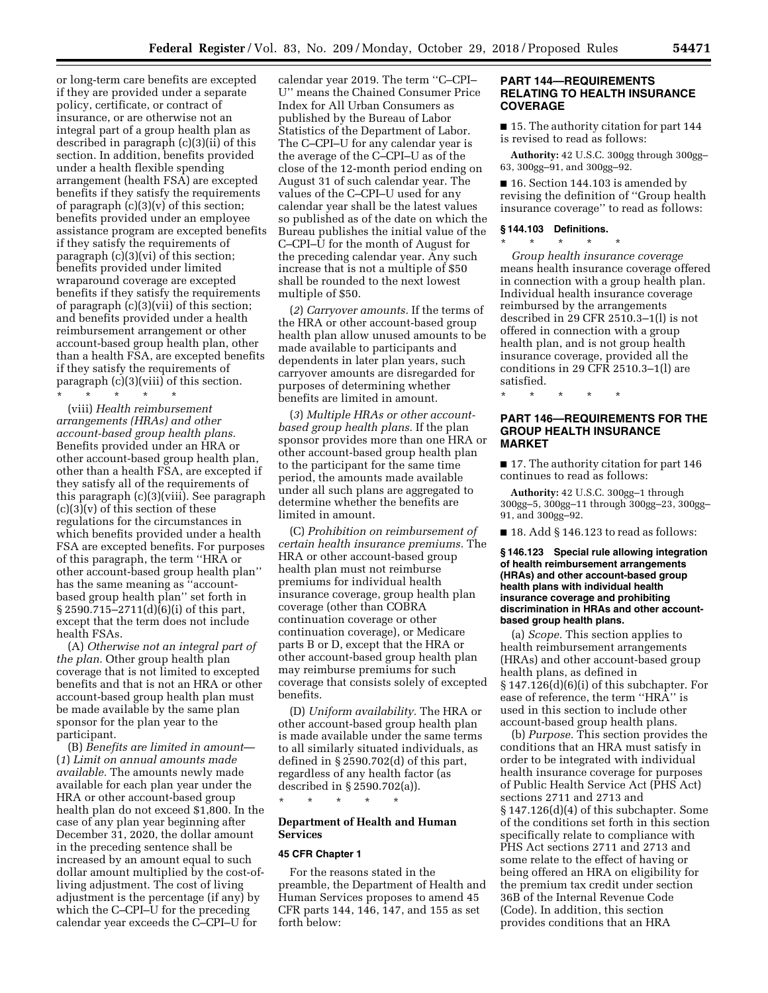or long-term care benefits are excepted if they are provided under a separate policy, certificate, or contract of insurance, or are otherwise not an integral part of a group health plan as described in paragraph (c)(3)(ii) of this section. In addition, benefits provided under a health flexible spending arrangement (health FSA) are excepted benefits if they satisfy the requirements of paragraph  $(c)(3)(v)$  of this section; benefits provided under an employee assistance program are excepted benefits if they satisfy the requirements of paragraph (c)(3)(vi) of this section; benefits provided under limited wraparound coverage are excepted benefits if they satisfy the requirements of paragraph (c)(3)(vii) of this section; and benefits provided under a health reimbursement arrangement or other account-based group health plan, other than a health FSA, are excepted benefits if they satisfy the requirements of paragraph (c)(3)(viii) of this section. \* \* \* \* \*

(viii) *Health reimbursement arrangements (HRAs) and other account-based group health plans.*  Benefits provided under an HRA or other account-based group health plan, other than a health FSA, are excepted if they satisfy all of the requirements of this paragraph (c)(3)(viii). See paragraph  $(c)(3)(v)$  of this section of these regulations for the circumstances in which benefits provided under a health FSA are excepted benefits. For purposes of this paragraph, the term ''HRA or other account-based group health plan'' has the same meaning as ''accountbased group health plan'' set forth in § 2590.715–2711(d)(6)(i) of this part, except that the term does not include health FSAs.

(A) *Otherwise not an integral part of the plan.* Other group health plan coverage that is not limited to excepted benefits and that is not an HRA or other account-based group health plan must be made available by the same plan sponsor for the plan year to the participant.

(B) *Benefits are limited in amount*— (*1*) *Limit on annual amounts made available.* The amounts newly made available for each plan year under the HRA or other account-based group health plan do not exceed \$1,800. In the case of any plan year beginning after December 31, 2020, the dollar amount in the preceding sentence shall be increased by an amount equal to such dollar amount multiplied by the cost-ofliving adjustment. The cost of living adjustment is the percentage (if any) by which the C–CPI–U for the preceding calendar year exceeds the C–CPI–U for

calendar year 2019. The term ''C–CPI– U'' means the Chained Consumer Price Index for All Urban Consumers as published by the Bureau of Labor Statistics of the Department of Labor. The C–CPI–U for any calendar year is the average of the C–CPI–U as of the close of the 12-month period ending on August 31 of such calendar year. The values of the C–CPI–U used for any calendar year shall be the latest values so published as of the date on which the Bureau publishes the initial value of the C–CPI–U for the month of August for the preceding calendar year. Any such increase that is not a multiple of \$50 shall be rounded to the next lowest multiple of \$50.

(*2*) *Carryover amounts.* If the terms of the HRA or other account-based group health plan allow unused amounts to be made available to participants and dependents in later plan years, such carryover amounts are disregarded for purposes of determining whether benefits are limited in amount.

(*3*) *Multiple HRAs or other accountbased group health plans.* If the plan sponsor provides more than one HRA or other account-based group health plan to the participant for the same time period, the amounts made available under all such plans are aggregated to determine whether the benefits are limited in amount.

(C) *Prohibition on reimbursement of certain health insurance premiums.* The HRA or other account-based group health plan must not reimburse premiums for individual health insurance coverage, group health plan coverage (other than COBRA continuation coverage or other continuation coverage), or Medicare parts B or D, except that the HRA or other account-based group health plan may reimburse premiums for such coverage that consists solely of excepted benefits.

(D) *Uniform availability.* The HRA or other account-based group health plan is made available under the same terms to all similarly situated individuals, as defined in § 2590.702(d) of this part, regardless of any health factor (as described in § 2590.702(a)).

\* \* \* \* \*

## **Department of Health and Human Services**

#### **45 CFR Chapter 1**

For the reasons stated in the preamble, the Department of Health and Human Services proposes to amend 45 CFR parts 144, 146, 147, and 155 as set forth below:

## **PART 144—REQUIREMENTS RELATING TO HEALTH INSURANCE COVERAGE**

■ 15. The authority citation for part 144 is revised to read as follows:

**Authority:** 42 U.S.C. 300gg through 300gg– 63, 300gg–91, and 300gg–92.

■ 16. Section 144.103 is amended by revising the definition of ''Group health insurance coverage'' to read as follows:

#### **§ 144.103 Definitions.**

\* \* \* \* \* *Group health insurance coverage*  means health insurance coverage offered in connection with a group health plan. Individual health insurance coverage reimbursed by the arrangements described in 29 CFR 2510.3–1(l) is not offered in connection with a group health plan, and is not group health insurance coverage, provided all the conditions in 29 CFR 2510.3–1(l) are satisfied.

## \* \* \* \* \* **PART 146—REQUIREMENTS FOR THE**

## **GROUP HEALTH INSURANCE MARKET**

■ 17. The authority citation for part 146 continues to read as follows:

**Authority:** 42 U.S.C. 300gg–1 through 300gg–5, 300gg–11 through 300gg–23, 300gg– 91, and 300gg–92.

■ 18. Add § 146.123 to read as follows:

#### **§ 146.123 Special rule allowing integration of health reimbursement arrangements (HRAs) and other account-based group health plans with individual health insurance coverage and prohibiting discrimination in HRAs and other accountbased group health plans.**

(a) *Scope.* This section applies to health reimbursement arrangements (HRAs) and other account-based group health plans, as defined in § 147.126(d)(6)(i) of this subchapter. For ease of reference, the term ''HRA'' is used in this section to include other account-based group health plans.

(b) *Purpose.* This section provides the conditions that an HRA must satisfy in order to be integrated with individual health insurance coverage for purposes of Public Health Service Act (PHS Act) sections 2711 and 2713 and § 147.126(d)(4) of this subchapter. Some of the conditions set forth in this section specifically relate to compliance with PHS Act sections 2711 and 2713 and some relate to the effect of having or being offered an HRA on eligibility for the premium tax credit under section 36B of the Internal Revenue Code (Code). In addition, this section provides conditions that an HRA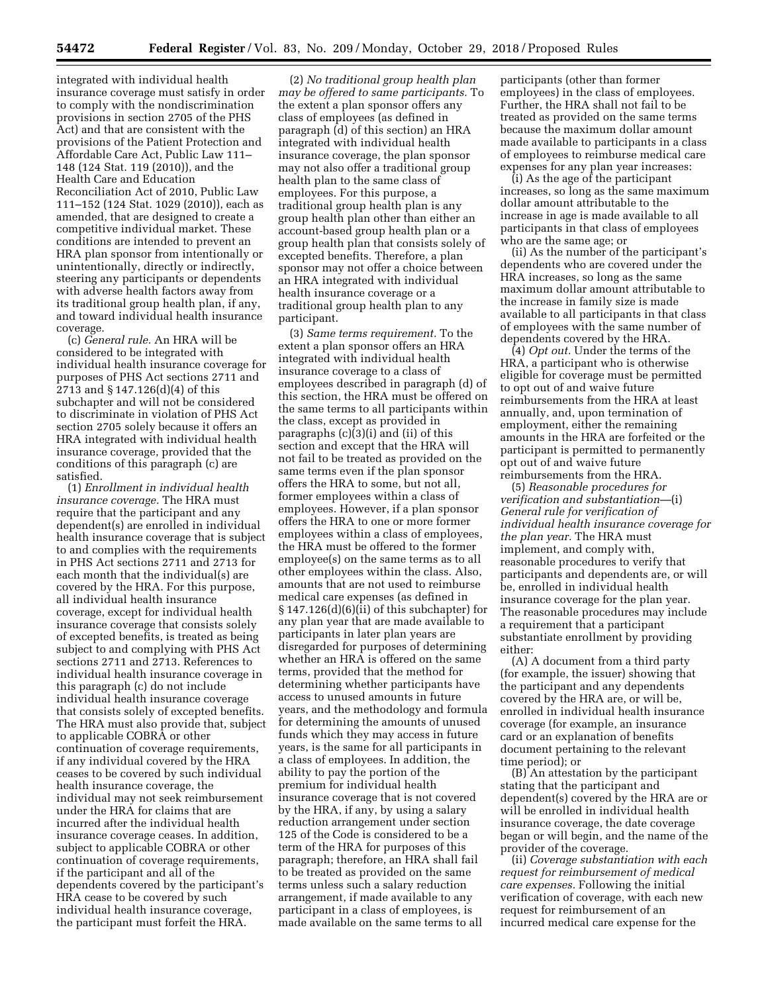integrated with individual health insurance coverage must satisfy in order to comply with the nondiscrimination provisions in section 2705 of the PHS Act) and that are consistent with the provisions of the Patient Protection and Affordable Care Act, Public Law 111– 148 (124 Stat. 119 (2010)), and the Health Care and Education Reconciliation Act of 2010, Public Law 111–152 (124 Stat. 1029 (2010)), each as amended, that are designed to create a competitive individual market. These conditions are intended to prevent an HRA plan sponsor from intentionally or unintentionally, directly or indirectly, steering any participants or dependents with adverse health factors away from its traditional group health plan, if any, and toward individual health insurance coverage.

(c) *General rule.* An HRA will be considered to be integrated with individual health insurance coverage for purposes of PHS Act sections 2711 and 2713 and § 147.126(d)(4) of this subchapter and will not be considered to discriminate in violation of PHS Act section 2705 solely because it offers an HRA integrated with individual health insurance coverage, provided that the conditions of this paragraph (c) are satisfied.

(1) *Enrollment in individual health insurance coverage.* The HRA must require that the participant and any dependent(s) are enrolled in individual health insurance coverage that is subject to and complies with the requirements in PHS Act sections 2711 and 2713 for each month that the individual(s) are covered by the HRA. For this purpose, all individual health insurance coverage, except for individual health insurance coverage that consists solely of excepted benefits, is treated as being subject to and complying with PHS Act sections 2711 and 2713. References to individual health insurance coverage in this paragraph (c) do not include individual health insurance coverage that consists solely of excepted benefits. The HRA must also provide that, subject to applicable COBRA or other continuation of coverage requirements, if any individual covered by the HRA ceases to be covered by such individual health insurance coverage, the individual may not seek reimbursement under the HRA for claims that are incurred after the individual health insurance coverage ceases. In addition, subject to applicable COBRA or other continuation of coverage requirements, if the participant and all of the dependents covered by the participant's HRA cease to be covered by such individual health insurance coverage, the participant must forfeit the HRA.

(2) *No traditional group health plan may be offered to same participants.* To the extent a plan sponsor offers any class of employees (as defined in paragraph (d) of this section) an HRA integrated with individual health insurance coverage, the plan sponsor may not also offer a traditional group health plan to the same class of employees. For this purpose, a traditional group health plan is any group health plan other than either an account-based group health plan or a group health plan that consists solely of excepted benefits. Therefore, a plan sponsor may not offer a choice between an HRA integrated with individual health insurance coverage or a traditional group health plan to any participant.

(3) *Same terms requirement.* To the extent a plan sponsor offers an HRA integrated with individual health insurance coverage to a class of employees described in paragraph (d) of this section, the HRA must be offered on the same terms to all participants within the class, except as provided in paragraphs (c)(3)(i) and (ii) of this section and except that the HRA will not fail to be treated as provided on the same terms even if the plan sponsor offers the HRA to some, but not all, former employees within a class of employees. However, if a plan sponsor offers the HRA to one or more former employees within a class of employees, the HRA must be offered to the former employee(s) on the same terms as to all other employees within the class. Also, amounts that are not used to reimburse medical care expenses (as defined in § 147.126(d)(6)(ii) of this subchapter) for any plan year that are made available to participants in later plan years are disregarded for purposes of determining whether an HRA is offered on the same terms, provided that the method for determining whether participants have access to unused amounts in future years, and the methodology and formula for determining the amounts of unused funds which they may access in future years, is the same for all participants in a class of employees. In addition, the ability to pay the portion of the premium for individual health insurance coverage that is not covered by the HRA, if any, by using a salary reduction arrangement under section 125 of the Code is considered to be a term of the HRA for purposes of this paragraph; therefore, an HRA shall fail to be treated as provided on the same terms unless such a salary reduction arrangement, if made available to any participant in a class of employees, is made available on the same terms to all

participants (other than former employees) in the class of employees. Further, the HRA shall not fail to be treated as provided on the same terms because the maximum dollar amount made available to participants in a class of employees to reimburse medical care expenses for any plan year increases:

(i) As the age of the participant increases, so long as the same maximum dollar amount attributable to the increase in age is made available to all participants in that class of employees who are the same age; or

(ii) As the number of the participant's dependents who are covered under the HRA increases, so long as the same maximum dollar amount attributable to the increase in family size is made available to all participants in that class of employees with the same number of dependents covered by the HRA.

(4) *Opt out.* Under the terms of the HRA, a participant who is otherwise eligible for coverage must be permitted to opt out of and waive future reimbursements from the HRA at least annually, and, upon termination of employment, either the remaining amounts in the HRA are forfeited or the participant is permitted to permanently opt out of and waive future reimbursements from the HRA.

(5) *Reasonable procedures for verification and substantiation*—(i) *General rule for verification of individual health insurance coverage for the plan year.* The HRA must implement, and comply with, reasonable procedures to verify that participants and dependents are, or will be, enrolled in individual health insurance coverage for the plan year. The reasonable procedures may include a requirement that a participant substantiate enrollment by providing either:

(A) A document from a third party (for example, the issuer) showing that the participant and any dependents covered by the HRA are, or will be, enrolled in individual health insurance coverage (for example, an insurance card or an explanation of benefits document pertaining to the relevant time period); or

(B) An attestation by the participant stating that the participant and dependent(s) covered by the HRA are or will be enrolled in individual health insurance coverage, the date coverage began or will begin, and the name of the provider of the coverage.

(ii) *Coverage substantiation with each request for reimbursement of medical care expenses.* Following the initial verification of coverage, with each new request for reimbursement of an incurred medical care expense for the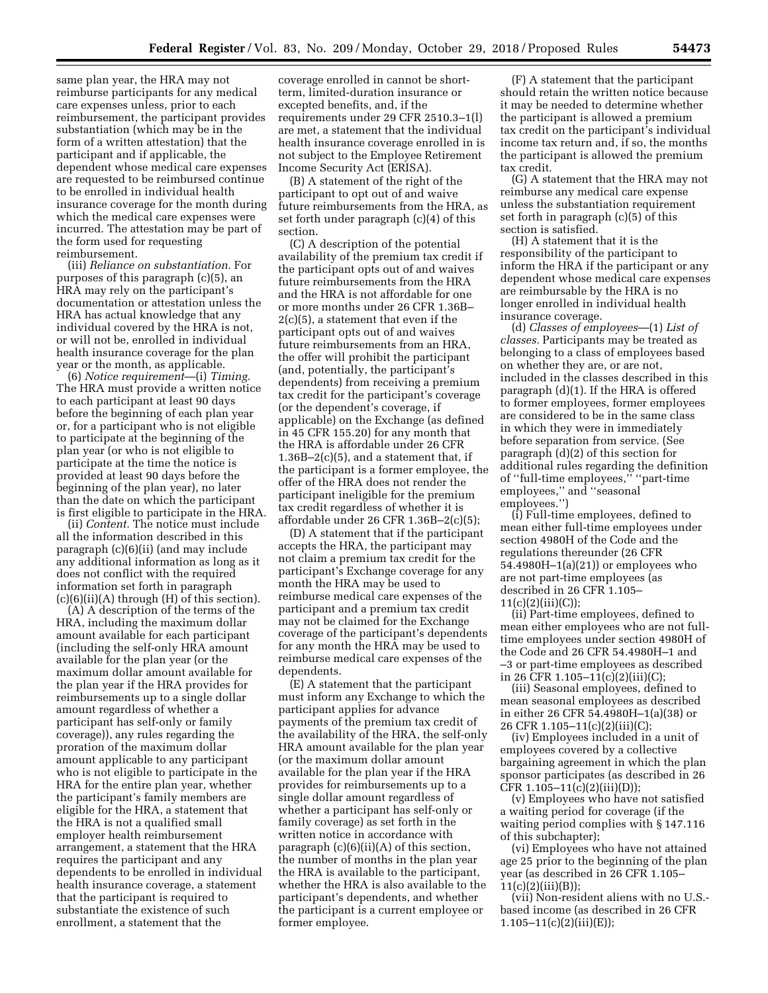same plan year, the HRA may not reimburse participants for any medical care expenses unless, prior to each reimbursement, the participant provides substantiation (which may be in the form of a written attestation) that the participant and if applicable, the dependent whose medical care expenses are requested to be reimbursed continue to be enrolled in individual health insurance coverage for the month during which the medical care expenses were incurred. The attestation may be part of the form used for requesting reimbursement.

(iii) *Reliance on substantiation.* For purposes of this paragraph (c)(5), an HRA may rely on the participant's documentation or attestation unless the HRA has actual knowledge that any individual covered by the HRA is not, or will not be, enrolled in individual health insurance coverage for the plan year or the month, as applicable.

(6) *Notice requirement*—(i) *Timing.*  The HRA must provide a written notice to each participant at least 90 days before the beginning of each plan year or, for a participant who is not eligible to participate at the beginning of the plan year (or who is not eligible to participate at the time the notice is provided at least 90 days before the beginning of the plan year), no later than the date on which the participant is first eligible to participate in the HRA.

(ii) *Content.* The notice must include all the information described in this paragraph (c)(6)(ii) (and may include any additional information as long as it does not conflict with the required information set forth in paragraph (c)(6)(ii)(A) through (H) of this section).

(A) A description of the terms of the HRA, including the maximum dollar amount available for each participant (including the self-only HRA amount available for the plan year (or the maximum dollar amount available for the plan year if the HRA provides for reimbursements up to a single dollar amount regardless of whether a participant has self-only or family coverage)), any rules regarding the proration of the maximum dollar amount applicable to any participant who is not eligible to participate in the HRA for the entire plan year, whether the participant's family members are eligible for the HRA, a statement that the HRA is not a qualified small employer health reimbursement arrangement, a statement that the HRA requires the participant and any dependents to be enrolled in individual health insurance coverage, a statement that the participant is required to substantiate the existence of such enrollment, a statement that the

coverage enrolled in cannot be shortterm, limited-duration insurance or excepted benefits, and, if the requirements under 29 CFR 2510.3–1(l) are met, a statement that the individual health insurance coverage enrolled in is not subject to the Employee Retirement Income Security Act (ERISA).

(B) A statement of the right of the participant to opt out of and waive future reimbursements from the HRA, as set forth under paragraph (c)(4) of this section.

(C) A description of the potential availability of the premium tax credit if the participant opts out of and waives future reimbursements from the HRA and the HRA is not affordable for one or more months under 26 CFR 1.36B– 2(c)(5), a statement that even if the participant opts out of and waives future reimbursements from an HRA, the offer will prohibit the participant (and, potentially, the participant's dependents) from receiving a premium tax credit for the participant's coverage (or the dependent's coverage, if applicable) on the Exchange (as defined in 45 CFR 155.20) for any month that the HRA is affordable under 26 CFR  $1.36B-2(c)(5)$ , and a statement that, if the participant is a former employee, the offer of the HRA does not render the participant ineligible for the premium tax credit regardless of whether it is affordable under 26 CFR 1.36B–2(c)(5);

(D) A statement that if the participant accepts the HRA, the participant may not claim a premium tax credit for the participant's Exchange coverage for any month the HRA may be used to reimburse medical care expenses of the participant and a premium tax credit may not be claimed for the Exchange coverage of the participant's dependents for any month the HRA may be used to reimburse medical care expenses of the dependents.

(E) A statement that the participant must inform any Exchange to which the participant applies for advance payments of the premium tax credit of the availability of the HRA, the self-only HRA amount available for the plan year (or the maximum dollar amount available for the plan year if the HRA provides for reimbursements up to a single dollar amount regardless of whether a participant has self-only or family coverage) as set forth in the written notice in accordance with paragraph  $(c)(6)(ii)(A)$  of this section, the number of months in the plan year the HRA is available to the participant, whether the HRA is also available to the participant's dependents, and whether the participant is a current employee or former employee.

(F) A statement that the participant should retain the written notice because it may be needed to determine whether the participant is allowed a premium tax credit on the participant's individual income tax return and, if so, the months the participant is allowed the premium tax credit.

(G) A statement that the HRA may not reimburse any medical care expense unless the substantiation requirement set forth in paragraph (c)(5) of this section is satisfied.

(H) A statement that it is the responsibility of the participant to inform the HRA if the participant or any dependent whose medical care expenses are reimbursable by the HRA is no longer enrolled in individual health insurance coverage.

(d) *Classes of employees*—(1) *List of classes.* Participants may be treated as belonging to a class of employees based on whether they are, or are not, included in the classes described in this paragraph (d)(1). If the HRA is offered to former employees, former employees are considered to be in the same class in which they were in immediately before separation from service. (See paragraph (d)(2) of this section for additional rules regarding the definition of ''full-time employees,'' ''part-time employees," and "seasonal employees.'')

(i) Full-time employees, defined to mean either full-time employees under section 4980H of the Code and the regulations thereunder (26 CFR 54.4980H–1(a)(21)) or employees who are not part-time employees (as described in 26 CFR 1.105– 11(c)(2)(iii)(C));

(ii) Part-time employees, defined to mean either employees who are not fulltime employees under section 4980H of the Code and 26 CFR 54.4980H–1 and –3 or part-time employees as described in 26 CFR 1.105–11(c)(2)(iii)(C);

(iii) Seasonal employees, defined to mean seasonal employees as described in either 26 CFR 54.4980H–1(a)(38) or 26 CFR 1.105–11(c)(2)(iii)(C);

(iv) Employees included in a unit of employees covered by a collective bargaining agreement in which the plan sponsor participates (as described in 26 CFR  $1.105-11(c)(2)(iii)(D));$ 

(v) Employees who have not satisfied a waiting period for coverage (if the waiting period complies with § 147.116 of this subchapter);

(vi) Employees who have not attained age 25 prior to the beginning of the plan year (as described in 26 CFR 1.105–  $11(c)(2)(iii)(B));$ 

(vii) Non-resident aliens with no U.S. based income (as described in 26 CFR  $1.105-11(c)(2)(iii)(E));$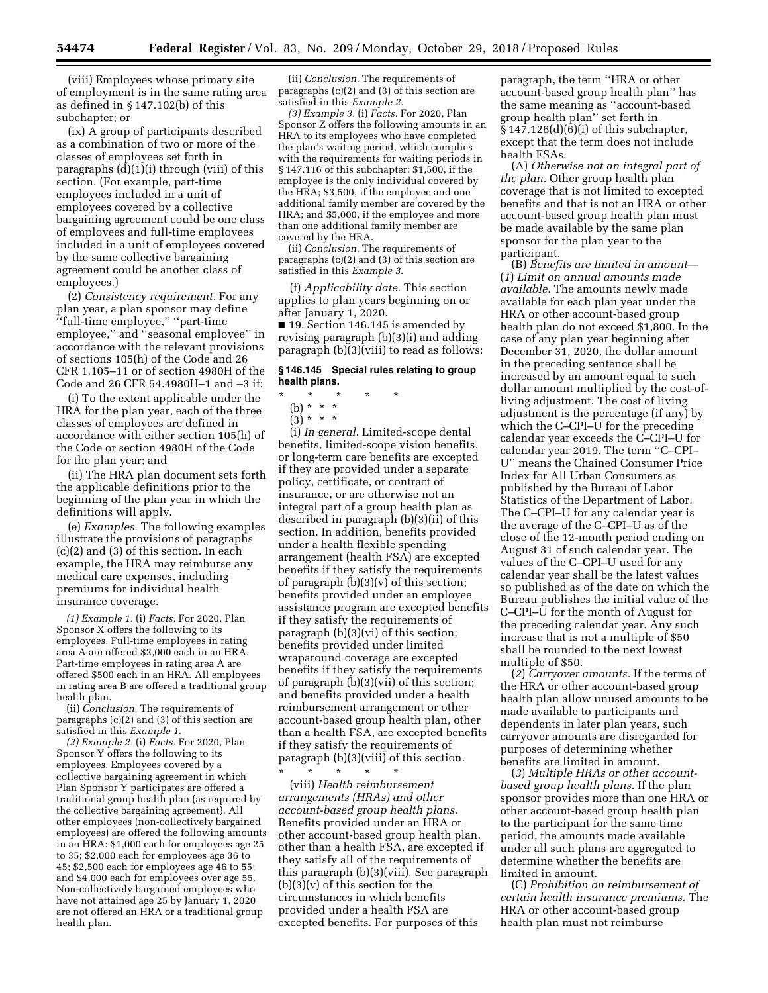(viii) Employees whose primary site of employment is in the same rating area as defined in § 147.102(b) of this subchapter; or

(ix) A group of participants described as a combination of two or more of the classes of employees set forth in paragraphs (d)(1)(i) through (viii) of this section. (For example, part-time employees included in a unit of employees covered by a collective bargaining agreement could be one class of employees and full-time employees included in a unit of employees covered by the same collective bargaining agreement could be another class of employees.)

(2) *Consistency requirement.* For any plan year, a plan sponsor may define ''full-time employee,'' ''part-time employee,'' and ''seasonal employee'' in accordance with the relevant provisions of sections 105(h) of the Code and 26 CFR 1.105–11 or of section 4980H of the Code and 26 CFR 54.4980H–1 and –3 if:

(i) To the extent applicable under the HRA for the plan year, each of the three classes of employees are defined in accordance with either section 105(h) of the Code or section 4980H of the Code for the plan year; and

(ii) The HRA plan document sets forth the applicable definitions prior to the beginning of the plan year in which the definitions will apply.

(e) *Examples.* The following examples illustrate the provisions of paragraphs (c)(2) and (3) of this section. In each example, the HRA may reimburse any medical care expenses, including premiums for individual health insurance coverage.

*(1) Example 1.* (i) *Facts.* For 2020, Plan Sponsor X offers the following to its employees. Full-time employees in rating area A are offered \$2,000 each in an HRA. Part-time employees in rating area A are offered \$500 each in an HRA. All employees in rating area B are offered a traditional group health plan.

(ii) *Conclusion.* The requirements of paragraphs (c)(2) and (3) of this section are satisfied in this *Example 1.* 

*(2) Example 2.* (i) *Facts.* For 2020, Plan Sponsor Y offers the following to its employees. Employees covered by a collective bargaining agreement in which Plan Sponsor Y participates are offered a traditional group health plan (as required by the collective bargaining agreement). All other employees (non-collectively bargained employees) are offered the following amounts in an HRA: \$1,000 each for employees age 25 to 35; \$2,000 each for employees age 36 to 45; \$2,500 each for employees age 46 to 55; and \$4,000 each for employees over age 55. Non-collectively bargained employees who have not attained age 25 by January 1, 2020 are not offered an HRA or a traditional group health plan.

(ii) *Conclusion.* The requirements of paragraphs (c)(2) and (3) of this section are satisfied in this *Example 2.* 

*(3) Example 3.* (i) *Facts.* For 2020, Plan Sponsor Z offers the following amounts in an HRA to its employees who have completed the plan's waiting period, which complies with the requirements for waiting periods in § 147.116 of this subchapter: \$1,500, if the employee is the only individual covered by the HRA; \$3,500, if the employee and one additional family member are covered by the HRA; and \$5,000, if the employee and more than one additional family member are covered by the HRA.

(ii) *Conclusion.* The requirements of paragraphs (c)(2) and (3) of this section are satisfied in this *Example 3.* 

(f) *Applicability date.* This section applies to plan years beginning on or after January 1, 2020.

■ 19. Section 146.145 is amended by revising paragraph (b)(3)(i) and adding paragraph (b)(3)(viii) to read as follows:

#### **§ 146.145 Special rules relating to group health plans.**

- \* \* \* \* \*
	- (b) \* \* \*
	- $(3)^{*}$  \* \*

(i) *In general.* Limited-scope dental benefits, limited-scope vision benefits, or long-term care benefits are excepted if they are provided under a separate policy, certificate, or contract of insurance, or are otherwise not an integral part of a group health plan as described in paragraph (b)(3)(ii) of this section. In addition, benefits provided under a health flexible spending arrangement (health FSA) are excepted benefits if they satisfy the requirements of paragraph  $(b)(3)(v)$  of this section; benefits provided under an employee assistance program are excepted benefits if they satisfy the requirements of paragraph  $(b)(3)(vi)$  of this section; benefits provided under limited wraparound coverage are excepted benefits if they satisfy the requirements of paragraph (b)(3)(vii) of this section; and benefits provided under a health reimbursement arrangement or other account-based group health plan, other than a health FSA, are excepted benefits if they satisfy the requirements of paragraph (b)(3)(viii) of this section.

\* \* \* \* \*

(viii) *Health reimbursement arrangements (HRAs) and other account-based group health plans.*  Benefits provided under an HRA or other account-based group health plan, other than a health FSA, are excepted if they satisfy all of the requirements of this paragraph (b)(3)(viii). See paragraph (b)(3)(v) of this section for the circumstances in which benefits provided under a health FSA are excepted benefits. For purposes of this

paragraph, the term ''HRA or other account-based group health plan'' has the same meaning as ''account-based group health plan'' set forth in  $\S 147.126(d)(6)(i)$  of this subchapter, except that the term does not include health FSAs.

(A) *Otherwise not an integral part of the plan.* Other group health plan coverage that is not limited to excepted benefits and that is not an HRA or other account-based group health plan must be made available by the same plan sponsor for the plan year to the participant.

(B) *Benefits are limited in amount*— (*1*) *Limit on annual amounts made available.* The amounts newly made available for each plan year under the HRA or other account-based group health plan do not exceed \$1,800. In the case of any plan year beginning after December 31, 2020, the dollar amount in the preceding sentence shall be increased by an amount equal to such dollar amount multiplied by the cost-ofliving adjustment. The cost of living adjustment is the percentage (if any) by which the C–CPI–U for the preceding calendar year exceeds the C–CPI–U for calendar year 2019. The term ''C–CPI– U'' means the Chained Consumer Price Index for All Urban Consumers as published by the Bureau of Labor Statistics of the Department of Labor. The C–CPI–U for any calendar year is the average of the C–CPI–U as of the close of the 12-month period ending on August 31 of such calendar year. The values of the C–CPI–U used for any calendar year shall be the latest values so published as of the date on which the Bureau publishes the initial value of the C–CPI–U for the month of August for the preceding calendar year. Any such increase that is not a multiple of \$50 shall be rounded to the next lowest multiple of \$50.

(*2*) *Carryover amounts.* If the terms of the HRA or other account-based group health plan allow unused amounts to be made available to participants and dependents in later plan years, such carryover amounts are disregarded for purposes of determining whether benefits are limited in amount.

(*3*) *Multiple HRAs or other accountbased group health plans.* If the plan sponsor provides more than one HRA or other account-based group health plan to the participant for the same time period, the amounts made available under all such plans are aggregated to determine whether the benefits are limited in amount.

(C) *Prohibition on reimbursement of certain health insurance premiums.* The HRA or other account-based group health plan must not reimburse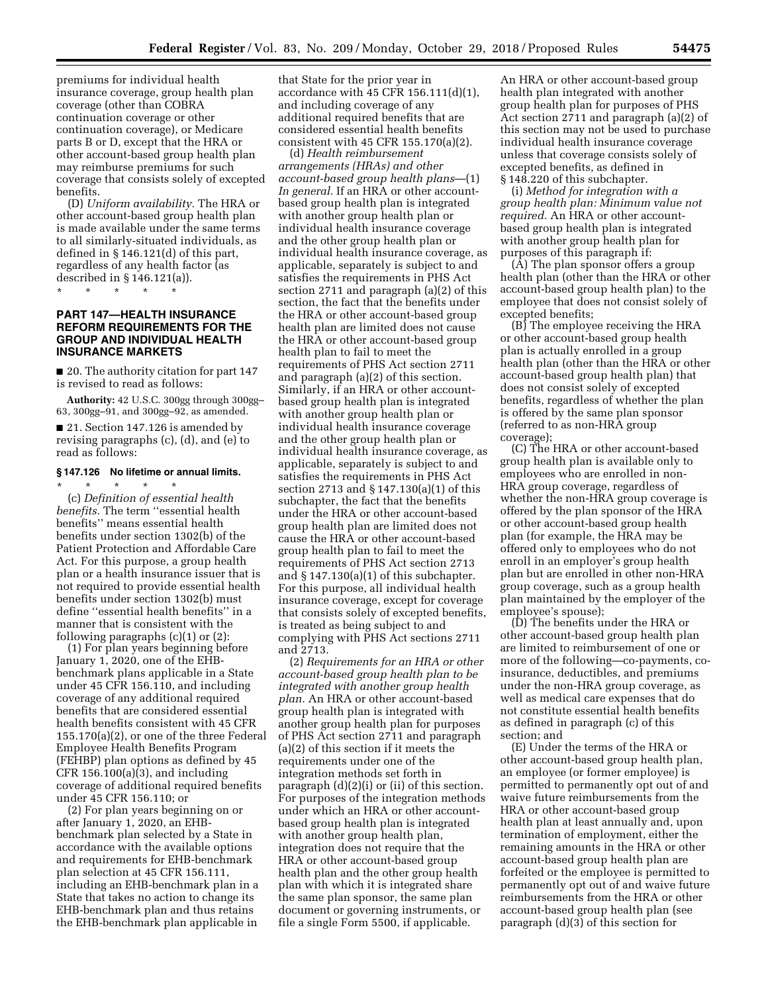premiums for individual health insurance coverage, group health plan coverage (other than COBRA continuation coverage or other continuation coverage), or Medicare parts B or D, except that the HRA or other account-based group health plan may reimburse premiums for such coverage that consists solely of excepted benefits.

(D) *Uniform availability.* The HRA or other account-based group health plan is made available under the same terms to all similarly-situated individuals, as defined in § 146.121(d) of this part, regardless of any health factor (as described in § 146.121(a)).

**PART 147—HEALTH INSURANCE REFORM REQUIREMENTS FOR THE GROUP AND INDIVIDUAL HEALTH INSURANCE MARKETS** 

■ 20. The authority citation for part 147 is revised to read as follows:

**Authority:** 42 U.S.C. 300gg through 300gg– 63, 300gg–91, and 300gg–92, as amended.

■ 21. Section 147.126 is amended by revising paragraphs (c), (d), and (e) to read as follows:

#### **§ 147.126 No lifetime or annual limits.**

\* \* \* \* \*

\* \* \* \* \*

(c) *Definition of essential health benefits.* The term ''essential health benefits'' means essential health benefits under section 1302(b) of the Patient Protection and Affordable Care Act. For this purpose, a group health plan or a health insurance issuer that is not required to provide essential health benefits under section 1302(b) must define ''essential health benefits'' in a manner that is consistent with the following paragraphs  $(c)(1)$  or  $(2)$ :

(1) For plan years beginning before January 1, 2020, one of the EHBbenchmark plans applicable in a State under 45 CFR 156.110, and including coverage of any additional required benefits that are considered essential health benefits consistent with 45 CFR 155.170(a)(2), or one of the three Federal Employee Health Benefits Program (FEHBP) plan options as defined by 45 CFR 156.100(a)(3), and including coverage of additional required benefits under 45 CFR 156.110; or

(2) For plan years beginning on or after January 1, 2020, an EHBbenchmark plan selected by a State in accordance with the available options and requirements for EHB-benchmark plan selection at 45 CFR 156.111, including an EHB-benchmark plan in a State that takes no action to change its EHB-benchmark plan and thus retains the EHB-benchmark plan applicable in

that State for the prior year in accordance with 45 CFR 156.111(d)(1), and including coverage of any additional required benefits that are considered essential health benefits consistent with 45 CFR 155.170(a)(2).

(d) *Health reimbursement arrangements (HRAs) and other account-based group health plans*—(1) *In general.* If an HRA or other accountbased group health plan is integrated with another group health plan or individual health insurance coverage and the other group health plan or individual health insurance coverage, as applicable, separately is subject to and satisfies the requirements in PHS Act section 2711 and paragraph (a)(2) of this section, the fact that the benefits under the HRA or other account-based group health plan are limited does not cause the HRA or other account-based group health plan to fail to meet the requirements of PHS Act section 2711 and paragraph (a)(2) of this section. Similarly, if an HRA or other accountbased group health plan is integrated with another group health plan or individual health insurance coverage and the other group health plan or individual health insurance coverage, as applicable, separately is subject to and satisfies the requirements in PHS Act section 2713 and § 147.130(a)(1) of this subchapter, the fact that the benefits under the HRA or other account-based group health plan are limited does not cause the HRA or other account-based group health plan to fail to meet the requirements of PHS Act section 2713 and § 147.130(a)(1) of this subchapter. For this purpose, all individual health insurance coverage, except for coverage that consists solely of excepted benefits, is treated as being subject to and complying with PHS Act sections 2711 and 2713.

(2) *Requirements for an HRA or other account-based group health plan to be integrated with another group health plan.* An HRA or other account-based group health plan is integrated with another group health plan for purposes of PHS Act section 2711 and paragraph (a)(2) of this section if it meets the requirements under one of the integration methods set forth in paragraph (d)(2)(i) or (ii) of this section. For purposes of the integration methods under which an HRA or other accountbased group health plan is integrated with another group health plan, integration does not require that the HRA or other account-based group health plan and the other group health plan with which it is integrated share the same plan sponsor, the same plan document or governing instruments, or file a single Form 5500, if applicable.

An HRA or other account-based group health plan integrated with another group health plan for purposes of PHS Act section 2711 and paragraph (a)(2) of this section may not be used to purchase individual health insurance coverage unless that coverage consists solely of excepted benefits, as defined in § 148.220 of this subchapter.

(i) *Method for integration with a group health plan: Minimum value not required.* An HRA or other accountbased group health plan is integrated with another group health plan for purposes of this paragraph if:

(A) The plan sponsor offers a group health plan (other than the HRA or other account-based group health plan) to the employee that does not consist solely of excepted benefits;

(B) The employee receiving the HRA or other account-based group health plan is actually enrolled in a group health plan (other than the HRA or other account-based group health plan) that does not consist solely of excepted benefits, regardless of whether the plan is offered by the same plan sponsor (referred to as non-HRA group coverage);

(C) The HRA or other account-based group health plan is available only to employees who are enrolled in non-HRA group coverage, regardless of whether the non-HRA group coverage is offered by the plan sponsor of the HRA or other account-based group health plan (for example, the HRA may be offered only to employees who do not enroll in an employer's group health plan but are enrolled in other non-HRA group coverage, such as a group health plan maintained by the employer of the employee's spouse);

(D) The benefits under the HRA or other account-based group health plan are limited to reimbursement of one or more of the following—co-payments, coinsurance, deductibles, and premiums under the non-HRA group coverage, as well as medical care expenses that do not constitute essential health benefits as defined in paragraph (c) of this section; and

(E) Under the terms of the HRA or other account-based group health plan, an employee (or former employee) is permitted to permanently opt out of and waive future reimbursements from the HRA or other account-based group health plan at least annually and, upon termination of employment, either the remaining amounts in the HRA or other account-based group health plan are forfeited or the employee is permitted to permanently opt out of and waive future reimbursements from the HRA or other account-based group health plan (see paragraph (d)(3) of this section for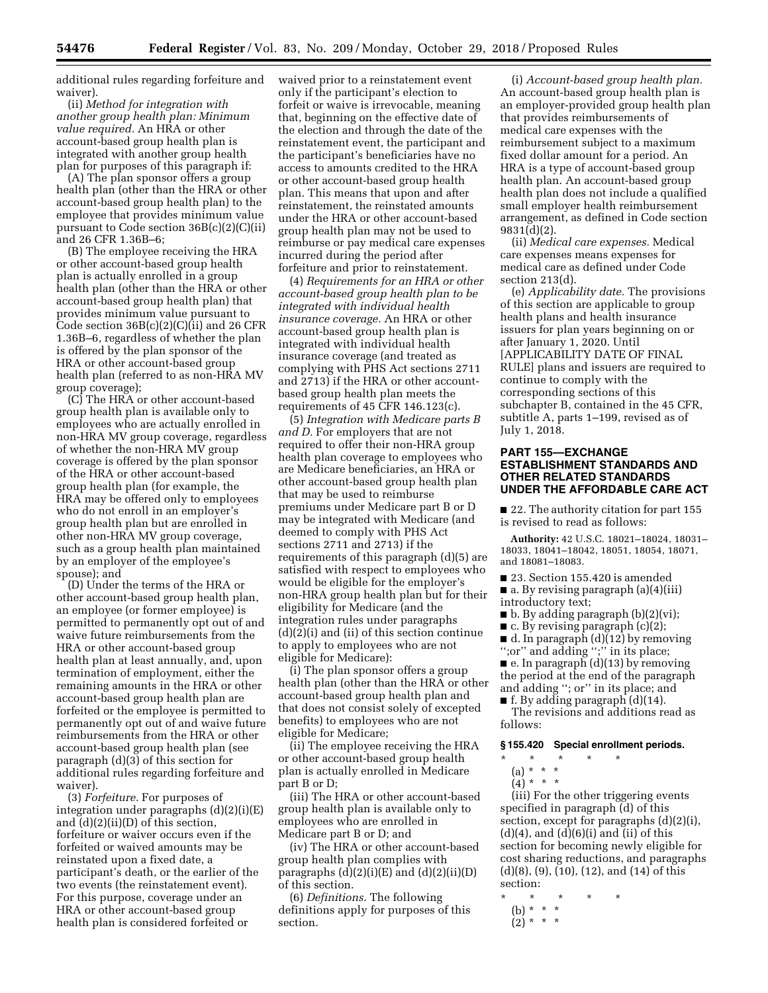additional rules regarding forfeiture and waiver).

(ii) *Method for integration with another group health plan: Minimum value required.* An HRA or other account-based group health plan is integrated with another group health plan for purposes of this paragraph if:

(A) The plan sponsor offers a group health plan (other than the HRA or other account-based group health plan) to the employee that provides minimum value pursuant to Code section  $36B(c)(2)(C(ii))$ and 26 CFR 1.36B–6;

(B) The employee receiving the HRA or other account-based group health plan is actually enrolled in a group health plan (other than the HRA or other account-based group health plan) that provides minimum value pursuant to Code section 36B(c)(2)(C)(ii) and 26 CFR 1.36B–6, regardless of whether the plan is offered by the plan sponsor of the HRA or other account-based group health plan (referred to as non-HRA MV group coverage);

(C) The HRA or other account-based group health plan is available only to employees who are actually enrolled in non-HRA MV group coverage, regardless of whether the non-HRA MV group coverage is offered by the plan sponsor of the HRA or other account-based group health plan (for example, the HRA may be offered only to employees who do not enroll in an employer's group health plan but are enrolled in other non-HRA MV group coverage, such as a group health plan maintained by an employer of the employee's spouse); and

(D) Under the terms of the HRA or other account-based group health plan, an employee (or former employee) is permitted to permanently opt out of and waive future reimbursements from the HRA or other account-based group health plan at least annually, and, upon termination of employment, either the remaining amounts in the HRA or other account-based group health plan are forfeited or the employee is permitted to permanently opt out of and waive future reimbursements from the HRA or other account-based group health plan (see paragraph (d)(3) of this section for additional rules regarding forfeiture and waiver).

(3) *Forfeiture.* For purposes of integration under paragraphs (d)(2)(i)(E) and (d)(2)(ii)(D) of this section, forfeiture or waiver occurs even if the forfeited or waived amounts may be reinstated upon a fixed date, a participant's death, or the earlier of the two events (the reinstatement event). For this purpose, coverage under an HRA or other account-based group health plan is considered forfeited or

waived prior to a reinstatement event only if the participant's election to forfeit or waive is irrevocable, meaning that, beginning on the effective date of the election and through the date of the reinstatement event, the participant and the participant's beneficiaries have no access to amounts credited to the HRA or other account-based group health plan. This means that upon and after reinstatement, the reinstated amounts under the HRA or other account-based group health plan may not be used to reimburse or pay medical care expenses incurred during the period after forfeiture and prior to reinstatement.

(4) *Requirements for an HRA or other account-based group health plan to be integrated with individual health insurance coverage.* An HRA or other account-based group health plan is integrated with individual health insurance coverage (and treated as complying with PHS Act sections 2711 and 2713) if the HRA or other accountbased group health plan meets the requirements of 45 CFR 146.123(c).

(5) *Integration with Medicare parts B and D.* For employers that are not required to offer their non-HRA group health plan coverage to employees who are Medicare beneficiaries, an HRA or other account-based group health plan that may be used to reimburse premiums under Medicare part B or D may be integrated with Medicare (and deemed to comply with PHS Act sections 2711 and 2713) if the requirements of this paragraph (d)(5) are satisfied with respect to employees who would be eligible for the employer's non-HRA group health plan but for their eligibility for Medicare (and the integration rules under paragraphs  $(d)(2)(i)$  and (ii) of this section continue to apply to employees who are not eligible for Medicare):

(i) The plan sponsor offers a group health plan (other than the HRA or other account-based group health plan and that does not consist solely of excepted benefits) to employees who are not eligible for Medicare;

(ii) The employee receiving the HRA or other account-based group health plan is actually enrolled in Medicare part B or D;

(iii) The HRA or other account-based group health plan is available only to employees who are enrolled in Medicare part B or D; and

(iv) The HRA or other account-based group health plan complies with paragraphs  $(d)(2)(i)(E)$  and  $(d)(2)(ii)(D)$ of this section.

(6) *Definitions.* The following definitions apply for purposes of this section.

(i) *Account-based group health plan.*  An account-based group health plan is an employer-provided group health plan that provides reimbursements of medical care expenses with the reimbursement subject to a maximum fixed dollar amount for a period. An HRA is a type of account-based group health plan. An account-based group health plan does not include a qualified small employer health reimbursement arrangement, as defined in Code section 9831(d)(2).

(ii) *Medical care expenses.* Medical care expenses means expenses for medical care as defined under Code section 213(d).

(e) *Applicability date.* The provisions of this section are applicable to group health plans and health insurance issuers for plan years beginning on or after January 1, 2020. Until [APPLICABILITY DATE OF FINAL RULE] plans and issuers are required to continue to comply with the corresponding sections of this subchapter B, contained in the 45 CFR, subtitle A, parts 1–199, revised as of July 1, 2018.

## **PART 155—EXCHANGE ESTABLISHMENT STANDARDS AND OTHER RELATED STANDARDS UNDER THE AFFORDABLE CARE ACT**

■ 22. The authority citation for part 155 is revised to read as follows:

**Authority:** 42 U.S.C. 18021–18024, 18031– 18033, 18041–18042, 18051, 18054, 18071, and 18081–18083.

■ 23. Section 155.420 is amended

■ a. By revising paragraph (a)(4)(iii) introductory text;

 $\blacksquare$  b. By adding paragraph (b)(2)(vi);

 $\blacksquare$  c. By revising paragraph (c)(2);

■ d. In paragraph (d)(12) by removing '';or'' and adding '';'' in its place;  $\blacksquare$  e. In paragraph (d)(13) by removing the period at the end of the paragraph

and adding ''; or'' in its place; and ■ f. By adding paragraph (d)(14).

The revisions and additions read as follows:

#### **§ 155.420 Special enrollment periods.**

- \* \* \* \* \*
	- (a) \* \* \*
	- $(4) * * * *$

(iii) For the other triggering events specified in paragraph (d) of this section, except for paragraphs (d)(2)(i),  $(d)(4)$ , and  $(d)(6)(i)$  and  $(ii)$  of this section for becoming newly eligible for cost sharing reductions, and paragraphs (d)(8), (9), (10), (12), and (14) of this section:

- \* \* \* \* \*
	- (b) \* \* \*
	- $(2)^{***}$